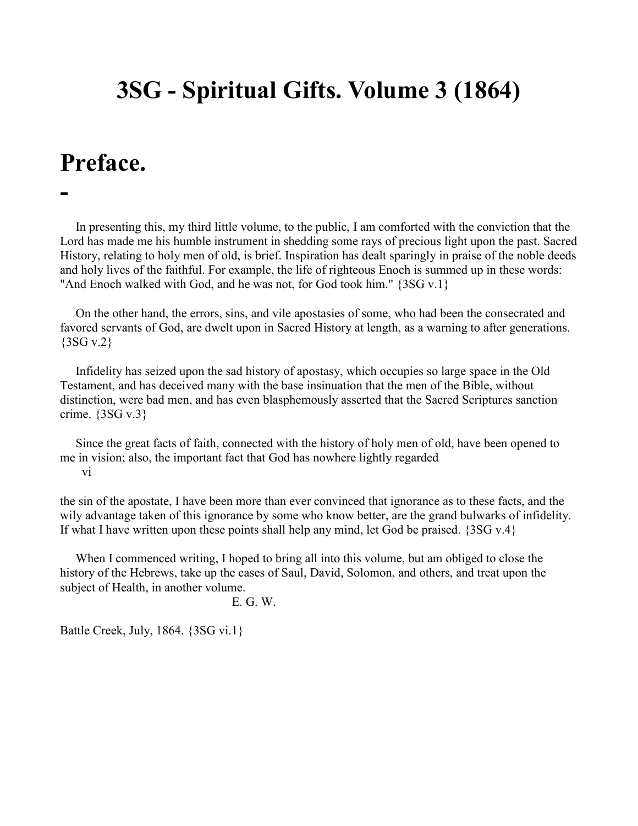# **3SG - Spiritual Gifts. Volume 3 (1864)**

# **Preface.**

**-** 

 In presenting this, my third little volume, to the public, I am comforted with the conviction that the Lord has made me his humble instrument in shedding some rays of precious light upon the past. Sacred History, relating to holy men of old, is brief. Inspiration has dealt sparingly in praise of the noble deeds and holy lives of the faithful. For example, the life of righteous Enoch is summed up in these words: "And Enoch walked with God, and he was not, for God took him." {3SG v.1}

 On the other hand, the errors, sins, and vile apostasies of some, who had been the consecrated and favored servants of God, are dwelt upon in Sacred History at length, as a warning to after generations.  ${3SG v.2}$ 

 Infidelity has seized upon the sad history of apostasy, which occupies so large space in the Old Testament, and has deceived many with the base insinuation that the men of the Bible, without distinction, were bad men, and has even blasphemously asserted that the Sacred Scriptures sanction crime. {3SG v.3}

 Since the great facts of faith, connected with the history of holy men of old, have been opened to me in vision; also, the important fact that God has nowhere lightly regarded vi

the sin of the apostate, I have been more than ever convinced that ignorance as to these facts, and the wily advantage taken of this ignorance by some who know better, are the grand bulwarks of infidelity. If what I have written upon these points shall help any mind, let God be praised. {3SG v.4}

 When I commenced writing, I hoped to bring all into this volume, but am obliged to close the history of the Hebrews, take up the cases of Saul, David, Solomon, and others, and treat upon the subject of Health, in another volume.

E. G. W.

Battle Creek, July, 1864. {3SG vi.1}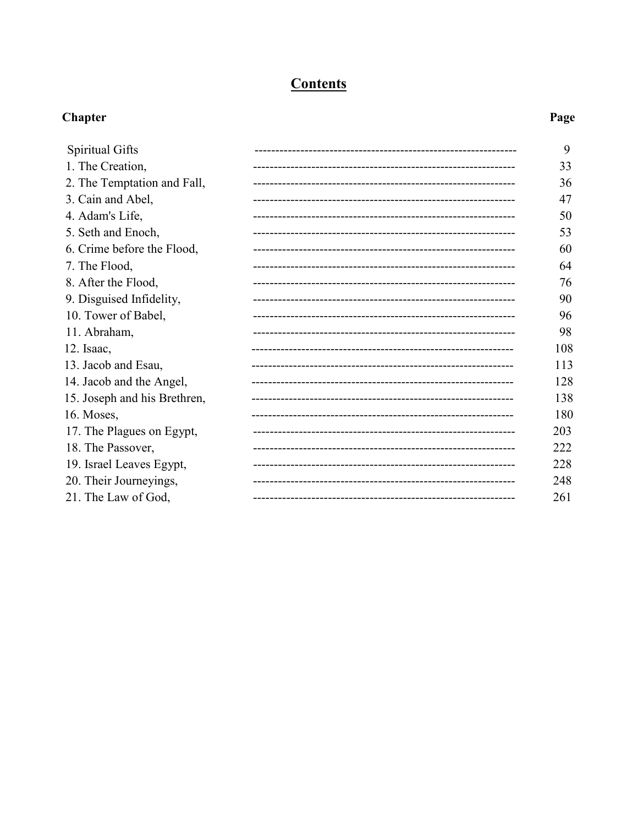## **Contents**

## Chapter

## Page

| Spiritual Gifts              | 9   |
|------------------------------|-----|
| 1. The Creation,             | 33  |
| 2. The Temptation and Fall,  | 36  |
| 3. Cain and Abel,            | 47  |
| 4. Adam's Life,              | 50  |
| 5. Seth and Enoch,           | 53  |
| 6. Crime before the Flood,   | 60  |
| 7. The Flood,                | 64  |
| 8. After the Flood,          | 76  |
| 9. Disguised Infidelity,     | 90  |
| 10. Tower of Babel,          | 96  |
| 11. Abraham,                 | 98  |
| $12.$ Isaac,                 | 108 |
| 13. Jacob and Esau,          | 113 |
| 14. Jacob and the Angel,     | 128 |
| 15. Joseph and his Brethren, | 138 |
| 16. Moses,                   | 180 |
| 17. The Plagues on Egypt,    | 203 |
| 18. The Passover,            | 222 |
| 19. Israel Leaves Egypt,     | 228 |
| 20. Their Journeyings,       | 248 |
| 21. The Law of God,          | 261 |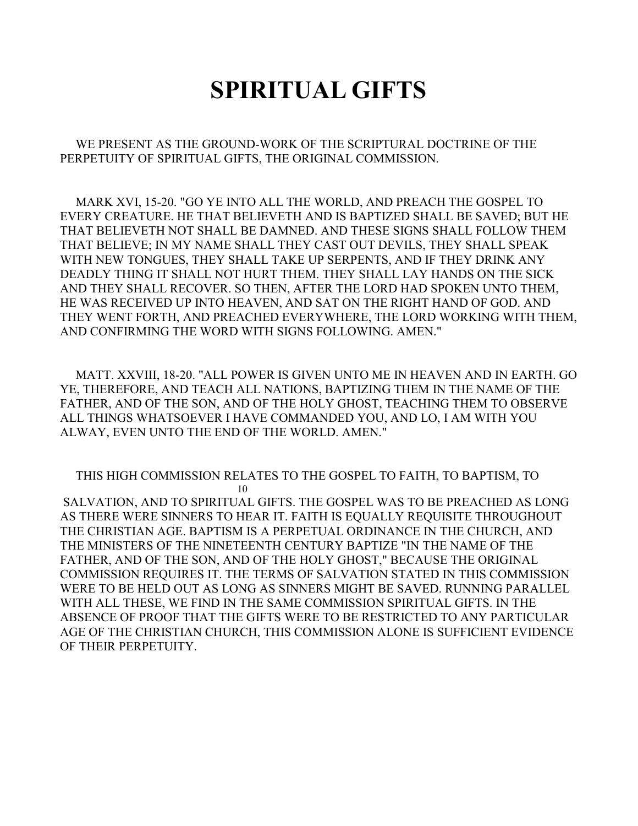# **SPIRITUAL GIFTS**

 WE PRESENT AS THE GROUND-WORK OF THE SCRIPTURAL DOCTRINE OF THE PERPETUITY OF SPIRITUAL GIFTS, THE ORIGINAL COMMISSION.

 MARK XVI, 15-20. "GO YE INTO ALL THE WORLD, AND PREACH THE GOSPEL TO EVERY CREATURE. HE THAT BELIEVETH AND IS BAPTIZED SHALL BE SAVED; BUT HE THAT BELIEVETH NOT SHALL BE DAMNED. AND THESE SIGNS SHALL FOLLOW THEM THAT BELIEVE; IN MY NAME SHALL THEY CAST OUT DEVILS, THEY SHALL SPEAK WITH NEW TONGUES, THEY SHALL TAKE UP SERPENTS, AND IF THEY DRINK ANY DEADLY THING IT SHALL NOT HURT THEM. THEY SHALL LAY HANDS ON THE SICK AND THEY SHALL RECOVER. SO THEN, AFTER THE LORD HAD SPOKEN UNTO THEM, HE WAS RECEIVED UP INTO HEAVEN, AND SAT ON THE RIGHT HAND OF GOD. AND THEY WENT FORTH, AND PREACHED EVERYWHERE, THE LORD WORKING WITH THEM, AND CONFIRMING THE WORD WITH SIGNS FOLLOWING. AMEN."

 MATT. XXVIII, 18-20. "ALL POWER IS GIVEN UNTO ME IN HEAVEN AND IN EARTH. GO YE, THEREFORE, AND TEACH ALL NATIONS, BAPTIZING THEM IN THE NAME OF THE FATHER, AND OF THE SON, AND OF THE HOLY GHOST, TEACHING THEM TO OBSERVE ALL THINGS WHATSOEVER I HAVE COMMANDED YOU, AND LO, I AM WITH YOU ALWAY, EVEN UNTO THE END OF THE WORLD. AMEN."

 THIS HIGH COMMISSION RELATES TO THE GOSPEL TO FAITH, TO BAPTISM, TO 10 SALVATION, AND TO SPIRITUAL GIFTS. THE GOSPEL WAS TO BE PREACHED AS LONG AS THERE WERE SINNERS TO HEAR IT. FAITH IS EQUALLY REQUISITE THROUGHOUT THE CHRISTIAN AGE. BAPTISM IS A PERPETUAL ORDINANCE IN THE CHURCH, AND THE MINISTERS OF THE NINETEENTH CENTURY BAPTIZE "IN THE NAME OF THE FATHER, AND OF THE SON, AND OF THE HOLY GHOST," BECAUSE THE ORIGINAL COMMISSION REQUIRES IT. THE TERMS OF SALVATION STATED IN THIS COMMISSION WERE TO BE HELD OUT AS LONG AS SINNERS MIGHT BE SAVED. RUNNING PARALLEL WITH ALL THESE, WE FIND IN THE SAME COMMISSION SPIRITUAL GIFTS. IN THE ABSENCE OF PROOF THAT THE GIFTS WERE TO BE RESTRICTED TO ANY PARTICULAR AGE OF THE CHRISTIAN CHURCH, THIS COMMISSION ALONE IS SUFFICIENT EVIDENCE OF THEIR PERPETUITY.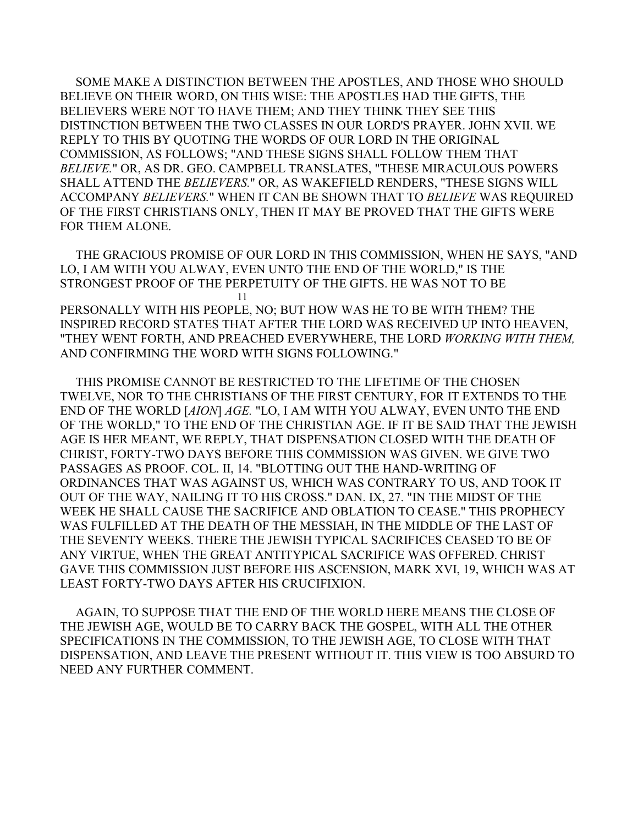SOME MAKE A DISTINCTION BETWEEN THE APOSTLES, AND THOSE WHO SHOULD BELIEVE ON THEIR WORD, ON THIS WISE: THE APOSTLES HAD THE GIFTS, THE BELIEVERS WERE NOT TO HAVE THEM; AND THEY THINK THEY SEE THIS DISTINCTION BETWEEN THE TWO CLASSES IN OUR LORD'S PRAYER. JOHN XVII. WE REPLY TO THIS BY QUOTING THE WORDS OF OUR LORD IN THE ORIGINAL COMMISSION, AS FOLLOWS; "AND THESE SIGNS SHALL FOLLOW THEM THAT *BELIEVE.*" OR, AS DR. GEO. CAMPBELL TRANSLATES, "THESE MIRACULOUS POWERS SHALL ATTEND THE *BELIEVERS.*" OR, AS WAKEFIELD RENDERS, "THESE SIGNS WILL ACCOMPANY *BELIEVERS.*" WHEN IT CAN BE SHOWN THAT TO *BELIEVE* WAS REQUIRED OF THE FIRST CHRISTIANS ONLY, THEN IT MAY BE PROVED THAT THE GIFTS WERE FOR THEM ALONE.

 THE GRACIOUS PROMISE OF OUR LORD IN THIS COMMISSION, WHEN HE SAYS, "AND LO, I AM WITH YOU ALWAY, EVEN UNTO THE END OF THE WORLD," IS THE STRONGEST PROOF OF THE PERPETUITY OF THE GIFTS. HE WAS NOT TO BE 11 PERSONALLY WITH HIS PEOPLE, NO; BUT HOW WAS HE TO BE WITH THEM? THE INSPIRED RECORD STATES THAT AFTER THE LORD WAS RECEIVED UP INTO HEAVEN, "THEY WENT FORTH, AND PREACHED EVERYWHERE, THE LORD *WORKING WITH THEM,* AND CONFIRMING THE WORD WITH SIGNS FOLLOWING."

 THIS PROMISE CANNOT BE RESTRICTED TO THE LIFETIME OF THE CHOSEN TWELVE, NOR TO THE CHRISTIANS OF THE FIRST CENTURY, FOR IT EXTENDS TO THE END OF THE WORLD [*AION*] *AGE.* "LO, I AM WITH YOU ALWAY, EVEN UNTO THE END OF THE WORLD," TO THE END OF THE CHRISTIAN AGE. IF IT BE SAID THAT THE JEWISH AGE IS HER MEANT, WE REPLY, THAT DISPENSATION CLOSED WITH THE DEATH OF CHRIST, FORTY-TWO DAYS BEFORE THIS COMMISSION WAS GIVEN. WE GIVE TWO PASSAGES AS PROOF. COL. II, 14. "BLOTTING OUT THE HAND-WRITING OF ORDINANCES THAT WAS AGAINST US, WHICH WAS CONTRARY TO US, AND TOOK IT OUT OF THE WAY, NAILING IT TO HIS CROSS." DAN. IX, 27. "IN THE MIDST OF THE WEEK HE SHALL CAUSE THE SACRIFICE AND OBLATION TO CEASE." THIS PROPHECY WAS FULFILLED AT THE DEATH OF THE MESSIAH, IN THE MIDDLE OF THE LAST OF THE SEVENTY WEEKS. THERE THE JEWISH TYPICAL SACRIFICES CEASED TO BE OF ANY VIRTUE, WHEN THE GREAT ANTITYPICAL SACRIFICE WAS OFFERED. CHRIST GAVE THIS COMMISSION JUST BEFORE HIS ASCENSION, MARK XVI, 19, WHICH WAS AT LEAST FORTY-TWO DAYS AFTER HIS CRUCIFIXION.

 AGAIN, TO SUPPOSE THAT THE END OF THE WORLD HERE MEANS THE CLOSE OF THE JEWISH AGE, WOULD BE TO CARRY BACK THE GOSPEL, WITH ALL THE OTHER SPECIFICATIONS IN THE COMMISSION, TO THE JEWISH AGE, TO CLOSE WITH THAT DISPENSATION, AND LEAVE THE PRESENT WITHOUT IT. THIS VIEW IS TOO ABSURD TO NEED ANY FURTHER COMMENT.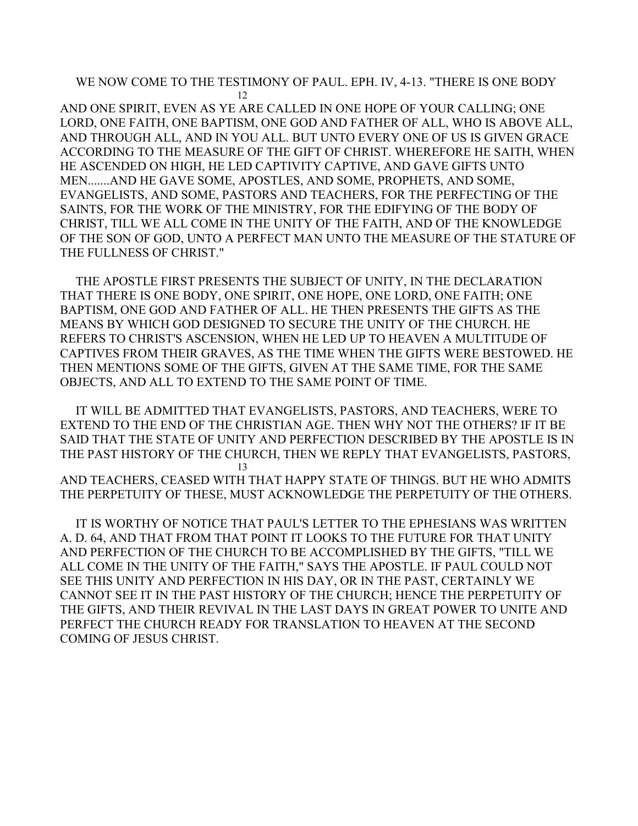#### WE NOW COME TO THE TESTIMONY OF PAUL. EPH. IV, 4-13. "THERE IS ONE BODY 12

AND ONE SPIRIT, EVEN AS YE ARE CALLED IN ONE HOPE OF YOUR CALLING; ONE LORD, ONE FAITH, ONE BAPTISM, ONE GOD AND FATHER OF ALL, WHO IS ABOVE ALL, AND THROUGH ALL, AND IN YOU ALL. BUT UNTO EVERY ONE OF US IS GIVEN GRACE ACCORDING TO THE MEASURE OF THE GIFT OF CHRIST. WHEREFORE HE SAITH, WHEN HE ASCENDED ON HIGH, HE LED CAPTIVITY CAPTIVE, AND GAVE GIFTS UNTO MEN.......AND HE GAVE SOME, APOSTLES, AND SOME, PROPHETS, AND SOME, EVANGELISTS, AND SOME, PASTORS AND TEACHERS, FOR THE PERFECTING OF THE SAINTS, FOR THE WORK OF THE MINISTRY, FOR THE EDIFYING OF THE BODY OF CHRIST, TILL WE ALL COME IN THE UNITY OF THE FAITH, AND OF THE KNOWLEDGE OF THE SON OF GOD, UNTO A PERFECT MAN UNTO THE MEASURE OF THE STATURE OF THE FULLNESS OF CHRIST."

 THE APOSTLE FIRST PRESENTS THE SUBJECT OF UNITY, IN THE DECLARATION THAT THERE IS ONE BODY, ONE SPIRIT, ONE HOPE, ONE LORD, ONE FAITH; ONE BAPTISM, ONE GOD AND FATHER OF ALL. HE THEN PRESENTS THE GIFTS AS THE MEANS BY WHICH GOD DESIGNED TO SECURE THE UNITY OF THE CHURCH. HE REFERS TO CHRIST'S ASCENSION, WHEN HE LED UP TO HEAVEN A MULTITUDE OF CAPTIVES FROM THEIR GRAVES, AS THE TIME WHEN THE GIFTS WERE BESTOWED. HE THEN MENTIONS SOME OF THE GIFTS, GIVEN AT THE SAME TIME, FOR THE SAME OBJECTS, AND ALL TO EXTEND TO THE SAME POINT OF TIME.

 IT WILL BE ADMITTED THAT EVANGELISTS, PASTORS, AND TEACHERS, WERE TO EXTEND TO THE END OF THE CHRISTIAN AGE. THEN WHY NOT THE OTHERS? IF IT BE SAID THAT THE STATE OF UNITY AND PERFECTION DESCRIBED BY THE APOSTLE IS IN THE PAST HISTORY OF THE CHURCH, THEN WE REPLY THAT EVANGELISTS, PASTORS, 13 AND TEACHERS, CEASED WITH THAT HAPPY STATE OF THINGS. BUT HE WHO ADMITS THE PERPETUITY OF THESE, MUST ACKNOWLEDGE THE PERPETUITY OF THE OTHERS.

 IT IS WORTHY OF NOTICE THAT PAUL'S LETTER TO THE EPHESIANS WAS WRITTEN A. D. 64, AND THAT FROM THAT POINT IT LOOKS TO THE FUTURE FOR THAT UNITY AND PERFECTION OF THE CHURCH TO BE ACCOMPLISHED BY THE GIFTS, "TILL WE ALL COME IN THE UNITY OF THE FAITH," SAYS THE APOSTLE. IF PAUL COULD NOT SEE THIS UNITY AND PERFECTION IN HIS DAY, OR IN THE PAST, CERTAINLY WE CANNOT SEE IT IN THE PAST HISTORY OF THE CHURCH; HENCE THE PERPETUITY OF THE GIFTS, AND THEIR REVIVAL IN THE LAST DAYS IN GREAT POWER TO UNITE AND PERFECT THE CHURCH READY FOR TRANSLATION TO HEAVEN AT THE SECOND COMING OF JESUS CHRIST.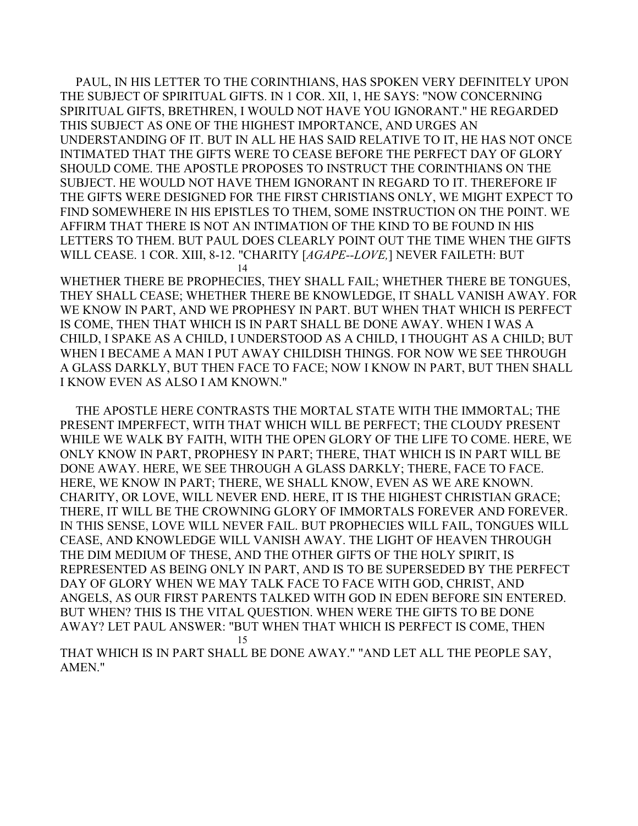PAUL, IN HIS LETTER TO THE CORINTHIANS, HAS SPOKEN VERY DEFINITELY UPON THE SUBJECT OF SPIRITUAL GIFTS. IN 1 COR. XII, 1, HE SAYS: "NOW CONCERNING SPIRITUAL GIFTS, BRETHREN, I WOULD NOT HAVE YOU IGNORANT." HE REGARDED THIS SUBJECT AS ONE OF THE HIGHEST IMPORTANCE, AND URGES AN UNDERSTANDING OF IT. BUT IN ALL HE HAS SAID RELATIVE TO IT, HE HAS NOT ONCE INTIMATED THAT THE GIFTS WERE TO CEASE BEFORE THE PERFECT DAY OF GLORY SHOULD COME. THE APOSTLE PROPOSES TO INSTRUCT THE CORINTHIANS ON THE SUBJECT. HE WOULD NOT HAVE THEM IGNORANT IN REGARD TO IT. THEREFORE IF THE GIFTS WERE DESIGNED FOR THE FIRST CHRISTIANS ONLY, WE MIGHT EXPECT TO FIND SOMEWHERE IN HIS EPISTLES TO THEM, SOME INSTRUCTION ON THE POINT. WE AFFIRM THAT THERE IS NOT AN INTIMATION OF THE KIND TO BE FOUND IN HIS LETTERS TO THEM. BUT PAUL DOES CLEARLY POINT OUT THE TIME WHEN THE GIFTS WILL CEASE. 1 COR. XIII, 8-12. "CHARITY [*AGAPE--LOVE,*] NEVER FAILETH: BUT 14

WHETHER THERE BE PROPHECIES, THEY SHALL FAIL; WHETHER THERE BE TONGUES, THEY SHALL CEASE; WHETHER THERE BE KNOWLEDGE, IT SHALL VANISH AWAY. FOR WE KNOW IN PART, AND WE PROPHESY IN PART. BUT WHEN THAT WHICH IS PERFECT IS COME, THEN THAT WHICH IS IN PART SHALL BE DONE AWAY. WHEN I WAS A CHILD, I SPAKE AS A CHILD, I UNDERSTOOD AS A CHILD, I THOUGHT AS A CHILD; BUT WHEN I BECAME A MAN I PUT AWAY CHILDISH THINGS. FOR NOW WE SEE THROUGH A GLASS DARKLY, BUT THEN FACE TO FACE; NOW I KNOW IN PART, BUT THEN SHALL I KNOW EVEN AS ALSO I AM KNOWN."

 THE APOSTLE HERE CONTRASTS THE MORTAL STATE WITH THE IMMORTAL; THE PRESENT IMPERFECT, WITH THAT WHICH WILL BE PERFECT; THE CLOUDY PRESENT WHILE WE WALK BY FAITH, WITH THE OPEN GLORY OF THE LIFE TO COME. HERE, WE ONLY KNOW IN PART, PROPHESY IN PART; THERE, THAT WHICH IS IN PART WILL BE DONE AWAY. HERE, WE SEE THROUGH A GLASS DARKLY; THERE, FACE TO FACE. HERE, WE KNOW IN PART; THERE, WE SHALL KNOW, EVEN AS WE ARE KNOWN. CHARITY, OR LOVE, WILL NEVER END. HERE, IT IS THE HIGHEST CHRISTIAN GRACE; THERE, IT WILL BE THE CROWNING GLORY OF IMMORTALS FOREVER AND FOREVER. IN THIS SENSE, LOVE WILL NEVER FAIL. BUT PROPHECIES WILL FAIL, TONGUES WILL CEASE, AND KNOWLEDGE WILL VANISH AWAY. THE LIGHT OF HEAVEN THROUGH THE DIM MEDIUM OF THESE, AND THE OTHER GIFTS OF THE HOLY SPIRIT, IS REPRESENTED AS BEING ONLY IN PART, AND IS TO BE SUPERSEDED BY THE PERFECT DAY OF GLORY WHEN WE MAY TALK FACE TO FACE WITH GOD, CHRIST, AND ANGELS, AS OUR FIRST PARENTS TALKED WITH GOD IN EDEN BEFORE SIN ENTERED. BUT WHEN? THIS IS THE VITAL QUESTION. WHEN WERE THE GIFTS TO BE DONE AWAY? LET PAUL ANSWER: "BUT WHEN THAT WHICH IS PERFECT IS COME, THEN 15

THAT WHICH IS IN PART SHALL BE DONE AWAY." "AND LET ALL THE PEOPLE SAY, AMEN."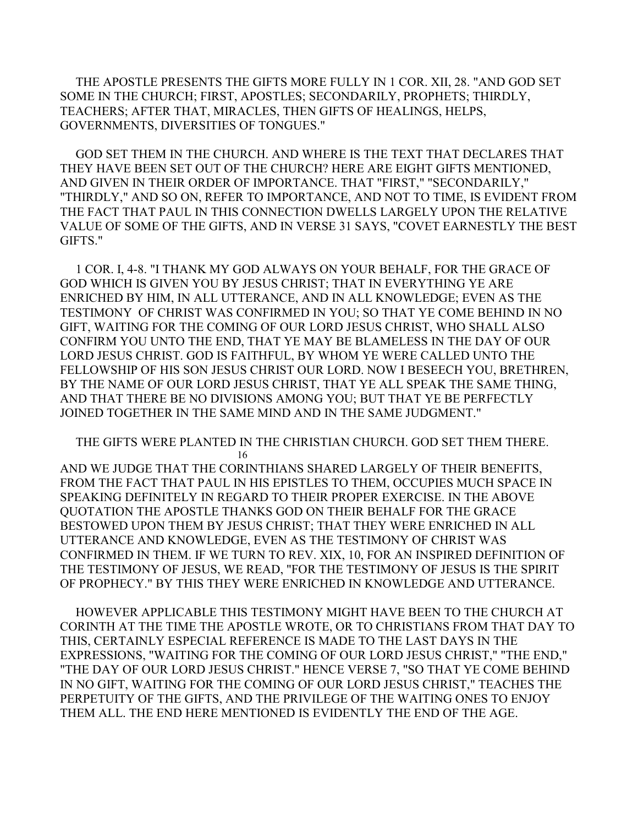THE APOSTLE PRESENTS THE GIFTS MORE FULLY IN 1 COR. XII, 28. "AND GOD SET SOME IN THE CHURCH; FIRST, APOSTLES; SECONDARILY, PROPHETS; THIRDLY, TEACHERS; AFTER THAT, MIRACLES, THEN GIFTS OF HEALINGS, HELPS, GOVERNMENTS, DIVERSITIES OF TONGUES."

 GOD SET THEM IN THE CHURCH. AND WHERE IS THE TEXT THAT DECLARES THAT THEY HAVE BEEN SET OUT OF THE CHURCH? HERE ARE EIGHT GIFTS MENTIONED, AND GIVEN IN THEIR ORDER OF IMPORTANCE. THAT "FIRST," "SECONDARILY," "THIRDLY," AND SO ON, REFER TO IMPORTANCE, AND NOT TO TIME, IS EVIDENT FROM THE FACT THAT PAUL IN THIS CONNECTION DWELLS LARGELY UPON THE RELATIVE VALUE OF SOME OF THE GIFTS, AND IN VERSE 31 SAYS, "COVET EARNESTLY THE BEST GIFTS."

 1 COR. I, 4-8. "I THANK MY GOD ALWAYS ON YOUR BEHALF, FOR THE GRACE OF GOD WHICH IS GIVEN YOU BY JESUS CHRIST; THAT IN EVERYTHING YE ARE ENRICHED BY HIM, IN ALL UTTERANCE, AND IN ALL KNOWLEDGE; EVEN AS THE TESTIMONY OF CHRIST WAS CONFIRMED IN YOU; SO THAT YE COME BEHIND IN NO GIFT, WAITING FOR THE COMING OF OUR LORD JESUS CHRIST, WHO SHALL ALSO CONFIRM YOU UNTO THE END, THAT YE MAY BE BLAMELESS IN THE DAY OF OUR LORD JESUS CHRIST. GOD IS FAITHFUL, BY WHOM YE WERE CALLED UNTO THE FELLOWSHIP OF HIS SON JESUS CHRIST OUR LORD. NOW I BESEECH YOU, BRETHREN, BY THE NAME OF OUR LORD JESUS CHRIST, THAT YE ALL SPEAK THE SAME THING, AND THAT THERE BE NO DIVISIONS AMONG YOU; BUT THAT YE BE PERFECTLY JOINED TOGETHER IN THE SAME MIND AND IN THE SAME JUDGMENT."

 THE GIFTS WERE PLANTED IN THE CHRISTIAN CHURCH. GOD SET THEM THERE. 16 AND WE JUDGE THAT THE CORINTHIANS SHARED LARGELY OF THEIR BENEFITS, FROM THE FACT THAT PAUL IN HIS EPISTLES TO THEM, OCCUPIES MUCH SPACE IN SPEAKING DEFINITELY IN REGARD TO THEIR PROPER EXERCISE. IN THE ABOVE QUOTATION THE APOSTLE THANKS GOD ON THEIR BEHALF FOR THE GRACE BESTOWED UPON THEM BY JESUS CHRIST; THAT THEY WERE ENRICHED IN ALL UTTERANCE AND KNOWLEDGE, EVEN AS THE TESTIMONY OF CHRIST WAS CONFIRMED IN THEM. IF WE TURN TO REV. XIX, 10, FOR AN INSPIRED DEFINITION OF THE TESTIMONY OF JESUS, WE READ, "FOR THE TESTIMONY OF JESUS IS THE SPIRIT OF PROPHECY." BY THIS THEY WERE ENRICHED IN KNOWLEDGE AND UTTERANCE.

 HOWEVER APPLICABLE THIS TESTIMONY MIGHT HAVE BEEN TO THE CHURCH AT CORINTH AT THE TIME THE APOSTLE WROTE, OR TO CHRISTIANS FROM THAT DAY TO THIS, CERTAINLY ESPECIAL REFERENCE IS MADE TO THE LAST DAYS IN THE EXPRESSIONS, "WAITING FOR THE COMING OF OUR LORD JESUS CHRIST," "THE END," "THE DAY OF OUR LORD JESUS CHRIST." HENCE VERSE 7, "SO THAT YE COME BEHIND IN NO GIFT, WAITING FOR THE COMING OF OUR LORD JESUS CHRIST," TEACHES THE PERPETUITY OF THE GIFTS, AND THE PRIVILEGE OF THE WAITING ONES TO ENJOY THEM ALL. THE END HERE MENTIONED IS EVIDENTLY THE END OF THE AGE.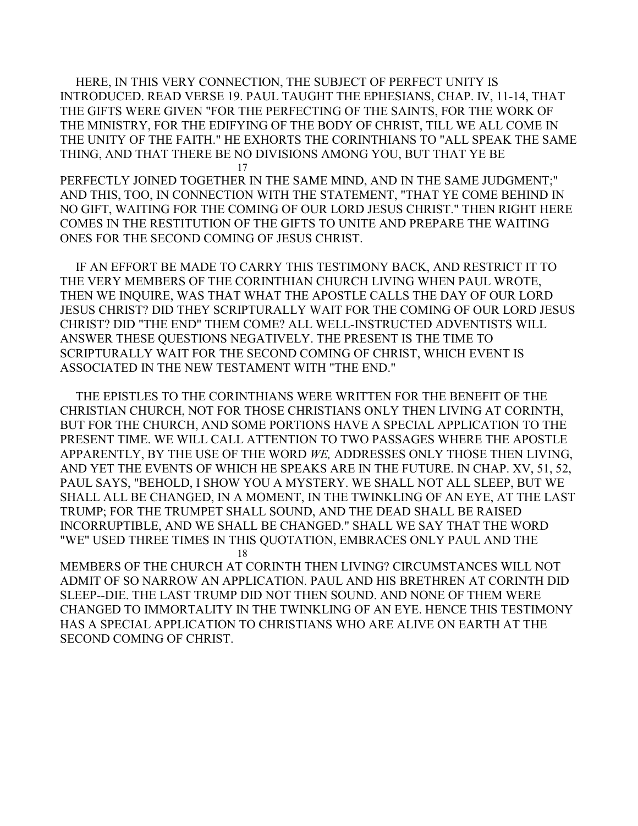HERE, IN THIS VERY CONNECTION, THE SUBJECT OF PERFECT UNITY IS INTRODUCED. READ VERSE 19. PAUL TAUGHT THE EPHESIANS, CHAP. IV, 11-14, THAT THE GIFTS WERE GIVEN "FOR THE PERFECTING OF THE SAINTS, FOR THE WORK OF THE MINISTRY, FOR THE EDIFYING OF THE BODY OF CHRIST, TILL WE ALL COME IN THE UNITY OF THE FAITH." HE EXHORTS THE CORINTHIANS TO "ALL SPEAK THE SAME THING, AND THAT THERE BE NO DIVISIONS AMONG YOU, BUT THAT YE BE

PERFECTLY JOINED TOGETHER IN THE SAME MIND, AND IN THE SAME JUDGMENT;" AND THIS, TOO, IN CONNECTION WITH THE STATEMENT, "THAT YE COME BEHIND IN NO GIFT, WAITING FOR THE COMING OF OUR LORD JESUS CHRIST." THEN RIGHT HERE COMES IN THE RESTITUTION OF THE GIFTS TO UNITE AND PREPARE THE WAITING ONES FOR THE SECOND COMING OF JESUS CHRIST.

17

 IF AN EFFORT BE MADE TO CARRY THIS TESTIMONY BACK, AND RESTRICT IT TO THE VERY MEMBERS OF THE CORINTHIAN CHURCH LIVING WHEN PAUL WROTE, THEN WE INQUIRE, WAS THAT WHAT THE APOSTLE CALLS THE DAY OF OUR LORD JESUS CHRIST? DID THEY SCRIPTURALLY WAIT FOR THE COMING OF OUR LORD JESUS CHRIST? DID "THE END" THEM COME? ALL WELL-INSTRUCTED ADVENTISTS WILL ANSWER THESE QUESTIONS NEGATIVELY. THE PRESENT IS THE TIME TO SCRIPTURALLY WAIT FOR THE SECOND COMING OF CHRIST, WHICH EVENT IS ASSOCIATED IN THE NEW TESTAMENT WITH "THE END."

 THE EPISTLES TO THE CORINTHIANS WERE WRITTEN FOR THE BENEFIT OF THE CHRISTIAN CHURCH, NOT FOR THOSE CHRISTIANS ONLY THEN LIVING AT CORINTH, BUT FOR THE CHURCH, AND SOME PORTIONS HAVE A SPECIAL APPLICATION TO THE PRESENT TIME. WE WILL CALL ATTENTION TO TWO PASSAGES WHERE THE APOSTLE APPARENTLY, BY THE USE OF THE WORD *WE,* ADDRESSES ONLY THOSE THEN LIVING, AND YET THE EVENTS OF WHICH HE SPEAKS ARE IN THE FUTURE. IN CHAP. XV, 51, 52, PAUL SAYS, "BEHOLD, I SHOW YOU A MYSTERY. WE SHALL NOT ALL SLEEP, BUT WE SHALL ALL BE CHANGED, IN A MOMENT, IN THE TWINKLING OF AN EYE, AT THE LAST TRUMP; FOR THE TRUMPET SHALL SOUND, AND THE DEAD SHALL BE RAISED INCORRUPTIBLE, AND WE SHALL BE CHANGED." SHALL WE SAY THAT THE WORD "WE" USED THREE TIMES IN THIS QUOTATION, EMBRACES ONLY PAUL AND THE 18

MEMBERS OF THE CHURCH AT CORINTH THEN LIVING? CIRCUMSTANCES WILL NOT ADMIT OF SO NARROW AN APPLICATION. PAUL AND HIS BRETHREN AT CORINTH DID SLEEP--DIE. THE LAST TRUMP DID NOT THEN SOUND. AND NONE OF THEM WERE CHANGED TO IMMORTALITY IN THE TWINKLING OF AN EYE. HENCE THIS TESTIMONY HAS A SPECIAL APPLICATION TO CHRISTIANS WHO ARE ALIVE ON EARTH AT THE SECOND COMING OF CHRIST.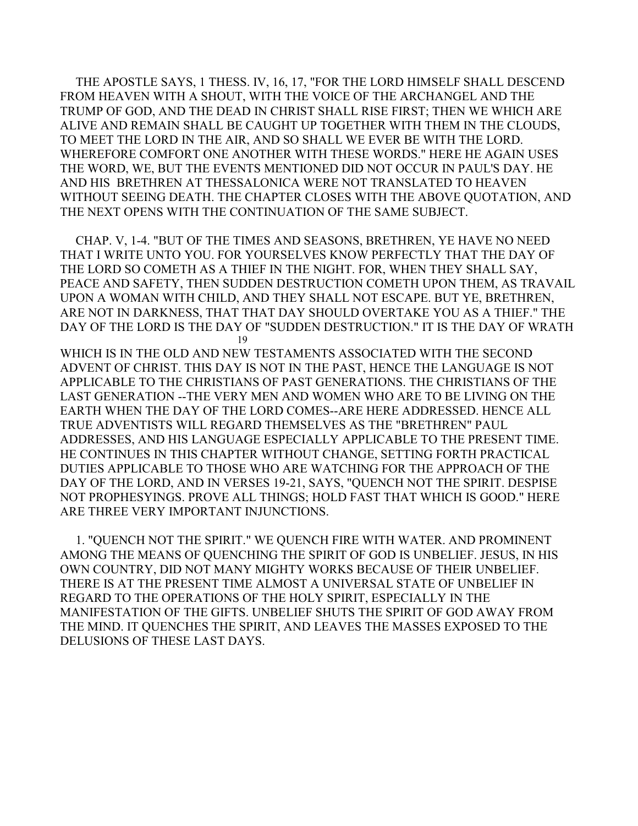THE APOSTLE SAYS, 1 THESS. IV, 16, 17, "FOR THE LORD HIMSELF SHALL DESCEND FROM HEAVEN WITH A SHOUT, WITH THE VOICE OF THE ARCHANGEL AND THE TRUMP OF GOD, AND THE DEAD IN CHRIST SHALL RISE FIRST; THEN WE WHICH ARE ALIVE AND REMAIN SHALL BE CAUGHT UP TOGETHER WITH THEM IN THE CLOUDS, TO MEET THE LORD IN THE AIR, AND SO SHALL WE EVER BE WITH THE LORD. WHEREFORE COMFORT ONE ANOTHER WITH THESE WORDS." HERE HE AGAIN USES THE WORD, WE, BUT THE EVENTS MENTIONED DID NOT OCCUR IN PAUL'S DAY. HE AND HIS BRETHREN AT THESSALONICA WERE NOT TRANSLATED TO HEAVEN WITHOUT SEEING DEATH. THE CHAPTER CLOSES WITH THE ABOVE QUOTATION, AND THE NEXT OPENS WITH THE CONTINUATION OF THE SAME SUBJECT.

 CHAP. V, 1-4. "BUT OF THE TIMES AND SEASONS, BRETHREN, YE HAVE NO NEED THAT I WRITE UNTO YOU. FOR YOURSELVES KNOW PERFECTLY THAT THE DAY OF THE LORD SO COMETH AS A THIEF IN THE NIGHT. FOR, WHEN THEY SHALL SAY, PEACE AND SAFETY, THEN SUDDEN DESTRUCTION COMETH UPON THEM, AS TRAVAIL UPON A WOMAN WITH CHILD, AND THEY SHALL NOT ESCAPE. BUT YE, BRETHREN, ARE NOT IN DARKNESS, THAT THAT DAY SHOULD OVERTAKE YOU AS A THIEF." THE DAY OF THE LORD IS THE DAY OF "SUDDEN DESTRUCTION." IT IS THE DAY OF WRATH 19

WHICH IS IN THE OLD AND NEW TESTAMENTS ASSOCIATED WITH THE SECOND ADVENT OF CHRIST. THIS DAY IS NOT IN THE PAST, HENCE THE LANGUAGE IS NOT APPLICABLE TO THE CHRISTIANS OF PAST GENERATIONS. THE CHRISTIANS OF THE LAST GENERATION --THE VERY MEN AND WOMEN WHO ARE TO BE LIVING ON THE EARTH WHEN THE DAY OF THE LORD COMES--ARE HERE ADDRESSED. HENCE ALL TRUE ADVENTISTS WILL REGARD THEMSELVES AS THE "BRETHREN" PAUL ADDRESSES, AND HIS LANGUAGE ESPECIALLY APPLICABLE TO THE PRESENT TIME. HE CONTINUES IN THIS CHAPTER WITHOUT CHANGE, SETTING FORTH PRACTICAL DUTIES APPLICABLE TO THOSE WHO ARE WATCHING FOR THE APPROACH OF THE DAY OF THE LORD, AND IN VERSES 19-21, SAYS, "QUENCH NOT THE SPIRIT. DESPISE NOT PROPHESYINGS. PROVE ALL THINGS; HOLD FAST THAT WHICH IS GOOD." HERE ARE THREE VERY IMPORTANT INJUNCTIONS.

 1. "QUENCH NOT THE SPIRIT." WE QUENCH FIRE WITH WATER. AND PROMINENT AMONG THE MEANS OF QUENCHING THE SPIRIT OF GOD IS UNBELIEF. JESUS, IN HIS OWN COUNTRY, DID NOT MANY MIGHTY WORKS BECAUSE OF THEIR UNBELIEF. THERE IS AT THE PRESENT TIME ALMOST A UNIVERSAL STATE OF UNBELIEF IN REGARD TO THE OPERATIONS OF THE HOLY SPIRIT, ESPECIALLY IN THE MANIFESTATION OF THE GIFTS. UNBELIEF SHUTS THE SPIRIT OF GOD AWAY FROM THE MIND. IT QUENCHES THE SPIRIT, AND LEAVES THE MASSES EXPOSED TO THE DELUSIONS OF THESE LAST DAYS.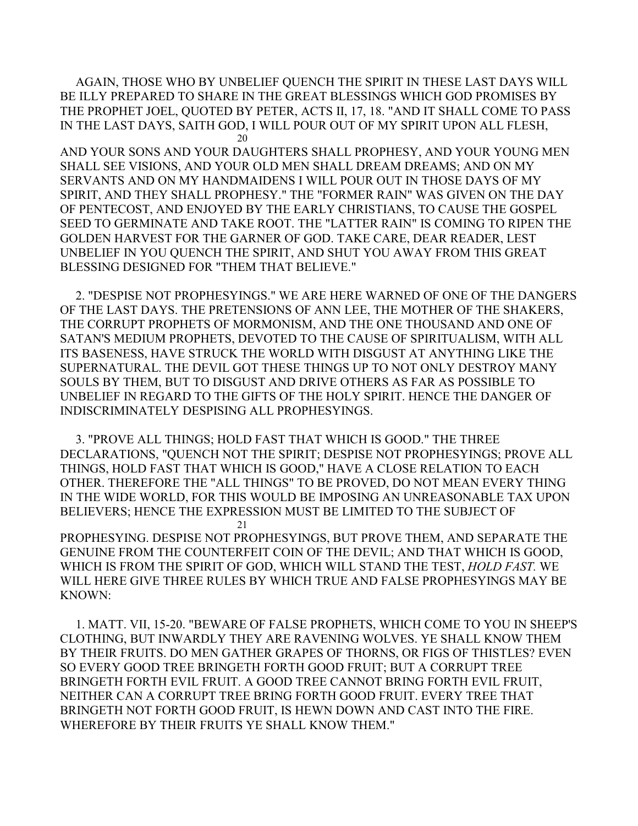AGAIN, THOSE WHO BY UNBELIEF QUENCH THE SPIRIT IN THESE LAST DAYS WILL BE ILLY PREPARED TO SHARE IN THE GREAT BLESSINGS WHICH GOD PROMISES BY THE PROPHET JOEL, QUOTED BY PETER, ACTS II, 17, 18. "AND IT SHALL COME TO PASS IN THE LAST DAYS, SAITH GOD, I WILL POUR OUT OF MY SPIRIT UPON ALL FLESH, 20

AND YOUR SONS AND YOUR DAUGHTERS SHALL PROPHESY, AND YOUR YOUNG MEN SHALL SEE VISIONS, AND YOUR OLD MEN SHALL DREAM DREAMS; AND ON MY SERVANTS AND ON MY HANDMAIDENS I WILL POUR OUT IN THOSE DAYS OF MY SPIRIT, AND THEY SHALL PROPHESY." THE "FORMER RAIN" WAS GIVEN ON THE DAY OF PENTECOST, AND ENJOYED BY THE EARLY CHRISTIANS, TO CAUSE THE GOSPEL SEED TO GERMINATE AND TAKE ROOT. THE "LATTER RAIN" IS COMING TO RIPEN THE GOLDEN HARVEST FOR THE GARNER OF GOD. TAKE CARE, DEAR READER, LEST UNBELIEF IN YOU QUENCH THE SPIRIT, AND SHUT YOU AWAY FROM THIS GREAT BLESSING DESIGNED FOR "THEM THAT BELIEVE."

 2. "DESPISE NOT PROPHESYINGS." WE ARE HERE WARNED OF ONE OF THE DANGERS OF THE LAST DAYS. THE PRETENSIONS OF ANN LEE, THE MOTHER OF THE SHAKERS, THE CORRUPT PROPHETS OF MORMONISM, AND THE ONE THOUSAND AND ONE OF SATAN'S MEDIUM PROPHETS, DEVOTED TO THE CAUSE OF SPIRITUALISM, WITH ALL ITS BASENESS, HAVE STRUCK THE WORLD WITH DISGUST AT ANYTHING LIKE THE SUPERNATURAL. THE DEVIL GOT THESE THINGS UP TO NOT ONLY DESTROY MANY SOULS BY THEM, BUT TO DISGUST AND DRIVE OTHERS AS FAR AS POSSIBLE TO UNBELIEF IN REGARD TO THE GIFTS OF THE HOLY SPIRIT. HENCE THE DANGER OF INDISCRIMINATELY DESPISING ALL PROPHESYINGS.

 3. "PROVE ALL THINGS; HOLD FAST THAT WHICH IS GOOD." THE THREE DECLARATIONS, "QUENCH NOT THE SPIRIT; DESPISE NOT PROPHESYINGS; PROVE ALL THINGS, HOLD FAST THAT WHICH IS GOOD," HAVE A CLOSE RELATION TO EACH OTHER. THEREFORE THE "ALL THINGS" TO BE PROVED, DO NOT MEAN EVERY THING IN THE WIDE WORLD, FOR THIS WOULD BE IMPOSING AN UNREASONABLE TAX UPON BELIEVERS; HENCE THE EXPRESSION MUST BE LIMITED TO THE SUBJECT OF 21

PROPHESYING. DESPISE NOT PROPHESYINGS, BUT PROVE THEM, AND SEPARATE THE GENUINE FROM THE COUNTERFEIT COIN OF THE DEVIL; AND THAT WHICH IS GOOD, WHICH IS FROM THE SPIRIT OF GOD, WHICH WILL STAND THE TEST, *HOLD FAST.* WE WILL HERE GIVE THREE RULES BY WHICH TRUE AND FALSE PROPHESYINGS MAY BE KNOWN:

 1. MATT. VII, 15-20. "BEWARE OF FALSE PROPHETS, WHICH COME TO YOU IN SHEEP'S CLOTHING, BUT INWARDLY THEY ARE RAVENING WOLVES. YE SHALL KNOW THEM BY THEIR FRUITS. DO MEN GATHER GRAPES OF THORNS, OR FIGS OF THISTLES? EVEN SO EVERY GOOD TREE BRINGETH FORTH GOOD FRUIT; BUT A CORRUPT TREE BRINGETH FORTH EVIL FRUIT. A GOOD TREE CANNOT BRING FORTH EVIL FRUIT, NEITHER CAN A CORRUPT TREE BRING FORTH GOOD FRUIT. EVERY TREE THAT BRINGETH NOT FORTH GOOD FRUIT, IS HEWN DOWN AND CAST INTO THE FIRE. WHEREFORE BY THEIR FRUITS YE SHALL KNOW THEM."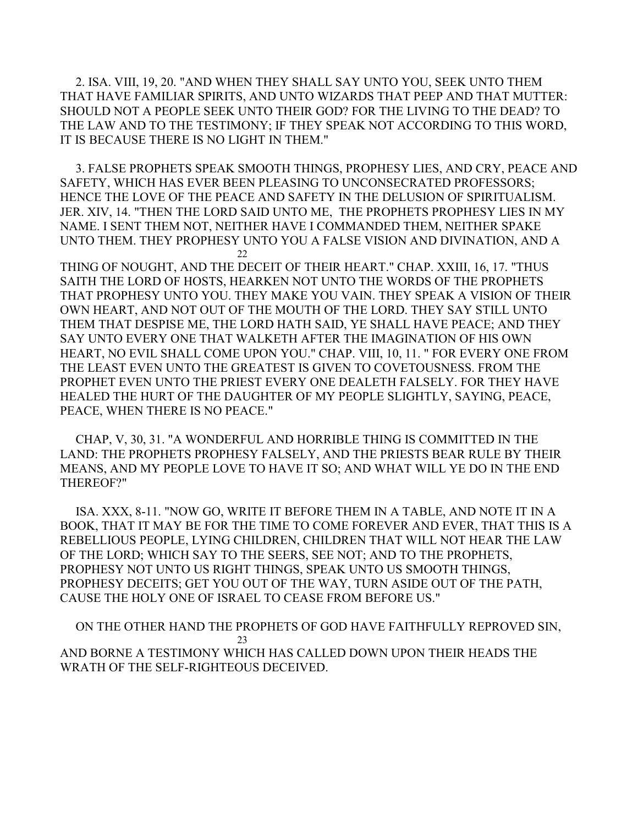2. ISA. VIII, 19, 20. "AND WHEN THEY SHALL SAY UNTO YOU, SEEK UNTO THEM THAT HAVE FAMILIAR SPIRITS, AND UNTO WIZARDS THAT PEEP AND THAT MUTTER: SHOULD NOT A PEOPLE SEEK UNTO THEIR GOD? FOR THE LIVING TO THE DEAD? TO THE LAW AND TO THE TESTIMONY; IF THEY SPEAK NOT ACCORDING TO THIS WORD, IT IS BECAUSE THERE IS NO LIGHT IN THEM."

 3. FALSE PROPHETS SPEAK SMOOTH THINGS, PROPHESY LIES, AND CRY, PEACE AND SAFETY, WHICH HAS EVER BEEN PLEASING TO UNCONSECRATED PROFESSORS; HENCE THE LOVE OF THE PEACE AND SAFETY IN THE DELUSION OF SPIRITUALISM. JER. XIV, 14. "THEN THE LORD SAID UNTO ME, THE PROPHETS PROPHESY LIES IN MY NAME. I SENT THEM NOT, NEITHER HAVE I COMMANDED THEM, NEITHER SPAKE UNTO THEM. THEY PROPHESY UNTO YOU A FALSE VISION AND DIVINATION, AND A 22

THING OF NOUGHT, AND THE DECEIT OF THEIR HEART." CHAP. XXIII, 16, 17. "THUS SAITH THE LORD OF HOSTS, HEARKEN NOT UNTO THE WORDS OF THE PROPHETS THAT PROPHESY UNTO YOU. THEY MAKE YOU VAIN. THEY SPEAK A VISION OF THEIR OWN HEART, AND NOT OUT OF THE MOUTH OF THE LORD. THEY SAY STILL UNTO THEM THAT DESPISE ME, THE LORD HATH SAID, YE SHALL HAVE PEACE; AND THEY SAY UNTO EVERY ONE THAT WALKETH AFTER THE IMAGINATION OF HIS OWN HEART, NO EVIL SHALL COME UPON YOU." CHAP. VIII, 10, 11. " FOR EVERY ONE FROM THE LEAST EVEN UNTO THE GREATEST IS GIVEN TO COVETOUSNESS. FROM THE PROPHET EVEN UNTO THE PRIEST EVERY ONE DEALETH FALSELY. FOR THEY HAVE HEALED THE HURT OF THE DAUGHTER OF MY PEOPLE SLIGHTLY, SAYING, PEACE, PEACE, WHEN THERE IS NO PEACE."

 CHAP, V, 30, 31. "A WONDERFUL AND HORRIBLE THING IS COMMITTED IN THE LAND: THE PROPHETS PROPHESY FALSELY, AND THE PRIESTS BEAR RULE BY THEIR MEANS, AND MY PEOPLE LOVE TO HAVE IT SO; AND WHAT WILL YE DO IN THE END THEREOF?"

 ISA. XXX, 8-11. "NOW GO, WRITE IT BEFORE THEM IN A TABLE, AND NOTE IT IN A BOOK, THAT IT MAY BE FOR THE TIME TO COME FOREVER AND EVER, THAT THIS IS A REBELLIOUS PEOPLE, LYING CHILDREN, CHILDREN THAT WILL NOT HEAR THE LAW OF THE LORD; WHICH SAY TO THE SEERS, SEE NOT; AND TO THE PROPHETS, PROPHESY NOT UNTO US RIGHT THINGS, SPEAK UNTO US SMOOTH THINGS, PROPHESY DECEITS; GET YOU OUT OF THE WAY, TURN ASIDE OUT OF THE PATH, CAUSE THE HOLY ONE OF ISRAEL TO CEASE FROM BEFORE US."

 ON THE OTHER HAND THE PROPHETS OF GOD HAVE FAITHFULLY REPROVED SIN, 23 AND BORNE A TESTIMONY WHICH HAS CALLED DOWN UPON THEIR HEADS THE WRATH OF THE SELF-RIGHTEOUS DECEIVED.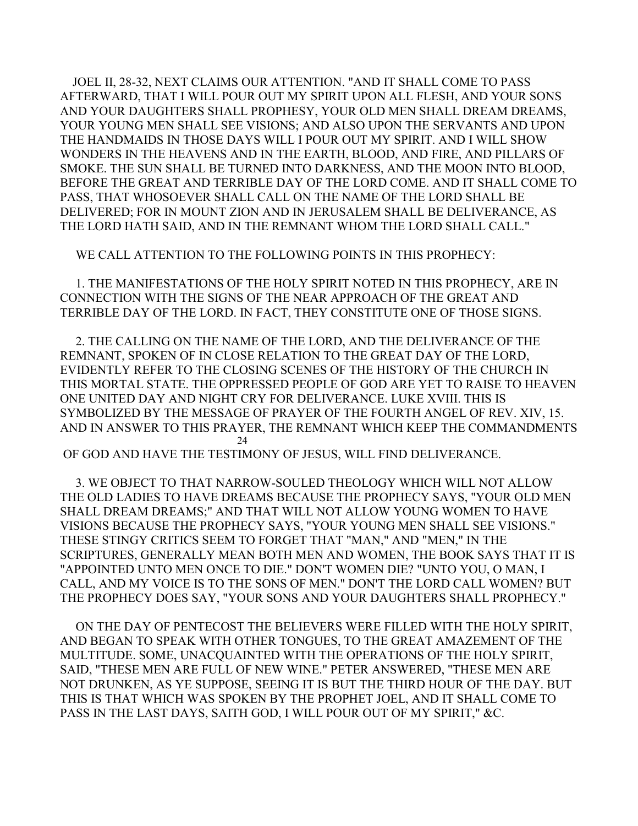JOEL II, 28-32, NEXT CLAIMS OUR ATTENTION. "AND IT SHALL COME TO PASS AFTERWARD, THAT I WILL POUR OUT MY SPIRIT UPON ALL FLESH, AND YOUR SONS AND YOUR DAUGHTERS SHALL PROPHESY, YOUR OLD MEN SHALL DREAM DREAMS, YOUR YOUNG MEN SHALL SEE VISIONS; AND ALSO UPON THE SERVANTS AND UPON THE HANDMAIDS IN THOSE DAYS WILL I POUR OUT MY SPIRIT. AND I WILL SHOW WONDERS IN THE HEAVENS AND IN THE EARTH, BLOOD, AND FIRE, AND PILLARS OF SMOKE. THE SUN SHALL BE TURNED INTO DARKNESS, AND THE MOON INTO BLOOD, BEFORE THE GREAT AND TERRIBLE DAY OF THE LORD COME. AND IT SHALL COME TO PASS, THAT WHOSOEVER SHALL CALL ON THE NAME OF THE LORD SHALL BE DELIVERED; FOR IN MOUNT ZION AND IN JERUSALEM SHALL BE DELIVERANCE, AS THE LORD HATH SAID, AND IN THE REMNANT WHOM THE LORD SHALL CALL."

WE CALL ATTENTION TO THE FOLLOWING POINTS IN THIS PROPHECY:

 1. THE MANIFESTATIONS OF THE HOLY SPIRIT NOTED IN THIS PROPHECY, ARE IN CONNECTION WITH THE SIGNS OF THE NEAR APPROACH OF THE GREAT AND TERRIBLE DAY OF THE LORD. IN FACT, THEY CONSTITUTE ONE OF THOSE SIGNS.

 2. THE CALLING ON THE NAME OF THE LORD, AND THE DELIVERANCE OF THE REMNANT, SPOKEN OF IN CLOSE RELATION TO THE GREAT DAY OF THE LORD, EVIDENTLY REFER TO THE CLOSING SCENES OF THE HISTORY OF THE CHURCH IN THIS MORTAL STATE. THE OPPRESSED PEOPLE OF GOD ARE YET TO RAISE TO HEAVEN ONE UNITED DAY AND NIGHT CRY FOR DELIVERANCE. LUKE XVIII. THIS IS SYMBOLIZED BY THE MESSAGE OF PRAYER OF THE FOURTH ANGEL OF REV. XIV, 15. AND IN ANSWER TO THIS PRAYER, THE REMNANT WHICH KEEP THE COMMANDMENTS 24 OF GOD AND HAVE THE TESTIMONY OF JESUS, WILL FIND DELIVERANCE.

 3. WE OBJECT TO THAT NARROW-SOULED THEOLOGY WHICH WILL NOT ALLOW THE OLD LADIES TO HAVE DREAMS BECAUSE THE PROPHECY SAYS, "YOUR OLD MEN SHALL DREAM DREAMS;" AND THAT WILL NOT ALLOW YOUNG WOMEN TO HAVE VISIONS BECAUSE THE PROPHECY SAYS, "YOUR YOUNG MEN SHALL SEE VISIONS." THESE STINGY CRITICS SEEM TO FORGET THAT "MAN," AND "MEN," IN THE SCRIPTURES, GENERALLY MEAN BOTH MEN AND WOMEN, THE BOOK SAYS THAT IT IS "APPOINTED UNTO MEN ONCE TO DIE." DON'T WOMEN DIE? "UNTO YOU, O MAN, I CALL, AND MY VOICE IS TO THE SONS OF MEN." DON'T THE LORD CALL WOMEN? BUT THE PROPHECY DOES SAY, "YOUR SONS AND YOUR DAUGHTERS SHALL PROPHECY."

 ON THE DAY OF PENTECOST THE BELIEVERS WERE FILLED WITH THE HOLY SPIRIT, AND BEGAN TO SPEAK WITH OTHER TONGUES, TO THE GREAT AMAZEMENT OF THE MULTITUDE. SOME, UNACQUAINTED WITH THE OPERATIONS OF THE HOLY SPIRIT, SAID, "THESE MEN ARE FULL OF NEW WINE." PETER ANSWERED, "THESE MEN ARE NOT DRUNKEN, AS YE SUPPOSE, SEEING IT IS BUT THE THIRD HOUR OF THE DAY. BUT THIS IS THAT WHICH WAS SPOKEN BY THE PROPHET JOEL, AND IT SHALL COME TO PASS IN THE LAST DAYS, SAITH GOD, I WILL POUR OUT OF MY SPIRIT," &C.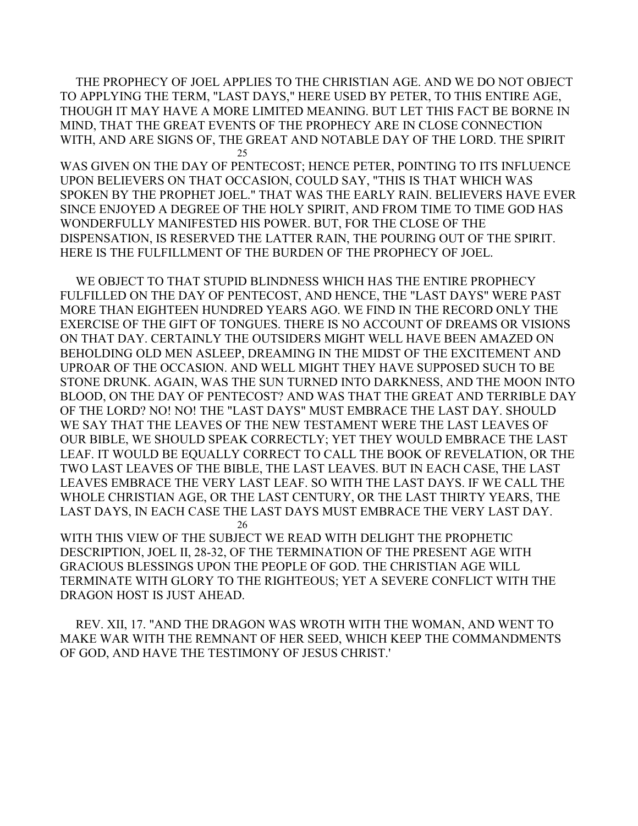THE PROPHECY OF JOEL APPLIES TO THE CHRISTIAN AGE. AND WE DO NOT OBJECT TO APPLYING THE TERM, "LAST DAYS," HERE USED BY PETER, TO THIS ENTIRE AGE, THOUGH IT MAY HAVE A MORE LIMITED MEANING. BUT LET THIS FACT BE BORNE IN MIND, THAT THE GREAT EVENTS OF THE PROPHECY ARE IN CLOSE CONNECTION WITH, AND ARE SIGNS OF, THE GREAT AND NOTABLE DAY OF THE LORD. THE SPIRIT 25

WAS GIVEN ON THE DAY OF PENTECOST; HENCE PETER, POINTING TO ITS INFLUENCE UPON BELIEVERS ON THAT OCCASION, COULD SAY, "THIS IS THAT WHICH WAS SPOKEN BY THE PROPHET JOEL." THAT WAS THE EARLY RAIN. BELIEVERS HAVE EVER SINCE ENJOYED A DEGREE OF THE HOLY SPIRIT, AND FROM TIME TO TIME GOD HAS WONDERFULLY MANIFESTED HIS POWER. BUT, FOR THE CLOSE OF THE DISPENSATION, IS RESERVED THE LATTER RAIN, THE POURING OUT OF THE SPIRIT. HERE IS THE FULFILLMENT OF THE BURDEN OF THE PROPHECY OF JOEL.

 WE OBJECT TO THAT STUPID BLINDNESS WHICH HAS THE ENTIRE PROPHECY FULFILLED ON THE DAY OF PENTECOST, AND HENCE, THE "LAST DAYS" WERE PAST MORE THAN EIGHTEEN HUNDRED YEARS AGO. WE FIND IN THE RECORD ONLY THE EXERCISE OF THE GIFT OF TONGUES. THERE IS NO ACCOUNT OF DREAMS OR VISIONS ON THAT DAY. CERTAINLY THE OUTSIDERS MIGHT WELL HAVE BEEN AMAZED ON BEHOLDING OLD MEN ASLEEP, DREAMING IN THE MIDST OF THE EXCITEMENT AND UPROAR OF THE OCCASION. AND WELL MIGHT THEY HAVE SUPPOSED SUCH TO BE STONE DRUNK. AGAIN, WAS THE SUN TURNED INTO DARKNESS, AND THE MOON INTO BLOOD, ON THE DAY OF PENTECOST? AND WAS THAT THE GREAT AND TERRIBLE DAY OF THE LORD? NO! NO! THE "LAST DAYS" MUST EMBRACE THE LAST DAY. SHOULD WE SAY THAT THE LEAVES OF THE NEW TESTAMENT WERE THE LAST LEAVES OF OUR BIBLE, WE SHOULD SPEAK CORRECTLY; YET THEY WOULD EMBRACE THE LAST LEAF. IT WOULD BE EQUALLY CORRECT TO CALL THE BOOK OF REVELATION, OR THE TWO LAST LEAVES OF THE BIBLE, THE LAST LEAVES. BUT IN EACH CASE, THE LAST LEAVES EMBRACE THE VERY LAST LEAF. SO WITH THE LAST DAYS. IF WE CALL THE WHOLE CHRISTIAN AGE, OR THE LAST CENTURY, OR THE LAST THIRTY YEARS, THE LAST DAYS, IN EACH CASE THE LAST DAYS MUST EMBRACE THE VERY LAST DAY. 26

WITH THIS VIEW OF THE SUBJECT WE READ WITH DELIGHT THE PROPHETIC DESCRIPTION, JOEL II, 28-32, OF THE TERMINATION OF THE PRESENT AGE WITH GRACIOUS BLESSINGS UPON THE PEOPLE OF GOD. THE CHRISTIAN AGE WILL TERMINATE WITH GLORY TO THE RIGHTEOUS; YET A SEVERE CONFLICT WITH THE DRAGON HOST IS JUST AHEAD.

 REV. XII, 17. "AND THE DRAGON WAS WROTH WITH THE WOMAN, AND WENT TO MAKE WAR WITH THE REMNANT OF HER SEED, WHICH KEEP THE COMMANDMENTS OF GOD, AND HAVE THE TESTIMONY OF JESUS CHRIST.'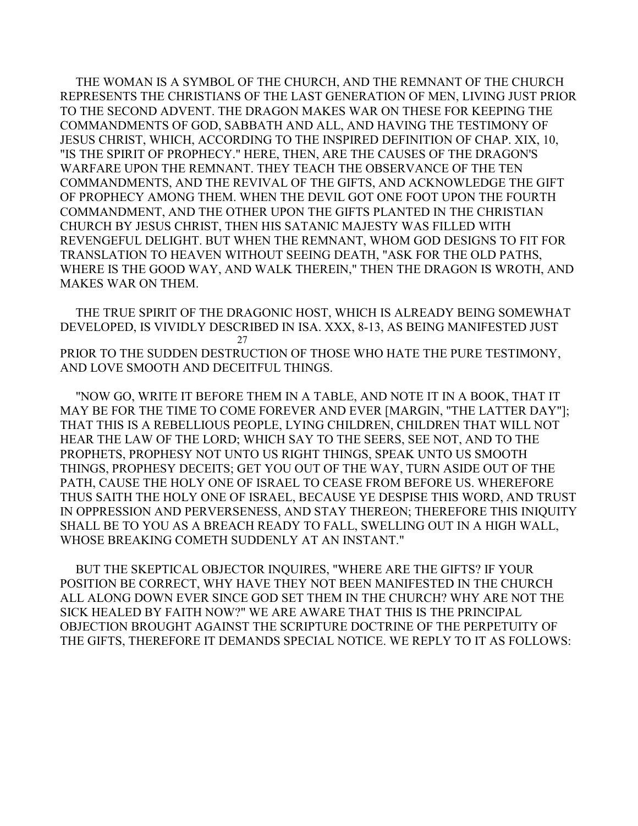THE WOMAN IS A SYMBOL OF THE CHURCH, AND THE REMNANT OF THE CHURCH REPRESENTS THE CHRISTIANS OF THE LAST GENERATION OF MEN, LIVING JUST PRIOR TO THE SECOND ADVENT. THE DRAGON MAKES WAR ON THESE FOR KEEPING THE COMMANDMENTS OF GOD, SABBATH AND ALL, AND HAVING THE TESTIMONY OF JESUS CHRIST, WHICH, ACCORDING TO THE INSPIRED DEFINITION OF CHAP. XIX, 10, "IS THE SPIRIT OF PROPHECY." HERE, THEN, ARE THE CAUSES OF THE DRAGON'S WARFARE UPON THE REMNANT. THEY TEACH THE OBSERVANCE OF THE TEN COMMANDMENTS, AND THE REVIVAL OF THE GIFTS, AND ACKNOWLEDGE THE GIFT OF PROPHECY AMONG THEM. WHEN THE DEVIL GOT ONE FOOT UPON THE FOURTH COMMANDMENT, AND THE OTHER UPON THE GIFTS PLANTED IN THE CHRISTIAN CHURCH BY JESUS CHRIST, THEN HIS SATANIC MAJESTY WAS FILLED WITH REVENGEFUL DELIGHT. BUT WHEN THE REMNANT, WHOM GOD DESIGNS TO FIT FOR TRANSLATION TO HEAVEN WITHOUT SEEING DEATH, "ASK FOR THE OLD PATHS, WHERE IS THE GOOD WAY, AND WALK THEREIN," THEN THE DRAGON IS WROTH, AND MAKES WAR ON THEM.

 THE TRUE SPIRIT OF THE DRAGONIC HOST, WHICH IS ALREADY BEING SOMEWHAT DEVELOPED, IS VIVIDLY DESCRIBED IN ISA. XXX, 8-13, AS BEING MANIFESTED JUST 27 PRIOR TO THE SUDDEN DESTRUCTION OF THOSE WHO HATE THE PURE TESTIMONY, AND LOVE SMOOTH AND DECEITFUL THINGS.

 "NOW GO, WRITE IT BEFORE THEM IN A TABLE, AND NOTE IT IN A BOOK, THAT IT MAY BE FOR THE TIME TO COME FOREVER AND EVER [MARGIN, "THE LATTER DAY"]; THAT THIS IS A REBELLIOUS PEOPLE, LYING CHILDREN, CHILDREN THAT WILL NOT HEAR THE LAW OF THE LORD; WHICH SAY TO THE SEERS, SEE NOT, AND TO THE PROPHETS, PROPHESY NOT UNTO US RIGHT THINGS, SPEAK UNTO US SMOOTH THINGS, PROPHESY DECEITS; GET YOU OUT OF THE WAY, TURN ASIDE OUT OF THE PATH, CAUSE THE HOLY ONE OF ISRAEL TO CEASE FROM BEFORE US. WHEREFORE THUS SAITH THE HOLY ONE OF ISRAEL, BECAUSE YE DESPISE THIS WORD, AND TRUST IN OPPRESSION AND PERVERSENESS, AND STAY THEREON; THEREFORE THIS INIQUITY SHALL BE TO YOU AS A BREACH READY TO FALL, SWELLING OUT IN A HIGH WALL, WHOSE BREAKING COMETH SUDDENLY AT AN INSTANT."

 BUT THE SKEPTICAL OBJECTOR INQUIRES, "WHERE ARE THE GIFTS? IF YOUR POSITION BE CORRECT, WHY HAVE THEY NOT BEEN MANIFESTED IN THE CHURCH ALL ALONG DOWN EVER SINCE GOD SET THEM IN THE CHURCH? WHY ARE NOT THE SICK HEALED BY FAITH NOW?" WE ARE AWARE THAT THIS IS THE PRINCIPAL OBJECTION BROUGHT AGAINST THE SCRIPTURE DOCTRINE OF THE PERPETUITY OF THE GIFTS, THEREFORE IT DEMANDS SPECIAL NOTICE. WE REPLY TO IT AS FOLLOWS: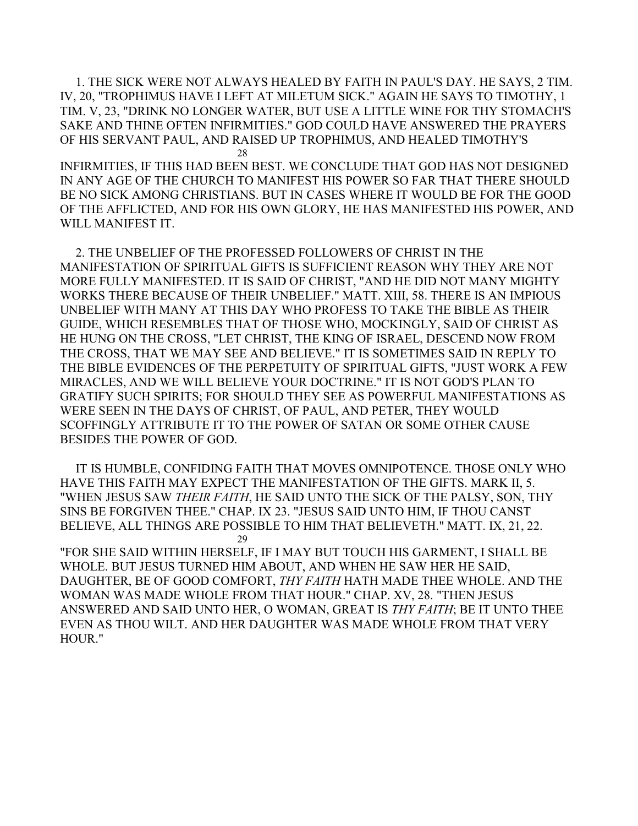1. THE SICK WERE NOT ALWAYS HEALED BY FAITH IN PAUL'S DAY. HE SAYS, 2 TIM. IV, 20, "TROPHIMUS HAVE I LEFT AT MILETUM SICK." AGAIN HE SAYS TO TIMOTHY, 1 TIM. V, 23, "DRINK NO LONGER WATER, BUT USE A LITTLE WINE FOR THY STOMACH'S SAKE AND THINE OFTEN INFIRMITIES." GOD COULD HAVE ANSWERED THE PRAYERS OF HIS SERVANT PAUL, AND RAISED UP TROPHIMUS, AND HEALED TIMOTHY'S 28

INFIRMITIES, IF THIS HAD BEEN BEST. WE CONCLUDE THAT GOD HAS NOT DESIGNED IN ANY AGE OF THE CHURCH TO MANIFEST HIS POWER SO FAR THAT THERE SHOULD BE NO SICK AMONG CHRISTIANS. BUT IN CASES WHERE IT WOULD BE FOR THE GOOD OF THE AFFLICTED, AND FOR HIS OWN GLORY, HE HAS MANIFESTED HIS POWER, AND WILL MANIFEST IT.

 2. THE UNBELIEF OF THE PROFESSED FOLLOWERS OF CHRIST IN THE MANIFESTATION OF SPIRITUAL GIFTS IS SUFFICIENT REASON WHY THEY ARE NOT MORE FULLY MANIFESTED. IT IS SAID OF CHRIST, "AND HE DID NOT MANY MIGHTY WORKS THERE BECAUSE OF THEIR UNBELIEF." MATT. XIII, 58. THERE IS AN IMPIOUS UNBELIEF WITH MANY AT THIS DAY WHO PROFESS TO TAKE THE BIBLE AS THEIR GUIDE, WHICH RESEMBLES THAT OF THOSE WHO, MOCKINGLY, SAID OF CHRIST AS HE HUNG ON THE CROSS, "LET CHRIST, THE KING OF ISRAEL, DESCEND NOW FROM THE CROSS, THAT WE MAY SEE AND BELIEVE." IT IS SOMETIMES SAID IN REPLY TO THE BIBLE EVIDENCES OF THE PERPETUITY OF SPIRITUAL GIFTS, "JUST WORK A FEW MIRACLES, AND WE WILL BELIEVE YOUR DOCTRINE." IT IS NOT GOD'S PLAN TO GRATIFY SUCH SPIRITS; FOR SHOULD THEY SEE AS POWERFUL MANIFESTATIONS AS WERE SEEN IN THE DAYS OF CHRIST, OF PAUL, AND PETER, THEY WOULD SCOFFINGLY ATTRIBUTE IT TO THE POWER OF SATAN OR SOME OTHER CAUSE BESIDES THE POWER OF GOD.

 IT IS HUMBLE, CONFIDING FAITH THAT MOVES OMNIPOTENCE. THOSE ONLY WHO HAVE THIS FAITH MAY EXPECT THE MANIFESTATION OF THE GIFTS. MARK II, 5. "WHEN JESUS SAW *THEIR FAITH*, HE SAID UNTO THE SICK OF THE PALSY, SON, THY SINS BE FORGIVEN THEE." CHAP. IX 23. "JESUS SAID UNTO HIM, IF THOU CANST BELIEVE, ALL THINGS ARE POSSIBLE TO HIM THAT BELIEVETH." MATT. IX, 21, 22. 29

"FOR SHE SAID WITHIN HERSELF, IF I MAY BUT TOUCH HIS GARMENT, I SHALL BE WHOLE. BUT JESUS TURNED HIM ABOUT, AND WHEN HE SAW HER HE SAID, DAUGHTER, BE OF GOOD COMFORT, *THY FAITH* HATH MADE THEE WHOLE. AND THE WOMAN WAS MADE WHOLE FROM THAT HOUR." CHAP. XV, 28. "THEN JESUS ANSWERED AND SAID UNTO HER, O WOMAN, GREAT IS *THY FAITH*; BE IT UNTO THEE EVEN AS THOU WILT. AND HER DAUGHTER WAS MADE WHOLE FROM THAT VERY HOUR."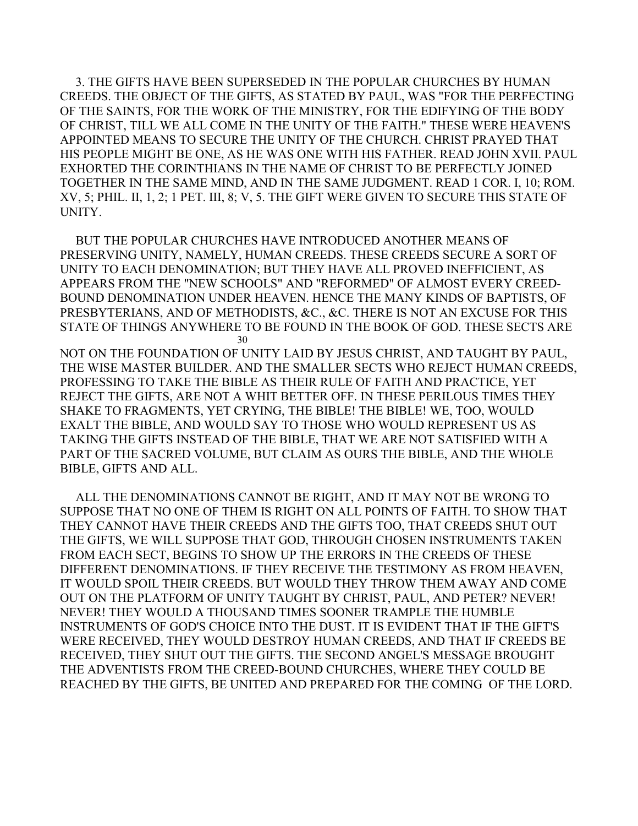3. THE GIFTS HAVE BEEN SUPERSEDED IN THE POPULAR CHURCHES BY HUMAN CREEDS. THE OBJECT OF THE GIFTS, AS STATED BY PAUL, WAS "FOR THE PERFECTING OF THE SAINTS, FOR THE WORK OF THE MINISTRY, FOR THE EDIFYING OF THE BODY OF CHRIST, TILL WE ALL COME IN THE UNITY OF THE FAITH." THESE WERE HEAVEN'S APPOINTED MEANS TO SECURE THE UNITY OF THE CHURCH. CHRIST PRAYED THAT HIS PEOPLE MIGHT BE ONE, AS HE WAS ONE WITH HIS FATHER. READ JOHN XVII. PAUL EXHORTED THE CORINTHIANS IN THE NAME OF CHRIST TO BE PERFECTLY JOINED TOGETHER IN THE SAME MIND, AND IN THE SAME JUDGMENT. READ 1 COR. I, 10; ROM. XV, 5; PHIL. II, 1, 2; 1 PET. III, 8; V, 5. THE GIFT WERE GIVEN TO SECURE THIS STATE OF UNITY.

 BUT THE POPULAR CHURCHES HAVE INTRODUCED ANOTHER MEANS OF PRESERVING UNITY, NAMELY, HUMAN CREEDS. THESE CREEDS SECURE A SORT OF UNITY TO EACH DENOMINATION; BUT THEY HAVE ALL PROVED INEFFICIENT, AS APPEARS FROM THE "NEW SCHOOLS" AND "REFORMED" OF ALMOST EVERY CREED-BOUND DENOMINATION UNDER HEAVEN. HENCE THE MANY KINDS OF BAPTISTS, OF PRESBYTERIANS, AND OF METHODISTS, &C., &C. THERE IS NOT AN EXCUSE FOR THIS STATE OF THINGS ANYWHERE TO BE FOUND IN THE BOOK OF GOD. THESE SECTS ARE 30

NOT ON THE FOUNDATION OF UNITY LAID BY JESUS CHRIST, AND TAUGHT BY PAUL, THE WISE MASTER BUILDER. AND THE SMALLER SECTS WHO REJECT HUMAN CREEDS, PROFESSING TO TAKE THE BIBLE AS THEIR RULE OF FAITH AND PRACTICE, YET REJECT THE GIFTS, ARE NOT A WHIT BETTER OFF. IN THESE PERILOUS TIMES THEY SHAKE TO FRAGMENTS, YET CRYING, THE BIBLE! THE BIBLE! WE, TOO, WOULD EXALT THE BIBLE, AND WOULD SAY TO THOSE WHO WOULD REPRESENT US AS TAKING THE GIFTS INSTEAD OF THE BIBLE, THAT WE ARE NOT SATISFIED WITH A PART OF THE SACRED VOLUME, BUT CLAIM AS OURS THE BIBLE, AND THE WHOLE BIBLE, GIFTS AND ALL.

 ALL THE DENOMINATIONS CANNOT BE RIGHT, AND IT MAY NOT BE WRONG TO SUPPOSE THAT NO ONE OF THEM IS RIGHT ON ALL POINTS OF FAITH. TO SHOW THAT THEY CANNOT HAVE THEIR CREEDS AND THE GIFTS TOO, THAT CREEDS SHUT OUT THE GIFTS, WE WILL SUPPOSE THAT GOD, THROUGH CHOSEN INSTRUMENTS TAKEN FROM EACH SECT, BEGINS TO SHOW UP THE ERRORS IN THE CREEDS OF THESE DIFFERENT DENOMINATIONS. IF THEY RECEIVE THE TESTIMONY AS FROM HEAVEN, IT WOULD SPOIL THEIR CREEDS. BUT WOULD THEY THROW THEM AWAY AND COME OUT ON THE PLATFORM OF UNITY TAUGHT BY CHRIST, PAUL, AND PETER? NEVER! NEVER! THEY WOULD A THOUSAND TIMES SOONER TRAMPLE THE HUMBLE INSTRUMENTS OF GOD'S CHOICE INTO THE DUST. IT IS EVIDENT THAT IF THE GIFT'S WERE RECEIVED, THEY WOULD DESTROY HUMAN CREEDS, AND THAT IF CREEDS BE RECEIVED, THEY SHUT OUT THE GIFTS. THE SECOND ANGEL'S MESSAGE BROUGHT THE ADVENTISTS FROM THE CREED-BOUND CHURCHES, WHERE THEY COULD BE REACHED BY THE GIFTS, BE UNITED AND PREPARED FOR THE COMING OF THE LORD.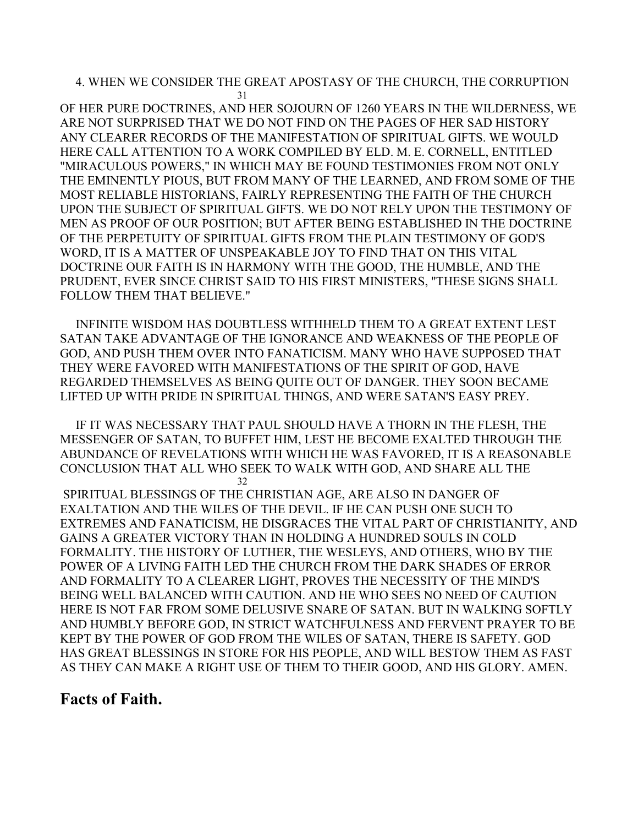#### 4. WHEN WE CONSIDER THE GREAT APOSTASY OF THE CHURCH, THE CORRUPTION 31

OF HER PURE DOCTRINES, AND HER SOJOURN OF 1260 YEARS IN THE WILDERNESS, WE ARE NOT SURPRISED THAT WE DO NOT FIND ON THE PAGES OF HER SAD HISTORY ANY CLEARER RECORDS OF THE MANIFESTATION OF SPIRITUAL GIFTS. WE WOULD HERE CALL ATTENTION TO A WORK COMPILED BY ELD. M. E. CORNELL, ENTITLED "MIRACULOUS POWERS," IN WHICH MAY BE FOUND TESTIMONIES FROM NOT ONLY THE EMINENTLY PIOUS, BUT FROM MANY OF THE LEARNED, AND FROM SOME OF THE MOST RELIABLE HISTORIANS, FAIRLY REPRESENTING THE FAITH OF THE CHURCH UPON THE SUBJECT OF SPIRITUAL GIFTS. WE DO NOT RELY UPON THE TESTIMONY OF MEN AS PROOF OF OUR POSITION; BUT AFTER BEING ESTABLISHED IN THE DOCTRINE OF THE PERPETUITY OF SPIRITUAL GIFTS FROM THE PLAIN TESTIMONY OF GOD'S WORD, IT IS A MATTER OF UNSPEAKABLE JOY TO FIND THAT ON THIS VITAL DOCTRINE OUR FAITH IS IN HARMONY WITH THE GOOD, THE HUMBLE, AND THE PRUDENT, EVER SINCE CHRIST SAID TO HIS FIRST MINISTERS, "THESE SIGNS SHALL FOLLOW THEM THAT BELIEVE."

 INFINITE WISDOM HAS DOUBTLESS WITHHELD THEM TO A GREAT EXTENT LEST SATAN TAKE ADVANTAGE OF THE IGNORANCE AND WEAKNESS OF THE PEOPLE OF GOD, AND PUSH THEM OVER INTO FANATICISM. MANY WHO HAVE SUPPOSED THAT THEY WERE FAVORED WITH MANIFESTATIONS OF THE SPIRIT OF GOD, HAVE REGARDED THEMSELVES AS BEING QUITE OUT OF DANGER. THEY SOON BECAME LIFTED UP WITH PRIDE IN SPIRITUAL THINGS, AND WERE SATAN'S EASY PREY.

 IF IT WAS NECESSARY THAT PAUL SHOULD HAVE A THORN IN THE FLESH, THE MESSENGER OF SATAN, TO BUFFET HIM, LEST HE BECOME EXALTED THROUGH THE ABUNDANCE OF REVELATIONS WITH WHICH HE WAS FAVORED, IT IS A REASONABLE CONCLUSION THAT ALL WHO SEEK TO WALK WITH GOD, AND SHARE ALL THE 32

 SPIRITUAL BLESSINGS OF THE CHRISTIAN AGE, ARE ALSO IN DANGER OF EXALTATION AND THE WILES OF THE DEVIL. IF HE CAN PUSH ONE SUCH TO EXTREMES AND FANATICISM, HE DISGRACES THE VITAL PART OF CHRISTIANITY, AND GAINS A GREATER VICTORY THAN IN HOLDING A HUNDRED SOULS IN COLD FORMALITY. THE HISTORY OF LUTHER, THE WESLEYS, AND OTHERS, WHO BY THE POWER OF A LIVING FAITH LED THE CHURCH FROM THE DARK SHADES OF ERROR AND FORMALITY TO A CLEARER LIGHT, PROVES THE NECESSITY OF THE MIND'S BEING WELL BALANCED WITH CAUTION. AND HE WHO SEES NO NEED OF CAUTION HERE IS NOT FAR FROM SOME DELUSIVE SNARE OF SATAN. BUT IN WALKING SOFTLY AND HUMBLY BEFORE GOD, IN STRICT WATCHFULNESS AND FERVENT PRAYER TO BE KEPT BY THE POWER OF GOD FROM THE WILES OF SATAN, THERE IS SAFETY. GOD HAS GREAT BLESSINGS IN STORE FOR HIS PEOPLE, AND WILL BESTOW THEM AS FAST AS THEY CAN MAKE A RIGHT USE OF THEM TO THEIR GOOD, AND HIS GLORY. AMEN.

### **Facts of Faith.**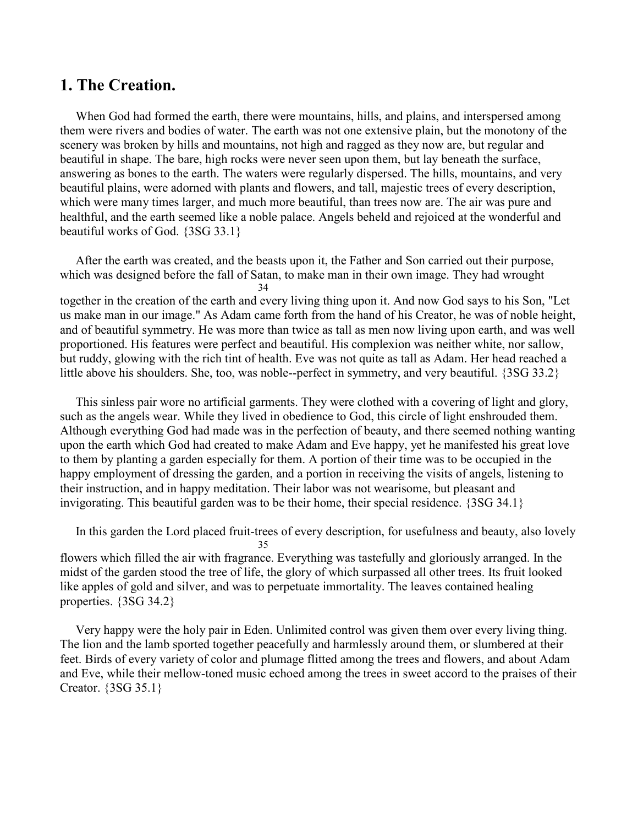#### **1. The Creation.**

 When God had formed the earth, there were mountains, hills, and plains, and interspersed among them were rivers and bodies of water. The earth was not one extensive plain, but the monotony of the scenery was broken by hills and mountains, not high and ragged as they now are, but regular and beautiful in shape. The bare, high rocks were never seen upon them, but lay beneath the surface, answering as bones to the earth. The waters were regularly dispersed. The hills, mountains, and very beautiful plains, were adorned with plants and flowers, and tall, majestic trees of every description, which were many times larger, and much more beautiful, than trees now are. The air was pure and healthful, and the earth seemed like a noble palace. Angels beheld and rejoiced at the wonderful and beautiful works of God. {3SG 33.1}

 After the earth was created, and the beasts upon it, the Father and Son carried out their purpose, which was designed before the fall of Satan, to make man in their own image. They had wrought

 34 together in the creation of the earth and every living thing upon it. And now God says to his Son, "Let us make man in our image." As Adam came forth from the hand of his Creator, he was of noble height, and of beautiful symmetry. He was more than twice as tall as men now living upon earth, and was well proportioned. His features were perfect and beautiful. His complexion was neither white, nor sallow, but ruddy, glowing with the rich tint of health. Eve was not quite as tall as Adam. Her head reached a little above his shoulders. She, too, was noble--perfect in symmetry, and very beautiful. {3SG 33.2}

 This sinless pair wore no artificial garments. They were clothed with a covering of light and glory, such as the angels wear. While they lived in obedience to God, this circle of light enshrouded them. Although everything God had made was in the perfection of beauty, and there seemed nothing wanting upon the earth which God had created to make Adam and Eve happy, yet he manifested his great love to them by planting a garden especially for them. A portion of their time was to be occupied in the happy employment of dressing the garden, and a portion in receiving the visits of angels, listening to their instruction, and in happy meditation. Their labor was not wearisome, but pleasant and invigorating. This beautiful garden was to be their home, their special residence. {3SG 34.1}

 In this garden the Lord placed fruit-trees of every description, for usefulness and beauty, also lovely 35

flowers which filled the air with fragrance. Everything was tastefully and gloriously arranged. In the midst of the garden stood the tree of life, the glory of which surpassed all other trees. Its fruit looked like apples of gold and silver, and was to perpetuate immortality. The leaves contained healing properties. {3SG 34.2}

 Very happy were the holy pair in Eden. Unlimited control was given them over every living thing. The lion and the lamb sported together peacefully and harmlessly around them, or slumbered at their feet. Birds of every variety of color and plumage flitted among the trees and flowers, and about Adam and Eve, while their mellow-toned music echoed among the trees in sweet accord to the praises of their Creator. {3SG 35.1}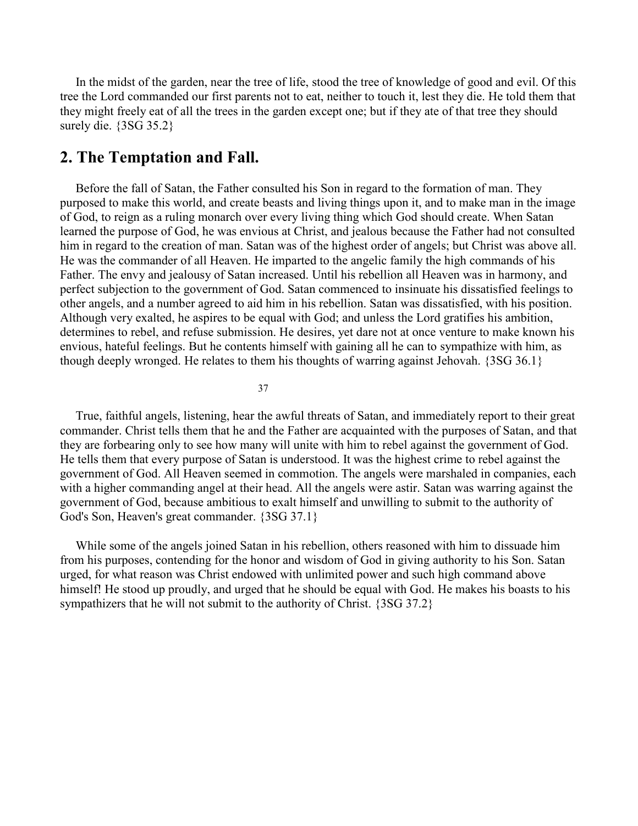In the midst of the garden, near the tree of life, stood the tree of knowledge of good and evil. Of this tree the Lord commanded our first parents not to eat, neither to touch it, lest they die. He told them that they might freely eat of all the trees in the garden except one; but if they ate of that tree they should surely die. {3SG 35.2}

#### **2. The Temptation and Fall.**

 Before the fall of Satan, the Father consulted his Son in regard to the formation of man. They purposed to make this world, and create beasts and living things upon it, and to make man in the image of God, to reign as a ruling monarch over every living thing which God should create. When Satan learned the purpose of God, he was envious at Christ, and jealous because the Father had not consulted him in regard to the creation of man. Satan was of the highest order of angels; but Christ was above all. He was the commander of all Heaven. He imparted to the angelic family the high commands of his Father. The envy and jealousy of Satan increased. Until his rebellion all Heaven was in harmony, and perfect subjection to the government of God. Satan commenced to insinuate his dissatisfied feelings to other angels, and a number agreed to aid him in his rebellion. Satan was dissatisfied, with his position. Although very exalted, he aspires to be equal with God; and unless the Lord gratifies his ambition, determines to rebel, and refuse submission. He desires, yet dare not at once venture to make known his envious, hateful feelings. But he contents himself with gaining all he can to sympathize with him, as though deeply wronged. He relates to them his thoughts of warring against Jehovah. {3SG 36.1}

37

 True, faithful angels, listening, hear the awful threats of Satan, and immediately report to their great commander. Christ tells them that he and the Father are acquainted with the purposes of Satan, and that they are forbearing only to see how many will unite with him to rebel against the government of God. He tells them that every purpose of Satan is understood. It was the highest crime to rebel against the government of God. All Heaven seemed in commotion. The angels were marshaled in companies, each with a higher commanding angel at their head. All the angels were astir. Satan was warring against the government of God, because ambitious to exalt himself and unwilling to submit to the authority of God's Son, Heaven's great commander. {3SG 37.1}

 While some of the angels joined Satan in his rebellion, others reasoned with him to dissuade him from his purposes, contending for the honor and wisdom of God in giving authority to his Son. Satan urged, for what reason was Christ endowed with unlimited power and such high command above himself! He stood up proudly, and urged that he should be equal with God. He makes his boasts to his sympathizers that he will not submit to the authority of Christ. {3SG 37.2}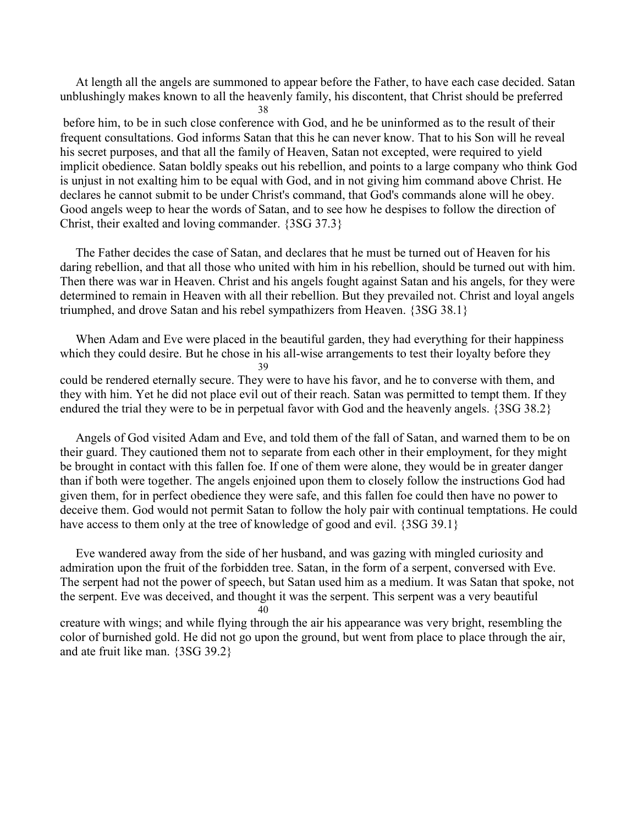At length all the angels are summoned to appear before the Father, to have each case decided. Satan unblushingly makes known to all the heavenly family, his discontent, that Christ should be preferred

 38 before him, to be in such close conference with God, and he be uninformed as to the result of their frequent consultations. God informs Satan that this he can never know. That to his Son will he reveal his secret purposes, and that all the family of Heaven, Satan not excepted, were required to yield implicit obedience. Satan boldly speaks out his rebellion, and points to a large company who think God is unjust in not exalting him to be equal with God, and in not giving him command above Christ. He declares he cannot submit to be under Christ's command, that God's commands alone will he obey. Good angels weep to hear the words of Satan, and to see how he despises to follow the direction of Christ, their exalted and loving commander. {3SG 37.3}

 The Father decides the case of Satan, and declares that he must be turned out of Heaven for his daring rebellion, and that all those who united with him in his rebellion, should be turned out with him. Then there was war in Heaven. Christ and his angels fought against Satan and his angels, for they were determined to remain in Heaven with all their rebellion. But they prevailed not. Christ and loyal angels triumphed, and drove Satan and his rebel sympathizers from Heaven. {3SG 38.1}

 When Adam and Eve were placed in the beautiful garden, they had everything for their happiness which they could desire. But he chose in his all-wise arrangements to test their loyalty before they 39 could be rendered eternally secure. They were to have his favor, and he to converse with them, and they with him. Yet he did not place evil out of their reach. Satan was permitted to tempt them. If they endured the trial they were to be in perpetual favor with God and the heavenly angels. {3SG 38.2}

 Angels of God visited Adam and Eve, and told them of the fall of Satan, and warned them to be on their guard. They cautioned them not to separate from each other in their employment, for they might be brought in contact with this fallen foe. If one of them were alone, they would be in greater danger than if both were together. The angels enjoined upon them to closely follow the instructions God had given them, for in perfect obedience they were safe, and this fallen foe could then have no power to deceive them. God would not permit Satan to follow the holy pair with continual temptations. He could have access to them only at the tree of knowledge of good and evil. {3SG 39.1}

 Eve wandered away from the side of her husband, and was gazing with mingled curiosity and admiration upon the fruit of the forbidden tree. Satan, in the form of a serpent, conversed with Eve. The serpent had not the power of speech, but Satan used him as a medium. It was Satan that spoke, not the serpent. Eve was deceived, and thought it was the serpent. This serpent was a very beautiful 40 creature with wings; and while flying through the air his appearance was very bright, resembling the color of burnished gold. He did not go upon the ground, but went from place to place through the air, and ate fruit like man. {3SG 39.2}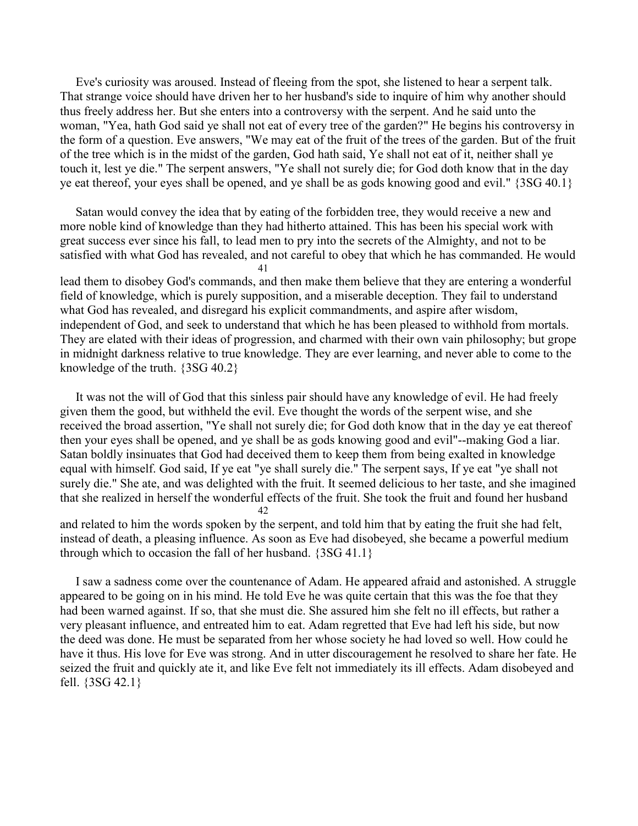Eve's curiosity was aroused. Instead of fleeing from the spot, she listened to hear a serpent talk. That strange voice should have driven her to her husband's side to inquire of him why another should thus freely address her. But she enters into a controversy with the serpent. And he said unto the woman, "Yea, hath God said ye shall not eat of every tree of the garden?" He begins his controversy in the form of a question. Eve answers, "We may eat of the fruit of the trees of the garden. But of the fruit of the tree which is in the midst of the garden, God hath said, Ye shall not eat of it, neither shall ye touch it, lest ye die." The serpent answers, "Ye shall not surely die; for God doth know that in the day ye eat thereof, your eyes shall be opened, and ye shall be as gods knowing good and evil." {3SG 40.1}

 Satan would convey the idea that by eating of the forbidden tree, they would receive a new and more noble kind of knowledge than they had hitherto attained. This has been his special work with great success ever since his fall, to lead men to pry into the secrets of the Almighty, and not to be satisfied with what God has revealed, and not careful to obey that which he has commanded. He would 41

lead them to disobey God's commands, and then make them believe that they are entering a wonderful field of knowledge, which is purely supposition, and a miserable deception. They fail to understand what God has revealed, and disregard his explicit commandments, and aspire after wisdom, independent of God, and seek to understand that which he has been pleased to withhold from mortals. They are elated with their ideas of progression, and charmed with their own vain philosophy; but grope in midnight darkness relative to true knowledge. They are ever learning, and never able to come to the knowledge of the truth. {3SG 40.2}

 It was not the will of God that this sinless pair should have any knowledge of evil. He had freely given them the good, but withheld the evil. Eve thought the words of the serpent wise, and she received the broad assertion, "Ye shall not surely die; for God doth know that in the day ye eat thereof then your eyes shall be opened, and ye shall be as gods knowing good and evil"--making God a liar. Satan boldly insinuates that God had deceived them to keep them from being exalted in knowledge equal with himself. God said, If ye eat "ye shall surely die." The serpent says, If ye eat "ye shall not surely die." She ate, and was delighted with the fruit. It seemed delicious to her taste, and she imagined that she realized in herself the wonderful effects of the fruit. She took the fruit and found her husband  $\frac{42}{3}$ 42

and related to him the words spoken by the serpent, and told him that by eating the fruit she had felt, instead of death, a pleasing influence. As soon as Eve had disobeyed, she became a powerful medium through which to occasion the fall of her husband. {3SG 41.1}

 I saw a sadness come over the countenance of Adam. He appeared afraid and astonished. A struggle appeared to be going on in his mind. He told Eve he was quite certain that this was the foe that they had been warned against. If so, that she must die. She assured him she felt no ill effects, but rather a very pleasant influence, and entreated him to eat. Adam regretted that Eve had left his side, but now the deed was done. He must be separated from her whose society he had loved so well. How could he have it thus. His love for Eve was strong. And in utter discouragement he resolved to share her fate. He seized the fruit and quickly ate it, and like Eve felt not immediately its ill effects. Adam disobeyed and fell. {3SG 42.1}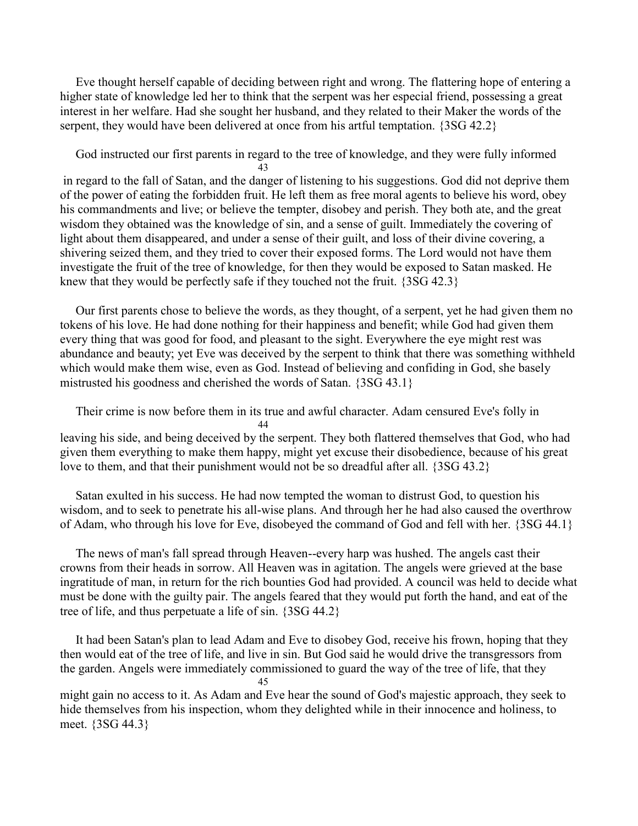Eve thought herself capable of deciding between right and wrong. The flattering hope of entering a higher state of knowledge led her to think that the serpent was her especial friend, possessing a great interest in her welfare. Had she sought her husband, and they related to their Maker the words of the serpent, they would have been delivered at once from his artful temptation. {3SG 42.2}

 God instructed our first parents in regard to the tree of knowledge, and they were fully informed 43

 in regard to the fall of Satan, and the danger of listening to his suggestions. God did not deprive them of the power of eating the forbidden fruit. He left them as free moral agents to believe his word, obey his commandments and live; or believe the tempter, disobey and perish. They both ate, and the great wisdom they obtained was the knowledge of sin, and a sense of guilt. Immediately the covering of light about them disappeared, and under a sense of their guilt, and loss of their divine covering, a shivering seized them, and they tried to cover their exposed forms. The Lord would not have them investigate the fruit of the tree of knowledge, for then they would be exposed to Satan masked. He knew that they would be perfectly safe if they touched not the fruit. {3SG 42.3}

 Our first parents chose to believe the words, as they thought, of a serpent, yet he had given them no tokens of his love. He had done nothing for their happiness and benefit; while God had given them every thing that was good for food, and pleasant to the sight. Everywhere the eye might rest was abundance and beauty; yet Eve was deceived by the serpent to think that there was something withheld which would make them wise, even as God. Instead of believing and confiding in God, she basely mistrusted his goodness and cherished the words of Satan. {3SG 43.1}

Their crime is now before them in its true and awful character. Adam censured Eve's folly in

44

leaving his side, and being deceived by the serpent. They both flattered themselves that God, who had given them everything to make them happy, might yet excuse their disobedience, because of his great love to them, and that their punishment would not be so dreadful after all. {3SG 43.2}

 Satan exulted in his success. He had now tempted the woman to distrust God, to question his wisdom, and to seek to penetrate his all-wise plans. And through her he had also caused the overthrow of Adam, who through his love for Eve, disobeyed the command of God and fell with her. {3SG 44.1}

 The news of man's fall spread through Heaven--every harp was hushed. The angels cast their crowns from their heads in sorrow. All Heaven was in agitation. The angels were grieved at the base ingratitude of man, in return for the rich bounties God had provided. A council was held to decide what must be done with the guilty pair. The angels feared that they would put forth the hand, and eat of the tree of life, and thus perpetuate a life of sin. {3SG 44.2}

 It had been Satan's plan to lead Adam and Eve to disobey God, receive his frown, hoping that they then would eat of the tree of life, and live in sin. But God said he would drive the transgressors from the garden. Angels were immediately commissioned to guard the way of the tree of life, that they 45

might gain no access to it. As Adam and Eve hear the sound of God's majestic approach, they seek to hide themselves from his inspection, whom they delighted while in their innocence and holiness, to meet. {3SG 44.3}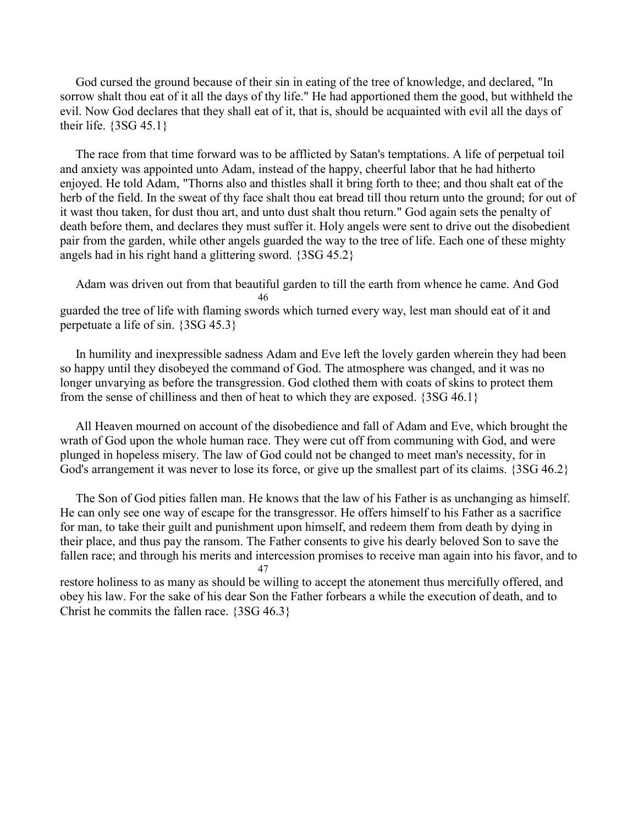God cursed the ground because of their sin in eating of the tree of knowledge, and declared, "In sorrow shalt thou eat of it all the days of thy life." He had apportioned them the good, but withheld the evil. Now God declares that they shall eat of it, that is, should be acquainted with evil all the days of their life. {3SG 45.1}

 The race from that time forward was to be afflicted by Satan's temptations. A life of perpetual toil and anxiety was appointed unto Adam, instead of the happy, cheerful labor that he had hitherto enjoyed. He told Adam, "Thorns also and thistles shall it bring forth to thee; and thou shalt eat of the herb of the field. In the sweat of thy face shalt thou eat bread till thou return unto the ground; for out of it wast thou taken, for dust thou art, and unto dust shalt thou return." God again sets the penalty of death before them, and declares they must suffer it. Holy angels were sent to drive out the disobedient pair from the garden, while other angels guarded the way to the tree of life. Each one of these mighty angels had in his right hand a glittering sword. {3SG 45.2}

 Adam was driven out from that beautiful garden to till the earth from whence he came. And God 46 guarded the tree of life with flaming swords which turned every way, lest man should eat of it and perpetuate a life of sin. {3SG 45.3}

 In humility and inexpressible sadness Adam and Eve left the lovely garden wherein they had been so happy until they disobeyed the command of God. The atmosphere was changed, and it was no longer unvarying as before the transgression. God clothed them with coats of skins to protect them from the sense of chilliness and then of heat to which they are exposed. {3SG 46.1}

 All Heaven mourned on account of the disobedience and fall of Adam and Eve, which brought the wrath of God upon the whole human race. They were cut off from communing with God, and were plunged in hopeless misery. The law of God could not be changed to meet man's necessity, for in God's arrangement it was never to lose its force, or give up the smallest part of its claims. {3SG 46.2}

 The Son of God pities fallen man. He knows that the law of his Father is as unchanging as himself. He can only see one way of escape for the transgressor. He offers himself to his Father as a sacrifice for man, to take their guilt and punishment upon himself, and redeem them from death by dying in their place, and thus pay the ransom. The Father consents to give his dearly beloved Son to save the fallen race; and through his merits and intercession promises to receive man again into his favor, and to 47

restore holiness to as many as should be willing to accept the atonement thus mercifully offered, and obey his law. For the sake of his dear Son the Father forbears a while the execution of death, and to Christ he commits the fallen race. {3SG 46.3}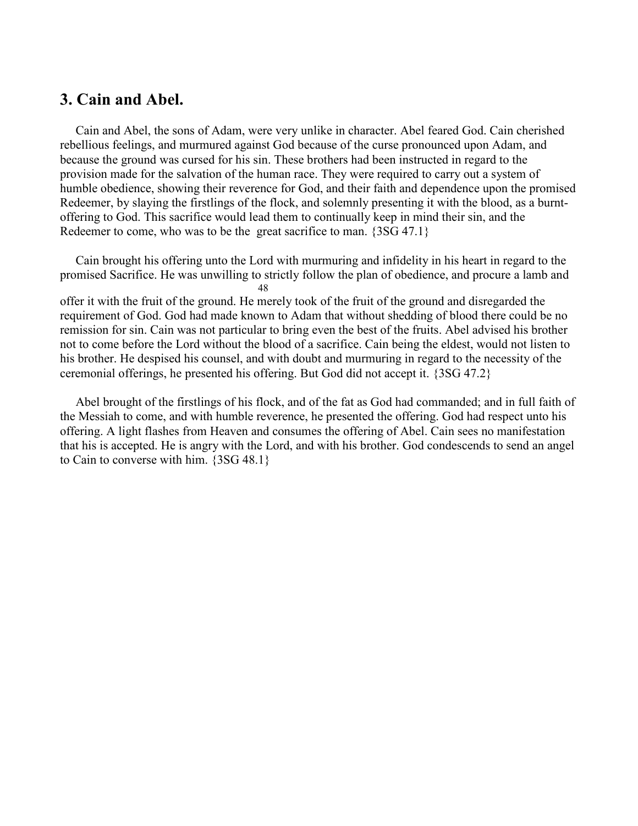### **3. Cain and Abel.**

 Cain and Abel, the sons of Adam, were very unlike in character. Abel feared God. Cain cherished rebellious feelings, and murmured against God because of the curse pronounced upon Adam, and because the ground was cursed for his sin. These brothers had been instructed in regard to the provision made for the salvation of the human race. They were required to carry out a system of humble obedience, showing their reverence for God, and their faith and dependence upon the promised Redeemer, by slaying the firstlings of the flock, and solemnly presenting it with the blood, as a burntoffering to God. This sacrifice would lead them to continually keep in mind their sin, and the Redeemer to come, who was to be the great sacrifice to man. {3SG 47.1}

 Cain brought his offering unto the Lord with murmuring and infidelity in his heart in regard to the promised Sacrifice. He was unwilling to strictly follow the plan of obedience, and procure a lamb and  $\frac{48}{100}$  48 offer it with the fruit of the ground. He merely took of the fruit of the ground and disregarded the requirement of God. God had made known to Adam that without shedding of blood there could be no remission for sin. Cain was not particular to bring even the best of the fruits. Abel advised his brother

not to come before the Lord without the blood of a sacrifice. Cain being the eldest, would not listen to his brother. He despised his counsel, and with doubt and murmuring in regard to the necessity of the ceremonial offerings, he presented his offering. But God did not accept it. {3SG 47.2}

 Abel brought of the firstlings of his flock, and of the fat as God had commanded; and in full faith of the Messiah to come, and with humble reverence, he presented the offering. God had respect unto his offering. A light flashes from Heaven and consumes the offering of Abel. Cain sees no manifestation that his is accepted. He is angry with the Lord, and with his brother. God condescends to send an angel to Cain to converse with him. {3SG 48.1}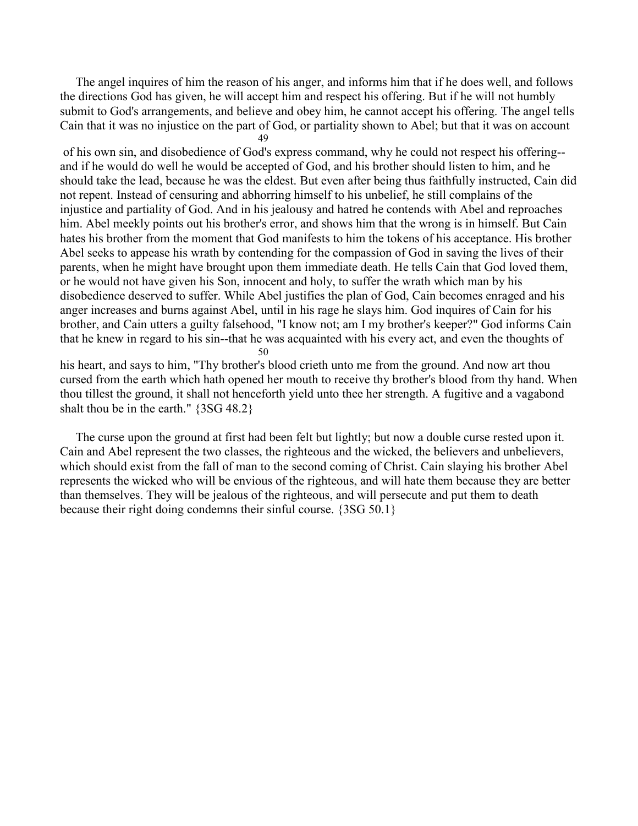The angel inquires of him the reason of his anger, and informs him that if he does well, and follows the directions God has given, he will accept him and respect his offering. But if he will not humbly submit to God's arrangements, and believe and obey him, he cannot accept his offering. The angel tells Cain that it was no injustice on the part of God, or partiality shown to Abel; but that it was on account 49

 of his own sin, and disobedience of God's express command, why he could not respect his offering- and if he would do well he would be accepted of God, and his brother should listen to him, and he should take the lead, because he was the eldest. But even after being thus faithfully instructed, Cain did not repent. Instead of censuring and abhorring himself to his unbelief, he still complains of the injustice and partiality of God. And in his jealousy and hatred he contends with Abel and reproaches him. Abel meekly points out his brother's error, and shows him that the wrong is in himself. But Cain hates his brother from the moment that God manifests to him the tokens of his acceptance. His brother Abel seeks to appease his wrath by contending for the compassion of God in saving the lives of their parents, when he might have brought upon them immediate death. He tells Cain that God loved them, or he would not have given his Son, innocent and holy, to suffer the wrath which man by his disobedience deserved to suffer. While Abel justifies the plan of God, Cain becomes enraged and his anger increases and burns against Abel, until in his rage he slays him. God inquires of Cain for his brother, and Cain utters a guilty falsehood, "I know not; am I my brother's keeper?" God informs Cain that he knew in regard to his sin--that he was acquainted with his every act, and even the thoughts of 50

his heart, and says to him, "Thy brother's blood crieth unto me from the ground. And now art thou cursed from the earth which hath opened her mouth to receive thy brother's blood from thy hand. When thou tillest the ground, it shall not henceforth yield unto thee her strength. A fugitive and a vagabond shalt thou be in the earth." {3SG 48.2}

 The curse upon the ground at first had been felt but lightly; but now a double curse rested upon it. Cain and Abel represent the two classes, the righteous and the wicked, the believers and unbelievers, which should exist from the fall of man to the second coming of Christ. Cain slaying his brother Abel represents the wicked who will be envious of the righteous, and will hate them because they are better than themselves. They will be jealous of the righteous, and will persecute and put them to death because their right doing condemns their sinful course. {3SG 50.1}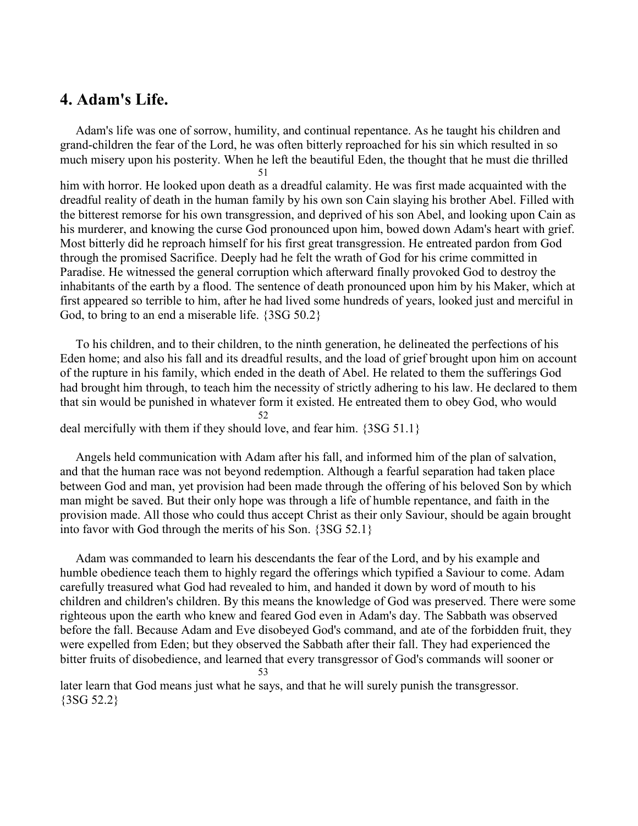### **4. Adam's Life.**

 Adam's life was one of sorrow, humility, and continual repentance. As he taught his children and grand-children the fear of the Lord, he was often bitterly reproached for his sin which resulted in so much misery upon his posterity. When he left the beautiful Eden, the thought that he must die thrilled 51

him with horror. He looked upon death as a dreadful calamity. He was first made acquainted with the dreadful reality of death in the human family by his own son Cain slaying his brother Abel. Filled with the bitterest remorse for his own transgression, and deprived of his son Abel, and looking upon Cain as his murderer, and knowing the curse God pronounced upon him, bowed down Adam's heart with grief. Most bitterly did he reproach himself for his first great transgression. He entreated pardon from God through the promised Sacrifice. Deeply had he felt the wrath of God for his crime committed in Paradise. He witnessed the general corruption which afterward finally provoked God to destroy the inhabitants of the earth by a flood. The sentence of death pronounced upon him by his Maker, which at first appeared so terrible to him, after he had lived some hundreds of years, looked just and merciful in God, to bring to an end a miserable life. {3SG 50.2}

 To his children, and to their children, to the ninth generation, he delineated the perfections of his Eden home; and also his fall and its dreadful results, and the load of grief brought upon him on account of the rupture in his family, which ended in the death of Abel. He related to them the sufferings God had brought him through, to teach him the necessity of strictly adhering to his law. He declared to them that sin would be punished in whatever form it existed. He entreated them to obey God, who would 52

deal mercifully with them if they should love, and fear him. {3SG 51.1}

 Angels held communication with Adam after his fall, and informed him of the plan of salvation, and that the human race was not beyond redemption. Although a fearful separation had taken place between God and man, yet provision had been made through the offering of his beloved Son by which man might be saved. But their only hope was through a life of humble repentance, and faith in the provision made. All those who could thus accept Christ as their only Saviour, should be again brought into favor with God through the merits of his Son. {3SG 52.1}

 Adam was commanded to learn his descendants the fear of the Lord, and by his example and humble obedience teach them to highly regard the offerings which typified a Saviour to come. Adam carefully treasured what God had revealed to him, and handed it down by word of mouth to his children and children's children. By this means the knowledge of God was preserved. There were some righteous upon the earth who knew and feared God even in Adam's day. The Sabbath was observed before the fall. Because Adam and Eve disobeyed God's command, and ate of the forbidden fruit, they were expelled from Eden; but they observed the Sabbath after their fall. They had experienced the bitter fruits of disobedience, and learned that every transgressor of God's commands will sooner or

53

later learn that God means just what he says, and that he will surely punish the transgressor.  ${3SG 52.2}$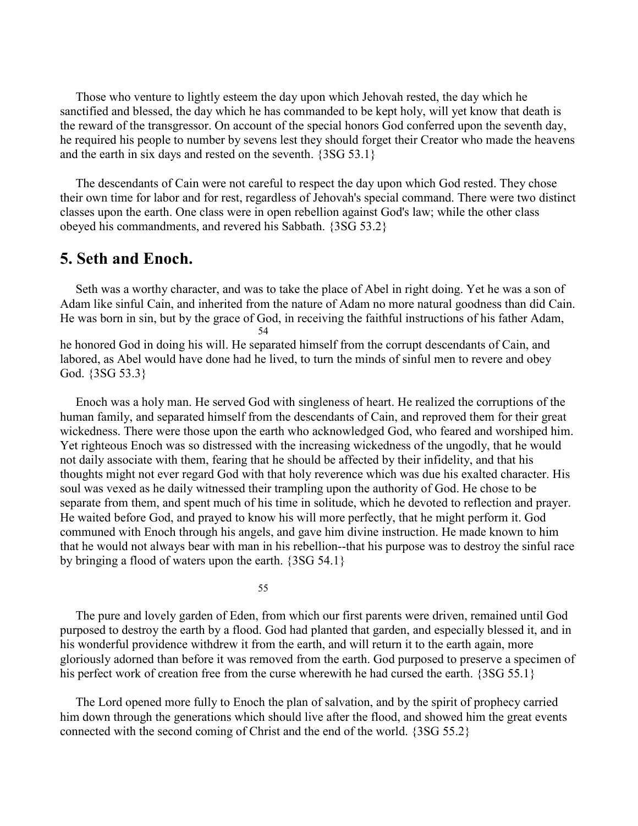Those who venture to lightly esteem the day upon which Jehovah rested, the day which he sanctified and blessed, the day which he has commanded to be kept holy, will yet know that death is the reward of the transgressor. On account of the special honors God conferred upon the seventh day, he required his people to number by sevens lest they should forget their Creator who made the heavens and the earth in six days and rested on the seventh. {3SG 53.1}

 The descendants of Cain were not careful to respect the day upon which God rested. They chose their own time for labor and for rest, regardless of Jehovah's special command. There were two distinct classes upon the earth. One class were in open rebellion against God's law; while the other class obeyed his commandments, and revered his Sabbath. {3SG 53.2}

#### **5. Seth and Enoch.**

 Seth was a worthy character, and was to take the place of Abel in right doing. Yet he was a son of Adam like sinful Cain, and inherited from the nature of Adam no more natural goodness than did Cain. He was born in sin, but by the grace of God, in receiving the faithful instructions of his father Adam, 54 he honored God in doing his will. He separated himself from the corrupt descendants of Cain, and labored, as Abel would have done had he lived, to turn the minds of sinful men to revere and obey God. {3SG 53.3}

 Enoch was a holy man. He served God with singleness of heart. He realized the corruptions of the human family, and separated himself from the descendants of Cain, and reproved them for their great wickedness. There were those upon the earth who acknowledged God, who feared and worshiped him. Yet righteous Enoch was so distressed with the increasing wickedness of the ungodly, that he would not daily associate with them, fearing that he should be affected by their infidelity, and that his thoughts might not ever regard God with that holy reverence which was due his exalted character. His soul was vexed as he daily witnessed their trampling upon the authority of God. He chose to be separate from them, and spent much of his time in solitude, which he devoted to reflection and prayer. He waited before God, and prayed to know his will more perfectly, that he might perform it. God communed with Enoch through his angels, and gave him divine instruction. He made known to him that he would not always bear with man in his rebellion--that his purpose was to destroy the sinful race by bringing a flood of waters upon the earth. {3SG 54.1}

55

 The pure and lovely garden of Eden, from which our first parents were driven, remained until God purposed to destroy the earth by a flood. God had planted that garden, and especially blessed it, and in his wonderful providence withdrew it from the earth, and will return it to the earth again, more gloriously adorned than before it was removed from the earth. God purposed to preserve a specimen of his perfect work of creation free from the curse wherewith he had cursed the earth. {3SG 55.1}

 The Lord opened more fully to Enoch the plan of salvation, and by the spirit of prophecy carried him down through the generations which should live after the flood, and showed him the great events connected with the second coming of Christ and the end of the world. {3SG 55.2}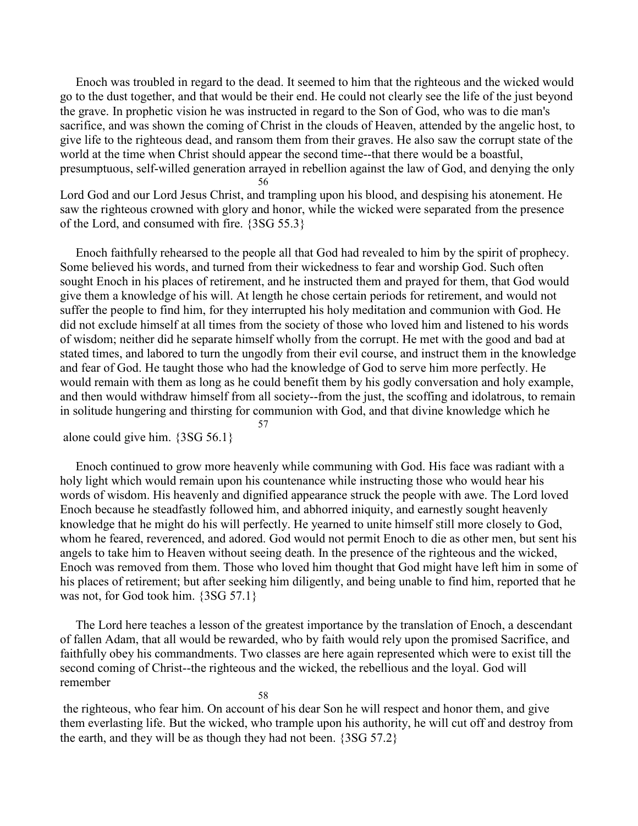Enoch was troubled in regard to the dead. It seemed to him that the righteous and the wicked would go to the dust together, and that would be their end. He could not clearly see the life of the just beyond the grave. In prophetic vision he was instructed in regard to the Son of God, who was to die man's sacrifice, and was shown the coming of Christ in the clouds of Heaven, attended by the angelic host, to give life to the righteous dead, and ransom them from their graves. He also saw the corrupt state of the world at the time when Christ should appear the second time--that there would be a boastful, presumptuous, self-willed generation arrayed in rebellion against the law of God, and denying the only

 56 Lord God and our Lord Jesus Christ, and trampling upon his blood, and despising his atonement. He saw the righteous crowned with glory and honor, while the wicked were separated from the presence of the Lord, and consumed with fire. {3SG 55.3}

 Enoch faithfully rehearsed to the people all that God had revealed to him by the spirit of prophecy. Some believed his words, and turned from their wickedness to fear and worship God. Such often sought Enoch in his places of retirement, and he instructed them and prayed for them, that God would give them a knowledge of his will. At length he chose certain periods for retirement, and would not suffer the people to find him, for they interrupted his holy meditation and communion with God. He did not exclude himself at all times from the society of those who loved him and listened to his words of wisdom; neither did he separate himself wholly from the corrupt. He met with the good and bad at stated times, and labored to turn the ungodly from their evil course, and instruct them in the knowledge and fear of God. He taught those who had the knowledge of God to serve him more perfectly. He would remain with them as long as he could benefit them by his godly conversation and holy example, and then would withdraw himself from all society--from the just, the scoffing and idolatrous, to remain in solitude hungering and thirsting for communion with God, and that divine knowledge which he 57

alone could give him. {3SG 56.1}

 Enoch continued to grow more heavenly while communing with God. His face was radiant with a holy light which would remain upon his countenance while instructing those who would hear his words of wisdom. His heavenly and dignified appearance struck the people with awe. The Lord loved Enoch because he steadfastly followed him, and abhorred iniquity, and earnestly sought heavenly knowledge that he might do his will perfectly. He yearned to unite himself still more closely to God, whom he feared, reverenced, and adored. God would not permit Enoch to die as other men, but sent his angels to take him to Heaven without seeing death. In the presence of the righteous and the wicked, Enoch was removed from them. Those who loved him thought that God might have left him in some of his places of retirement; but after seeking him diligently, and being unable to find him, reported that he was not, for God took him. {3SG 57.1}

 The Lord here teaches a lesson of the greatest importance by the translation of Enoch, a descendant of fallen Adam, that all would be rewarded, who by faith would rely upon the promised Sacrifice, and faithfully obey his commandments. Two classes are here again represented which were to exist till the second coming of Christ--the righteous and the wicked, the rebellious and the loyal. God will remember

58

 the righteous, who fear him. On account of his dear Son he will respect and honor them, and give them everlasting life. But the wicked, who trample upon his authority, he will cut off and destroy from the earth, and they will be as though they had not been. {3SG 57.2}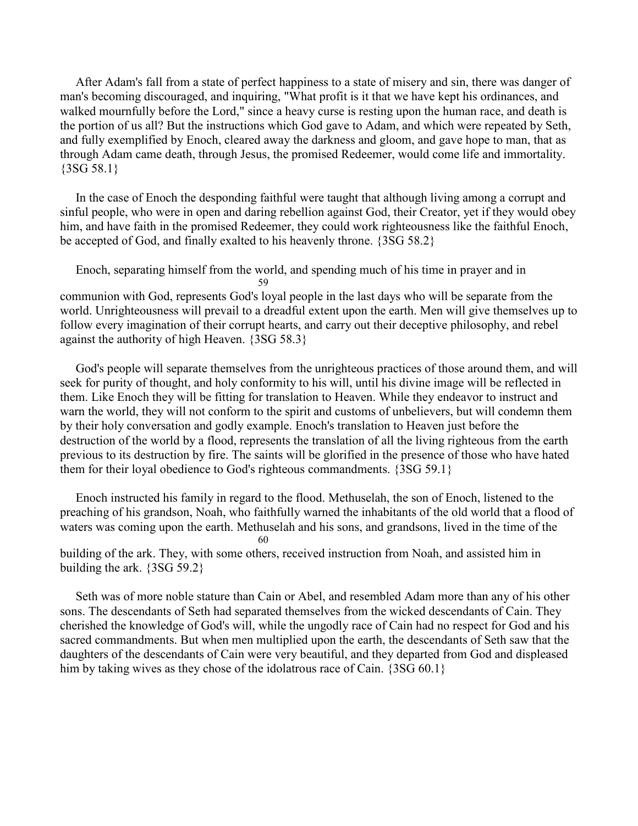After Adam's fall from a state of perfect happiness to a state of misery and sin, there was danger of man's becoming discouraged, and inquiring, "What profit is it that we have kept his ordinances, and walked mournfully before the Lord," since a heavy curse is resting upon the human race, and death is the portion of us all? But the instructions which God gave to Adam, and which were repeated by Seth, and fully exemplified by Enoch, cleared away the darkness and gloom, and gave hope to man, that as through Adam came death, through Jesus, the promised Redeemer, would come life and immortality. {3SG 58.1}

 In the case of Enoch the desponding faithful were taught that although living among a corrupt and sinful people, who were in open and daring rebellion against God, their Creator, yet if they would obey him, and have faith in the promised Redeemer, they could work righteousness like the faithful Enoch, be accepted of God, and finally exalted to his heavenly throne. {3SG 58.2}

 Enoch, separating himself from the world, and spending much of his time in prayer and in 59 communion with God, represents God's loyal people in the last days who will be separate from the world. Unrighteousness will prevail to a dreadful extent upon the earth. Men will give themselves up to follow every imagination of their corrupt hearts, and carry out their deceptive philosophy, and rebel against the authority of high Heaven. {3SG 58.3}

 God's people will separate themselves from the unrighteous practices of those around them, and will seek for purity of thought, and holy conformity to his will, until his divine image will be reflected in them. Like Enoch they will be fitting for translation to Heaven. While they endeavor to instruct and warn the world, they will not conform to the spirit and customs of unbelievers, but will condemn them by their holy conversation and godly example. Enoch's translation to Heaven just before the destruction of the world by a flood, represents the translation of all the living righteous from the earth previous to its destruction by fire. The saints will be glorified in the presence of those who have hated them for their loyal obedience to God's righteous commandments. {3SG 59.1}

 Enoch instructed his family in regard to the flood. Methuselah, the son of Enoch, listened to the preaching of his grandson, Noah, who faithfully warned the inhabitants of the old world that a flood of waters was coming upon the earth. Methuselah and his sons, and grandsons, lived in the time of the 60 building of the ark. They, with some others, received instruction from Noah, and assisted him in building the ark. {3SG 59.2}

 Seth was of more noble stature than Cain or Abel, and resembled Adam more than any of his other sons. The descendants of Seth had separated themselves from the wicked descendants of Cain. They cherished the knowledge of God's will, while the ungodly race of Cain had no respect for God and his sacred commandments. But when men multiplied upon the earth, the descendants of Seth saw that the daughters of the descendants of Cain were very beautiful, and they departed from God and displeased him by taking wives as they chose of the idolatrous race of Cain. {3SG 60.1}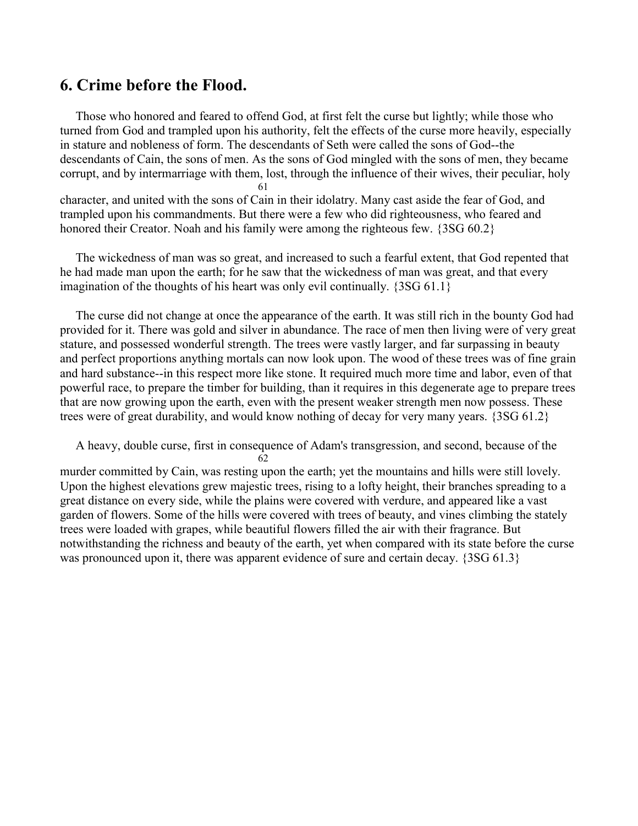#### **6. Crime before the Flood.**

 Those who honored and feared to offend God, at first felt the curse but lightly; while those who turned from God and trampled upon his authority, felt the effects of the curse more heavily, especially in stature and nobleness of form. The descendants of Seth were called the sons of God--the descendants of Cain, the sons of men. As the sons of God mingled with the sons of men, they became corrupt, and by intermarriage with them, lost, through the influence of their wives, their peculiar, holy 61 character, and united with the sons of Cain in their idolatry. Many cast aside the fear of God, and

trampled upon his commandments. But there were a few who did righteousness, who feared and honored their Creator. Noah and his family were among the righteous few. {3SG 60.2}

 The wickedness of man was so great, and increased to such a fearful extent, that God repented that he had made man upon the earth; for he saw that the wickedness of man was great, and that every imagination of the thoughts of his heart was only evil continually. {3SG 61.1}

 The curse did not change at once the appearance of the earth. It was still rich in the bounty God had provided for it. There was gold and silver in abundance. The race of men then living were of very great stature, and possessed wonderful strength. The trees were vastly larger, and far surpassing in beauty and perfect proportions anything mortals can now look upon. The wood of these trees was of fine grain and hard substance--in this respect more like stone. It required much more time and labor, even of that powerful race, to prepare the timber for building, than it requires in this degenerate age to prepare trees that are now growing upon the earth, even with the present weaker strength men now possess. These trees were of great durability, and would know nothing of decay for very many years. {3SG 61.2}

 A heavy, double curse, first in consequence of Adam's transgression, and second, because of the 62

murder committed by Cain, was resting upon the earth; yet the mountains and hills were still lovely. Upon the highest elevations grew majestic trees, rising to a lofty height, their branches spreading to a great distance on every side, while the plains were covered with verdure, and appeared like a vast garden of flowers. Some of the hills were covered with trees of beauty, and vines climbing the stately trees were loaded with grapes, while beautiful flowers filled the air with their fragrance. But notwithstanding the richness and beauty of the earth, yet when compared with its state before the curse was pronounced upon it, there was apparent evidence of sure and certain decay. {3SG 61.3}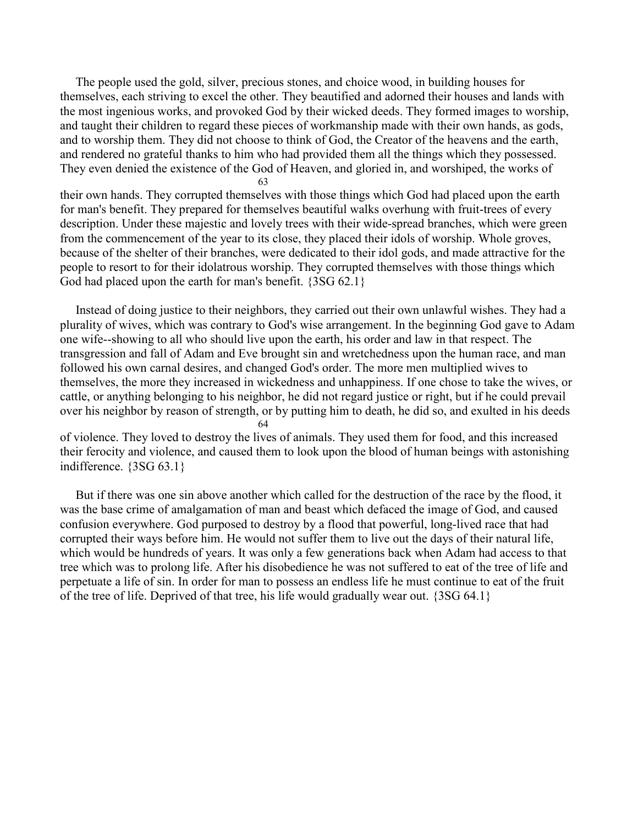The people used the gold, silver, precious stones, and choice wood, in building houses for themselves, each striving to excel the other. They beautified and adorned their houses and lands with the most ingenious works, and provoked God by their wicked deeds. They formed images to worship, and taught their children to regard these pieces of workmanship made with their own hands, as gods, and to worship them. They did not choose to think of God, the Creator of the heavens and the earth, and rendered no grateful thanks to him who had provided them all the things which they possessed. They even denied the existence of the God of Heaven, and gloried in, and worshiped, the works of

 63 their own hands. They corrupted themselves with those things which God had placed upon the earth for man's benefit. They prepared for themselves beautiful walks overhung with fruit-trees of every description. Under these majestic and lovely trees with their wide-spread branches, which were green from the commencement of the year to its close, they placed their idols of worship. Whole groves, because of the shelter of their branches, were dedicated to their idol gods, and made attractive for the people to resort to for their idolatrous worship. They corrupted themselves with those things which God had placed upon the earth for man's benefit. {3SG 62.1}

 Instead of doing justice to their neighbors, they carried out their own unlawful wishes. They had a plurality of wives, which was contrary to God's wise arrangement. In the beginning God gave to Adam one wife--showing to all who should live upon the earth, his order and law in that respect. The transgression and fall of Adam and Eve brought sin and wretchedness upon the human race, and man followed his own carnal desires, and changed God's order. The more men multiplied wives to themselves, the more they increased in wickedness and unhappiness. If one chose to take the wives, or cattle, or anything belonging to his neighbor, he did not regard justice or right, but if he could prevail over his neighbor by reason of strength, or by putting him to death, he did so, and exulted in his deeds 64

of violence. They loved to destroy the lives of animals. They used them for food, and this increased their ferocity and violence, and caused them to look upon the blood of human beings with astonishing indifference. {3SG 63.1}

 But if there was one sin above another which called for the destruction of the race by the flood, it was the base crime of amalgamation of man and beast which defaced the image of God, and caused confusion everywhere. God purposed to destroy by a flood that powerful, long-lived race that had corrupted their ways before him. He would not suffer them to live out the days of their natural life, which would be hundreds of years. It was only a few generations back when Adam had access to that tree which was to prolong life. After his disobedience he was not suffered to eat of the tree of life and perpetuate a life of sin. In order for man to possess an endless life he must continue to eat of the fruit of the tree of life. Deprived of that tree, his life would gradually wear out. {3SG 64.1}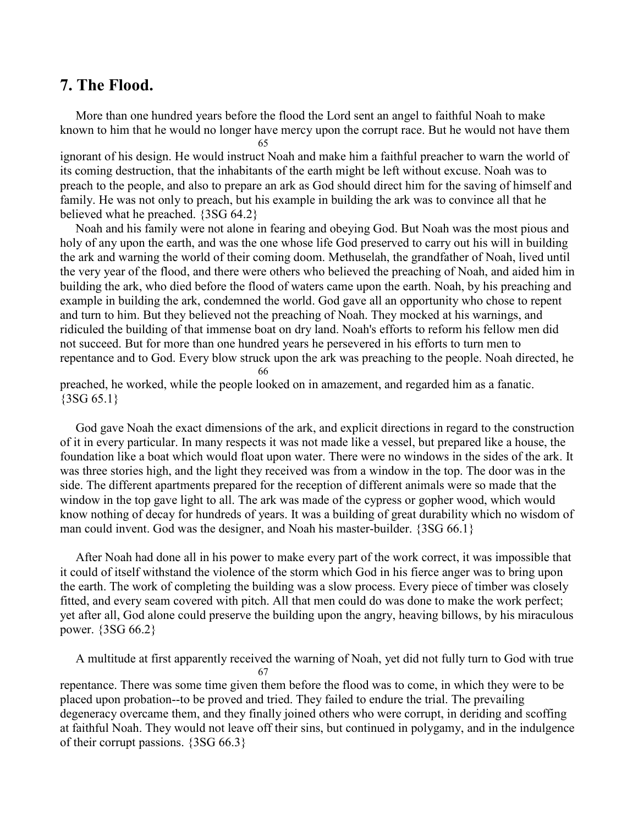#### **7. The Flood.**

 More than one hundred years before the flood the Lord sent an angel to faithful Noah to make known to him that he would no longer have mercy upon the corrupt race. But he would not have them

 65 ignorant of his design. He would instruct Noah and make him a faithful preacher to warn the world of its coming destruction, that the inhabitants of the earth might be left without excuse. Noah was to preach to the people, and also to prepare an ark as God should direct him for the saving of himself and family. He was not only to preach, but his example in building the ark was to convince all that he believed what he preached. {3SG 64.2}

 Noah and his family were not alone in fearing and obeying God. But Noah was the most pious and holy of any upon the earth, and was the one whose life God preserved to carry out his will in building the ark and warning the world of their coming doom. Methuselah, the grandfather of Noah, lived until the very year of the flood, and there were others who believed the preaching of Noah, and aided him in building the ark, who died before the flood of waters came upon the earth. Noah, by his preaching and example in building the ark, condemned the world. God gave all an opportunity who chose to repent and turn to him. But they believed not the preaching of Noah. They mocked at his warnings, and ridiculed the building of that immense boat on dry land. Noah's efforts to reform his fellow men did not succeed. But for more than one hundred years he persevered in his efforts to turn men to repentance and to God. Every blow struck upon the ark was preaching to the people. Noah directed, he 66

preached, he worked, while the people looked on in amazement, and regarded him as a fanatic.  ${3SG 65.1}$ 

 God gave Noah the exact dimensions of the ark, and explicit directions in regard to the construction of it in every particular. In many respects it was not made like a vessel, but prepared like a house, the foundation like a boat which would float upon water. There were no windows in the sides of the ark. It was three stories high, and the light they received was from a window in the top. The door was in the side. The different apartments prepared for the reception of different animals were so made that the window in the top gave light to all. The ark was made of the cypress or gopher wood, which would know nothing of decay for hundreds of years. It was a building of great durability which no wisdom of man could invent. God was the designer, and Noah his master-builder. {3SG 66.1}

 After Noah had done all in his power to make every part of the work correct, it was impossible that it could of itself withstand the violence of the storm which God in his fierce anger was to bring upon the earth. The work of completing the building was a slow process. Every piece of timber was closely fitted, and every seam covered with pitch. All that men could do was done to make the work perfect; yet after all, God alone could preserve the building upon the angry, heaving billows, by his miraculous power. {3SG 66.2}

 A multitude at first apparently received the warning of Noah, yet did not fully turn to God with true 67

repentance. There was some time given them before the flood was to come, in which they were to be placed upon probation--to be proved and tried. They failed to endure the trial. The prevailing degeneracy overcame them, and they finally joined others who were corrupt, in deriding and scoffing at faithful Noah. They would not leave off their sins, but continued in polygamy, and in the indulgence of their corrupt passions. {3SG 66.3}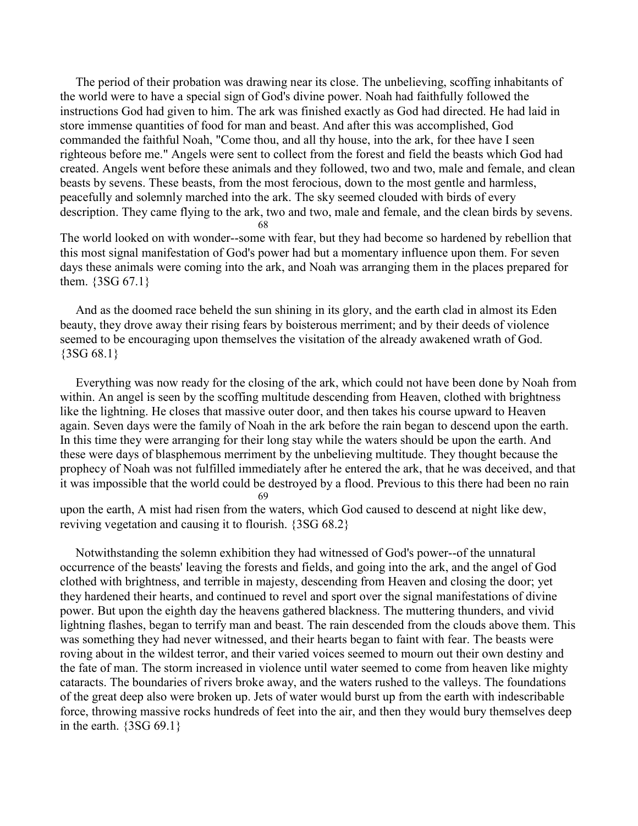The period of their probation was drawing near its close. The unbelieving, scoffing inhabitants of the world were to have a special sign of God's divine power. Noah had faithfully followed the instructions God had given to him. The ark was finished exactly as God had directed. He had laid in store immense quantities of food for man and beast. And after this was accomplished, God commanded the faithful Noah, "Come thou, and all thy house, into the ark, for thee have I seen righteous before me." Angels were sent to collect from the forest and field the beasts which God had created. Angels went before these animals and they followed, two and two, male and female, and clean beasts by sevens. These beasts, from the most ferocious, down to the most gentle and harmless, peacefully and solemnly marched into the ark. The sky seemed clouded with birds of every description. They came flying to the ark, two and two, male and female, and the clean birds by sevens. 68

The world looked on with wonder--some with fear, but they had become so hardened by rebellion that this most signal manifestation of God's power had but a momentary influence upon them. For seven days these animals were coming into the ark, and Noah was arranging them in the places prepared for them. {3SG 67.1}

 And as the doomed race beheld the sun shining in its glory, and the earth clad in almost its Eden beauty, they drove away their rising fears by boisterous merriment; and by their deeds of violence seemed to be encouraging upon themselves the visitation of the already awakened wrath of God.  ${3SG 68.1}$ 

 Everything was now ready for the closing of the ark, which could not have been done by Noah from within. An angel is seen by the scoffing multitude descending from Heaven, clothed with brightness like the lightning. He closes that massive outer door, and then takes his course upward to Heaven again. Seven days were the family of Noah in the ark before the rain began to descend upon the earth. In this time they were arranging for their long stay while the waters should be upon the earth. And these were days of blasphemous merriment by the unbelieving multitude. They thought because the prophecy of Noah was not fulfilled immediately after he entered the ark, that he was deceived, and that it was impossible that the world could be destroyed by a flood. Previous to this there had been no rain 69

upon the earth, A mist had risen from the waters, which God caused to descend at night like dew, reviving vegetation and causing it to flourish. {3SG 68.2}

 Notwithstanding the solemn exhibition they had witnessed of God's power--of the unnatural occurrence of the beasts' leaving the forests and fields, and going into the ark, and the angel of God clothed with brightness, and terrible in majesty, descending from Heaven and closing the door; yet they hardened their hearts, and continued to revel and sport over the signal manifestations of divine power. But upon the eighth day the heavens gathered blackness. The muttering thunders, and vivid lightning flashes, began to terrify man and beast. The rain descended from the clouds above them. This was something they had never witnessed, and their hearts began to faint with fear. The beasts were roving about in the wildest terror, and their varied voices seemed to mourn out their own destiny and the fate of man. The storm increased in violence until water seemed to come from heaven like mighty cataracts. The boundaries of rivers broke away, and the waters rushed to the valleys. The foundations of the great deep also were broken up. Jets of water would burst up from the earth with indescribable force, throwing massive rocks hundreds of feet into the air, and then they would bury themselves deep in the earth.  $\{3SG\ 69.1\}$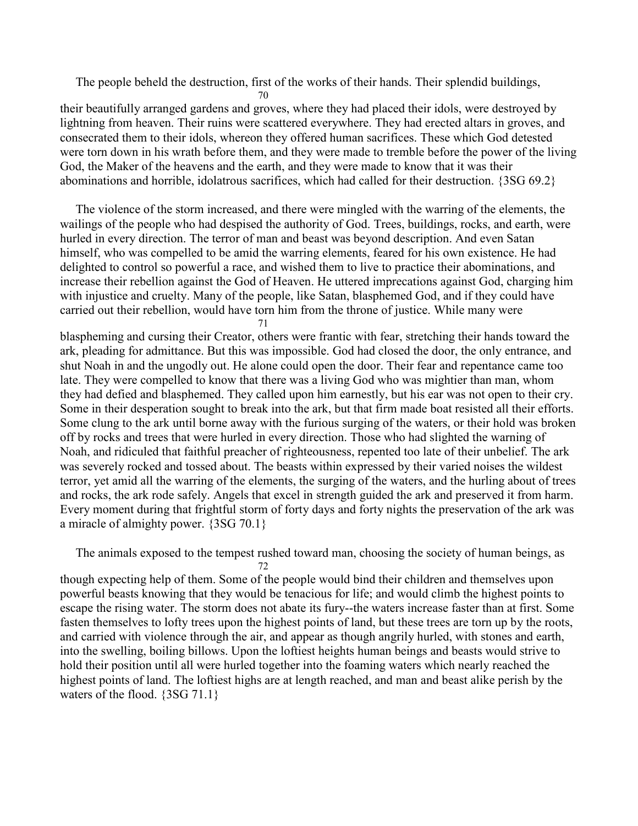The people beheld the destruction, first of the works of their hands. Their splendid buildings,

 70 their beautifully arranged gardens and groves, where they had placed their idols, were destroyed by lightning from heaven. Their ruins were scattered everywhere. They had erected altars in groves, and consecrated them to their idols, whereon they offered human sacrifices. These which God detested were torn down in his wrath before them, and they were made to tremble before the power of the living God, the Maker of the heavens and the earth, and they were made to know that it was their abominations and horrible, idolatrous sacrifices, which had called for their destruction. {3SG 69.2}

 The violence of the storm increased, and there were mingled with the warring of the elements, the wailings of the people who had despised the authority of God. Trees, buildings, rocks, and earth, were hurled in every direction. The terror of man and beast was beyond description. And even Satan himself, who was compelled to be amid the warring elements, feared for his own existence. He had delighted to control so powerful a race, and wished them to live to practice their abominations, and increase their rebellion against the God of Heaven. He uttered imprecations against God, charging him with injustice and cruelty. Many of the people, like Satan, blasphemed God, and if they could have carried out their rebellion, would have torn him from the throne of justice. While many were 71

blaspheming and cursing their Creator, others were frantic with fear, stretching their hands toward the ark, pleading for admittance. But this was impossible. God had closed the door, the only entrance, and shut Noah in and the ungodly out. He alone could open the door. Their fear and repentance came too late. They were compelled to know that there was a living God who was mightier than man, whom they had defied and blasphemed. They called upon him earnestly, but his ear was not open to their cry. Some in their desperation sought to break into the ark, but that firm made boat resisted all their efforts. Some clung to the ark until borne away with the furious surging of the waters, or their hold was broken off by rocks and trees that were hurled in every direction. Those who had slighted the warning of Noah, and ridiculed that faithful preacher of righteousness, repented too late of their unbelief. The ark was severely rocked and tossed about. The beasts within expressed by their varied noises the wildest terror, yet amid all the warring of the elements, the surging of the waters, and the hurling about of trees and rocks, the ark rode safely. Angels that excel in strength guided the ark and preserved it from harm. Every moment during that frightful storm of forty days and forty nights the preservation of the ark was a miracle of almighty power. {3SG 70.1}

 The animals exposed to the tempest rushed toward man, choosing the society of human beings, as 72

though expecting help of them. Some of the people would bind their children and themselves upon powerful beasts knowing that they would be tenacious for life; and would climb the highest points to escape the rising water. The storm does not abate its fury--the waters increase faster than at first. Some fasten themselves to lofty trees upon the highest points of land, but these trees are torn up by the roots, and carried with violence through the air, and appear as though angrily hurled, with stones and earth, into the swelling, boiling billows. Upon the loftiest heights human beings and beasts would strive to hold their position until all were hurled together into the foaming waters which nearly reached the highest points of land. The loftiest highs are at length reached, and man and beast alike perish by the waters of the flood. {3SG 71.1}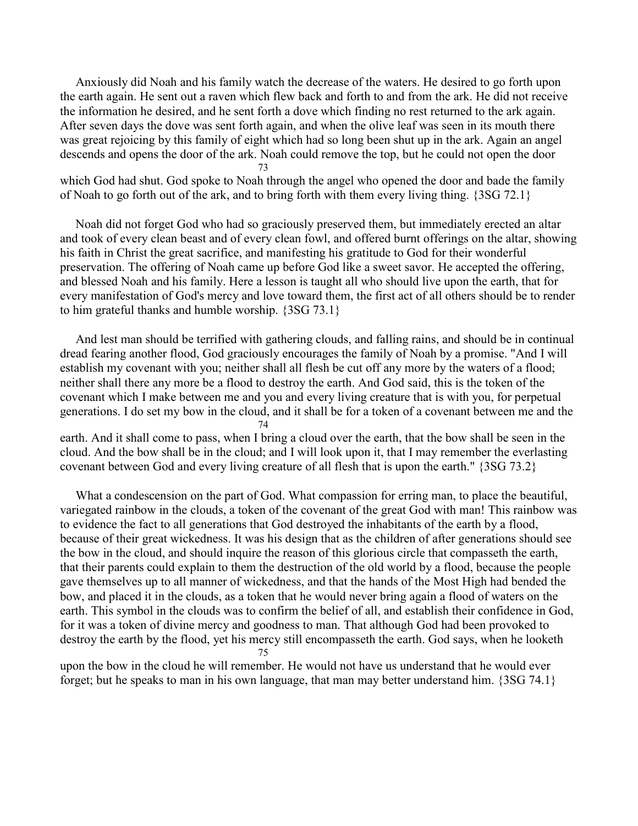Anxiously did Noah and his family watch the decrease of the waters. He desired to go forth upon the earth again. He sent out a raven which flew back and forth to and from the ark. He did not receive the information he desired, and he sent forth a dove which finding no rest returned to the ark again. After seven days the dove was sent forth again, and when the olive leaf was seen in its mouth there was great rejoicing by this family of eight which had so long been shut up in the ark. Again an angel descends and opens the door of the ark. Noah could remove the top, but he could not open the door 73

which God had shut. God spoke to Noah through the angel who opened the door and bade the family of Noah to go forth out of the ark, and to bring forth with them every living thing. {3SG 72.1}

 Noah did not forget God who had so graciously preserved them, but immediately erected an altar and took of every clean beast and of every clean fowl, and offered burnt offerings on the altar, showing his faith in Christ the great sacrifice, and manifesting his gratitude to God for their wonderful preservation. The offering of Noah came up before God like a sweet savor. He accepted the offering, and blessed Noah and his family. Here a lesson is taught all who should live upon the earth, that for every manifestation of God's mercy and love toward them, the first act of all others should be to render to him grateful thanks and humble worship. {3SG 73.1}

 And lest man should be terrified with gathering clouds, and falling rains, and should be in continual dread fearing another flood, God graciously encourages the family of Noah by a promise. "And I will establish my covenant with you; neither shall all flesh be cut off any more by the waters of a flood; neither shall there any more be a flood to destroy the earth. And God said, this is the token of the covenant which I make between me and you and every living creature that is with you, for perpetual generations. I do set my bow in the cloud, and it shall be for a token of a covenant between me and the 74

earth. And it shall come to pass, when I bring a cloud over the earth, that the bow shall be seen in the cloud. And the bow shall be in the cloud; and I will look upon it, that I may remember the everlasting covenant between God and every living creature of all flesh that is upon the earth." {3SG 73.2}

 What a condescension on the part of God. What compassion for erring man, to place the beautiful, variegated rainbow in the clouds, a token of the covenant of the great God with man! This rainbow was to evidence the fact to all generations that God destroyed the inhabitants of the earth by a flood, because of their great wickedness. It was his design that as the children of after generations should see the bow in the cloud, and should inquire the reason of this glorious circle that compasseth the earth, that their parents could explain to them the destruction of the old world by a flood, because the people gave themselves up to all manner of wickedness, and that the hands of the Most High had bended the bow, and placed it in the clouds, as a token that he would never bring again a flood of waters on the earth. This symbol in the clouds was to confirm the belief of all, and establish their confidence in God, for it was a token of divine mercy and goodness to man. That although God had been provoked to destroy the earth by the flood, yet his mercy still encompasseth the earth. God says, when he looketh 75

upon the bow in the cloud he will remember. He would not have us understand that he would ever forget; but he speaks to man in his own language, that man may better understand him. {3SG 74.1}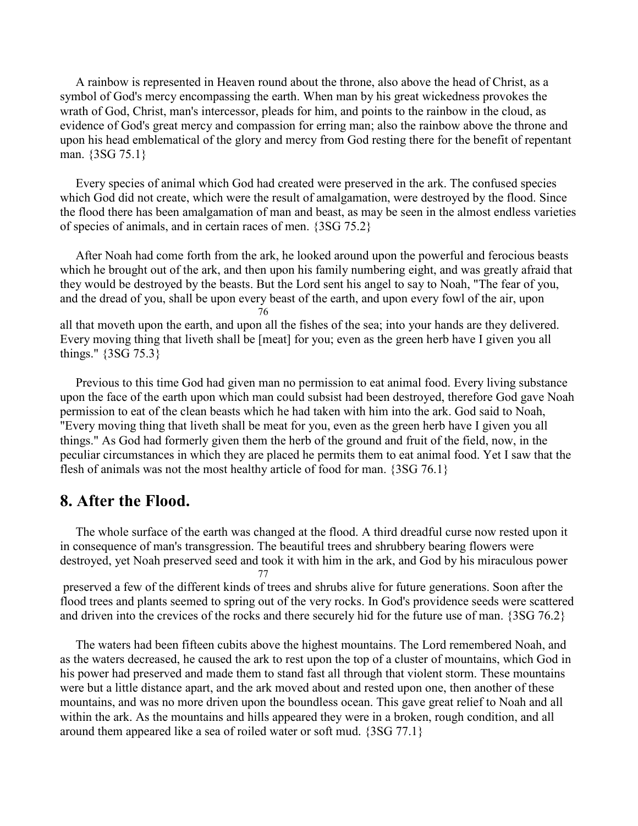A rainbow is represented in Heaven round about the throne, also above the head of Christ, as a symbol of God's mercy encompassing the earth. When man by his great wickedness provokes the wrath of God, Christ, man's intercessor, pleads for him, and points to the rainbow in the cloud, as evidence of God's great mercy and compassion for erring man; also the rainbow above the throne and upon his head emblematical of the glory and mercy from God resting there for the benefit of repentant man. {3SG 75.1}

 Every species of animal which God had created were preserved in the ark. The confused species which God did not create, which were the result of amalgamation, were destroyed by the flood. Since the flood there has been amalgamation of man and beast, as may be seen in the almost endless varieties of species of animals, and in certain races of men. {3SG 75.2}

 After Noah had come forth from the ark, he looked around upon the powerful and ferocious beasts which he brought out of the ark, and then upon his family numbering eight, and was greatly afraid that they would be destroyed by the beasts. But the Lord sent his angel to say to Noah, "The fear of you, and the dread of you, shall be upon every beast of the earth, and upon every fowl of the air, upon 76 all that moveth upon the earth, and upon all the fishes of the sea; into your hands are they delivered. Every moving thing that liveth shall be [meat] for you; even as the green herb have I given you all things." {3SG 75.3}

 Previous to this time God had given man no permission to eat animal food. Every living substance upon the face of the earth upon which man could subsist had been destroyed, therefore God gave Noah permission to eat of the clean beasts which he had taken with him into the ark. God said to Noah, "Every moving thing that liveth shall be meat for you, even as the green herb have I given you all things." As God had formerly given them the herb of the ground and fruit of the field, now, in the peculiar circumstances in which they are placed he permits them to eat animal food. Yet I saw that the flesh of animals was not the most healthy article of food for man. {3SG 76.1}

#### **8. After the Flood.**

 The whole surface of the earth was changed at the flood. A third dreadful curse now rested upon it in consequence of man's transgression. The beautiful trees and shrubbery bearing flowers were destroyed, yet Noah preserved seed and took it with him in the ark, and God by his miraculous power 77

 preserved a few of the different kinds of trees and shrubs alive for future generations. Soon after the flood trees and plants seemed to spring out of the very rocks. In God's providence seeds were scattered and driven into the crevices of the rocks and there securely hid for the future use of man. {3SG 76.2}

 The waters had been fifteen cubits above the highest mountains. The Lord remembered Noah, and as the waters decreased, he caused the ark to rest upon the top of a cluster of mountains, which God in his power had preserved and made them to stand fast all through that violent storm. These mountains were but a little distance apart, and the ark moved about and rested upon one, then another of these mountains, and was no more driven upon the boundless ocean. This gave great relief to Noah and all within the ark. As the mountains and hills appeared they were in a broken, rough condition, and all around them appeared like a sea of roiled water or soft mud. {3SG 77.1}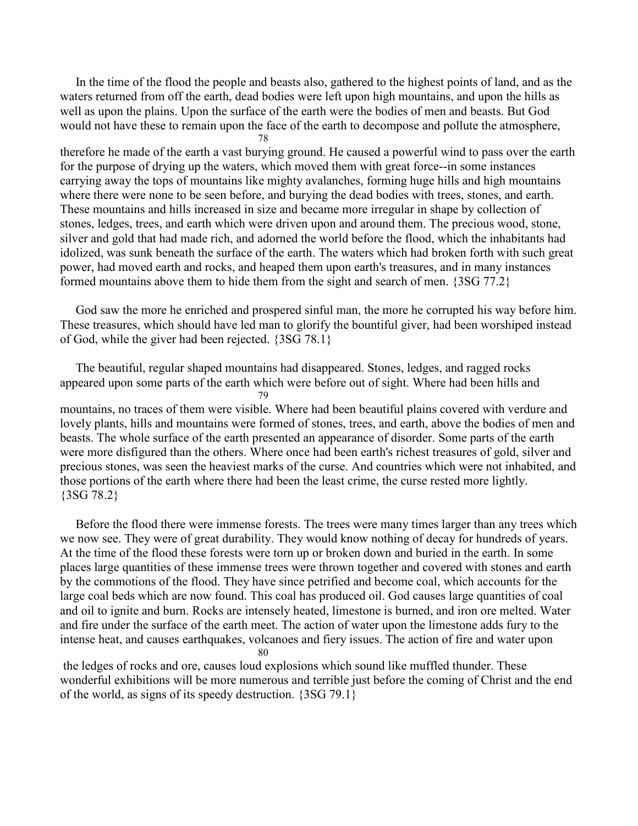In the time of the flood the people and beasts also, gathered to the highest points of land, and as the waters returned from off the earth, dead bodies were left upon high mountains, and upon the hills as well as upon the plains. Upon the surface of the earth were the bodies of men and beasts. But God would not have these to remain upon the face of the earth to decompose and pollute the atmosphere, 78

therefore he made of the earth a vast burying ground. He caused a powerful wind to pass over the earth for the purpose of drying up the waters, which moved them with great force--in some instances carrying away the tops of mountains like mighty avalanches, forming huge hills and high mountains where there were none to be seen before, and burying the dead bodies with trees, stones, and earth. These mountains and hills increased in size and became more irregular in shape by collection of stones, ledges, trees, and earth which were driven upon and around them. The precious wood, stone, silver and gold that had made rich, and adorned the world before the flood, which the inhabitants had idolized, was sunk beneath the surface of the earth. The waters which had broken forth with such great power, had moved earth and rocks, and heaped them upon earth's treasures, and in many instances formed mountains above them to hide them from the sight and search of men. {3SG 77.2}

 God saw the more he enriched and prospered sinful man, the more he corrupted his way before him. These treasures, which should have led man to glorify the bountiful giver, had been worshiped instead of God, while the giver had been rejected. {3SG 78.1}

 The beautiful, regular shaped mountains had disappeared. Stones, ledges, and ragged rocks appeared upon some parts of the earth which were before out of sight. Where had been hills and  $\frac{79}{10}$ 79

mountains, no traces of them were visible. Where had been beautiful plains covered with verdure and lovely plants, hills and mountains were formed of stones, trees, and earth, above the bodies of men and beasts. The whole surface of the earth presented an appearance of disorder. Some parts of the earth were more disfigured than the others. Where once had been earth's richest treasures of gold, silver and precious stones, was seen the heaviest marks of the curse. And countries which were not inhabited, and those portions of the earth where there had been the least crime, the curse rested more lightly. {3SG 78.2}

 Before the flood there were immense forests. The trees were many times larger than any trees which we now see. They were of great durability. They would know nothing of decay for hundreds of years. At the time of the flood these forests were torn up or broken down and buried in the earth. In some places large quantities of these immense trees were thrown together and covered with stones and earth by the commotions of the flood. They have since petrified and become coal, which accounts for the large coal beds which are now found. This coal has produced oil. God causes large quantities of coal and oil to ignite and burn. Rocks are intensely heated, limestone is burned, and iron ore melted. Water and fire under the surface of the earth meet. The action of water upon the limestone adds fury to the intense heat, and causes earthquakes, volcanoes and fiery issues. The action of fire and water upon 80

 the ledges of rocks and ore, causes loud explosions which sound like muffled thunder. These wonderful exhibitions will be more numerous and terrible just before the coming of Christ and the end of the world, as signs of its speedy destruction. {3SG 79.1}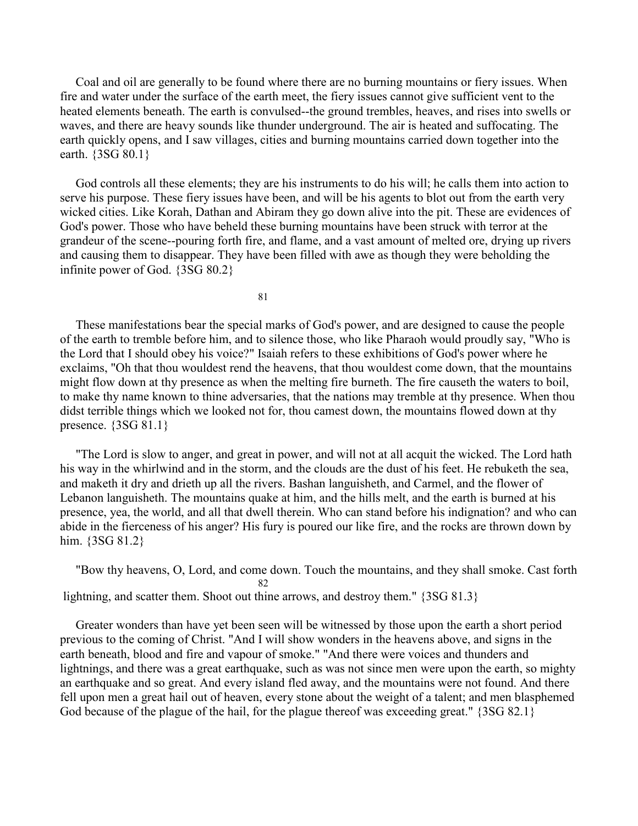Coal and oil are generally to be found where there are no burning mountains or fiery issues. When fire and water under the surface of the earth meet, the fiery issues cannot give sufficient vent to the heated elements beneath. The earth is convulsed--the ground trembles, heaves, and rises into swells or waves, and there are heavy sounds like thunder underground. The air is heated and suffocating. The earth quickly opens, and I saw villages, cities and burning mountains carried down together into the earth. {3SG 80.1}

 God controls all these elements; they are his instruments to do his will; he calls them into action to serve his purpose. These fiery issues have been, and will be his agents to blot out from the earth very wicked cities. Like Korah, Dathan and Abiram they go down alive into the pit. These are evidences of God's power. Those who have beheld these burning mountains have been struck with terror at the grandeur of the scene--pouring forth fire, and flame, and a vast amount of melted ore, drying up rivers and causing them to disappear. They have been filled with awe as though they were beholding the infinite power of God. {3SG 80.2}

81

 These manifestations bear the special marks of God's power, and are designed to cause the people of the earth to tremble before him, and to silence those, who like Pharaoh would proudly say, "Who is the Lord that I should obey his voice?" Isaiah refers to these exhibitions of God's power where he exclaims, "Oh that thou wouldest rend the heavens, that thou wouldest come down, that the mountains might flow down at thy presence as when the melting fire burneth. The fire causeth the waters to boil, to make thy name known to thine adversaries, that the nations may tremble at thy presence. When thou didst terrible things which we looked not for, thou camest down, the mountains flowed down at thy presence. {3SG 81.1}

 "The Lord is slow to anger, and great in power, and will not at all acquit the wicked. The Lord hath his way in the whirlwind and in the storm, and the clouds are the dust of his feet. He rebuketh the sea, and maketh it dry and drieth up all the rivers. Bashan languisheth, and Carmel, and the flower of Lebanon languisheth. The mountains quake at him, and the hills melt, and the earth is burned at his presence, yea, the world, and all that dwell therein. Who can stand before his indignation? and who can abide in the fierceness of his anger? His fury is poured our like fire, and the rocks are thrown down by him. {3SG 81.2}

 "Bow thy heavens, O, Lord, and come down. Touch the mountains, and they shall smoke. Cast forth 82 lightning, and scatter them. Shoot out thine arrows, and destroy them." {3SG 81.3}

 Greater wonders than have yet been seen will be witnessed by those upon the earth a short period previous to the coming of Christ. "And I will show wonders in the heavens above, and signs in the earth beneath, blood and fire and vapour of smoke." "And there were voices and thunders and lightnings, and there was a great earthquake, such as was not since men were upon the earth, so mighty an earthquake and so great. And every island fled away, and the mountains were not found. And there fell upon men a great hail out of heaven, every stone about the weight of a talent; and men blasphemed God because of the plague of the hail, for the plague thereof was exceeding great." {3SG 82.1}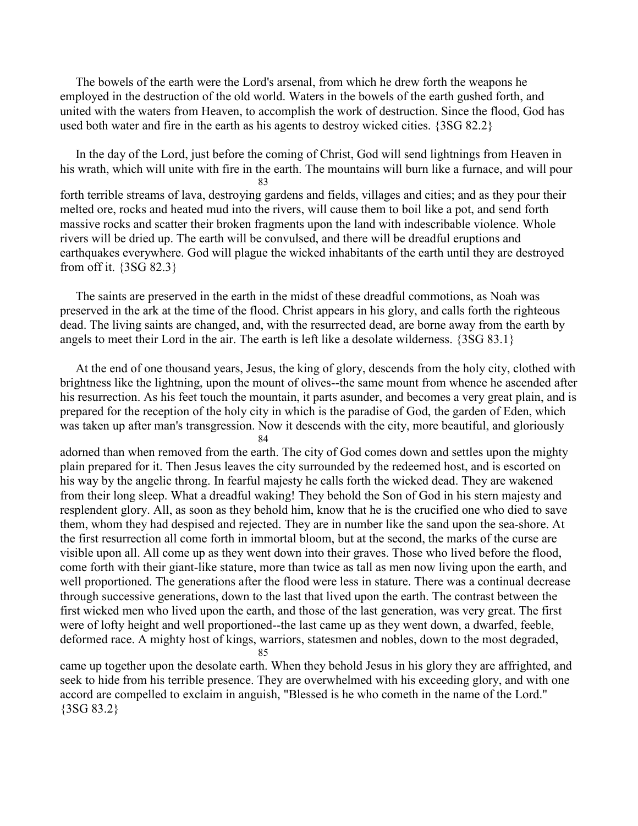The bowels of the earth were the Lord's arsenal, from which he drew forth the weapons he employed in the destruction of the old world. Waters in the bowels of the earth gushed forth, and united with the waters from Heaven, to accomplish the work of destruction. Since the flood, God has used both water and fire in the earth as his agents to destroy wicked cities. {3SG 82.2}

 In the day of the Lord, just before the coming of Christ, God will send lightnings from Heaven in his wrath, which will unite with fire in the earth. The mountains will burn like a furnace, and will pour 83

forth terrible streams of lava, destroying gardens and fields, villages and cities; and as they pour their melted ore, rocks and heated mud into the rivers, will cause them to boil like a pot, and send forth massive rocks and scatter their broken fragments upon the land with indescribable violence. Whole rivers will be dried up. The earth will be convulsed, and there will be dreadful eruptions and earthquakes everywhere. God will plague the wicked inhabitants of the earth until they are destroyed from off it. {3SG 82.3}

 The saints are preserved in the earth in the midst of these dreadful commotions, as Noah was preserved in the ark at the time of the flood. Christ appears in his glory, and calls forth the righteous dead. The living saints are changed, and, with the resurrected dead, are borne away from the earth by angels to meet their Lord in the air. The earth is left like a desolate wilderness. {3SG 83.1}

 At the end of one thousand years, Jesus, the king of glory, descends from the holy city, clothed with brightness like the lightning, upon the mount of olives--the same mount from whence he ascended after his resurrection. As his feet touch the mountain, it parts asunder, and becomes a very great plain, and is prepared for the reception of the holy city in which is the paradise of God, the garden of Eden, which was taken up after man's transgression. Now it descends with the city, more beautiful, and gloriously 84

adorned than when removed from the earth. The city of God comes down and settles upon the mighty plain prepared for it. Then Jesus leaves the city surrounded by the redeemed host, and is escorted on his way by the angelic throng. In fearful majesty he calls forth the wicked dead. They are wakened from their long sleep. What a dreadful waking! They behold the Son of God in his stern majesty and resplendent glory. All, as soon as they behold him, know that he is the crucified one who died to save them, whom they had despised and rejected. They are in number like the sand upon the sea-shore. At the first resurrection all come forth in immortal bloom, but at the second, the marks of the curse are visible upon all. All come up as they went down into their graves. Those who lived before the flood, come forth with their giant-like stature, more than twice as tall as men now living upon the earth, and well proportioned. The generations after the flood were less in stature. There was a continual decrease through successive generations, down to the last that lived upon the earth. The contrast between the first wicked men who lived upon the earth, and those of the last generation, was very great. The first were of lofty height and well proportioned--the last came up as they went down, a dwarfed, feeble, deformed race. A mighty host of kings, warriors, statesmen and nobles, down to the most degraded, 85

came up together upon the desolate earth. When they behold Jesus in his glory they are affrighted, and seek to hide from his terrible presence. They are overwhelmed with his exceeding glory, and with one accord are compelled to exclaim in anguish, "Blessed is he who cometh in the name of the Lord."  ${3SG 83.2}$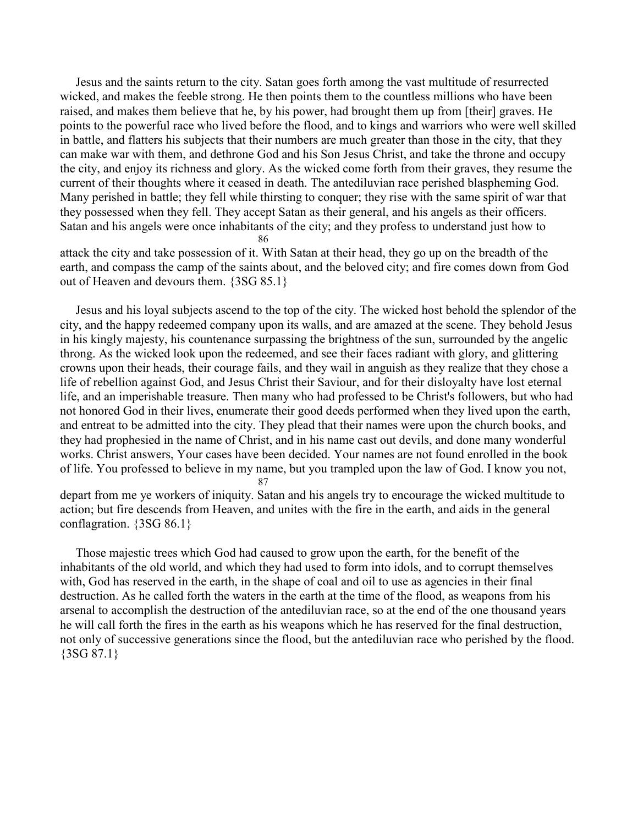Jesus and the saints return to the city. Satan goes forth among the vast multitude of resurrected wicked, and makes the feeble strong. He then points them to the countless millions who have been raised, and makes them believe that he, by his power, had brought them up from [their] graves. He points to the powerful race who lived before the flood, and to kings and warriors who were well skilled in battle, and flatters his subjects that their numbers are much greater than those in the city, that they can make war with them, and dethrone God and his Son Jesus Christ, and take the throne and occupy the city, and enjoy its richness and glory. As the wicked come forth from their graves, they resume the current of their thoughts where it ceased in death. The antediluvian race perished blaspheming God. Many perished in battle; they fell while thirsting to conquer; they rise with the same spirit of war that they possessed when they fell. They accept Satan as their general, and his angels as their officers. Satan and his angels were once inhabitants of the city; and they profess to understand just how to 86

attack the city and take possession of it. With Satan at their head, they go up on the breadth of the earth, and compass the camp of the saints about, and the beloved city; and fire comes down from God out of Heaven and devours them. {3SG 85.1}

 Jesus and his loyal subjects ascend to the top of the city. The wicked host behold the splendor of the city, and the happy redeemed company upon its walls, and are amazed at the scene. They behold Jesus in his kingly majesty, his countenance surpassing the brightness of the sun, surrounded by the angelic throng. As the wicked look upon the redeemed, and see their faces radiant with glory, and glittering crowns upon their heads, their courage fails, and they wail in anguish as they realize that they chose a life of rebellion against God, and Jesus Christ their Saviour, and for their disloyalty have lost eternal life, and an imperishable treasure. Then many who had professed to be Christ's followers, but who had not honored God in their lives, enumerate their good deeds performed when they lived upon the earth, and entreat to be admitted into the city. They plead that their names were upon the church books, and they had prophesied in the name of Christ, and in his name cast out devils, and done many wonderful works. Christ answers, Your cases have been decided. Your names are not found enrolled in the book of life. You professed to believe in my name, but you trampled upon the law of God. I know you not, 87

depart from me ye workers of iniquity. Satan and his angels try to encourage the wicked multitude to action; but fire descends from Heaven, and unites with the fire in the earth, and aids in the general conflagration. {3SG 86.1}

 Those majestic trees which God had caused to grow upon the earth, for the benefit of the inhabitants of the old world, and which they had used to form into idols, and to corrupt themselves with, God has reserved in the earth, in the shape of coal and oil to use as agencies in their final destruction. As he called forth the waters in the earth at the time of the flood, as weapons from his arsenal to accomplish the destruction of the antediluvian race, so at the end of the one thousand years he will call forth the fires in the earth as his weapons which he has reserved for the final destruction, not only of successive generations since the flood, but the antediluvian race who perished by the flood.  ${3SG 87.1}$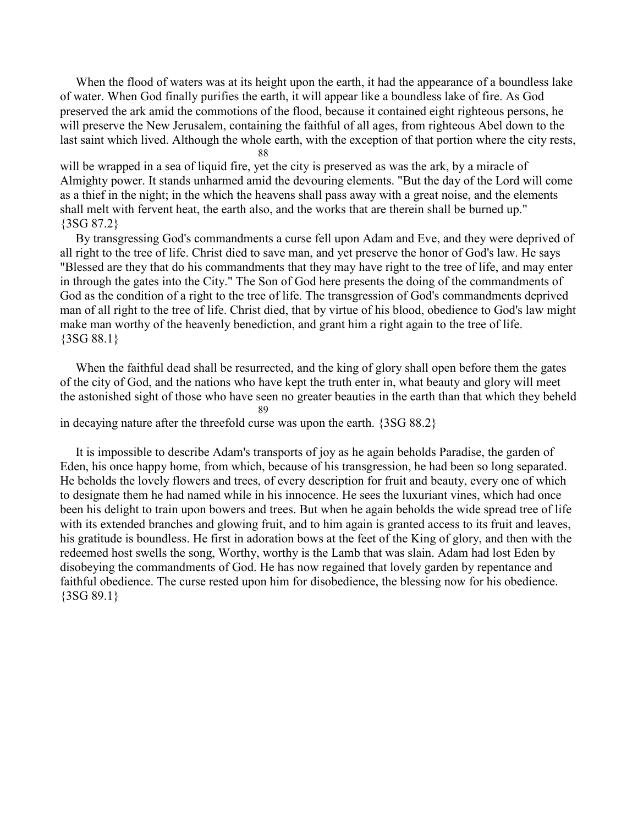When the flood of waters was at its height upon the earth, it had the appearance of a boundless lake of water. When God finally purifies the earth, it will appear like a boundless lake of fire. As God preserved the ark amid the commotions of the flood, because it contained eight righteous persons, he will preserve the New Jerusalem, containing the faithful of all ages, from righteous Abel down to the last saint which lived. Although the whole earth, with the exception of that portion where the city rests,

88

will be wrapped in a sea of liquid fire, yet the city is preserved as was the ark, by a miracle of Almighty power. It stands unharmed amid the devouring elements. "But the day of the Lord will come as a thief in the night; in the which the heavens shall pass away with a great noise, and the elements shall melt with fervent heat, the earth also, and the works that are therein shall be burned up." {3SG 87.2}

 By transgressing God's commandments a curse fell upon Adam and Eve, and they were deprived of all right to the tree of life. Christ died to save man, and yet preserve the honor of God's law. He says "Blessed are they that do his commandments that they may have right to the tree of life, and may enter in through the gates into the City." The Son of God here presents the doing of the commandments of God as the condition of a right to the tree of life. The transgression of God's commandments deprived man of all right to the tree of life. Christ died, that by virtue of his blood, obedience to God's law might make man worthy of the heavenly benediction, and grant him a right again to the tree of life. {3SG 88.1}

 When the faithful dead shall be resurrected, and the king of glory shall open before them the gates of the city of God, and the nations who have kept the truth enter in, what beauty and glory will meet the astonished sight of those who have seen no greater beauties in the earth than that which they beheld 89

in decaying nature after the threefold curse was upon the earth. {3SG 88.2}

 It is impossible to describe Adam's transports of joy as he again beholds Paradise, the garden of Eden, his once happy home, from which, because of his transgression, he had been so long separated. He beholds the lovely flowers and trees, of every description for fruit and beauty, every one of which to designate them he had named while in his innocence. He sees the luxuriant vines, which had once been his delight to train upon bowers and trees. But when he again beholds the wide spread tree of life with its extended branches and glowing fruit, and to him again is granted access to its fruit and leaves, his gratitude is boundless. He first in adoration bows at the feet of the King of glory, and then with the redeemed host swells the song, Worthy, worthy is the Lamb that was slain. Adam had lost Eden by disobeying the commandments of God. He has now regained that lovely garden by repentance and faithful obedience. The curse rested upon him for disobedience, the blessing now for his obedience.  ${3SG 89.1}$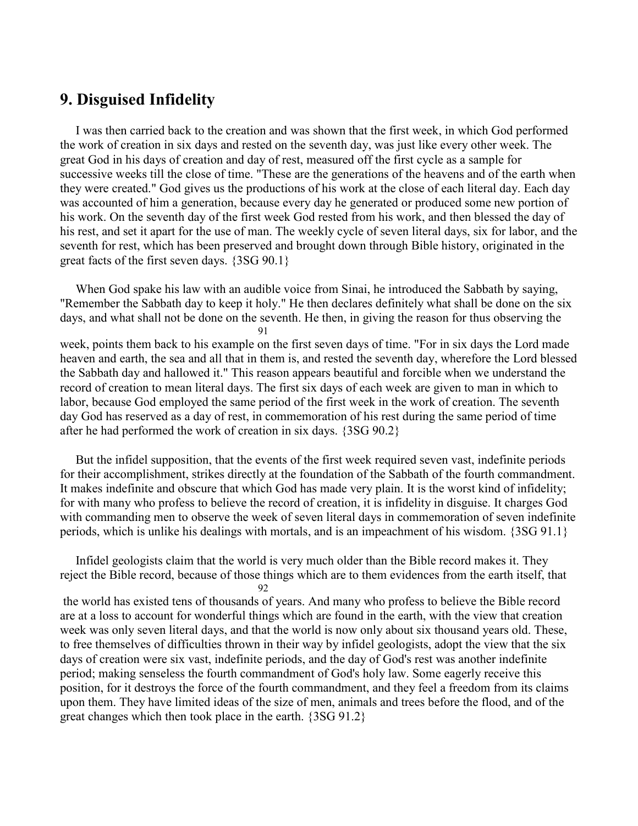# **9. Disguised Infidelity**

 I was then carried back to the creation and was shown that the first week, in which God performed the work of creation in six days and rested on the seventh day, was just like every other week. The great God in his days of creation and day of rest, measured off the first cycle as a sample for successive weeks till the close of time. "These are the generations of the heavens and of the earth when they were created." God gives us the productions of his work at the close of each literal day. Each day was accounted of him a generation, because every day he generated or produced some new portion of his work. On the seventh day of the first week God rested from his work, and then blessed the day of his rest, and set it apart for the use of man. The weekly cycle of seven literal days, six for labor, and the seventh for rest, which has been preserved and brought down through Bible history, originated in the great facts of the first seven days. {3SG 90.1}

 When God spake his law with an audible voice from Sinai, he introduced the Sabbath by saying, "Remember the Sabbath day to keep it holy." He then declares definitely what shall be done on the six days, and what shall not be done on the seventh. He then, in giving the reason for thus observing the 91 week, points them back to his example on the first seven days of time. "For in six days the Lord made heaven and earth, the sea and all that in them is, and rested the seventh day, wherefore the Lord blessed the Sabbath day and hallowed it." This reason appears beautiful and forcible when we understand the record of creation to mean literal days. The first six days of each week are given to man in which to labor, because God employed the same period of the first week in the work of creation. The seventh day God has reserved as a day of rest, in commemoration of his rest during the same period of time after he had performed the work of creation in six days. {3SG 90.2}

 But the infidel supposition, that the events of the first week required seven vast, indefinite periods for their accomplishment, strikes directly at the foundation of the Sabbath of the fourth commandment. It makes indefinite and obscure that which God has made very plain. It is the worst kind of infidelity; for with many who profess to believe the record of creation, it is infidelity in disguise. It charges God with commanding men to observe the week of seven literal days in commemoration of seven indefinite periods, which is unlike his dealings with mortals, and is an impeachment of his wisdom. {3SG 91.1}

 Infidel geologists claim that the world is very much older than the Bible record makes it. They reject the Bible record, because of those things which are to them evidences from the earth itself, that 92

 the world has existed tens of thousands of years. And many who profess to believe the Bible record are at a loss to account for wonderful things which are found in the earth, with the view that creation week was only seven literal days, and that the world is now only about six thousand years old. These, to free themselves of difficulties thrown in their way by infidel geologists, adopt the view that the six days of creation were six vast, indefinite periods, and the day of God's rest was another indefinite period; making senseless the fourth commandment of God's holy law. Some eagerly receive this position, for it destroys the force of the fourth commandment, and they feel a freedom from its claims upon them. They have limited ideas of the size of men, animals and trees before the flood, and of the great changes which then took place in the earth. {3SG 91.2}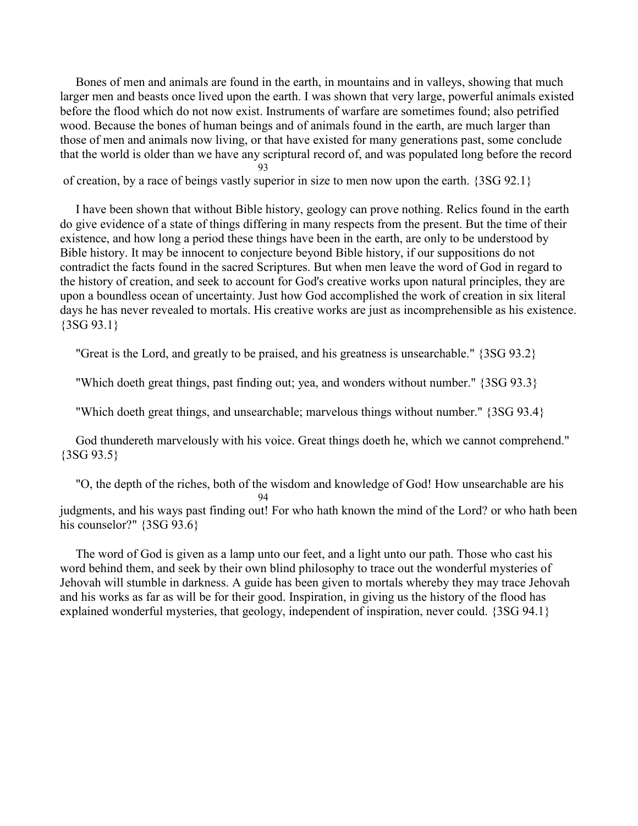Bones of men and animals are found in the earth, in mountains and in valleys, showing that much larger men and beasts once lived upon the earth. I was shown that very large, powerful animals existed before the flood which do not now exist. Instruments of warfare are sometimes found; also petrified wood. Because the bones of human beings and of animals found in the earth, are much larger than those of men and animals now living, or that have existed for many generations past, some conclude that the world is older than we have any scriptural record of, and was populated long before the record 93

of creation, by a race of beings vastly superior in size to men now upon the earth. {3SG 92.1}

 I have been shown that without Bible history, geology can prove nothing. Relics found in the earth do give evidence of a state of things differing in many respects from the present. But the time of their existence, and how long a period these things have been in the earth, are only to be understood by Bible history. It may be innocent to conjecture beyond Bible history, if our suppositions do not contradict the facts found in the sacred Scriptures. But when men leave the word of God in regard to the history of creation, and seek to account for God's creative works upon natural principles, they are upon a boundless ocean of uncertainty. Just how God accomplished the work of creation in six literal days he has never revealed to mortals. His creative works are just as incomprehensible as his existence. {3SG 93.1}

"Great is the Lord, and greatly to be praised, and his greatness is unsearchable." {3SG 93.2}

"Which doeth great things, past finding out; yea, and wonders without number." {3SG 93.3}

"Which doeth great things, and unsearchable; marvelous things without number." {3SG 93.4}

 God thundereth marvelously with his voice. Great things doeth he, which we cannot comprehend."  ${3SG 93.5}$ 

 "O, the depth of the riches, both of the wisdom and knowledge of God! How unsearchable are his 94

judgments, and his ways past finding out! For who hath known the mind of the Lord? or who hath been his counselor?" {3SG 93.6}

 The word of God is given as a lamp unto our feet, and a light unto our path. Those who cast his word behind them, and seek by their own blind philosophy to trace out the wonderful mysteries of Jehovah will stumble in darkness. A guide has been given to mortals whereby they may trace Jehovah and his works as far as will be for their good. Inspiration, in giving us the history of the flood has explained wonderful mysteries, that geology, independent of inspiration, never could. {3SG 94.1}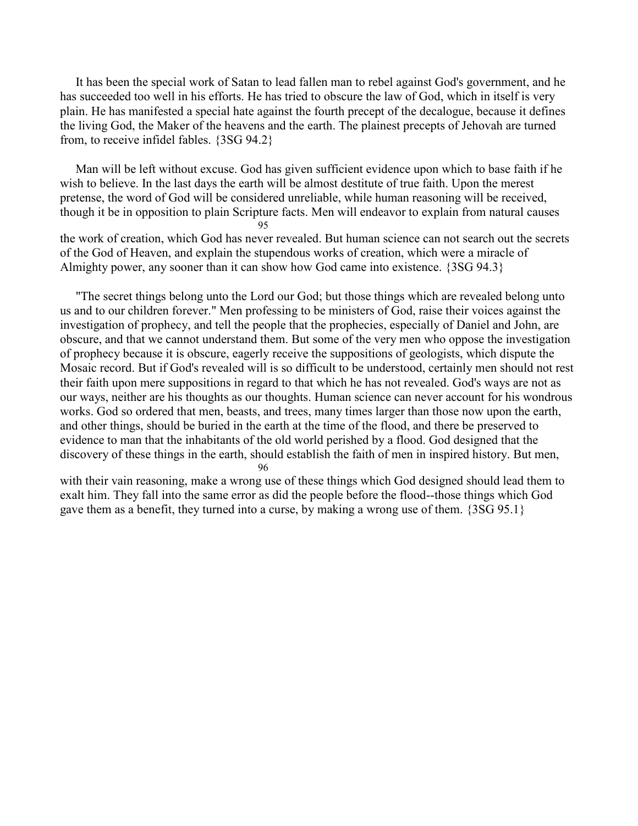It has been the special work of Satan to lead fallen man to rebel against God's government, and he has succeeded too well in his efforts. He has tried to obscure the law of God, which in itself is very plain. He has manifested a special hate against the fourth precept of the decalogue, because it defines the living God, the Maker of the heavens and the earth. The plainest precepts of Jehovah are turned from, to receive infidel fables. {3SG 94.2}

 Man will be left without excuse. God has given sufficient evidence upon which to base faith if he wish to believe. In the last days the earth will be almost destitute of true faith. Upon the merest pretense, the word of God will be considered unreliable, while human reasoning will be received, though it be in opposition to plain Scripture facts. Men will endeavor to explain from natural causes 95 the work of creation, which God has never revealed. But human science can not search out the secrets of the God of Heaven, and explain the stupendous works of creation, which were a miracle of

Almighty power, any sooner than it can show how God came into existence. {3SG 94.3}

 "The secret things belong unto the Lord our God; but those things which are revealed belong unto us and to our children forever." Men professing to be ministers of God, raise their voices against the investigation of prophecy, and tell the people that the prophecies, especially of Daniel and John, are obscure, and that we cannot understand them. But some of the very men who oppose the investigation of prophecy because it is obscure, eagerly receive the suppositions of geologists, which dispute the Mosaic record. But if God's revealed will is so difficult to be understood, certainly men should not rest their faith upon mere suppositions in regard to that which he has not revealed. God's ways are not as our ways, neither are his thoughts as our thoughts. Human science can never account for his wondrous works. God so ordered that men, beasts, and trees, many times larger than those now upon the earth, and other things, should be buried in the earth at the time of the flood, and there be preserved to evidence to man that the inhabitants of the old world perished by a flood. God designed that the discovery of these things in the earth, should establish the faith of men in inspired history. But men, 96

with their vain reasoning, make a wrong use of these things which God designed should lead them to exalt him. They fall into the same error as did the people before the flood--those things which God gave them as a benefit, they turned into a curse, by making a wrong use of them. {3SG 95.1}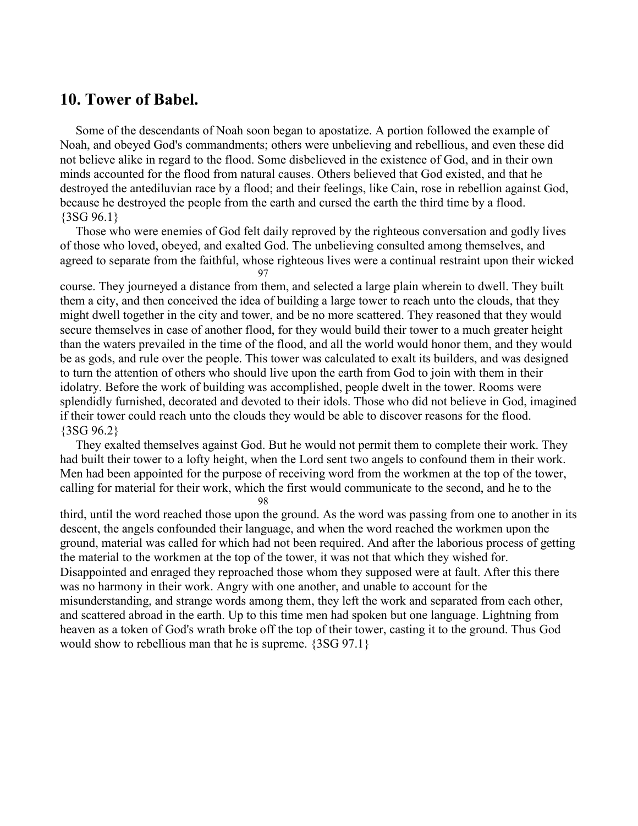## **10. Tower of Babel.**

 Some of the descendants of Noah soon began to apostatize. A portion followed the example of Noah, and obeyed God's commandments; others were unbelieving and rebellious, and even these did not believe alike in regard to the flood. Some disbelieved in the existence of God, and in their own minds accounted for the flood from natural causes. Others believed that God existed, and that he destroyed the antediluvian race by a flood; and their feelings, like Cain, rose in rebellion against God, because he destroyed the people from the earth and cursed the earth the third time by a flood.  ${3SG 96.1}$ 

 Those who were enemies of God felt daily reproved by the righteous conversation and godly lives of those who loved, obeyed, and exalted God. The unbelieving consulted among themselves, and agreed to separate from the faithful, whose righteous lives were a continual restraint upon their wicked 97

course. They journeyed a distance from them, and selected a large plain wherein to dwell. They built them a city, and then conceived the idea of building a large tower to reach unto the clouds, that they might dwell together in the city and tower, and be no more scattered. They reasoned that they would secure themselves in case of another flood, for they would build their tower to a much greater height than the waters prevailed in the time of the flood, and all the world would honor them, and they would be as gods, and rule over the people. This tower was calculated to exalt its builders, and was designed to turn the attention of others who should live upon the earth from God to join with them in their idolatry. Before the work of building was accomplished, people dwelt in the tower. Rooms were splendidly furnished, decorated and devoted to their idols. Those who did not believe in God, imagined if their tower could reach unto the clouds they would be able to discover reasons for the flood. {3SG 96.2}

 They exalted themselves against God. But he would not permit them to complete their work. They had built their tower to a lofty height, when the Lord sent two angels to confound them in their work. Men had been appointed for the purpose of receiving word from the workmen at the top of the tower, calling for material for their work, which the first would communicate to the second, and he to the 98

third, until the word reached those upon the ground. As the word was passing from one to another in its descent, the angels confounded their language, and when the word reached the workmen upon the ground, material was called for which had not been required. And after the laborious process of getting the material to the workmen at the top of the tower, it was not that which they wished for. Disappointed and enraged they reproached those whom they supposed were at fault. After this there was no harmony in their work. Angry with one another, and unable to account for the misunderstanding, and strange words among them, they left the work and separated from each other, and scattered abroad in the earth. Up to this time men had spoken but one language. Lightning from heaven as a token of God's wrath broke off the top of their tower, casting it to the ground. Thus God would show to rebellious man that he is supreme. {3SG 97.1}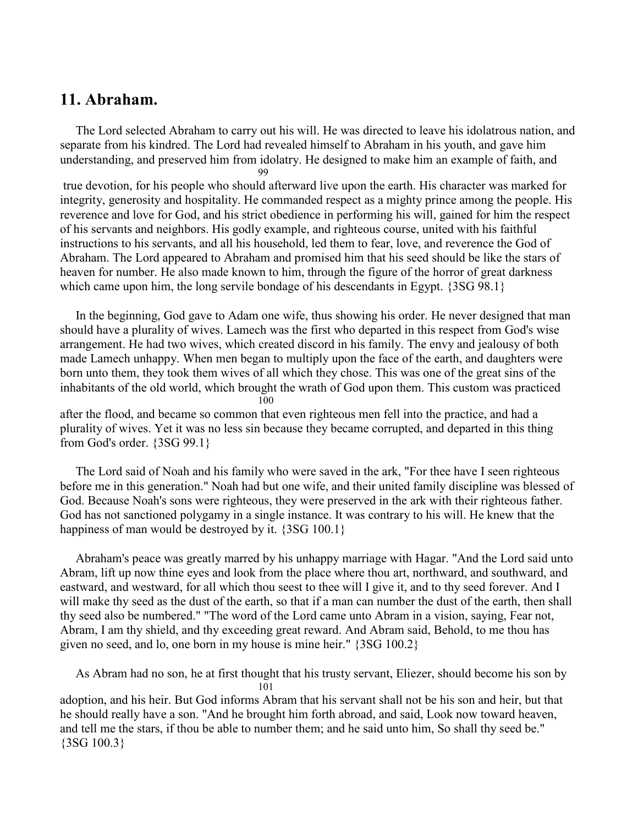## **11. Abraham.**

 The Lord selected Abraham to carry out his will. He was directed to leave his idolatrous nation, and separate from his kindred. The Lord had revealed himself to Abraham in his youth, and gave him understanding, and preserved him from idolatry. He designed to make him an example of faith, and 99

 true devotion, for his people who should afterward live upon the earth. His character was marked for integrity, generosity and hospitality. He commanded respect as a mighty prince among the people. His reverence and love for God, and his strict obedience in performing his will, gained for him the respect of his servants and neighbors. His godly example, and righteous course, united with his faithful instructions to his servants, and all his household, led them to fear, love, and reverence the God of Abraham. The Lord appeared to Abraham and promised him that his seed should be like the stars of heaven for number. He also made known to him, through the figure of the horror of great darkness which came upon him, the long servile bondage of his descendants in Egypt. {3SG 98.1}

 In the beginning, God gave to Adam one wife, thus showing his order. He never designed that man should have a plurality of wives. Lamech was the first who departed in this respect from God's wise arrangement. He had two wives, which created discord in his family. The envy and jealousy of both made Lamech unhappy. When men began to multiply upon the face of the earth, and daughters were born unto them, they took them wives of all which they chose. This was one of the great sins of the inhabitants of the old world, which brought the wrath of God upon them. This custom was practiced 100 after the flood, and became so common that even righteous men fell into the practice, and had a

plurality of wives. Yet it was no less sin because they became corrupted, and departed in this thing from God's order. {3SG 99.1}

 The Lord said of Noah and his family who were saved in the ark, "For thee have I seen righteous before me in this generation." Noah had but one wife, and their united family discipline was blessed of God. Because Noah's sons were righteous, they were preserved in the ark with their righteous father. God has not sanctioned polygamy in a single instance. It was contrary to his will. He knew that the happiness of man would be destroyed by it. {3SG 100.1}

 Abraham's peace was greatly marred by his unhappy marriage with Hagar. "And the Lord said unto Abram, lift up now thine eyes and look from the place where thou art, northward, and southward, and eastward, and westward, for all which thou seest to thee will I give it, and to thy seed forever. And I will make thy seed as the dust of the earth, so that if a man can number the dust of the earth, then shall thy seed also be numbered." "The word of the Lord came unto Abram in a vision, saying, Fear not, Abram, I am thy shield, and thy exceeding great reward. And Abram said, Behold, to me thou has given no seed, and lo, one born in my house is mine heir." {3SG 100.2}

 As Abram had no son, he at first thought that his trusty servant, Eliezer, should become his son by 101 adoption, and his heir. But God informs Abram that his servant shall not be his son and heir, but that he should really have a son. "And he brought him forth abroad, and said, Look now toward heaven, and tell me the stars, if thou be able to number them; and he said unto him, So shall thy seed be." {3SG 100.3}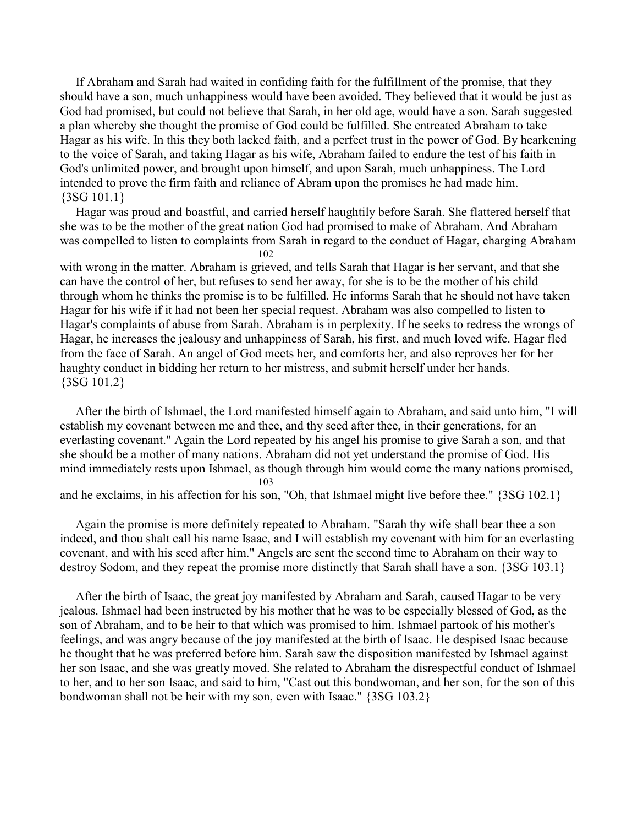If Abraham and Sarah had waited in confiding faith for the fulfillment of the promise, that they should have a son, much unhappiness would have been avoided. They believed that it would be just as God had promised, but could not believe that Sarah, in her old age, would have a son. Sarah suggested a plan whereby she thought the promise of God could be fulfilled. She entreated Abraham to take Hagar as his wife. In this they both lacked faith, and a perfect trust in the power of God. By hearkening to the voice of Sarah, and taking Hagar as his wife, Abraham failed to endure the test of his faith in God's unlimited power, and brought upon himself, and upon Sarah, much unhappiness. The Lord intended to prove the firm faith and reliance of Abram upon the promises he had made him. {3SG 101.1}

 Hagar was proud and boastful, and carried herself haughtily before Sarah. She flattered herself that she was to be the mother of the great nation God had promised to make of Abraham. And Abraham was compelled to listen to complaints from Sarah in regard to the conduct of Hagar, charging Abraham 102

with wrong in the matter. Abraham is grieved, and tells Sarah that Hagar is her servant, and that she can have the control of her, but refuses to send her away, for she is to be the mother of his child through whom he thinks the promise is to be fulfilled. He informs Sarah that he should not have taken Hagar for his wife if it had not been her special request. Abraham was also compelled to listen to Hagar's complaints of abuse from Sarah. Abraham is in perplexity. If he seeks to redress the wrongs of Hagar, he increases the jealousy and unhappiness of Sarah, his first, and much loved wife. Hagar fled from the face of Sarah. An angel of God meets her, and comforts her, and also reproves her for her haughty conduct in bidding her return to her mistress, and submit herself under her hands. {3SG 101.2}

 After the birth of Ishmael, the Lord manifested himself again to Abraham, and said unto him, "I will establish my covenant between me and thee, and thy seed after thee, in their generations, for an everlasting covenant." Again the Lord repeated by his angel his promise to give Sarah a son, and that she should be a mother of many nations. Abraham did not yet understand the promise of God. His mind immediately rests upon Ishmael, as though through him would come the many nations promised, 103

and he exclaims, in his affection for his son, "Oh, that Ishmael might live before thee." {3SG 102.1}

 Again the promise is more definitely repeated to Abraham. "Sarah thy wife shall bear thee a son indeed, and thou shalt call his name Isaac, and I will establish my covenant with him for an everlasting covenant, and with his seed after him." Angels are sent the second time to Abraham on their way to destroy Sodom, and they repeat the promise more distinctly that Sarah shall have a son. {3SG 103.1}

 After the birth of Isaac, the great joy manifested by Abraham and Sarah, caused Hagar to be very jealous. Ishmael had been instructed by his mother that he was to be especially blessed of God, as the son of Abraham, and to be heir to that which was promised to him. Ishmael partook of his mother's feelings, and was angry because of the joy manifested at the birth of Isaac. He despised Isaac because he thought that he was preferred before him. Sarah saw the disposition manifested by Ishmael against her son Isaac, and she was greatly moved. She related to Abraham the disrespectful conduct of Ishmael to her, and to her son Isaac, and said to him, "Cast out this bondwoman, and her son, for the son of this bondwoman shall not be heir with my son, even with Isaac." {3SG 103.2}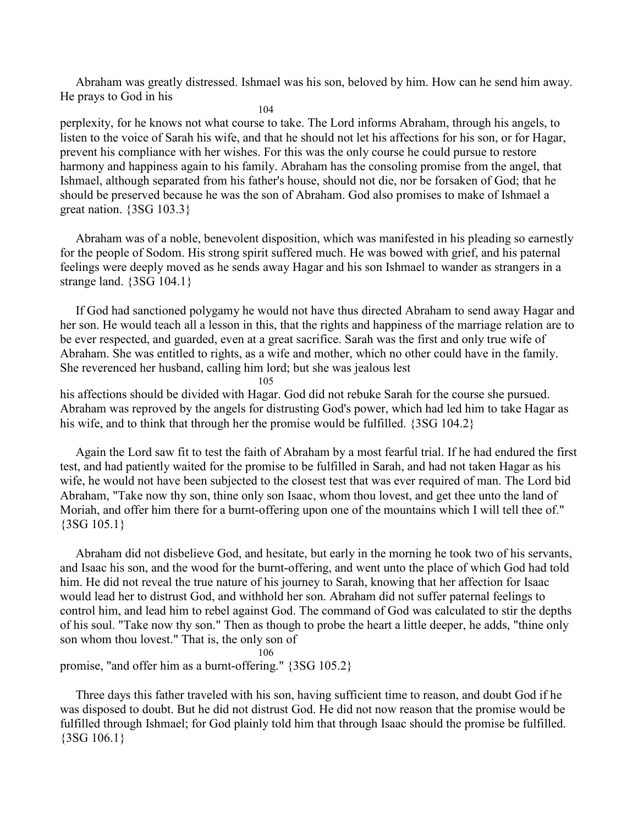Abraham was greatly distressed. Ishmael was his son, beloved by him. How can he send him away. He prays to God in his

104

perplexity, for he knows not what course to take. The Lord informs Abraham, through his angels, to listen to the voice of Sarah his wife, and that he should not let his affections for his son, or for Hagar, prevent his compliance with her wishes. For this was the only course he could pursue to restore harmony and happiness again to his family. Abraham has the consoling promise from the angel, that Ishmael, although separated from his father's house, should not die, nor be forsaken of God; that he should be preserved because he was the son of Abraham. God also promises to make of Ishmael a great nation. {3SG 103.3}

 Abraham was of a noble, benevolent disposition, which was manifested in his pleading so earnestly for the people of Sodom. His strong spirit suffered much. He was bowed with grief, and his paternal feelings were deeply moved as he sends away Hagar and his son Ishmael to wander as strangers in a strange land. {3SG 104.1}

 If God had sanctioned polygamy he would not have thus directed Abraham to send away Hagar and her son. He would teach all a lesson in this, that the rights and happiness of the marriage relation are to be ever respected, and guarded, even at a great sacrifice. Sarah was the first and only true wife of Abraham. She was entitled to rights, as a wife and mother, which no other could have in the family. She reverenced her husband, calling him lord; but she was jealous lest

105

his affections should be divided with Hagar. God did not rebuke Sarah for the course she pursued. Abraham was reproved by the angels for distrusting God's power, which had led him to take Hagar as his wife, and to think that through her the promise would be fulfilled. {3SG 104.2}

 Again the Lord saw fit to test the faith of Abraham by a most fearful trial. If he had endured the first test, and had patiently waited for the promise to be fulfilled in Sarah, and had not taken Hagar as his wife, he would not have been subjected to the closest test that was ever required of man. The Lord bid Abraham, "Take now thy son, thine only son Isaac, whom thou lovest, and get thee unto the land of Moriah, and offer him there for a burnt-offering upon one of the mountains which I will tell thee of." {3SG 105.1}

 Abraham did not disbelieve God, and hesitate, but early in the morning he took two of his servants, and Isaac his son, and the wood for the burnt-offering, and went unto the place of which God had told him. He did not reveal the true nature of his journey to Sarah, knowing that her affection for Isaac would lead her to distrust God, and withhold her son. Abraham did not suffer paternal feelings to control him, and lead him to rebel against God. The command of God was calculated to stir the depths of his soul. "Take now thy son." Then as though to probe the heart a little deeper, he adds, "thine only son whom thou lovest." That is, the only son of

106

promise, "and offer him as a burnt-offering." {3SG 105.2}

 Three days this father traveled with his son, having sufficient time to reason, and doubt God if he was disposed to doubt. But he did not distrust God. He did not now reason that the promise would be fulfilled through Ishmael; for God plainly told him that through Isaac should the promise be fulfilled.  ${3SG 106.1}$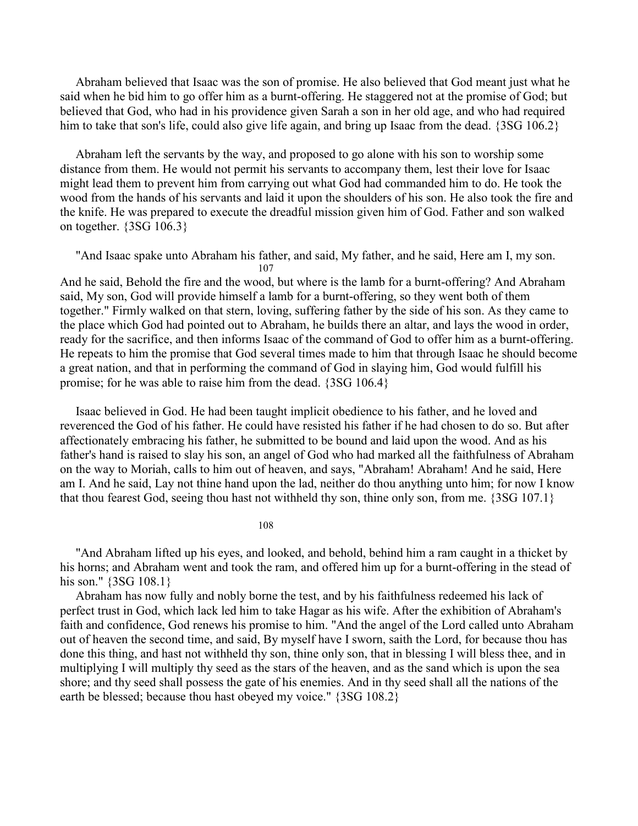Abraham believed that Isaac was the son of promise. He also believed that God meant just what he said when he bid him to go offer him as a burnt-offering. He staggered not at the promise of God; but believed that God, who had in his providence given Sarah a son in her old age, and who had required him to take that son's life, could also give life again, and bring up Isaac from the dead. {3SG 106.2}

 Abraham left the servants by the way, and proposed to go alone with his son to worship some distance from them. He would not permit his servants to accompany them, lest their love for Isaac might lead them to prevent him from carrying out what God had commanded him to do. He took the wood from the hands of his servants and laid it upon the shoulders of his son. He also took the fire and the knife. He was prepared to execute the dreadful mission given him of God. Father and son walked on together. {3SG 106.3}

 "And Isaac spake unto Abraham his father, and said, My father, and he said, Here am I, my son. 107

And he said, Behold the fire and the wood, but where is the lamb for a burnt-offering? And Abraham said, My son, God will provide himself a lamb for a burnt-offering, so they went both of them together." Firmly walked on that stern, loving, suffering father by the side of his son. As they came to the place which God had pointed out to Abraham, he builds there an altar, and lays the wood in order, ready for the sacrifice, and then informs Isaac of the command of God to offer him as a burnt-offering. He repeats to him the promise that God several times made to him that through Isaac he should become a great nation, and that in performing the command of God in slaying him, God would fulfill his promise; for he was able to raise him from the dead. {3SG 106.4}

 Isaac believed in God. He had been taught implicit obedience to his father, and he loved and reverenced the God of his father. He could have resisted his father if he had chosen to do so. But after affectionately embracing his father, he submitted to be bound and laid upon the wood. And as his father's hand is raised to slay his son, an angel of God who had marked all the faithfulness of Abraham on the way to Moriah, calls to him out of heaven, and says, "Abraham! Abraham! And he said, Here am I. And he said, Lay not thine hand upon the lad, neither do thou anything unto him; for now I know that thou fearest God, seeing thou hast not withheld thy son, thine only son, from me. {3SG 107.1}

108

 "And Abraham lifted up his eyes, and looked, and behold, behind him a ram caught in a thicket by his horns; and Abraham went and took the ram, and offered him up for a burnt-offering in the stead of his son." {3SG 108.1}

 Abraham has now fully and nobly borne the test, and by his faithfulness redeemed his lack of perfect trust in God, which lack led him to take Hagar as his wife. After the exhibition of Abraham's faith and confidence, God renews his promise to him. "And the angel of the Lord called unto Abraham out of heaven the second time, and said, By myself have I sworn, saith the Lord, for because thou has done this thing, and hast not withheld thy son, thine only son, that in blessing I will bless thee, and in multiplying I will multiply thy seed as the stars of the heaven, and as the sand which is upon the sea shore; and thy seed shall possess the gate of his enemies. And in thy seed shall all the nations of the earth be blessed; because thou hast obeyed my voice." {3SG 108.2}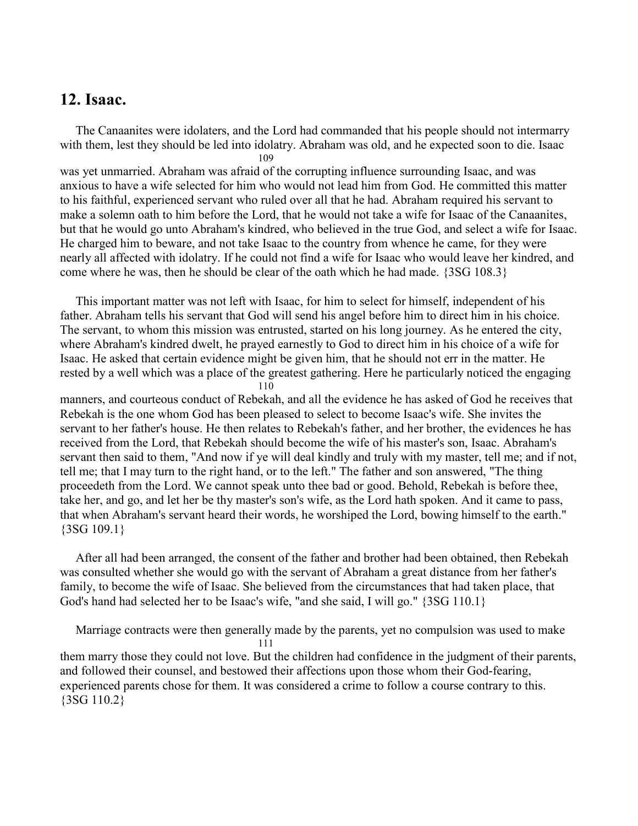## **12. Isaac.**

 The Canaanites were idolaters, and the Lord had commanded that his people should not intermarry with them, lest they should be led into idolatry. Abraham was old, and he expected soon to die. Isaac 109

was yet unmarried. Abraham was afraid of the corrupting influence surrounding Isaac, and was anxious to have a wife selected for him who would not lead him from God. He committed this matter to his faithful, experienced servant who ruled over all that he had. Abraham required his servant to make a solemn oath to him before the Lord, that he would not take a wife for Isaac of the Canaanites, but that he would go unto Abraham's kindred, who believed in the true God, and select a wife for Isaac. He charged him to beware, and not take Isaac to the country from whence he came, for they were nearly all affected with idolatry. If he could not find a wife for Isaac who would leave her kindred, and come where he was, then he should be clear of the oath which he had made. {3SG 108.3}

 This important matter was not left with Isaac, for him to select for himself, independent of his father. Abraham tells his servant that God will send his angel before him to direct him in his choice. The servant, to whom this mission was entrusted, started on his long journey. As he entered the city, where Abraham's kindred dwelt, he prayed earnestly to God to direct him in his choice of a wife for Isaac. He asked that certain evidence might be given him, that he should not err in the matter. He rested by a well which was a place of the greatest gathering. Here he particularly noticed the engaging 110

manners, and courteous conduct of Rebekah, and all the evidence he has asked of God he receives that Rebekah is the one whom God has been pleased to select to become Isaac's wife. She invites the servant to her father's house. He then relates to Rebekah's father, and her brother, the evidences he has received from the Lord, that Rebekah should become the wife of his master's son, Isaac. Abraham's servant then said to them, "And now if ye will deal kindly and truly with my master, tell me; and if not, tell me; that I may turn to the right hand, or to the left." The father and son answered, "The thing proceedeth from the Lord. We cannot speak unto thee bad or good. Behold, Rebekah is before thee, take her, and go, and let her be thy master's son's wife, as the Lord hath spoken. And it came to pass, that when Abraham's servant heard their words, he worshiped the Lord, bowing himself to the earth."  ${3SG 109.1}$ 

 After all had been arranged, the consent of the father and brother had been obtained, then Rebekah was consulted whether she would go with the servant of Abraham a great distance from her father's family, to become the wife of Isaac. She believed from the circumstances that had taken place, that God's hand had selected her to be Isaac's wife, "and she said, I will go." {3SG 110.1}

 Marriage contracts were then generally made by the parents, yet no compulsion was used to make 111

them marry those they could not love. But the children had confidence in the judgment of their parents, and followed their counsel, and bestowed their affections upon those whom their God-fearing, experienced parents chose for them. It was considered a crime to follow a course contrary to this. {3SG 110.2}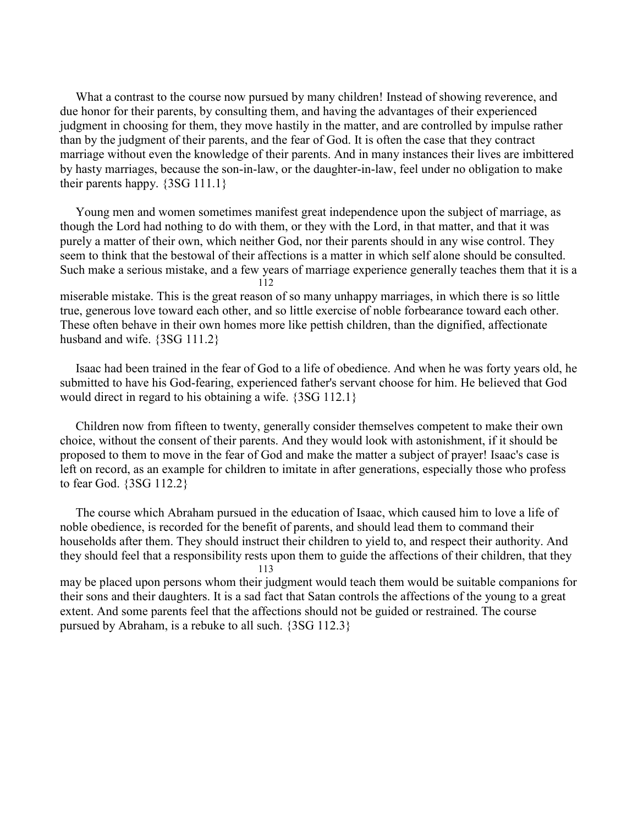What a contrast to the course now pursued by many children! Instead of showing reverence, and due honor for their parents, by consulting them, and having the advantages of their experienced judgment in choosing for them, they move hastily in the matter, and are controlled by impulse rather than by the judgment of their parents, and the fear of God. It is often the case that they contract marriage without even the knowledge of their parents. And in many instances their lives are imbittered by hasty marriages, because the son-in-law, or the daughter-in-law, feel under no obligation to make their parents happy. {3SG 111.1}

 Young men and women sometimes manifest great independence upon the subject of marriage, as though the Lord had nothing to do with them, or they with the Lord, in that matter, and that it was purely a matter of their own, which neither God, nor their parents should in any wise control. They seem to think that the bestowal of their affections is a matter in which self alone should be consulted. Such make a serious mistake, and a few years of marriage experience generally teaches them that it is a  $\frac{112}{112}$ 112

miserable mistake. This is the great reason of so many unhappy marriages, in which there is so little true, generous love toward each other, and so little exercise of noble forbearance toward each other. These often behave in their own homes more like pettish children, than the dignified, affectionate husband and wife. {3SG 111.2}

 Isaac had been trained in the fear of God to a life of obedience. And when he was forty years old, he submitted to have his God-fearing, experienced father's servant choose for him. He believed that God would direct in regard to his obtaining a wife. {3SG 112.1}

 Children now from fifteen to twenty, generally consider themselves competent to make their own choice, without the consent of their parents. And they would look with astonishment, if it should be proposed to them to move in the fear of God and make the matter a subject of prayer! Isaac's case is left on record, as an example for children to imitate in after generations, especially those who profess to fear God. {3SG 112.2}

 The course which Abraham pursued in the education of Isaac, which caused him to love a life of noble obedience, is recorded for the benefit of parents, and should lead them to command their households after them. They should instruct their children to yield to, and respect their authority. And they should feel that a responsibility rests upon them to guide the affections of their children, that they 113

may be placed upon persons whom their judgment would teach them would be suitable companions for their sons and their daughters. It is a sad fact that Satan controls the affections of the young to a great extent. And some parents feel that the affections should not be guided or restrained. The course pursued by Abraham, is a rebuke to all such. {3SG 112.3}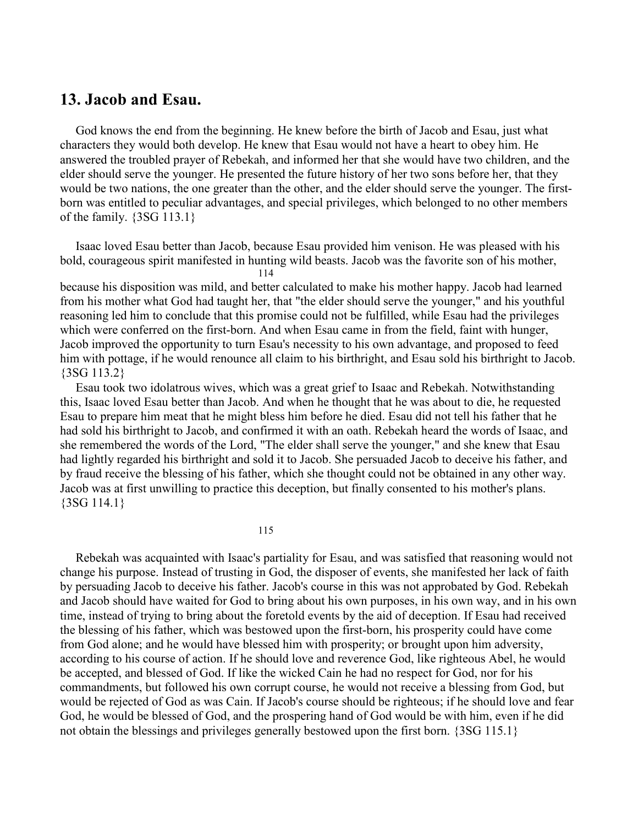### **13. Jacob and Esau.**

 God knows the end from the beginning. He knew before the birth of Jacob and Esau, just what characters they would both develop. He knew that Esau would not have a heart to obey him. He answered the troubled prayer of Rebekah, and informed her that she would have two children, and the elder should serve the younger. He presented the future history of her two sons before her, that they would be two nations, the one greater than the other, and the elder should serve the younger. The firstborn was entitled to peculiar advantages, and special privileges, which belonged to no other members of the family. {3SG 113.1}

 Isaac loved Esau better than Jacob, because Esau provided him venison. He was pleased with his bold, courageous spirit manifested in hunting wild beasts. Jacob was the favorite son of his mother, 114

because his disposition was mild, and better calculated to make his mother happy. Jacob had learned from his mother what God had taught her, that "the elder should serve the younger," and his youthful reasoning led him to conclude that this promise could not be fulfilled, while Esau had the privileges which were conferred on the first-born. And when Esau came in from the field, faint with hunger, Jacob improved the opportunity to turn Esau's necessity to his own advantage, and proposed to feed him with pottage, if he would renounce all claim to his birthright, and Esau sold his birthright to Jacob. {3SG 113.2}

 Esau took two idolatrous wives, which was a great grief to Isaac and Rebekah. Notwithstanding this, Isaac loved Esau better than Jacob. And when he thought that he was about to die, he requested Esau to prepare him meat that he might bless him before he died. Esau did not tell his father that he had sold his birthright to Jacob, and confirmed it with an oath. Rebekah heard the words of Isaac, and she remembered the words of the Lord, "The elder shall serve the younger," and she knew that Esau had lightly regarded his birthright and sold it to Jacob. She persuaded Jacob to deceive his father, and by fraud receive the blessing of his father, which she thought could not be obtained in any other way. Jacob was at first unwilling to practice this deception, but finally consented to his mother's plans. {3SG 114.1}

115

 Rebekah was acquainted with Isaac's partiality for Esau, and was satisfied that reasoning would not change his purpose. Instead of trusting in God, the disposer of events, she manifested her lack of faith by persuading Jacob to deceive his father. Jacob's course in this was not approbated by God. Rebekah and Jacob should have waited for God to bring about his own purposes, in his own way, and in his own time, instead of trying to bring about the foretold events by the aid of deception. If Esau had received the blessing of his father, which was bestowed upon the first-born, his prosperity could have come from God alone; and he would have blessed him with prosperity; or brought upon him adversity, according to his course of action. If he should love and reverence God, like righteous Abel, he would be accepted, and blessed of God. If like the wicked Cain he had no respect for God, nor for his commandments, but followed his own corrupt course, he would not receive a blessing from God, but would be rejected of God as was Cain. If Jacob's course should be righteous; if he should love and fear God, he would be blessed of God, and the prospering hand of God would be with him, even if he did not obtain the blessings and privileges generally bestowed upon the first born. {3SG 115.1}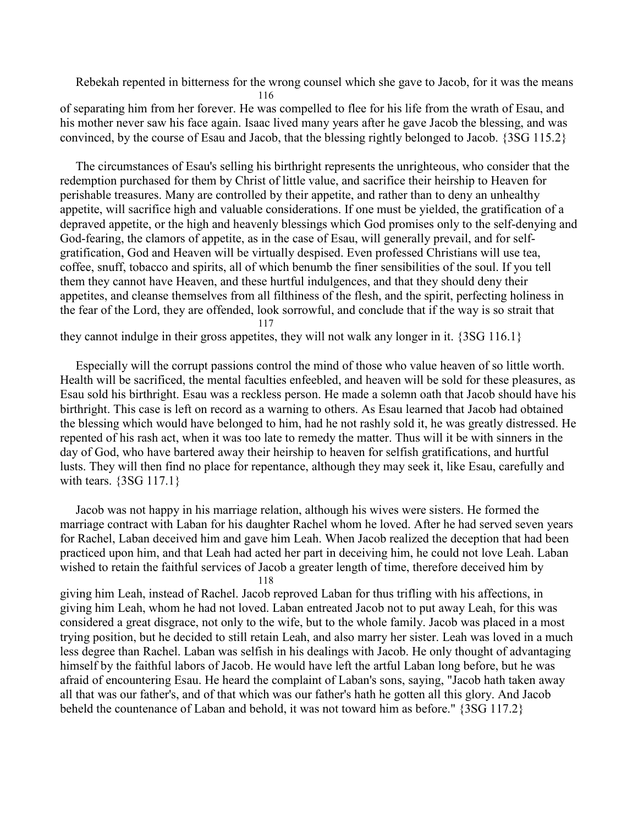Rebekah repented in bitterness for the wrong counsel which she gave to Jacob, for it was the means 116

of separating him from her forever. He was compelled to flee for his life from the wrath of Esau, and his mother never saw his face again. Isaac lived many years after he gave Jacob the blessing, and was convinced, by the course of Esau and Jacob, that the blessing rightly belonged to Jacob. {3SG 115.2}

 The circumstances of Esau's selling his birthright represents the unrighteous, who consider that the redemption purchased for them by Christ of little value, and sacrifice their heirship to Heaven for perishable treasures. Many are controlled by their appetite, and rather than to deny an unhealthy appetite, will sacrifice high and valuable considerations. If one must be yielded, the gratification of a depraved appetite, or the high and heavenly blessings which God promises only to the self-denying and God-fearing, the clamors of appetite, as in the case of Esau, will generally prevail, and for selfgratification, God and Heaven will be virtually despised. Even professed Christians will use tea, coffee, snuff, tobacco and spirits, all of which benumb the finer sensibilities of the soul. If you tell them they cannot have Heaven, and these hurtful indulgences, and that they should deny their appetites, and cleanse themselves from all filthiness of the flesh, and the spirit, perfecting holiness in the fear of the Lord, they are offended, look sorrowful, and conclude that if the way is so strait that 117

they cannot indulge in their gross appetites, they will not walk any longer in it. {3SG 116.1}

 Especially will the corrupt passions control the mind of those who value heaven of so little worth. Health will be sacrificed, the mental faculties enfeebled, and heaven will be sold for these pleasures, as Esau sold his birthright. Esau was a reckless person. He made a solemn oath that Jacob should have his birthright. This case is left on record as a warning to others. As Esau learned that Jacob had obtained the blessing which would have belonged to him, had he not rashly sold it, he was greatly distressed. He repented of his rash act, when it was too late to remedy the matter. Thus will it be with sinners in the day of God, who have bartered away their heirship to heaven for selfish gratifications, and hurtful lusts. They will then find no place for repentance, although they may seek it, like Esau, carefully and with tears. {3SG 117.1}

 Jacob was not happy in his marriage relation, although his wives were sisters. He formed the marriage contract with Laban for his daughter Rachel whom he loved. After he had served seven years for Rachel, Laban deceived him and gave him Leah. When Jacob realized the deception that had been practiced upon him, and that Leah had acted her part in deceiving him, he could not love Leah. Laban wished to retain the faithful services of Jacob a greater length of time, therefore deceived him by 118

giving him Leah, instead of Rachel. Jacob reproved Laban for thus trifling with his affections, in giving him Leah, whom he had not loved. Laban entreated Jacob not to put away Leah, for this was considered a great disgrace, not only to the wife, but to the whole family. Jacob was placed in a most trying position, but he decided to still retain Leah, and also marry her sister. Leah was loved in a much less degree than Rachel. Laban was selfish in his dealings with Jacob. He only thought of advantaging himself by the faithful labors of Jacob. He would have left the artful Laban long before, but he was afraid of encountering Esau. He heard the complaint of Laban's sons, saying, "Jacob hath taken away all that was our father's, and of that which was our father's hath he gotten all this glory. And Jacob beheld the countenance of Laban and behold, it was not toward him as before." {3SG 117.2}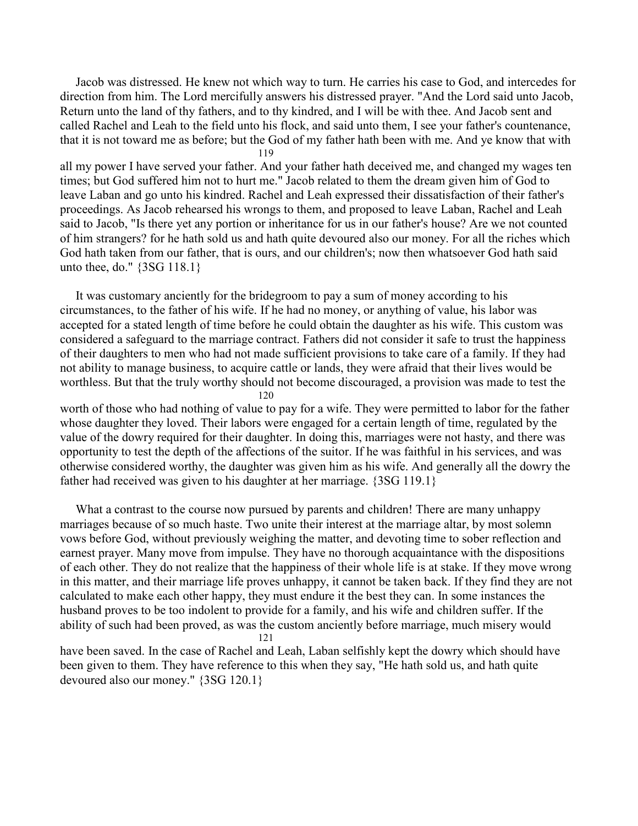Jacob was distressed. He knew not which way to turn. He carries his case to God, and intercedes for direction from him. The Lord mercifully answers his distressed prayer. "And the Lord said unto Jacob, Return unto the land of thy fathers, and to thy kindred, and I will be with thee. And Jacob sent and called Rachel and Leah to the field unto his flock, and said unto them, I see your father's countenance, that it is not toward me as before; but the God of my father hath been with me. And ye know that with

119

all my power I have served your father. And your father hath deceived me, and changed my wages ten times; but God suffered him not to hurt me." Jacob related to them the dream given him of God to leave Laban and go unto his kindred. Rachel and Leah expressed their dissatisfaction of their father's proceedings. As Jacob rehearsed his wrongs to them, and proposed to leave Laban, Rachel and Leah said to Jacob, "Is there yet any portion or inheritance for us in our father's house? Are we not counted of him strangers? for he hath sold us and hath quite devoured also our money. For all the riches which God hath taken from our father, that is ours, and our children's; now then whatsoever God hath said unto thee, do." {3SG 118.1}

 It was customary anciently for the bridegroom to pay a sum of money according to his circumstances, to the father of his wife. If he had no money, or anything of value, his labor was accepted for a stated length of time before he could obtain the daughter as his wife. This custom was considered a safeguard to the marriage contract. Fathers did not consider it safe to trust the happiness of their daughters to men who had not made sufficient provisions to take care of a family. If they had not ability to manage business, to acquire cattle or lands, they were afraid that their lives would be worthless. But that the truly worthy should not become discouraged, a provision was made to test the 120

worth of those who had nothing of value to pay for a wife. They were permitted to labor for the father whose daughter they loved. Their labors were engaged for a certain length of time, regulated by the value of the dowry required for their daughter. In doing this, marriages were not hasty, and there was opportunity to test the depth of the affections of the suitor. If he was faithful in his services, and was otherwise considered worthy, the daughter was given him as his wife. And generally all the dowry the father had received was given to his daughter at her marriage. {3SG 119.1}

What a contrast to the course now pursued by parents and children! There are many unhappy marriages because of so much haste. Two unite their interest at the marriage altar, by most solemn vows before God, without previously weighing the matter, and devoting time to sober reflection and earnest prayer. Many move from impulse. They have no thorough acquaintance with the dispositions of each other. They do not realize that the happiness of their whole life is at stake. If they move wrong in this matter, and their marriage life proves unhappy, it cannot be taken back. If they find they are not calculated to make each other happy, they must endure it the best they can. In some instances the husband proves to be too indolent to provide for a family, and his wife and children suffer. If the ability of such had been proved, as was the custom anciently before marriage, much misery would 121

have been saved. In the case of Rachel and Leah, Laban selfishly kept the dowry which should have been given to them. They have reference to this when they say, "He hath sold us, and hath quite devoured also our money." {3SG 120.1}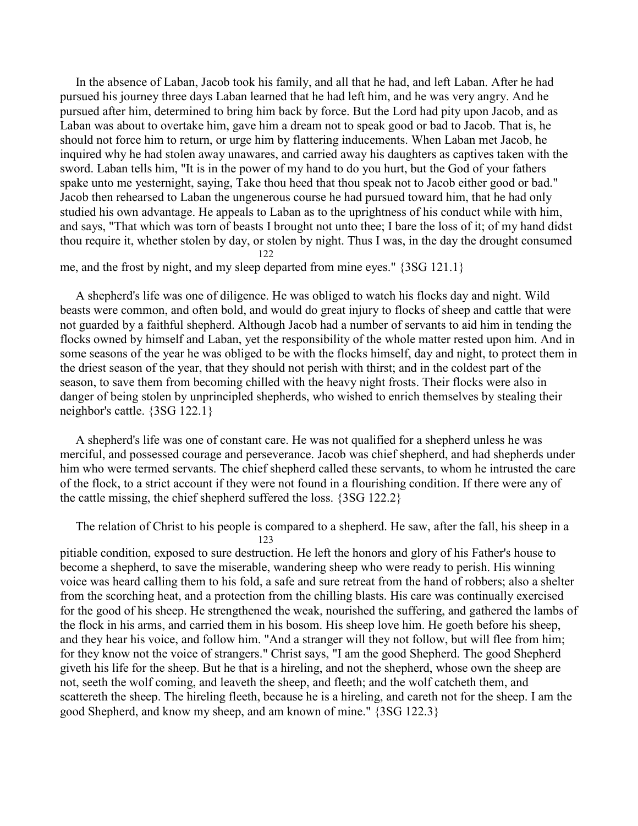In the absence of Laban, Jacob took his family, and all that he had, and left Laban. After he had pursued his journey three days Laban learned that he had left him, and he was very angry. And he pursued after him, determined to bring him back by force. But the Lord had pity upon Jacob, and as Laban was about to overtake him, gave him a dream not to speak good or bad to Jacob. That is, he should not force him to return, or urge him by flattering inducements. When Laban met Jacob, he inquired why he had stolen away unawares, and carried away his daughters as captives taken with the sword. Laban tells him, "It is in the power of my hand to do you hurt, but the God of your fathers spake unto me yesternight, saying, Take thou heed that thou speak not to Jacob either good or bad." Jacob then rehearsed to Laban the ungenerous course he had pursued toward him, that he had only studied his own advantage. He appeals to Laban as to the uprightness of his conduct while with him, and says, "That which was torn of beasts I brought not unto thee; I bare the loss of it; of my hand didst thou require it, whether stolen by day, or stolen by night. Thus I was, in the day the drought consumed 122

me, and the frost by night, and my sleep departed from mine eyes." {3SG 121.1}

 A shepherd's life was one of diligence. He was obliged to watch his flocks day and night. Wild beasts were common, and often bold, and would do great injury to flocks of sheep and cattle that were not guarded by a faithful shepherd. Although Jacob had a number of servants to aid him in tending the flocks owned by himself and Laban, yet the responsibility of the whole matter rested upon him. And in some seasons of the year he was obliged to be with the flocks himself, day and night, to protect them in the driest season of the year, that they should not perish with thirst; and in the coldest part of the season, to save them from becoming chilled with the heavy night frosts. Their flocks were also in danger of being stolen by unprincipled shepherds, who wished to enrich themselves by stealing their neighbor's cattle. {3SG 122.1}

 A shepherd's life was one of constant care. He was not qualified for a shepherd unless he was merciful, and possessed courage and perseverance. Jacob was chief shepherd, and had shepherds under him who were termed servants. The chief shepherd called these servants, to whom he intrusted the care of the flock, to a strict account if they were not found in a flourishing condition. If there were any of the cattle missing, the chief shepherd suffered the loss. {3SG 122.2}

 The relation of Christ to his people is compared to a shepherd. He saw, after the fall, his sheep in a 123

pitiable condition, exposed to sure destruction. He left the honors and glory of his Father's house to become a shepherd, to save the miserable, wandering sheep who were ready to perish. His winning voice was heard calling them to his fold, a safe and sure retreat from the hand of robbers; also a shelter from the scorching heat, and a protection from the chilling blasts. His care was continually exercised for the good of his sheep. He strengthened the weak, nourished the suffering, and gathered the lambs of the flock in his arms, and carried them in his bosom. His sheep love him. He goeth before his sheep, and they hear his voice, and follow him. "And a stranger will they not follow, but will flee from him; for they know not the voice of strangers." Christ says, "I am the good Shepherd. The good Shepherd giveth his life for the sheep. But he that is a hireling, and not the shepherd, whose own the sheep are not, seeth the wolf coming, and leaveth the sheep, and fleeth; and the wolf catcheth them, and scattereth the sheep. The hireling fleeth, because he is a hireling, and careth not for the sheep. I am the good Shepherd, and know my sheep, and am known of mine." {3SG 122.3}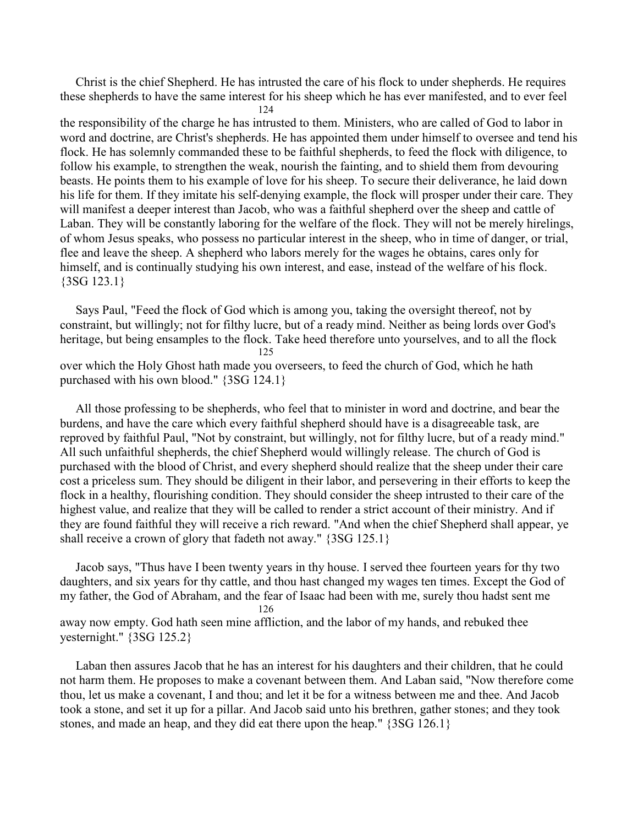Christ is the chief Shepherd. He has intrusted the care of his flock to under shepherds. He requires these shepherds to have the same interest for his sheep which he has ever manifested, and to ever feel

124

the responsibility of the charge he has intrusted to them. Ministers, who are called of God to labor in word and doctrine, are Christ's shepherds. He has appointed them under himself to oversee and tend his flock. He has solemnly commanded these to be faithful shepherds, to feed the flock with diligence, to follow his example, to strengthen the weak, nourish the fainting, and to shield them from devouring beasts. He points them to his example of love for his sheep. To secure their deliverance, he laid down his life for them. If they imitate his self-denying example, the flock will prosper under their care. They will manifest a deeper interest than Jacob, who was a faithful shepherd over the sheep and cattle of Laban. They will be constantly laboring for the welfare of the flock. They will not be merely hirelings, of whom Jesus speaks, who possess no particular interest in the sheep, who in time of danger, or trial, flee and leave the sheep. A shepherd who labors merely for the wages he obtains, cares only for himself, and is continually studying his own interest, and ease, instead of the welfare of his flock. {3SG 123.1}

 Says Paul, "Feed the flock of God which is among you, taking the oversight thereof, not by constraint, but willingly; not for filthy lucre, but of a ready mind. Neither as being lords over God's heritage, but being ensamples to the flock. Take heed therefore unto yourselves, and to all the flock 125 over which the Holy Ghost hath made you overseers, to feed the church of God, which he hath purchased with his own blood." {3SG 124.1}

 All those professing to be shepherds, who feel that to minister in word and doctrine, and bear the burdens, and have the care which every faithful shepherd should have is a disagreeable task, are reproved by faithful Paul, "Not by constraint, but willingly, not for filthy lucre, but of a ready mind." All such unfaithful shepherds, the chief Shepherd would willingly release. The church of God is purchased with the blood of Christ, and every shepherd should realize that the sheep under their care cost a priceless sum. They should be diligent in their labor, and persevering in their efforts to keep the flock in a healthy, flourishing condition. They should consider the sheep intrusted to their care of the highest value, and realize that they will be called to render a strict account of their ministry. And if they are found faithful they will receive a rich reward. "And when the chief Shepherd shall appear, ye shall receive a crown of glory that fadeth not away." {3SG 125.1}

 Jacob says, "Thus have I been twenty years in thy house. I served thee fourteen years for thy two daughters, and six years for thy cattle, and thou hast changed my wages ten times. Except the God of my father, the God of Abraham, and the fear of Isaac had been with me, surely thou hadst sent me 126 away now empty. God hath seen mine affliction, and the labor of my hands, and rebuked thee

yesternight." {3SG 125.2}

 Laban then assures Jacob that he has an interest for his daughters and their children, that he could not harm them. He proposes to make a covenant between them. And Laban said, "Now therefore come thou, let us make a covenant, I and thou; and let it be for a witness between me and thee. And Jacob took a stone, and set it up for a pillar. And Jacob said unto his brethren, gather stones; and they took stones, and made an heap, and they did eat there upon the heap." {3SG 126.1}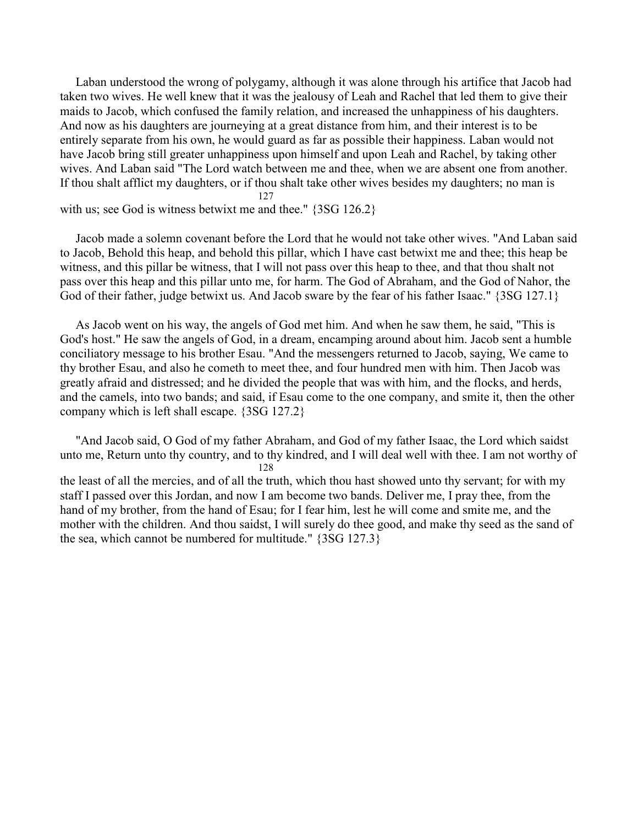Laban understood the wrong of polygamy, although it was alone through his artifice that Jacob had taken two wives. He well knew that it was the jealousy of Leah and Rachel that led them to give their maids to Jacob, which confused the family relation, and increased the unhappiness of his daughters. And now as his daughters are journeying at a great distance from him, and their interest is to be entirely separate from his own, he would guard as far as possible their happiness. Laban would not have Jacob bring still greater unhappiness upon himself and upon Leah and Rachel, by taking other wives. And Laban said "The Lord watch between me and thee, when we are absent one from another. If thou shalt afflict my daughters, or if thou shalt take other wives besides my daughters; no man is 127

with us; see God is witness betwixt me and thee." {3SG 126.2}

 Jacob made a solemn covenant before the Lord that he would not take other wives. "And Laban said to Jacob, Behold this heap, and behold this pillar, which I have cast betwixt me and thee; this heap be witness, and this pillar be witness, that I will not pass over this heap to thee, and that thou shalt not pass over this heap and this pillar unto me, for harm. The God of Abraham, and the God of Nahor, the God of their father, judge betwixt us. And Jacob sware by the fear of his father Isaac." {3SG 127.1}

 As Jacob went on his way, the angels of God met him. And when he saw them, he said, "This is God's host." He saw the angels of God, in a dream, encamping around about him. Jacob sent a humble conciliatory message to his brother Esau. "And the messengers returned to Jacob, saying, We came to thy brother Esau, and also he cometh to meet thee, and four hundred men with him. Then Jacob was greatly afraid and distressed; and he divided the people that was with him, and the flocks, and herds, and the camels, into two bands; and said, if Esau come to the one company, and smite it, then the other company which is left shall escape. {3SG 127.2}

 "And Jacob said, O God of my father Abraham, and God of my father Isaac, the Lord which saidst unto me, Return unto thy country, and to thy kindred, and I will deal well with thee. I am not worthy of 128 the least of all the mercies, and of all the truth, which thou hast showed unto thy servant; for with my staff I passed over this Jordan, and now I am become two bands. Deliver me, I pray thee, from the hand of my brother, from the hand of Esau; for I fear him, lest he will come and smite me, and the mother with the children. And thou saidst, I will surely do thee good, and make thy seed as the sand of the sea, which cannot be numbered for multitude." {3SG 127.3}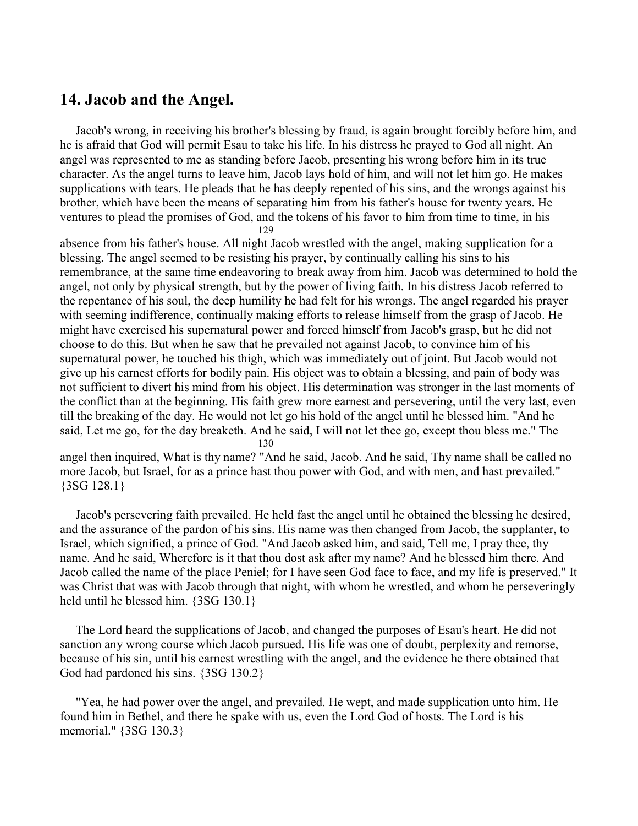# **14. Jacob and the Angel.**

 Jacob's wrong, in receiving his brother's blessing by fraud, is again brought forcibly before him, and he is afraid that God will permit Esau to take his life. In his distress he prayed to God all night. An angel was represented to me as standing before Jacob, presenting his wrong before him in its true character. As the angel turns to leave him, Jacob lays hold of him, and will not let him go. He makes supplications with tears. He pleads that he has deeply repented of his sins, and the wrongs against his brother, which have been the means of separating him from his father's house for twenty years. He ventures to plead the promises of God, and the tokens of his favor to him from time to time, in his 129

absence from his father's house. All night Jacob wrestled with the angel, making supplication for a blessing. The angel seemed to be resisting his prayer, by continually calling his sins to his remembrance, at the same time endeavoring to break away from him. Jacob was determined to hold the angel, not only by physical strength, but by the power of living faith. In his distress Jacob referred to the repentance of his soul, the deep humility he had felt for his wrongs. The angel regarded his prayer with seeming indifference, continually making efforts to release himself from the grasp of Jacob. He might have exercised his supernatural power and forced himself from Jacob's grasp, but he did not choose to do this. But when he saw that he prevailed not against Jacob, to convince him of his supernatural power, he touched his thigh, which was immediately out of joint. But Jacob would not give up his earnest efforts for bodily pain. His object was to obtain a blessing, and pain of body was not sufficient to divert his mind from his object. His determination was stronger in the last moments of the conflict than at the beginning. His faith grew more earnest and persevering, until the very last, even till the breaking of the day. He would not let go his hold of the angel until he blessed him. "And he said, Let me go, for the day breaketh. And he said, I will not let thee go, except thou bless me." The

 130 angel then inquired, What is thy name? "And he said, Jacob. And he said, Thy name shall be called no more Jacob, but Israel, for as a prince hast thou power with God, and with men, and hast prevailed." {3SG 128.1}

 Jacob's persevering faith prevailed. He held fast the angel until he obtained the blessing he desired, and the assurance of the pardon of his sins. His name was then changed from Jacob, the supplanter, to Israel, which signified, a prince of God. "And Jacob asked him, and said, Tell me, I pray thee, thy name. And he said, Wherefore is it that thou dost ask after my name? And he blessed him there. And Jacob called the name of the place Peniel; for I have seen God face to face, and my life is preserved." It was Christ that was with Jacob through that night, with whom he wrestled, and whom he perseveringly held until he blessed him. {3SG 130.1}

 The Lord heard the supplications of Jacob, and changed the purposes of Esau's heart. He did not sanction any wrong course which Jacob pursued. His life was one of doubt, perplexity and remorse, because of his sin, until his earnest wrestling with the angel, and the evidence he there obtained that God had pardoned his sins. {3SG 130.2}

 "Yea, he had power over the angel, and prevailed. He wept, and made supplication unto him. He found him in Bethel, and there he spake with us, even the Lord God of hosts. The Lord is his memorial." {3SG 130.3}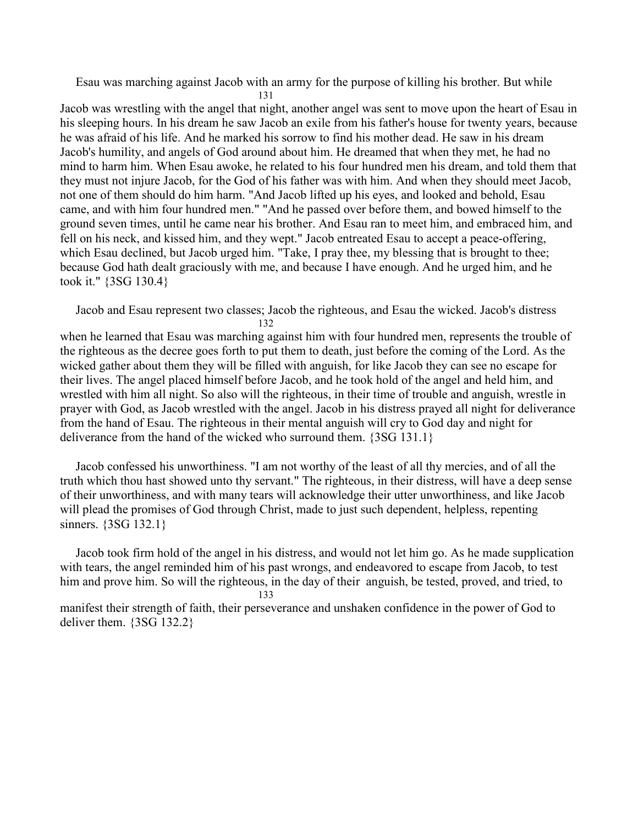Esau was marching against Jacob with an army for the purpose of killing his brother. But while

131

Jacob was wrestling with the angel that night, another angel was sent to move upon the heart of Esau in his sleeping hours. In his dream he saw Jacob an exile from his father's house for twenty years, because he was afraid of his life. And he marked his sorrow to find his mother dead. He saw in his dream Jacob's humility, and angels of God around about him. He dreamed that when they met, he had no mind to harm him. When Esau awoke, he related to his four hundred men his dream, and told them that they must not injure Jacob, for the God of his father was with him. And when they should meet Jacob, not one of them should do him harm. "And Jacob lifted up his eyes, and looked and behold, Esau came, and with him four hundred men." "And he passed over before them, and bowed himself to the ground seven times, until he came near his brother. And Esau ran to meet him, and embraced him, and fell on his neck, and kissed him, and they wept." Jacob entreated Esau to accept a peace-offering, which Esau declined, but Jacob urged him. "Take, I pray thee, my blessing that is brought to thee; because God hath dealt graciously with me, and because I have enough. And he urged him, and he took it." {3SG 130.4}

 Jacob and Esau represent two classes; Jacob the righteous, and Esau the wicked. Jacob's distress 132

when he learned that Esau was marching against him with four hundred men, represents the trouble of the righteous as the decree goes forth to put them to death, just before the coming of the Lord. As the wicked gather about them they will be filled with anguish, for like Jacob they can see no escape for their lives. The angel placed himself before Jacob, and he took hold of the angel and held him, and wrestled with him all night. So also will the righteous, in their time of trouble and anguish, wrestle in prayer with God, as Jacob wrestled with the angel. Jacob in his distress prayed all night for deliverance from the hand of Esau. The righteous in their mental anguish will cry to God day and night for deliverance from the hand of the wicked who surround them. {3SG 131.1}

 Jacob confessed his unworthiness. "I am not worthy of the least of all thy mercies, and of all the truth which thou hast showed unto thy servant." The righteous, in their distress, will have a deep sense of their unworthiness, and with many tears will acknowledge their utter unworthiness, and like Jacob will plead the promises of God through Christ, made to just such dependent, helpless, repenting sinners. {3SG 132.1}

 Jacob took firm hold of the angel in his distress, and would not let him go. As he made supplication with tears, the angel reminded him of his past wrongs, and endeavored to escape from Jacob, to test him and prove him. So will the righteous, in the day of their anguish, be tested, proved, and tried, to 133

manifest their strength of faith, their perseverance and unshaken confidence in the power of God to deliver them. {3SG 132.2}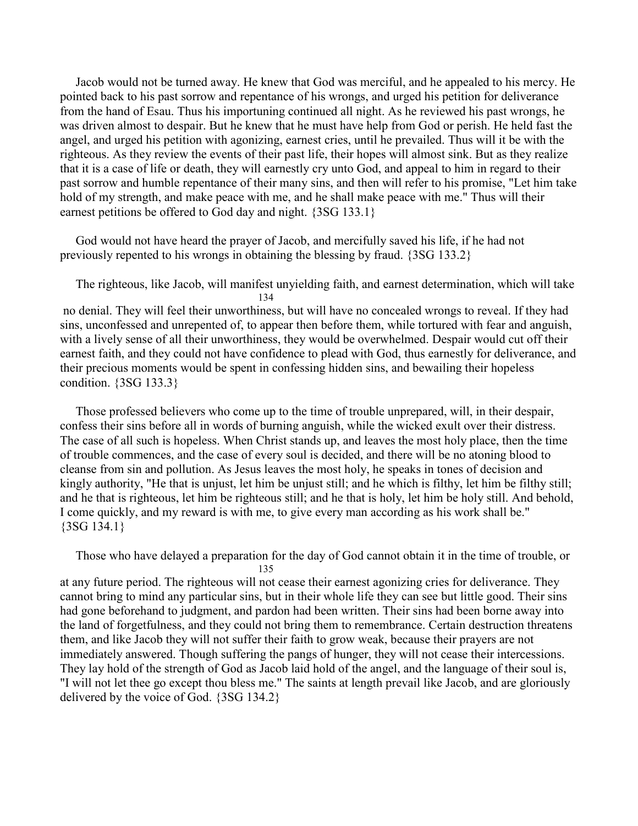Jacob would not be turned away. He knew that God was merciful, and he appealed to his mercy. He pointed back to his past sorrow and repentance of his wrongs, and urged his petition for deliverance from the hand of Esau. Thus his importuning continued all night. As he reviewed his past wrongs, he was driven almost to despair. But he knew that he must have help from God or perish. He held fast the angel, and urged his petition with agonizing, earnest cries, until he prevailed. Thus will it be with the righteous. As they review the events of their past life, their hopes will almost sink. But as they realize that it is a case of life or death, they will earnestly cry unto God, and appeal to him in regard to their past sorrow and humble repentance of their many sins, and then will refer to his promise, "Let him take hold of my strength, and make peace with me, and he shall make peace with me." Thus will their earnest petitions be offered to God day and night. {3SG 133.1}

 God would not have heard the prayer of Jacob, and mercifully saved his life, if he had not previously repented to his wrongs in obtaining the blessing by fraud. {3SG 133.2}

 The righteous, like Jacob, will manifest unyielding faith, and earnest determination, which will take 134

 no denial. They will feel their unworthiness, but will have no concealed wrongs to reveal. If they had sins, unconfessed and unrepented of, to appear then before them, while tortured with fear and anguish, with a lively sense of all their unworthiness, they would be overwhelmed. Despair would cut off their earnest faith, and they could not have confidence to plead with God, thus earnestly for deliverance, and their precious moments would be spent in confessing hidden sins, and bewailing their hopeless condition. {3SG 133.3}

 Those professed believers who come up to the time of trouble unprepared, will, in their despair, confess their sins before all in words of burning anguish, while the wicked exult over their distress. The case of all such is hopeless. When Christ stands up, and leaves the most holy place, then the time of trouble commences, and the case of every soul is decided, and there will be no atoning blood to cleanse from sin and pollution. As Jesus leaves the most holy, he speaks in tones of decision and kingly authority, "He that is unjust, let him be unjust still; and he which is filthy, let him be filthy still; and he that is righteous, let him be righteous still; and he that is holy, let him be holy still. And behold, I come quickly, and my reward is with me, to give every man according as his work shall be."  ${3SG 134.1}$ 

 Those who have delayed a preparation for the day of God cannot obtain it in the time of trouble, or 135

at any future period. The righteous will not cease their earnest agonizing cries for deliverance. They cannot bring to mind any particular sins, but in their whole life they can see but little good. Their sins had gone beforehand to judgment, and pardon had been written. Their sins had been borne away into the land of forgetfulness, and they could not bring them to remembrance. Certain destruction threatens them, and like Jacob they will not suffer their faith to grow weak, because their prayers are not immediately answered. Though suffering the pangs of hunger, they will not cease their intercessions. They lay hold of the strength of God as Jacob laid hold of the angel, and the language of their soul is, "I will not let thee go except thou bless me." The saints at length prevail like Jacob, and are gloriously delivered by the voice of God. {3SG 134.2}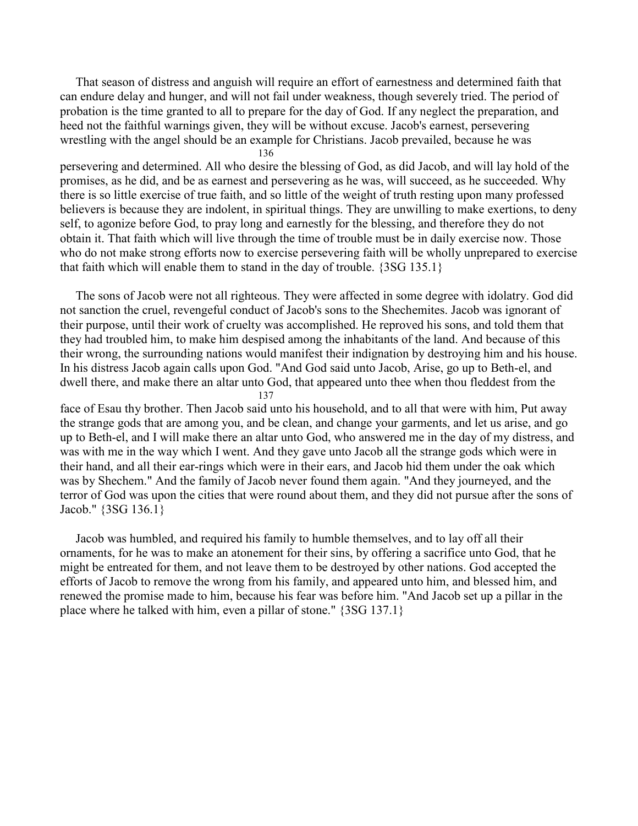That season of distress and anguish will require an effort of earnestness and determined faith that can endure delay and hunger, and will not fail under weakness, though severely tried. The period of probation is the time granted to all to prepare for the day of God. If any neglect the preparation, and heed not the faithful warnings given, they will be without excuse. Jacob's earnest, persevering wrestling with the angel should be an example for Christians. Jacob prevailed, because he was 136

persevering and determined. All who desire the blessing of God, as did Jacob, and will lay hold of the promises, as he did, and be as earnest and persevering as he was, will succeed, as he succeeded. Why there is so little exercise of true faith, and so little of the weight of truth resting upon many professed believers is because they are indolent, in spiritual things. They are unwilling to make exertions, to deny self, to agonize before God, to pray long and earnestly for the blessing, and therefore they do not obtain it. That faith which will live through the time of trouble must be in daily exercise now. Those who do not make strong efforts now to exercise persevering faith will be wholly unprepared to exercise that faith which will enable them to stand in the day of trouble. {3SG 135.1}

 The sons of Jacob were not all righteous. They were affected in some degree with idolatry. God did not sanction the cruel, revengeful conduct of Jacob's sons to the Shechemites. Jacob was ignorant of their purpose, until their work of cruelty was accomplished. He reproved his sons, and told them that they had troubled him, to make him despised among the inhabitants of the land. And because of this their wrong, the surrounding nations would manifest their indignation by destroying him and his house. In his distress Jacob again calls upon God. "And God said unto Jacob, Arise, go up to Beth-el, and dwell there, and make there an altar unto God, that appeared unto thee when thou fleddest from the 137

face of Esau thy brother. Then Jacob said unto his household, and to all that were with him, Put away the strange gods that are among you, and be clean, and change your garments, and let us arise, and go up to Beth-el, and I will make there an altar unto God, who answered me in the day of my distress, and was with me in the way which I went. And they gave unto Jacob all the strange gods which were in their hand, and all their ear-rings which were in their ears, and Jacob hid them under the oak which was by Shechem." And the family of Jacob never found them again. "And they journeyed, and the terror of God was upon the cities that were round about them, and they did not pursue after the sons of Jacob." {3SG 136.1}

 Jacob was humbled, and required his family to humble themselves, and to lay off all their ornaments, for he was to make an atonement for their sins, by offering a sacrifice unto God, that he might be entreated for them, and not leave them to be destroyed by other nations. God accepted the efforts of Jacob to remove the wrong from his family, and appeared unto him, and blessed him, and renewed the promise made to him, because his fear was before him. "And Jacob set up a pillar in the place where he talked with him, even a pillar of stone." {3SG 137.1}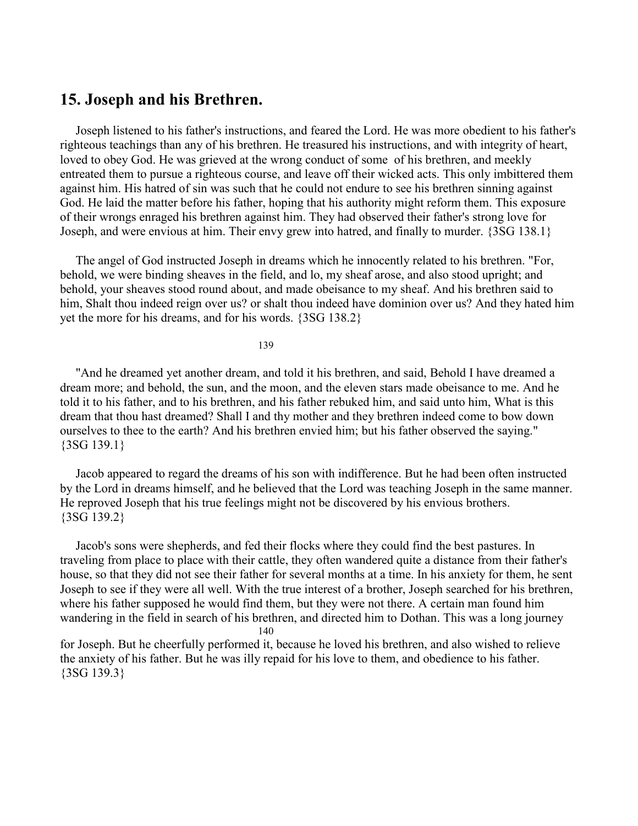## **15. Joseph and his Brethren.**

 Joseph listened to his father's instructions, and feared the Lord. He was more obedient to his father's righteous teachings than any of his brethren. He treasured his instructions, and with integrity of heart, loved to obey God. He was grieved at the wrong conduct of some of his brethren, and meekly entreated them to pursue a righteous course, and leave off their wicked acts. This only imbittered them against him. His hatred of sin was such that he could not endure to see his brethren sinning against God. He laid the matter before his father, hoping that his authority might reform them. This exposure of their wrongs enraged his brethren against him. They had observed their father's strong love for Joseph, and were envious at him. Their envy grew into hatred, and finally to murder. {3SG 138.1}

 The angel of God instructed Joseph in dreams which he innocently related to his brethren. "For, behold, we were binding sheaves in the field, and lo, my sheaf arose, and also stood upright; and behold, your sheaves stood round about, and made obeisance to my sheaf. And his brethren said to him, Shalt thou indeed reign over us? or shalt thou indeed have dominion over us? And they hated him yet the more for his dreams, and for his words. {3SG 138.2}

139

 "And he dreamed yet another dream, and told it his brethren, and said, Behold I have dreamed a dream more; and behold, the sun, and the moon, and the eleven stars made obeisance to me. And he told it to his father, and to his brethren, and his father rebuked him, and said unto him, What is this dream that thou hast dreamed? Shall I and thy mother and they brethren indeed come to bow down ourselves to thee to the earth? And his brethren envied him; but his father observed the saying." {3SG 139.1}

 Jacob appeared to regard the dreams of his son with indifference. But he had been often instructed by the Lord in dreams himself, and he believed that the Lord was teaching Joseph in the same manner. He reproved Joseph that his true feelings might not be discovered by his envious brothers. {3SG 139.2}

 Jacob's sons were shepherds, and fed their flocks where they could find the best pastures. In traveling from place to place with their cattle, they often wandered quite a distance from their father's house, so that they did not see their father for several months at a time. In his anxiety for them, he sent Joseph to see if they were all well. With the true interest of a brother, Joseph searched for his brethren, where his father supposed he would find them, but they were not there. A certain man found him wandering in the field in search of his brethren, and directed him to Dothan. This was a long journey 140

for Joseph. But he cheerfully performed it, because he loved his brethren, and also wished to relieve the anxiety of his father. But he was illy repaid for his love to them, and obedience to his father. {3SG 139.3}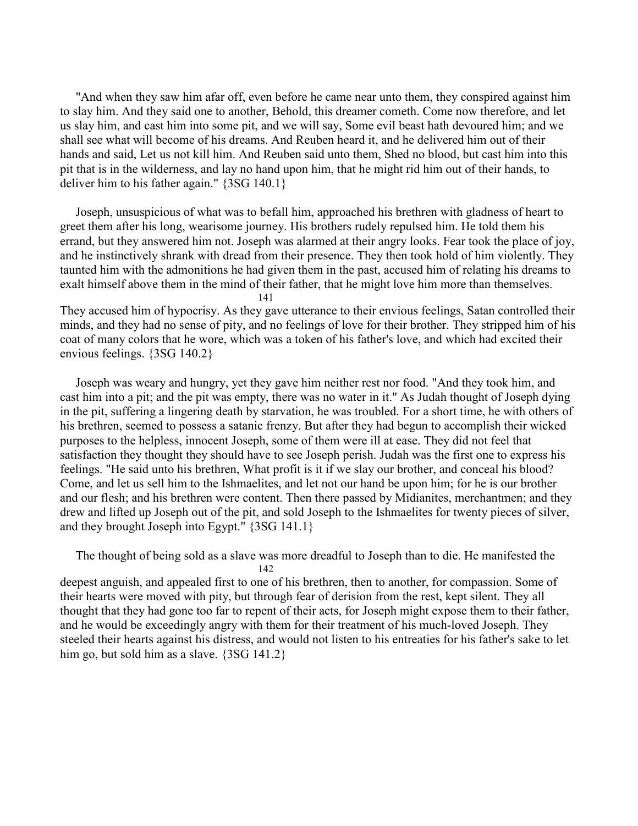"And when they saw him afar off, even before he came near unto them, they conspired against him to slay him. And they said one to another, Behold, this dreamer cometh. Come now therefore, and let us slay him, and cast him into some pit, and we will say, Some evil beast hath devoured him; and we shall see what will become of his dreams. And Reuben heard it, and he delivered him out of their hands and said, Let us not kill him. And Reuben said unto them, Shed no blood, but cast him into this pit that is in the wilderness, and lay no hand upon him, that he might rid him out of their hands, to deliver him to his father again." {3SG 140.1}

 Joseph, unsuspicious of what was to befall him, approached his brethren with gladness of heart to greet them after his long, wearisome journey. His brothers rudely repulsed him. He told them his errand, but they answered him not. Joseph was alarmed at their angry looks. Fear took the place of joy, and he instinctively shrank with dread from their presence. They then took hold of him violently. They taunted him with the admonitions he had given them in the past, accused him of relating his dreams to exalt himself above them in the mind of their father, that he might love him more than themselves. 141

They accused him of hypocrisy. As they gave utterance to their envious feelings, Satan controlled their minds, and they had no sense of pity, and no feelings of love for their brother. They stripped him of his coat of many colors that he wore, which was a token of his father's love, and which had excited their envious feelings. {3SG 140.2}

 Joseph was weary and hungry, yet they gave him neither rest nor food. "And they took him, and cast him into a pit; and the pit was empty, there was no water in it." As Judah thought of Joseph dying in the pit, suffering a lingering death by starvation, he was troubled. For a short time, he with others of his brethren, seemed to possess a satanic frenzy. But after they had begun to accomplish their wicked purposes to the helpless, innocent Joseph, some of them were ill at ease. They did not feel that satisfaction they thought they should have to see Joseph perish. Judah was the first one to express his feelings. "He said unto his brethren, What profit is it if we slay our brother, and conceal his blood? Come, and let us sell him to the Ishmaelites, and let not our hand be upon him; for he is our brother and our flesh; and his brethren were content. Then there passed by Midianites, merchantmen; and they drew and lifted up Joseph out of the pit, and sold Joseph to the Ishmaelites for twenty pieces of silver, and they brought Joseph into Egypt." {3SG 141.1}

 The thought of being sold as a slave was more dreadful to Joseph than to die. He manifested the 142

deepest anguish, and appealed first to one of his brethren, then to another, for compassion. Some of their hearts were moved with pity, but through fear of derision from the rest, kept silent. They all thought that they had gone too far to repent of their acts, for Joseph might expose them to their father, and he would be exceedingly angry with them for their treatment of his much-loved Joseph. They steeled their hearts against his distress, and would not listen to his entreaties for his father's sake to let him go, but sold him as a slave. {3SG 141.2}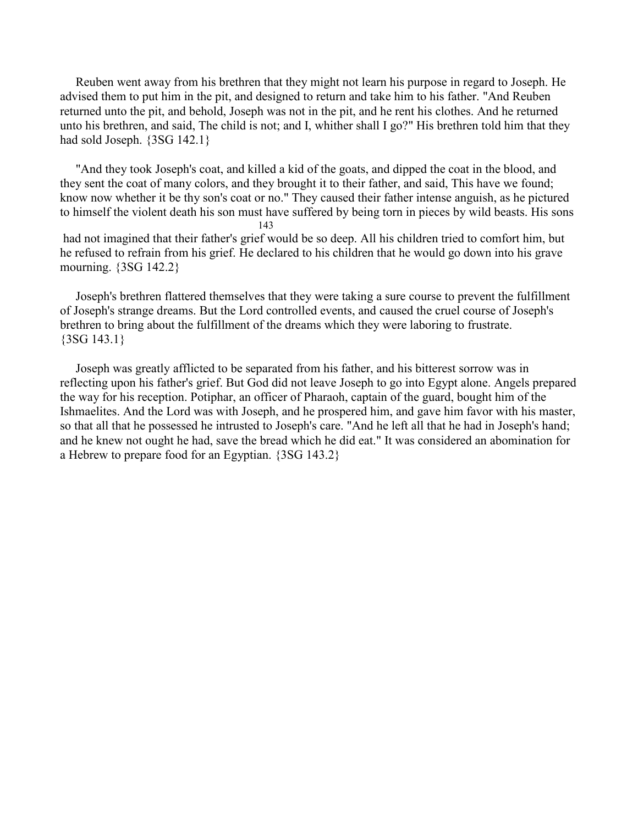Reuben went away from his brethren that they might not learn his purpose in regard to Joseph. He advised them to put him in the pit, and designed to return and take him to his father. "And Reuben returned unto the pit, and behold, Joseph was not in the pit, and he rent his clothes. And he returned unto his brethren, and said, The child is not; and I, whither shall I go?" His brethren told him that they had sold Joseph. {3SG 142.1}

 "And they took Joseph's coat, and killed a kid of the goats, and dipped the coat in the blood, and they sent the coat of many colors, and they brought it to their father, and said, This have we found; know now whether it be thy son's coat or no." They caused their father intense anguish, as he pictured to himself the violent death his son must have suffered by being torn in pieces by wild beasts. His sons 143 had not imagined that their father's grief would be so deep. All his children tried to comfort him, but he refused to refrain from his grief. He declared to his children that he would go down into his grave

 Joseph's brethren flattered themselves that they were taking a sure course to prevent the fulfillment of Joseph's strange dreams. But the Lord controlled events, and caused the cruel course of Joseph's brethren to bring about the fulfillment of the dreams which they were laboring to frustrate. {3SG 143.1}

mourning. {3SG 142.2}

 Joseph was greatly afflicted to be separated from his father, and his bitterest sorrow was in reflecting upon his father's grief. But God did not leave Joseph to go into Egypt alone. Angels prepared the way for his reception. Potiphar, an officer of Pharaoh, captain of the guard, bought him of the Ishmaelites. And the Lord was with Joseph, and he prospered him, and gave him favor with his master, so that all that he possessed he intrusted to Joseph's care. "And he left all that he had in Joseph's hand; and he knew not ought he had, save the bread which he did eat." It was considered an abomination for a Hebrew to prepare food for an Egyptian. {3SG 143.2}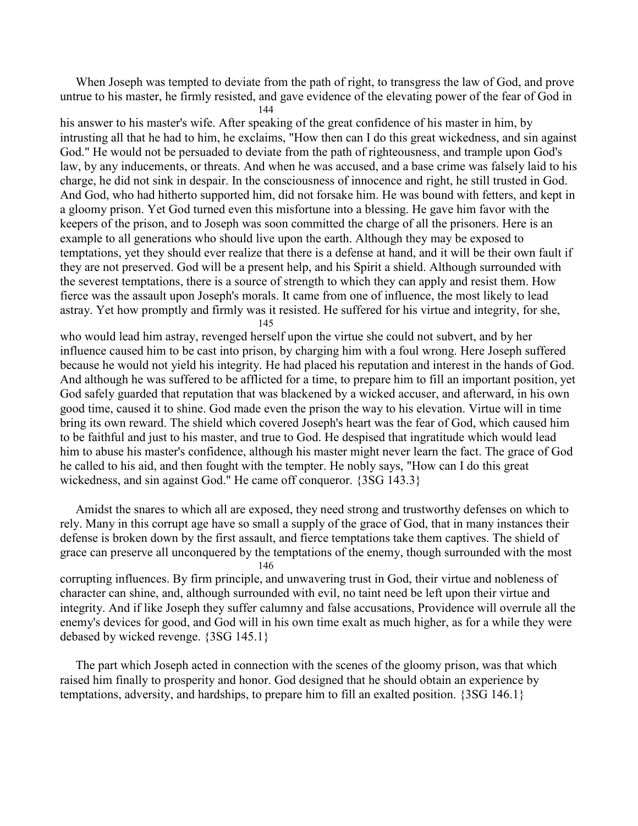When Joseph was tempted to deviate from the path of right, to transgress the law of God, and prove untrue to his master, he firmly resisted, and gave evidence of the elevating power of the fear of God in

#### 144

his answer to his master's wife. After speaking of the great confidence of his master in him, by intrusting all that he had to him, he exclaims, "How then can I do this great wickedness, and sin against God." He would not be persuaded to deviate from the path of righteousness, and trample upon God's law, by any inducements, or threats. And when he was accused, and a base crime was falsely laid to his charge, he did not sink in despair. In the consciousness of innocence and right, he still trusted in God. And God, who had hitherto supported him, did not forsake him. He was bound with fetters, and kept in a gloomy prison. Yet God turned even this misfortune into a blessing. He gave him favor with the keepers of the prison, and to Joseph was soon committed the charge of all the prisoners. Here is an example to all generations who should live upon the earth. Although they may be exposed to temptations, yet they should ever realize that there is a defense at hand, and it will be their own fault if they are not preserved. God will be a present help, and his Spirit a shield. Although surrounded with the severest temptations, there is a source of strength to which they can apply and resist them. How fierce was the assault upon Joseph's morals. It came from one of influence, the most likely to lead astray. Yet how promptly and firmly was it resisted. He suffered for his virtue and integrity, for she, 145

who would lead him astray, revenged herself upon the virtue she could not subvert, and by her influence caused him to be cast into prison, by charging him with a foul wrong. Here Joseph suffered because he would not yield his integrity. He had placed his reputation and interest in the hands of God. And although he was suffered to be afflicted for a time, to prepare him to fill an important position, yet God safely guarded that reputation that was blackened by a wicked accuser, and afterward, in his own good time, caused it to shine. God made even the prison the way to his elevation. Virtue will in time bring its own reward. The shield which covered Joseph's heart was the fear of God, which caused him to be faithful and just to his master, and true to God. He despised that ingratitude which would lead him to abuse his master's confidence, although his master might never learn the fact. The grace of God he called to his aid, and then fought with the tempter. He nobly says, "How can I do this great wickedness, and sin against God." He came off conqueror. {3SG 143.3}

 Amidst the snares to which all are exposed, they need strong and trustworthy defenses on which to rely. Many in this corrupt age have so small a supply of the grace of God, that in many instances their defense is broken down by the first assault, and fierce temptations take them captives. The shield of grace can preserve all unconquered by the temptations of the enemy, though surrounded with the most 146

corrupting influences. By firm principle, and unwavering trust in God, their virtue and nobleness of character can shine, and, although surrounded with evil, no taint need be left upon their virtue and integrity. And if like Joseph they suffer calumny and false accusations, Providence will overrule all the enemy's devices for good, and God will in his own time exalt as much higher, as for a while they were debased by wicked revenge. {3SG 145.1}

 The part which Joseph acted in connection with the scenes of the gloomy prison, was that which raised him finally to prosperity and honor. God designed that he should obtain an experience by temptations, adversity, and hardships, to prepare him to fill an exalted position. {3SG 146.1}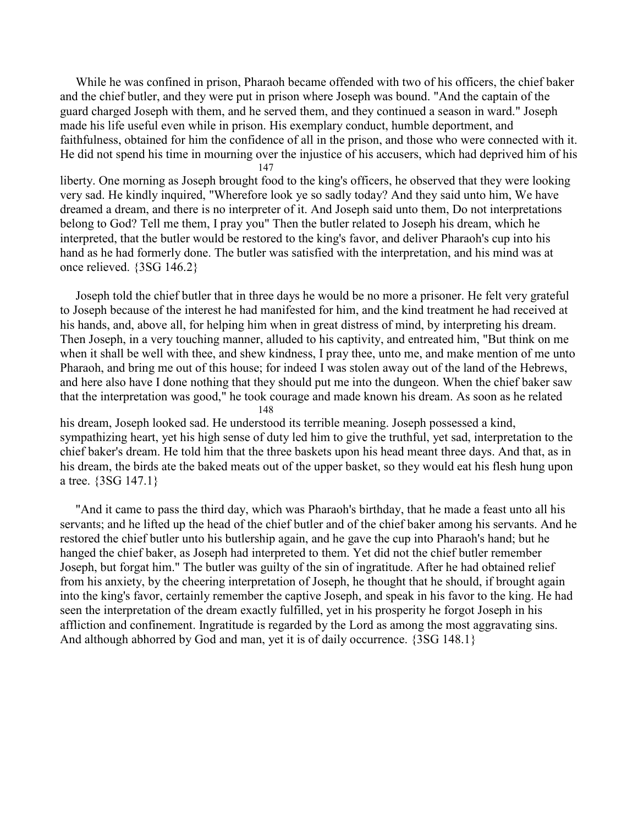While he was confined in prison, Pharaoh became offended with two of his officers, the chief baker and the chief butler, and they were put in prison where Joseph was bound. "And the captain of the guard charged Joseph with them, and he served them, and they continued a season in ward." Joseph made his life useful even while in prison. His exemplary conduct, humble deportment, and faithfulness, obtained for him the confidence of all in the prison, and those who were connected with it. He did not spend his time in mourning over the injustice of his accusers, which had deprived him of his 147

liberty. One morning as Joseph brought food to the king's officers, he observed that they were looking very sad. He kindly inquired, "Wherefore look ye so sadly today? And they said unto him, We have dreamed a dream, and there is no interpreter of it. And Joseph said unto them, Do not interpretations belong to God? Tell me them, I pray you" Then the butler related to Joseph his dream, which he interpreted, that the butler would be restored to the king's favor, and deliver Pharaoh's cup into his hand as he had formerly done. The butler was satisfied with the interpretation, and his mind was at once relieved. {3SG 146.2}

 Joseph told the chief butler that in three days he would be no more a prisoner. He felt very grateful to Joseph because of the interest he had manifested for him, and the kind treatment he had received at his hands, and, above all, for helping him when in great distress of mind, by interpreting his dream. Then Joseph, in a very touching manner, alluded to his captivity, and entreated him, "But think on me when it shall be well with thee, and shew kindness, I pray thee, unto me, and make mention of me unto Pharaoh, and bring me out of this house; for indeed I was stolen away out of the land of the Hebrews, and here also have I done nothing that they should put me into the dungeon. When the chief baker saw that the interpretation was good," he took courage and made known his dream. As soon as he related 148

his dream, Joseph looked sad. He understood its terrible meaning. Joseph possessed a kind, sympathizing heart, yet his high sense of duty led him to give the truthful, yet sad, interpretation to the chief baker's dream. He told him that the three baskets upon his head meant three days. And that, as in his dream, the birds ate the baked meats out of the upper basket, so they would eat his flesh hung upon a tree. {3SG 147.1}

 "And it came to pass the third day, which was Pharaoh's birthday, that he made a feast unto all his servants; and he lifted up the head of the chief butler and of the chief baker among his servants. And he restored the chief butler unto his butlership again, and he gave the cup into Pharaoh's hand; but he hanged the chief baker, as Joseph had interpreted to them. Yet did not the chief butler remember Joseph, but forgat him." The butler was guilty of the sin of ingratitude. After he had obtained relief from his anxiety, by the cheering interpretation of Joseph, he thought that he should, if brought again into the king's favor, certainly remember the captive Joseph, and speak in his favor to the king. He had seen the interpretation of the dream exactly fulfilled, yet in his prosperity he forgot Joseph in his affliction and confinement. Ingratitude is regarded by the Lord as among the most aggravating sins. And although abhorred by God and man, yet it is of daily occurrence. {3SG 148.1}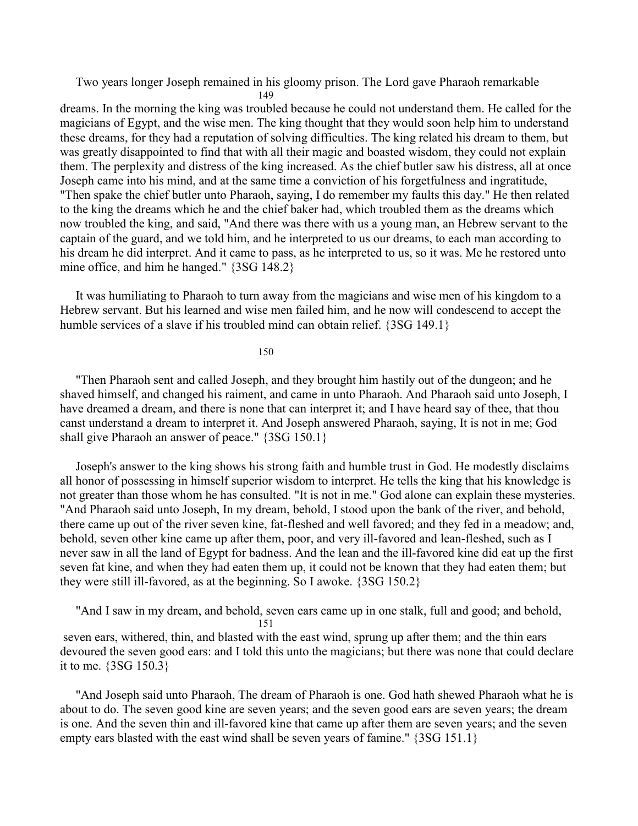Two years longer Joseph remained in his gloomy prison. The Lord gave Pharaoh remarkable

149

dreams. In the morning the king was troubled because he could not understand them. He called for the magicians of Egypt, and the wise men. The king thought that they would soon help him to understand these dreams, for they had a reputation of solving difficulties. The king related his dream to them, but was greatly disappointed to find that with all their magic and boasted wisdom, they could not explain them. The perplexity and distress of the king increased. As the chief butler saw his distress, all at once Joseph came into his mind, and at the same time a conviction of his forgetfulness and ingratitude, "Then spake the chief butler unto Pharaoh, saying, I do remember my faults this day." He then related to the king the dreams which he and the chief baker had, which troubled them as the dreams which now troubled the king, and said, "And there was there with us a young man, an Hebrew servant to the captain of the guard, and we told him, and he interpreted to us our dreams, to each man according to his dream he did interpret. And it came to pass, as he interpreted to us, so it was. Me he restored unto mine office, and him he hanged." {3SG 148.2}

 It was humiliating to Pharaoh to turn away from the magicians and wise men of his kingdom to a Hebrew servant. But his learned and wise men failed him, and he now will condescend to accept the humble services of a slave if his troubled mind can obtain relief. {3SG 149.1}

150

 "Then Pharaoh sent and called Joseph, and they brought him hastily out of the dungeon; and he shaved himself, and changed his raiment, and came in unto Pharaoh. And Pharaoh said unto Joseph, I have dreamed a dream, and there is none that can interpret it; and I have heard say of thee, that thou canst understand a dream to interpret it. And Joseph answered Pharaoh, saying, It is not in me; God shall give Pharaoh an answer of peace." {3SG 150.1}

 Joseph's answer to the king shows his strong faith and humble trust in God. He modestly disclaims all honor of possessing in himself superior wisdom to interpret. He tells the king that his knowledge is not greater than those whom he has consulted. "It is not in me." God alone can explain these mysteries. "And Pharaoh said unto Joseph, In my dream, behold, I stood upon the bank of the river, and behold, there came up out of the river seven kine, fat-fleshed and well favored; and they fed in a meadow; and, behold, seven other kine came up after them, poor, and very ill-favored and lean-fleshed, such as I never saw in all the land of Egypt for badness. And the lean and the ill-favored kine did eat up the first seven fat kine, and when they had eaten them up, it could not be known that they had eaten them; but they were still ill-favored, as at the beginning. So I awoke. {3SG 150.2}

"And I saw in my dream, and behold, seven ears came up in one stalk, full and good; and behold,

 151 seven ears, withered, thin, and blasted with the east wind, sprung up after them; and the thin ears devoured the seven good ears: and I told this unto the magicians; but there was none that could declare it to me. {3SG 150.3}

 "And Joseph said unto Pharaoh, The dream of Pharaoh is one. God hath shewed Pharaoh what he is about to do. The seven good kine are seven years; and the seven good ears are seven years; the dream is one. And the seven thin and ill-favored kine that came up after them are seven years; and the seven empty ears blasted with the east wind shall be seven years of famine." {3SG 151.1}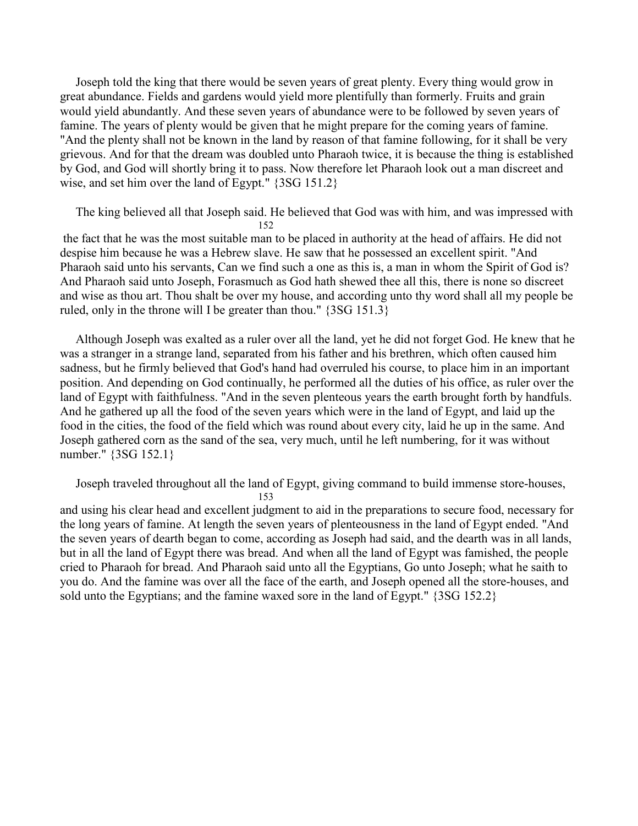Joseph told the king that there would be seven years of great plenty. Every thing would grow in great abundance. Fields and gardens would yield more plentifully than formerly. Fruits and grain would yield abundantly. And these seven years of abundance were to be followed by seven years of famine. The years of plenty would be given that he might prepare for the coming years of famine. "And the plenty shall not be known in the land by reason of that famine following, for it shall be very grievous. And for that the dream was doubled unto Pharaoh twice, it is because the thing is established by God, and God will shortly bring it to pass. Now therefore let Pharaoh look out a man discreet and wise, and set him over the land of Egypt." {3SG 151.2}

The king believed all that Joseph said. He believed that God was with him, and was impressed with  $152$ 152

 the fact that he was the most suitable man to be placed in authority at the head of affairs. He did not despise him because he was a Hebrew slave. He saw that he possessed an excellent spirit. "And Pharaoh said unto his servants, Can we find such a one as this is, a man in whom the Spirit of God is? And Pharaoh said unto Joseph, Forasmuch as God hath shewed thee all this, there is none so discreet and wise as thou art. Thou shalt be over my house, and according unto thy word shall all my people be ruled, only in the throne will I be greater than thou." {3SG 151.3}

 Although Joseph was exalted as a ruler over all the land, yet he did not forget God. He knew that he was a stranger in a strange land, separated from his father and his brethren, which often caused him sadness, but he firmly believed that God's hand had overruled his course, to place him in an important position. And depending on God continually, he performed all the duties of his office, as ruler over the land of Egypt with faithfulness. "And in the seven plenteous years the earth brought forth by handfuls. And he gathered up all the food of the seven years which were in the land of Egypt, and laid up the food in the cities, the food of the field which was round about every city, laid he up in the same. And Joseph gathered corn as the sand of the sea, very much, until he left numbering, for it was without number." {3SG 152.1}

 Joseph traveled throughout all the land of Egypt, giving command to build immense store-houses, 153

and using his clear head and excellent judgment to aid in the preparations to secure food, necessary for the long years of famine. At length the seven years of plenteousness in the land of Egypt ended. "And the seven years of dearth began to come, according as Joseph had said, and the dearth was in all lands, but in all the land of Egypt there was bread. And when all the land of Egypt was famished, the people cried to Pharaoh for bread. And Pharaoh said unto all the Egyptians, Go unto Joseph; what he saith to you do. And the famine was over all the face of the earth, and Joseph opened all the store-houses, and sold unto the Egyptians; and the famine waxed sore in the land of Egypt." {3SG 152.2}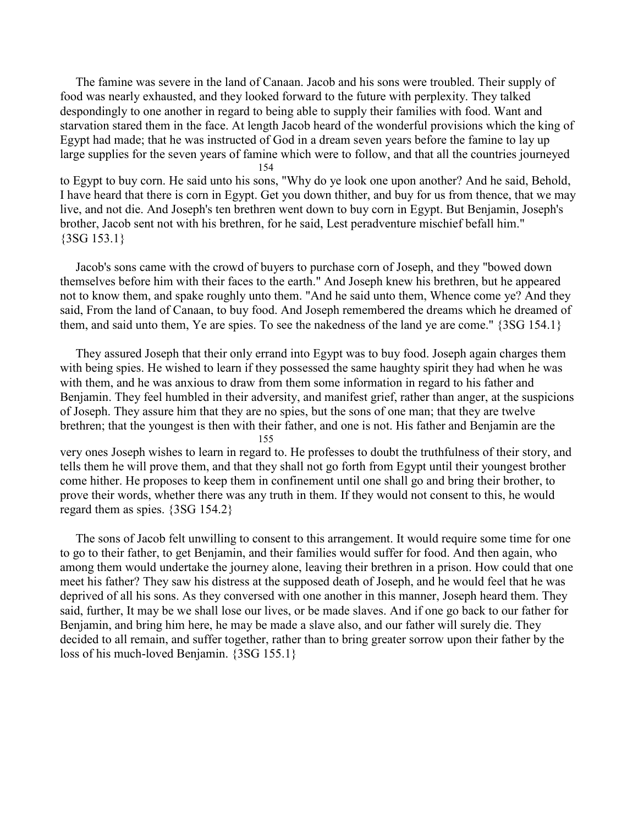The famine was severe in the land of Canaan. Jacob and his sons were troubled. Their supply of food was nearly exhausted, and they looked forward to the future with perplexity. They talked despondingly to one another in regard to being able to supply their families with food. Want and starvation stared them in the face. At length Jacob heard of the wonderful provisions which the king of Egypt had made; that he was instructed of God in a dream seven years before the famine to lay up large supplies for the seven years of famine which were to follow, and that all the countries journeyed 154

to Egypt to buy corn. He said unto his sons, "Why do ye look one upon another? And he said, Behold, I have heard that there is corn in Egypt. Get you down thither, and buy for us from thence, that we may live, and not die. And Joseph's ten brethren went down to buy corn in Egypt. But Benjamin, Joseph's brother, Jacob sent not with his brethren, for he said, Lest peradventure mischief befall him."  ${3SG 153.1}$ 

 Jacob's sons came with the crowd of buyers to purchase corn of Joseph, and they "bowed down themselves before him with their faces to the earth." And Joseph knew his brethren, but he appeared not to know them, and spake roughly unto them. "And he said unto them, Whence come ye? And they said, From the land of Canaan, to buy food. And Joseph remembered the dreams which he dreamed of them, and said unto them, Ye are spies. To see the nakedness of the land ye are come." {3SG 154.1}

 They assured Joseph that their only errand into Egypt was to buy food. Joseph again charges them with being spies. He wished to learn if they possessed the same haughty spirit they had when he was with them, and he was anxious to draw from them some information in regard to his father and Benjamin. They feel humbled in their adversity, and manifest grief, rather than anger, at the suspicions of Joseph. They assure him that they are no spies, but the sons of one man; that they are twelve brethren; that the youngest is then with their father, and one is not. His father and Benjamin are the 155

very ones Joseph wishes to learn in regard to. He professes to doubt the truthfulness of their story, and tells them he will prove them, and that they shall not go forth from Egypt until their youngest brother come hither. He proposes to keep them in confinement until one shall go and bring their brother, to prove their words, whether there was any truth in them. If they would not consent to this, he would regard them as spies. {3SG 154.2}

 The sons of Jacob felt unwilling to consent to this arrangement. It would require some time for one to go to their father, to get Benjamin, and their families would suffer for food. And then again, who among them would undertake the journey alone, leaving their brethren in a prison. How could that one meet his father? They saw his distress at the supposed death of Joseph, and he would feel that he was deprived of all his sons. As they conversed with one another in this manner, Joseph heard them. They said, further, It may be we shall lose our lives, or be made slaves. And if one go back to our father for Benjamin, and bring him here, he may be made a slave also, and our father will surely die. They decided to all remain, and suffer together, rather than to bring greater sorrow upon their father by the loss of his much-loved Benjamin. {3SG 155.1}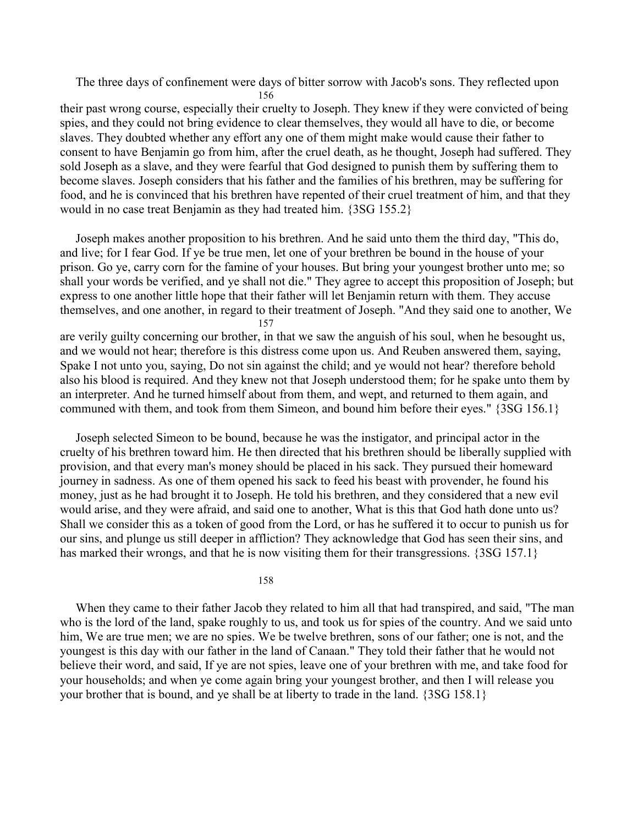The three days of confinement were days of bitter sorrow with Jacob's sons. They reflected upon 156

their past wrong course, especially their cruelty to Joseph. They knew if they were convicted of being spies, and they could not bring evidence to clear themselves, they would all have to die, or become slaves. They doubted whether any effort any one of them might make would cause their father to consent to have Benjamin go from him, after the cruel death, as he thought, Joseph had suffered. They sold Joseph as a slave, and they were fearful that God designed to punish them by suffering them to become slaves. Joseph considers that his father and the families of his brethren, may be suffering for food, and he is convinced that his brethren have repented of their cruel treatment of him, and that they would in no case treat Benjamin as they had treated him. {3SG 155.2}

 Joseph makes another proposition to his brethren. And he said unto them the third day, "This do, and live; for I fear God. If ye be true men, let one of your brethren be bound in the house of your prison. Go ye, carry corn for the famine of your houses. But bring your youngest brother unto me; so shall your words be verified, and ye shall not die." They agree to accept this proposition of Joseph; but express to one another little hope that their father will let Benjamin return with them. They accuse themselves, and one another, in regard to their treatment of Joseph. "And they said one to another, We 157

are verily guilty concerning our brother, in that we saw the anguish of his soul, when he besought us, and we would not hear; therefore is this distress come upon us. And Reuben answered them, saying, Spake I not unto you, saying, Do not sin against the child; and ye would not hear? therefore behold also his blood is required. And they knew not that Joseph understood them; for he spake unto them by an interpreter. And he turned himself about from them, and wept, and returned to them again, and communed with them, and took from them Simeon, and bound him before their eyes." {3SG 156.1}

 Joseph selected Simeon to be bound, because he was the instigator, and principal actor in the cruelty of his brethren toward him. He then directed that his brethren should be liberally supplied with provision, and that every man's money should be placed in his sack. They pursued their homeward journey in sadness. As one of them opened his sack to feed his beast with provender, he found his money, just as he had brought it to Joseph. He told his brethren, and they considered that a new evil would arise, and they were afraid, and said one to another, What is this that God hath done unto us? Shall we consider this as a token of good from the Lord, or has he suffered it to occur to punish us for our sins, and plunge us still deeper in affliction? They acknowledge that God has seen their sins, and has marked their wrongs, and that he is now visiting them for their transgressions. {3SG 157.1}

158

 When they came to their father Jacob they related to him all that had transpired, and said, "The man who is the lord of the land, spake roughly to us, and took us for spies of the country. And we said unto him, We are true men; we are no spies. We be twelve brethren, sons of our father; one is not, and the youngest is this day with our father in the land of Canaan." They told their father that he would not believe their word, and said, If ye are not spies, leave one of your brethren with me, and take food for your households; and when ye come again bring your youngest brother, and then I will release you your brother that is bound, and ye shall be at liberty to trade in the land. {3SG 158.1}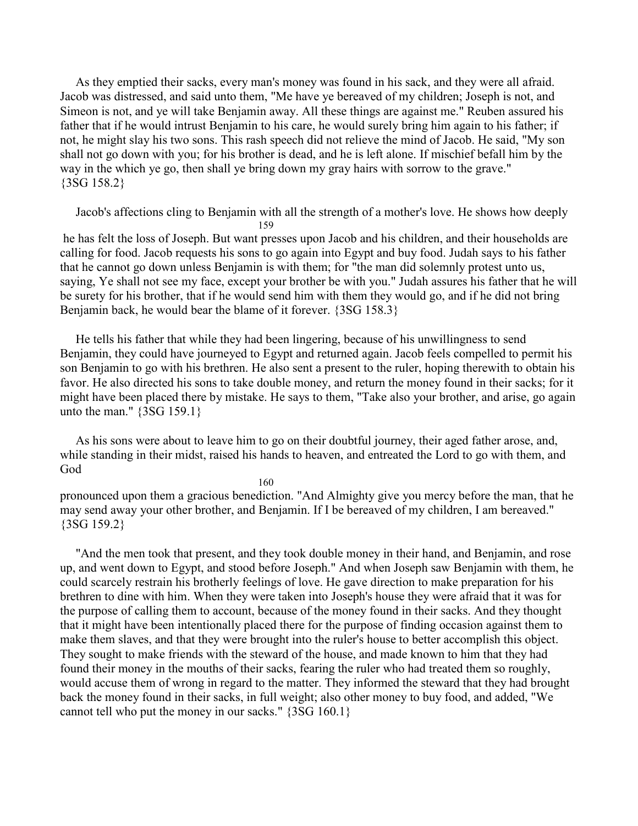As they emptied their sacks, every man's money was found in his sack, and they were all afraid. Jacob was distressed, and said unto them, "Me have ye bereaved of my children; Joseph is not, and Simeon is not, and ye will take Benjamin away. All these things are against me." Reuben assured his father that if he would intrust Benjamin to his care, he would surely bring him again to his father; if not, he might slay his two sons. This rash speech did not relieve the mind of Jacob. He said, "My son shall not go down with you; for his brother is dead, and he is left alone. If mischief befall him by the way in the which ye go, then shall ye bring down my gray hairs with sorrow to the grave." {3SG 158.2}

 Jacob's affections cling to Benjamin with all the strength of a mother's love. He shows how deeply 159

 he has felt the loss of Joseph. But want presses upon Jacob and his children, and their households are calling for food. Jacob requests his sons to go again into Egypt and buy food. Judah says to his father that he cannot go down unless Benjamin is with them; for "the man did solemnly protest unto us, saying, Ye shall not see my face, except your brother be with you." Judah assures his father that he will be surety for his brother, that if he would send him with them they would go, and if he did not bring Benjamin back, he would bear the blame of it forever. {3SG 158.3}

 He tells his father that while they had been lingering, because of his unwillingness to send Benjamin, they could have journeyed to Egypt and returned again. Jacob feels compelled to permit his son Benjamin to go with his brethren. He also sent a present to the ruler, hoping therewith to obtain his favor. He also directed his sons to take double money, and return the money found in their sacks; for it might have been placed there by mistake. He says to them, "Take also your brother, and arise, go again unto the man." {3SG 159.1}

 As his sons were about to leave him to go on their doubtful journey, their aged father arose, and, while standing in their midst, raised his hands to heaven, and entreated the Lord to go with them, and God

160

pronounced upon them a gracious benediction. "And Almighty give you mercy before the man, that he may send away your other brother, and Benjamin. If I be bereaved of my children, I am bereaved." {3SG 159.2}

 "And the men took that present, and they took double money in their hand, and Benjamin, and rose up, and went down to Egypt, and stood before Joseph." And when Joseph saw Benjamin with them, he could scarcely restrain his brotherly feelings of love. He gave direction to make preparation for his brethren to dine with him. When they were taken into Joseph's house they were afraid that it was for the purpose of calling them to account, because of the money found in their sacks. And they thought that it might have been intentionally placed there for the purpose of finding occasion against them to make them slaves, and that they were brought into the ruler's house to better accomplish this object. They sought to make friends with the steward of the house, and made known to him that they had found their money in the mouths of their sacks, fearing the ruler who had treated them so roughly, would accuse them of wrong in regard to the matter. They informed the steward that they had brought back the money found in their sacks, in full weight; also other money to buy food, and added, "We cannot tell who put the money in our sacks." {3SG 160.1}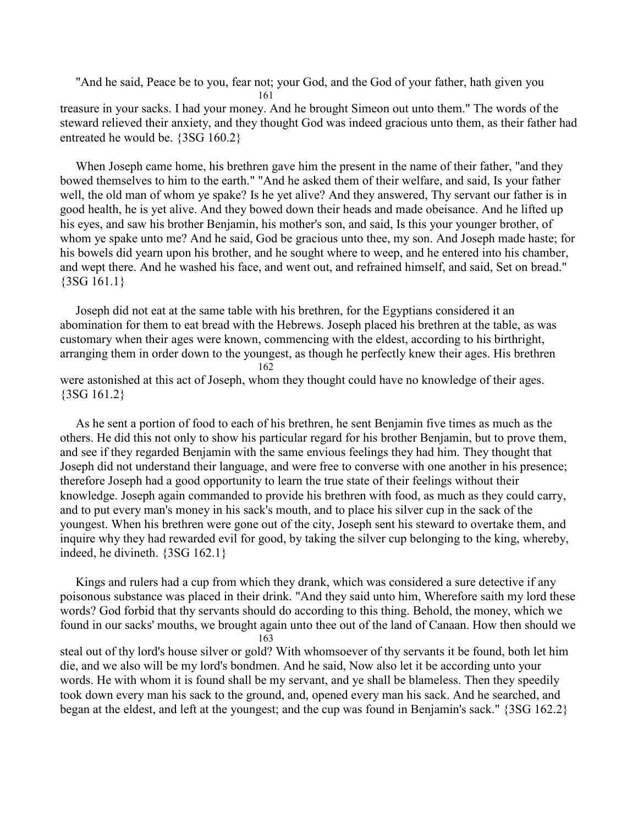"And he said, Peace be to you, fear not; your God, and the God of your father, hath given you 161

treasure in your sacks. I had your money. And he brought Simeon out unto them." The words of the steward relieved their anxiety, and they thought God was indeed gracious unto them, as their father had entreated he would be. {3SG 160.2}

 When Joseph came home, his brethren gave him the present in the name of their father, "and they bowed themselves to him to the earth." "And he asked them of their welfare, and said, Is your father well, the old man of whom ye spake? Is he yet alive? And they answered, Thy servant our father is in good health, he is yet alive. And they bowed down their heads and made obeisance. And he lifted up his eyes, and saw his brother Benjamin, his mother's son, and said, Is this your younger brother, of whom ye spake unto me? And he said, God be gracious unto thee, my son. And Joseph made haste; for his bowels did yearn upon his brother, and he sought where to weep, and he entered into his chamber, and wept there. And he washed his face, and went out, and refrained himself, and said, Set on bread."  ${3SG 161.1}$ 

 Joseph did not eat at the same table with his brethren, for the Egyptians considered it an abomination for them to eat bread with the Hebrews. Joseph placed his brethren at the table, as was customary when their ages were known, commencing with the eldest, according to his birthright, arranging them in order down to the youngest, as though he perfectly knew their ages. His brethren 162 were astonished at this act of Joseph, whom they thought could have no knowledge of their ages.  ${3SG 161.2}$ 

 As he sent a portion of food to each of his brethren, he sent Benjamin five times as much as the others. He did this not only to show his particular regard for his brother Benjamin, but to prove them, and see if they regarded Benjamin with the same envious feelings they had him. They thought that Joseph did not understand their language, and were free to converse with one another in his presence; therefore Joseph had a good opportunity to learn the true state of their feelings without their knowledge. Joseph again commanded to provide his brethren with food, as much as they could carry, and to put every man's money in his sack's mouth, and to place his silver cup in the sack of the youngest. When his brethren were gone out of the city, Joseph sent his steward to overtake them, and inquire why they had rewarded evil for good, by taking the silver cup belonging to the king, whereby, indeed, he divineth. {3SG 162.1}

 Kings and rulers had a cup from which they drank, which was considered a sure detective if any poisonous substance was placed in their drink. "And they said unto him, Wherefore saith my lord these words? God forbid that thy servants should do according to this thing. Behold, the money, which we found in our sacks' mouths, we brought again unto thee out of the land of Canaan. How then should we 163

steal out of thy lord's house silver or gold? With whomsoever of thy servants it be found, both let him die, and we also will be my lord's bondmen. And he said, Now also let it be according unto your words. He with whom it is found shall be my servant, and ye shall be blameless. Then they speedily took down every man his sack to the ground, and, opened every man his sack. And he searched, and began at the eldest, and left at the youngest; and the cup was found in Benjamin's sack." {3SG 162.2}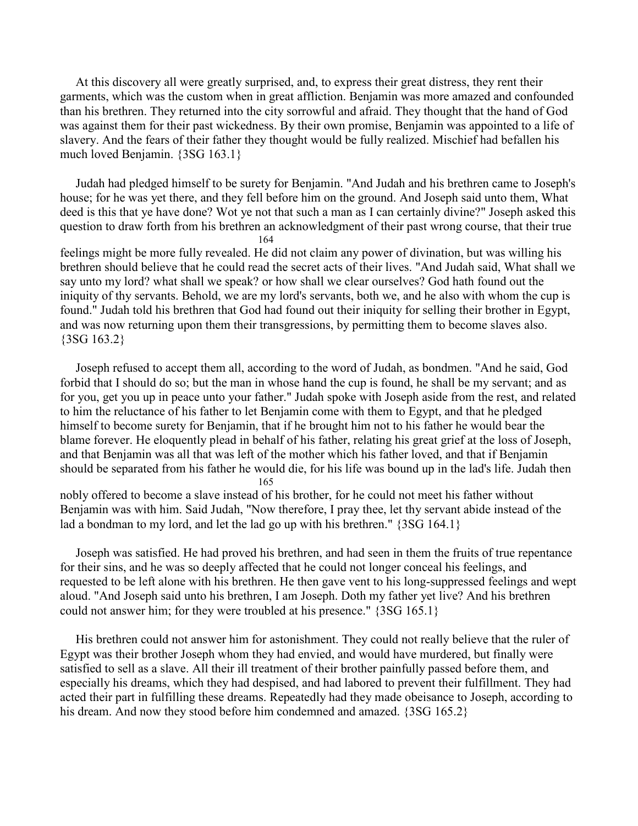At this discovery all were greatly surprised, and, to express their great distress, they rent their garments, which was the custom when in great affliction. Benjamin was more amazed and confounded than his brethren. They returned into the city sorrowful and afraid. They thought that the hand of God was against them for their past wickedness. By their own promise, Benjamin was appointed to a life of slavery. And the fears of their father they thought would be fully realized. Mischief had befallen his much loved Benjamin. {3SG 163.1}

 Judah had pledged himself to be surety for Benjamin. "And Judah and his brethren came to Joseph's house; for he was yet there, and they fell before him on the ground. And Joseph said unto them, What deed is this that ye have done? Wot ye not that such a man as I can certainly divine?" Joseph asked this question to draw forth from his brethren an acknowledgment of their past wrong course, that their true 164

feelings might be more fully revealed. He did not claim any power of divination, but was willing his brethren should believe that he could read the secret acts of their lives. "And Judah said, What shall we say unto my lord? what shall we speak? or how shall we clear ourselves? God hath found out the iniquity of thy servants. Behold, we are my lord's servants, both we, and he also with whom the cup is found." Judah told his brethren that God had found out their iniquity for selling their brother in Egypt, and was now returning upon them their transgressions, by permitting them to become slaves also. {3SG 163.2}

 Joseph refused to accept them all, according to the word of Judah, as bondmen. "And he said, God forbid that I should do so; but the man in whose hand the cup is found, he shall be my servant; and as for you, get you up in peace unto your father." Judah spoke with Joseph aside from the rest, and related to him the reluctance of his father to let Benjamin come with them to Egypt, and that he pledged himself to become surety for Benjamin, that if he brought him not to his father he would bear the blame forever. He eloquently plead in behalf of his father, relating his great grief at the loss of Joseph, and that Benjamin was all that was left of the mother which his father loved, and that if Benjamin should be separated from his father he would die, for his life was bound up in the lad's life. Judah then 165

nobly offered to become a slave instead of his brother, for he could not meet his father without Benjamin was with him. Said Judah, "Now therefore, I pray thee, let thy servant abide instead of the lad a bondman to my lord, and let the lad go up with his brethren." {3SG 164.1}

 Joseph was satisfied. He had proved his brethren, and had seen in them the fruits of true repentance for their sins, and he was so deeply affected that he could not longer conceal his feelings, and requested to be left alone with his brethren. He then gave vent to his long-suppressed feelings and wept aloud. "And Joseph said unto his brethren, I am Joseph. Doth my father yet live? And his brethren could not answer him; for they were troubled at his presence." {3SG 165.1}

 His brethren could not answer him for astonishment. They could not really believe that the ruler of Egypt was their brother Joseph whom they had envied, and would have murdered, but finally were satisfied to sell as a slave. All their ill treatment of their brother painfully passed before them, and especially his dreams, which they had despised, and had labored to prevent their fulfillment. They had acted their part in fulfilling these dreams. Repeatedly had they made obeisance to Joseph, according to his dream. And now they stood before him condemned and amazed. {3SG 165.2}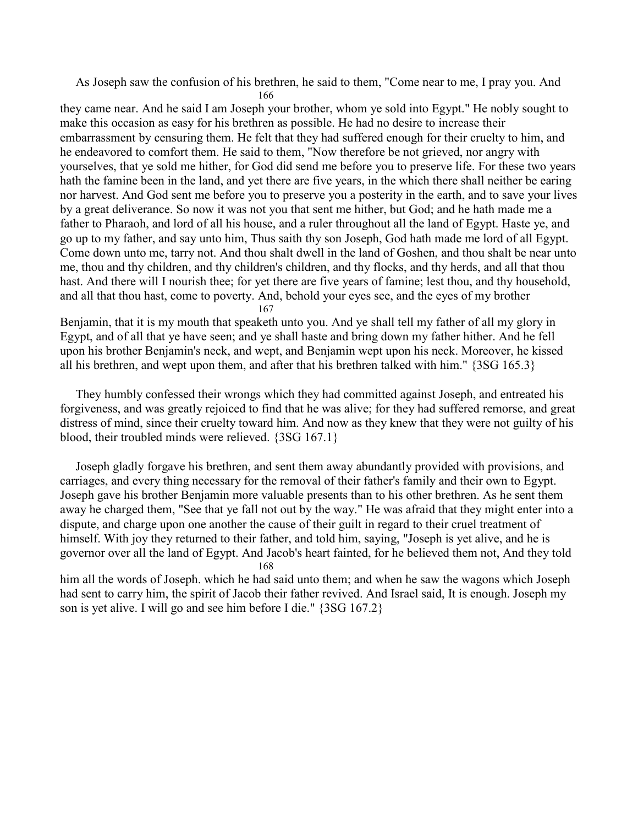As Joseph saw the confusion of his brethren, he said to them, "Come near to me, I pray you. And

 166 they came near. And he said I am Joseph your brother, whom ye sold into Egypt." He nobly sought to make this occasion as easy for his brethren as possible. He had no desire to increase their embarrassment by censuring them. He felt that they had suffered enough for their cruelty to him, and he endeavored to comfort them. He said to them, "Now therefore be not grieved, nor angry with yourselves, that ye sold me hither, for God did send me before you to preserve life. For these two years hath the famine been in the land, and yet there are five years, in the which there shall neither be earing nor harvest. And God sent me before you to preserve you a posterity in the earth, and to save your lives by a great deliverance. So now it was not you that sent me hither, but God; and he hath made me a father to Pharaoh, and lord of all his house, and a ruler throughout all the land of Egypt. Haste ye, and go up to my father, and say unto him, Thus saith thy son Joseph, God hath made me lord of all Egypt. Come down unto me, tarry not. And thou shalt dwell in the land of Goshen, and thou shalt be near unto me, thou and thy children, and thy children's children, and thy flocks, and thy herds, and all that thou hast. And there will I nourish thee; for yet there are five years of famine; lest thou, and thy household, and all that thou hast, come to poverty. And, behold your eyes see, and the eyes of my brother  $167$ 167

Benjamin, that it is my mouth that speaketh unto you. And ye shall tell my father of all my glory in Egypt, and of all that ye have seen; and ye shall haste and bring down my father hither. And he fell upon his brother Benjamin's neck, and wept, and Benjamin wept upon his neck. Moreover, he kissed all his brethren, and wept upon them, and after that his brethren talked with him." {3SG 165.3}

 They humbly confessed their wrongs which they had committed against Joseph, and entreated his forgiveness, and was greatly rejoiced to find that he was alive; for they had suffered remorse, and great distress of mind, since their cruelty toward him. And now as they knew that they were not guilty of his blood, their troubled minds were relieved. {3SG 167.1}

 Joseph gladly forgave his brethren, and sent them away abundantly provided with provisions, and carriages, and every thing necessary for the removal of their father's family and their own to Egypt. Joseph gave his brother Benjamin more valuable presents than to his other brethren. As he sent them away he charged them, "See that ye fall not out by the way." He was afraid that they might enter into a dispute, and charge upon one another the cause of their guilt in regard to their cruel treatment of himself. With joy they returned to their father, and told him, saying, "Joseph is yet alive, and he is governor over all the land of Egypt. And Jacob's heart fainted, for he believed them not, And they told 168

him all the words of Joseph. which he had said unto them; and when he saw the wagons which Joseph had sent to carry him, the spirit of Jacob their father revived. And Israel said, It is enough. Joseph my son is yet alive. I will go and see him before I die." {3SG 167.2}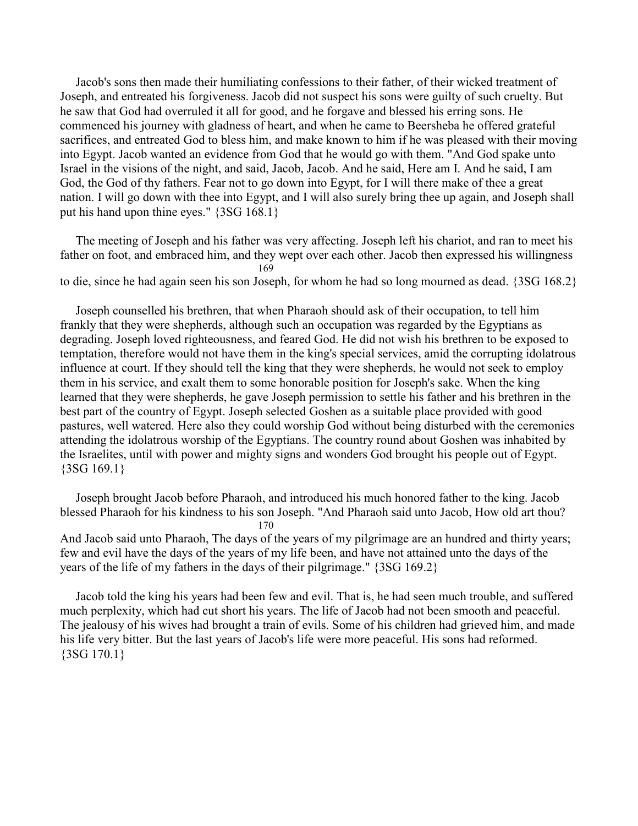Jacob's sons then made their humiliating confessions to their father, of their wicked treatment of Joseph, and entreated his forgiveness. Jacob did not suspect his sons were guilty of such cruelty. But he saw that God had overruled it all for good, and he forgave and blessed his erring sons. He commenced his journey with gladness of heart, and when he came to Beersheba he offered grateful sacrifices, and entreated God to bless him, and make known to him if he was pleased with their moving into Egypt. Jacob wanted an evidence from God that he would go with them. "And God spake unto Israel in the visions of the night, and said, Jacob, Jacob. And he said, Here am I. And he said, I am God, the God of thy fathers. Fear not to go down into Egypt, for I will there make of thee a great nation. I will go down with thee into Egypt, and I will also surely bring thee up again, and Joseph shall put his hand upon thine eyes." {3SG 168.1}

 The meeting of Joseph and his father was very affecting. Joseph left his chariot, and ran to meet his father on foot, and embraced him, and they wept over each other. Jacob then expressed his willingness 169 to die, since he had again seen his son Joseph, for whom he had so long mourned as dead. {3SG 168.2}

 Joseph counselled his brethren, that when Pharaoh should ask of their occupation, to tell him frankly that they were shepherds, although such an occupation was regarded by the Egyptians as degrading. Joseph loved righteousness, and feared God. He did not wish his brethren to be exposed to temptation, therefore would not have them in the king's special services, amid the corrupting idolatrous influence at court. If they should tell the king that they were shepherds, he would not seek to employ them in his service, and exalt them to some honorable position for Joseph's sake. When the king learned that they were shepherds, he gave Joseph permission to settle his father and his brethren in the best part of the country of Egypt. Joseph selected Goshen as a suitable place provided with good pastures, well watered. Here also they could worship God without being disturbed with the ceremonies attending the idolatrous worship of the Egyptians. The country round about Goshen was inhabited by the Israelites, until with power and mighty signs and wonders God brought his people out of Egypt. {3SG 169.1}

 Joseph brought Jacob before Pharaoh, and introduced his much honored father to the king. Jacob blessed Pharaoh for his kindness to his son Joseph. "And Pharaoh said unto Jacob, How old art thou? 170

And Jacob said unto Pharaoh, The days of the years of my pilgrimage are an hundred and thirty years; few and evil have the days of the years of my life been, and have not attained unto the days of the years of the life of my fathers in the days of their pilgrimage." {3SG 169.2}

 Jacob told the king his years had been few and evil. That is, he had seen much trouble, and suffered much perplexity, which had cut short his years. The life of Jacob had not been smooth and peaceful. The jealousy of his wives had brought a train of evils. Some of his children had grieved him, and made his life very bitter. But the last years of Jacob's life were more peaceful. His sons had reformed. {3SG 170.1}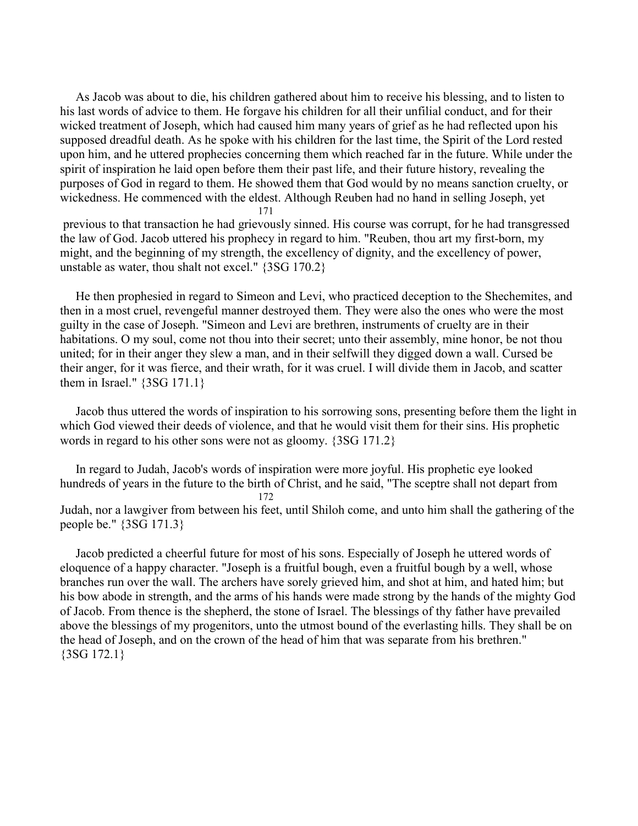As Jacob was about to die, his children gathered about him to receive his blessing, and to listen to his last words of advice to them. He forgave his children for all their unfilial conduct, and for their wicked treatment of Joseph, which had caused him many years of grief as he had reflected upon his supposed dreadful death. As he spoke with his children for the last time, the Spirit of the Lord rested upon him, and he uttered prophecies concerning them which reached far in the future. While under the spirit of inspiration he laid open before them their past life, and their future history, revealing the purposes of God in regard to them. He showed them that God would by no means sanction cruelty, or wickedness. He commenced with the eldest. Although Reuben had no hand in selling Joseph, yet 171

 previous to that transaction he had grievously sinned. His course was corrupt, for he had transgressed the law of God. Jacob uttered his prophecy in regard to him. "Reuben, thou art my first-born, my might, and the beginning of my strength, the excellency of dignity, and the excellency of power, unstable as water, thou shalt not excel." {3SG 170.2}

 He then prophesied in regard to Simeon and Levi, who practiced deception to the Shechemites, and then in a most cruel, revengeful manner destroyed them. They were also the ones who were the most guilty in the case of Joseph. "Simeon and Levi are brethren, instruments of cruelty are in their habitations. O my soul, come not thou into their secret; unto their assembly, mine honor, be not thou united; for in their anger they slew a man, and in their selfwill they digged down a wall. Cursed be their anger, for it was fierce, and their wrath, for it was cruel. I will divide them in Jacob, and scatter them in Israel." {3SG 171.1}

 Jacob thus uttered the words of inspiration to his sorrowing sons, presenting before them the light in which God viewed their deeds of violence, and that he would visit them for their sins. His prophetic words in regard to his other sons were not as gloomy. {3SG 171.2}

 In regard to Judah, Jacob's words of inspiration were more joyful. His prophetic eye looked hundreds of years in the future to the birth of Christ, and he said, "The sceptre shall not depart from 172 Judah, nor a lawgiver from between his feet, until Shiloh come, and unto him shall the gathering of the people be." {3SG 171.3}

 Jacob predicted a cheerful future for most of his sons. Especially of Joseph he uttered words of eloquence of a happy character. "Joseph is a fruitful bough, even a fruitful bough by a well, whose branches run over the wall. The archers have sorely grieved him, and shot at him, and hated him; but his bow abode in strength, and the arms of his hands were made strong by the hands of the mighty God of Jacob. From thence is the shepherd, the stone of Israel. The blessings of thy father have prevailed above the blessings of my progenitors, unto the utmost bound of the everlasting hills. They shall be on the head of Joseph, and on the crown of the head of him that was separate from his brethren." {3SG 172.1}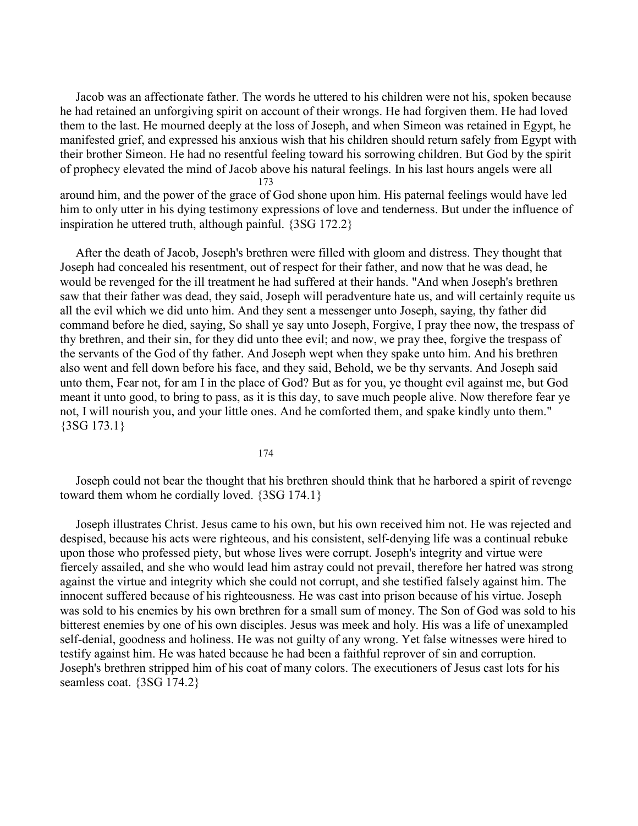Jacob was an affectionate father. The words he uttered to his children were not his, spoken because he had retained an unforgiving spirit on account of their wrongs. He had forgiven them. He had loved them to the last. He mourned deeply at the loss of Joseph, and when Simeon was retained in Egypt, he manifested grief, and expressed his anxious wish that his children should return safely from Egypt with their brother Simeon. He had no resentful feeling toward his sorrowing children. But God by the spirit of prophecy elevated the mind of Jacob above his natural feelings. In his last hours angels were all

 173 around him, and the power of the grace of God shone upon him. His paternal feelings would have led him to only utter in his dying testimony expressions of love and tenderness. But under the influence of inspiration he uttered truth, although painful. {3SG 172.2}

 After the death of Jacob, Joseph's brethren were filled with gloom and distress. They thought that Joseph had concealed his resentment, out of respect for their father, and now that he was dead, he would be revenged for the ill treatment he had suffered at their hands. "And when Joseph's brethren saw that their father was dead, they said, Joseph will peradventure hate us, and will certainly requite us all the evil which we did unto him. And they sent a messenger unto Joseph, saying, thy father did command before he died, saying, So shall ye say unto Joseph, Forgive, I pray thee now, the trespass of thy brethren, and their sin, for they did unto thee evil; and now, we pray thee, forgive the trespass of the servants of the God of thy father. And Joseph wept when they spake unto him. And his brethren also went and fell down before his face, and they said, Behold, we be thy servants. And Joseph said unto them, Fear not, for am I in the place of God? But as for you, ye thought evil against me, but God meant it unto good, to bring to pass, as it is this day, to save much people alive. Now therefore fear ye not, I will nourish you, and your little ones. And he comforted them, and spake kindly unto them." {3SG 173.1}

174

 Joseph could not bear the thought that his brethren should think that he harbored a spirit of revenge toward them whom he cordially loved. {3SG 174.1}

 Joseph illustrates Christ. Jesus came to his own, but his own received him not. He was rejected and despised, because his acts were righteous, and his consistent, self-denying life was a continual rebuke upon those who professed piety, but whose lives were corrupt. Joseph's integrity and virtue were fiercely assailed, and she who would lead him astray could not prevail, therefore her hatred was strong against the virtue and integrity which she could not corrupt, and she testified falsely against him. The innocent suffered because of his righteousness. He was cast into prison because of his virtue. Joseph was sold to his enemies by his own brethren for a small sum of money. The Son of God was sold to his bitterest enemies by one of his own disciples. Jesus was meek and holy. His was a life of unexampled self-denial, goodness and holiness. He was not guilty of any wrong. Yet false witnesses were hired to testify against him. He was hated because he had been a faithful reprover of sin and corruption. Joseph's brethren stripped him of his coat of many colors. The executioners of Jesus cast lots for his seamless coat. {3SG 174.2}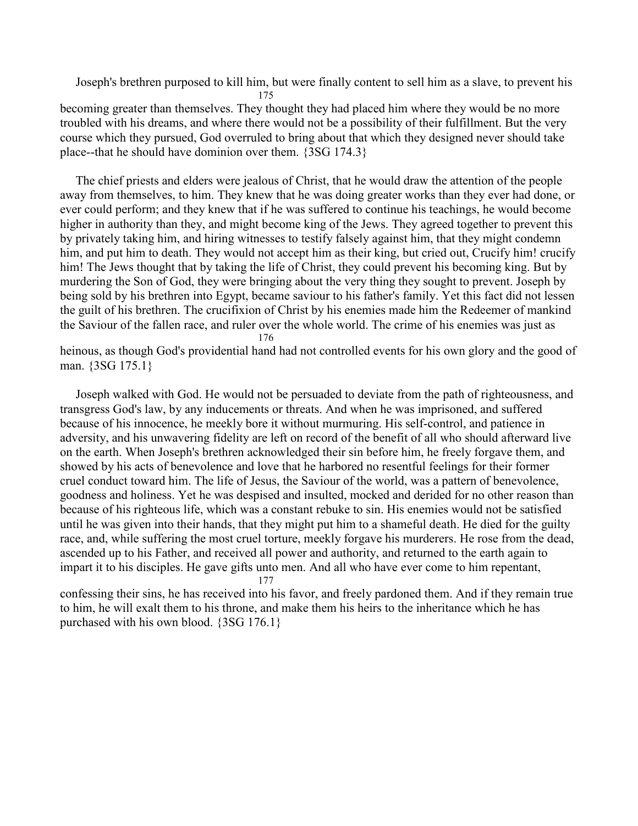Joseph's brethren purposed to kill him, but were finally content to sell him as a slave, to prevent his 175

becoming greater than themselves. They thought they had placed him where they would be no more troubled with his dreams, and where there would not be a possibility of their fulfillment. But the very course which they pursued, God overruled to bring about that which they designed never should take place--that he should have dominion over them. {3SG 174.3}

 The chief priests and elders were jealous of Christ, that he would draw the attention of the people away from themselves, to him. They knew that he was doing greater works than they ever had done, or ever could perform; and they knew that if he was suffered to continue his teachings, he would become higher in authority than they, and might become king of the Jews. They agreed together to prevent this by privately taking him, and hiring witnesses to testify falsely against him, that they might condemn him, and put him to death. They would not accept him as their king, but cried out, Crucify him! crucify him! The Jews thought that by taking the life of Christ, they could prevent his becoming king. But by murdering the Son of God, they were bringing about the very thing they sought to prevent. Joseph by being sold by his brethren into Egypt, became saviour to his father's family. Yet this fact did not lessen the guilt of his brethren. The crucifixion of Christ by his enemies made him the Redeemer of mankind the Saviour of the fallen race, and ruler over the whole world. The crime of his enemies was just as 176

heinous, as though God's providential hand had not controlled events for his own glory and the good of man. {3SG 175.1}

 Joseph walked with God. He would not be persuaded to deviate from the path of righteousness, and transgress God's law, by any inducements or threats. And when he was imprisoned, and suffered because of his innocence, he meekly bore it without murmuring. His self-control, and patience in adversity, and his unwavering fidelity are left on record of the benefit of all who should afterward live on the earth. When Joseph's brethren acknowledged their sin before him, he freely forgave them, and showed by his acts of benevolence and love that he harbored no resentful feelings for their former cruel conduct toward him. The life of Jesus, the Saviour of the world, was a pattern of benevolence, goodness and holiness. Yet he was despised and insulted, mocked and derided for no other reason than because of his righteous life, which was a constant rebuke to sin. His enemies would not be satisfied until he was given into their hands, that they might put him to a shameful death. He died for the guilty race, and, while suffering the most cruel torture, meekly forgave his murderers. He rose from the dead, ascended up to his Father, and received all power and authority, and returned to the earth again to impart it to his disciples. He gave gifts unto men. And all who have ever come to him repentant, 177

confessing their sins, he has received into his favor, and freely pardoned them. And if they remain true to him, he will exalt them to his throne, and make them his heirs to the inheritance which he has purchased with his own blood. {3SG 176.1}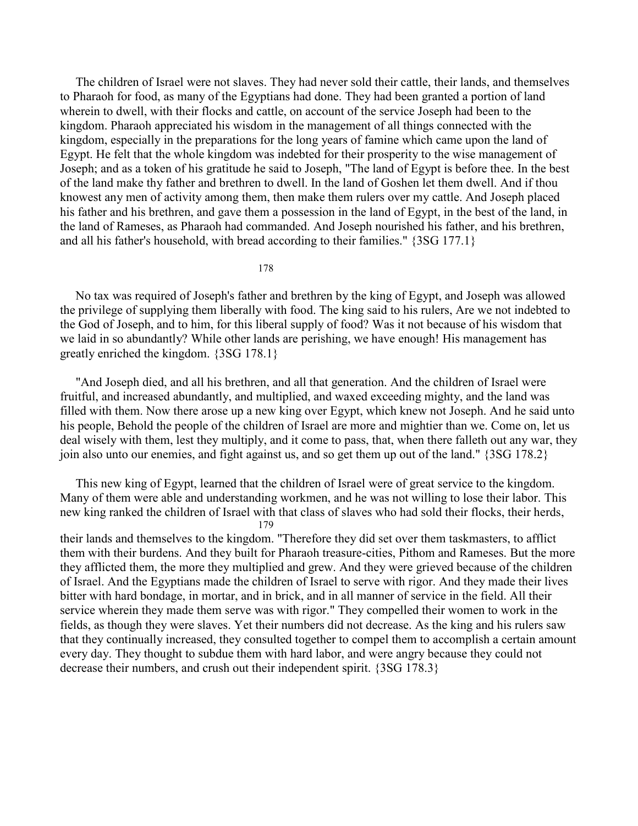The children of Israel were not slaves. They had never sold their cattle, their lands, and themselves to Pharaoh for food, as many of the Egyptians had done. They had been granted a portion of land wherein to dwell, with their flocks and cattle, on account of the service Joseph had been to the kingdom. Pharaoh appreciated his wisdom in the management of all things connected with the kingdom, especially in the preparations for the long years of famine which came upon the land of Egypt. He felt that the whole kingdom was indebted for their prosperity to the wise management of Joseph; and as a token of his gratitude he said to Joseph, "The land of Egypt is before thee. In the best of the land make thy father and brethren to dwell. In the land of Goshen let them dwell. And if thou knowest any men of activity among them, then make them rulers over my cattle. And Joseph placed his father and his brethren, and gave them a possession in the land of Egypt, in the best of the land, in the land of Rameses, as Pharaoh had commanded. And Joseph nourished his father, and his brethren, and all his father's household, with bread according to their families." {3SG 177.1}

178

 No tax was required of Joseph's father and brethren by the king of Egypt, and Joseph was allowed the privilege of supplying them liberally with food. The king said to his rulers, Are we not indebted to the God of Joseph, and to him, for this liberal supply of food? Was it not because of his wisdom that we laid in so abundantly? While other lands are perishing, we have enough! His management has greatly enriched the kingdom. {3SG 178.1}

 "And Joseph died, and all his brethren, and all that generation. And the children of Israel were fruitful, and increased abundantly, and multiplied, and waxed exceeding mighty, and the land was filled with them. Now there arose up a new king over Egypt, which knew not Joseph. And he said unto his people, Behold the people of the children of Israel are more and mightier than we. Come on, let us deal wisely with them, lest they multiply, and it come to pass, that, when there falleth out any war, they join also unto our enemies, and fight against us, and so get them up out of the land." {3SG 178.2}

 This new king of Egypt, learned that the children of Israel were of great service to the kingdom. Many of them were able and understanding workmen, and he was not willing to lose their labor. This new king ranked the children of Israel with that class of slaves who had sold their flocks, their herds, 179

their lands and themselves to the kingdom. "Therefore they did set over them taskmasters, to afflict them with their burdens. And they built for Pharaoh treasure-cities, Pithom and Rameses. But the more they afflicted them, the more they multiplied and grew. And they were grieved because of the children of Israel. And the Egyptians made the children of Israel to serve with rigor. And they made their lives bitter with hard bondage, in mortar, and in brick, and in all manner of service in the field. All their service wherein they made them serve was with rigor." They compelled their women to work in the fields, as though they were slaves. Yet their numbers did not decrease. As the king and his rulers saw that they continually increased, they consulted together to compel them to accomplish a certain amount every day. They thought to subdue them with hard labor, and were angry because they could not decrease their numbers, and crush out their independent spirit. {3SG 178.3}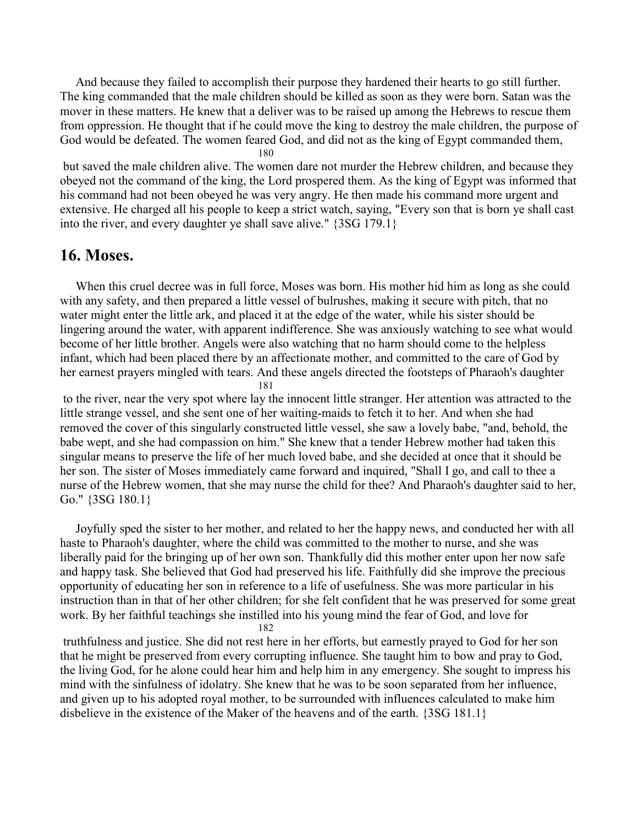And because they failed to accomplish their purpose they hardened their hearts to go still further. The king commanded that the male children should be killed as soon as they were born. Satan was the mover in these matters. He knew that a deliver was to be raised up among the Hebrews to rescue them from oppression. He thought that if he could move the king to destroy the male children, the purpose of God would be defeated. The women feared God, and did not as the king of Egypt commanded them,

180

 but saved the male children alive. The women dare not murder the Hebrew children, and because they obeyed not the command of the king, the Lord prospered them. As the king of Egypt was informed that his command had not been obeyed he was very angry. He then made his command more urgent and extensive. He charged all his people to keep a strict watch, saying, "Every son that is born ye shall cast into the river, and every daughter ye shall save alive." {3SG 179.1}

### **16. Moses.**

 When this cruel decree was in full force, Moses was born. His mother hid him as long as she could with any safety, and then prepared a little vessel of bulrushes, making it secure with pitch, that no water might enter the little ark, and placed it at the edge of the water, while his sister should be lingering around the water, with apparent indifference. She was anxiously watching to see what would become of her little brother. Angels were also watching that no harm should come to the helpless infant, which had been placed there by an affectionate mother, and committed to the care of God by her earnest prayers mingled with tears. And these angels directed the footsteps of Pharaoh's daughter 181

 to the river, near the very spot where lay the innocent little stranger. Her attention was attracted to the little strange vessel, and she sent one of her waiting-maids to fetch it to her. And when she had removed the cover of this singularly constructed little vessel, she saw a lovely babe, "and, behold, the babe wept, and she had compassion on him." She knew that a tender Hebrew mother had taken this singular means to preserve the life of her much loved babe, and she decided at once that it should be her son. The sister of Moses immediately came forward and inquired, "Shall I go, and call to thee a nurse of the Hebrew women, that she may nurse the child for thee? And Pharaoh's daughter said to her, Go." {3SG 180.1}

 Joyfully sped the sister to her mother, and related to her the happy news, and conducted her with all haste to Pharaoh's daughter, where the child was committed to the mother to nurse, and she was liberally paid for the bringing up of her own son. Thankfully did this mother enter upon her now safe and happy task. She believed that God had preserved his life. Faithfully did she improve the precious opportunity of educating her son in reference to a life of usefulness. She was more particular in his instruction than in that of her other children; for she felt confident that he was preserved for some great work. By her faithful teachings she instilled into his young mind the fear of God, and love for 182

 truthfulness and justice. She did not rest here in her efforts, but earnestly prayed to God for her son that he might be preserved from every corrupting influence. She taught him to bow and pray to God, the living God, for he alone could hear him and help him in any emergency. She sought to impress his mind with the sinfulness of idolatry. She knew that he was to be soon separated from her influence, and given up to his adopted royal mother, to be surrounded with influences calculated to make him disbelieve in the existence of the Maker of the heavens and of the earth. {3SG 181.1}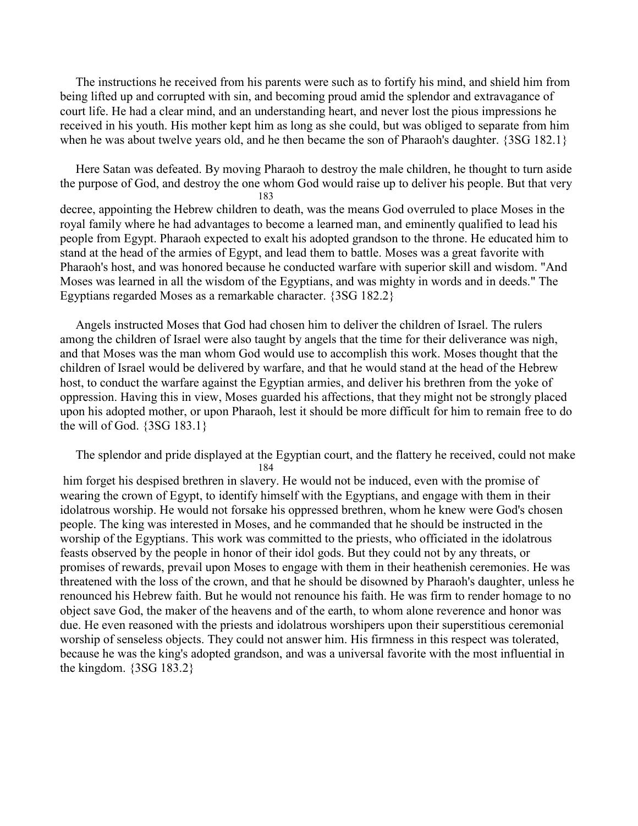The instructions he received from his parents were such as to fortify his mind, and shield him from being lifted up and corrupted with sin, and becoming proud amid the splendor and extravagance of court life. He had a clear mind, and an understanding heart, and never lost the pious impressions he received in his youth. His mother kept him as long as she could, but was obliged to separate from him when he was about twelve years old, and he then became the son of Pharaoh's daughter. {3SG 182.1}

 Here Satan was defeated. By moving Pharaoh to destroy the male children, he thought to turn aside the purpose of God, and destroy the one whom God would raise up to deliver his people. But that very 183 decree, appointing the Hebrew children to death, was the means God overruled to place Moses in the royal family where he had advantages to become a learned man, and eminently qualified to lead his

people from Egypt. Pharaoh expected to exalt his adopted grandson to the throne. He educated him to stand at the head of the armies of Egypt, and lead them to battle. Moses was a great favorite with Pharaoh's host, and was honored because he conducted warfare with superior skill and wisdom. "And Moses was learned in all the wisdom of the Egyptians, and was mighty in words and in deeds." The Egyptians regarded Moses as a remarkable character. {3SG 182.2}

 Angels instructed Moses that God had chosen him to deliver the children of Israel. The rulers among the children of Israel were also taught by angels that the time for their deliverance was nigh, and that Moses was the man whom God would use to accomplish this work. Moses thought that the children of Israel would be delivered by warfare, and that he would stand at the head of the Hebrew host, to conduct the warfare against the Egyptian armies, and deliver his brethren from the yoke of oppression. Having this in view, Moses guarded his affections, that they might not be strongly placed upon his adopted mother, or upon Pharaoh, lest it should be more difficult for him to remain free to do the will of God. {3SG 183.1}

 The splendor and pride displayed at the Egyptian court, and the flattery he received, could not make 184

 him forget his despised brethren in slavery. He would not be induced, even with the promise of wearing the crown of Egypt, to identify himself with the Egyptians, and engage with them in their idolatrous worship. He would not forsake his oppressed brethren, whom he knew were God's chosen people. The king was interested in Moses, and he commanded that he should be instructed in the worship of the Egyptians. This work was committed to the priests, who officiated in the idolatrous feasts observed by the people in honor of their idol gods. But they could not by any threats, or promises of rewards, prevail upon Moses to engage with them in their heathenish ceremonies. He was threatened with the loss of the crown, and that he should be disowned by Pharaoh's daughter, unless he renounced his Hebrew faith. But he would not renounce his faith. He was firm to render homage to no object save God, the maker of the heavens and of the earth, to whom alone reverence and honor was due. He even reasoned with the priests and idolatrous worshipers upon their superstitious ceremonial worship of senseless objects. They could not answer him. His firmness in this respect was tolerated, because he was the king's adopted grandson, and was a universal favorite with the most influential in the kingdom. {3SG 183.2}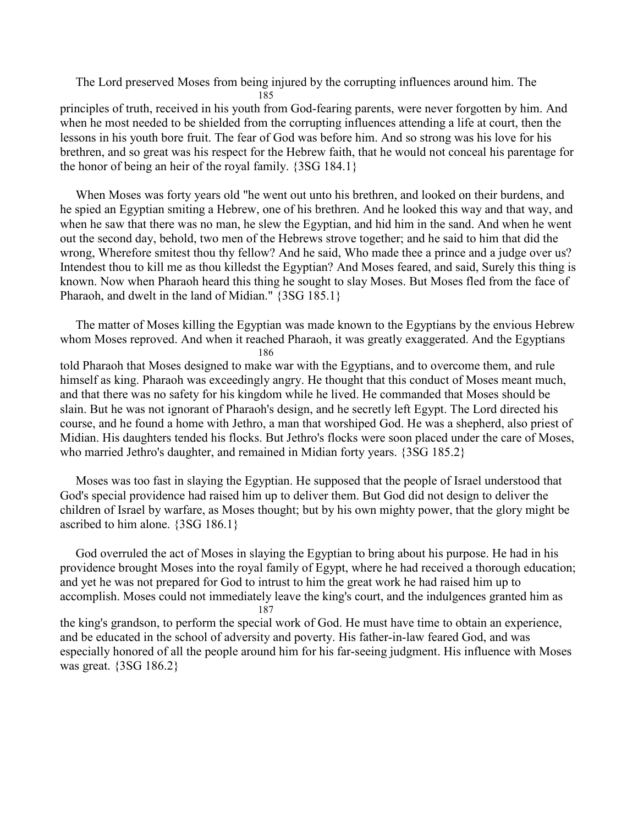The Lord preserved Moses from being injured by the corrupting influences around him. The<br>185 185

principles of truth, received in his youth from God-fearing parents, were never forgotten by him. And when he most needed to be shielded from the corrupting influences attending a life at court, then the lessons in his youth bore fruit. The fear of God was before him. And so strong was his love for his brethren, and so great was his respect for the Hebrew faith, that he would not conceal his parentage for the honor of being an heir of the royal family. {3SG 184.1}

 When Moses was forty years old "he went out unto his brethren, and looked on their burdens, and he spied an Egyptian smiting a Hebrew, one of his brethren. And he looked this way and that way, and when he saw that there was no man, he slew the Egyptian, and hid him in the sand. And when he went out the second day, behold, two men of the Hebrews strove together; and he said to him that did the wrong, Wherefore smitest thou thy fellow? And he said, Who made thee a prince and a judge over us? Intendest thou to kill me as thou killedst the Egyptian? And Moses feared, and said, Surely this thing is known. Now when Pharaoh heard this thing he sought to slay Moses. But Moses fled from the face of Pharaoh, and dwelt in the land of Midian." {3SG 185.1}

 The matter of Moses killing the Egyptian was made known to the Egyptians by the envious Hebrew whom Moses reproved. And when it reached Pharaoh, it was greatly exaggerated. And the Egyptians 186

told Pharaoh that Moses designed to make war with the Egyptians, and to overcome them, and rule himself as king. Pharaoh was exceedingly angry. He thought that this conduct of Moses meant much, and that there was no safety for his kingdom while he lived. He commanded that Moses should be slain. But he was not ignorant of Pharaoh's design, and he secretly left Egypt. The Lord directed his course, and he found a home with Jethro, a man that worshiped God. He was a shepherd, also priest of Midian. His daughters tended his flocks. But Jethro's flocks were soon placed under the care of Moses, who married Jethro's daughter, and remained in Midian forty years. {3SG 185.2}

 Moses was too fast in slaying the Egyptian. He supposed that the people of Israel understood that God's special providence had raised him up to deliver them. But God did not design to deliver the children of Israel by warfare, as Moses thought; but by his own mighty power, that the glory might be ascribed to him alone. {3SG 186.1}

 God overruled the act of Moses in slaying the Egyptian to bring about his purpose. He had in his providence brought Moses into the royal family of Egypt, where he had received a thorough education; and yet he was not prepared for God to intrust to him the great work he had raised him up to accomplish. Moses could not immediately leave the king's court, and the indulgences granted him as 187

the king's grandson, to perform the special work of God. He must have time to obtain an experience, and be educated in the school of adversity and poverty. His father-in-law feared God, and was especially honored of all the people around him for his far-seeing judgment. His influence with Moses was great. {3SG 186.2}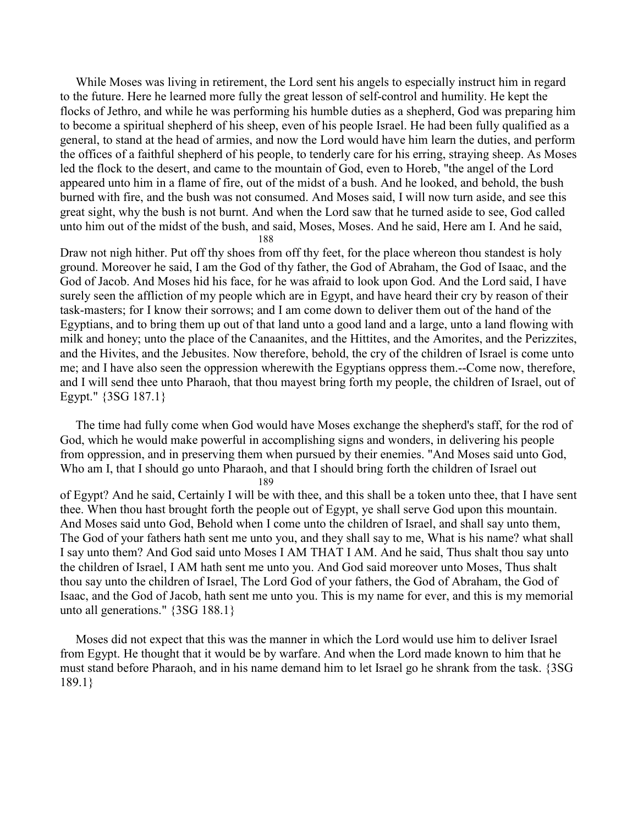While Moses was living in retirement, the Lord sent his angels to especially instruct him in regard to the future. Here he learned more fully the great lesson of self-control and humility. He kept the flocks of Jethro, and while he was performing his humble duties as a shepherd, God was preparing him to become a spiritual shepherd of his sheep, even of his people Israel. He had been fully qualified as a general, to stand at the head of armies, and now the Lord would have him learn the duties, and perform the offices of a faithful shepherd of his people, to tenderly care for his erring, straying sheep. As Moses led the flock to the desert, and came to the mountain of God, even to Horeb, "the angel of the Lord appeared unto him in a flame of fire, out of the midst of a bush. And he looked, and behold, the bush burned with fire, and the bush was not consumed. And Moses said, I will now turn aside, and see this great sight, why the bush is not burnt. And when the Lord saw that he turned aside to see, God called unto him out of the midst of the bush, and said, Moses, Moses. And he said, Here am I. And he said, 188

Draw not nigh hither. Put off thy shoes from off thy feet, for the place whereon thou standest is holy ground. Moreover he said, I am the God of thy father, the God of Abraham, the God of Isaac, and the God of Jacob. And Moses hid his face, for he was afraid to look upon God. And the Lord said, I have surely seen the affliction of my people which are in Egypt, and have heard their cry by reason of their task-masters; for I know their sorrows; and I am come down to deliver them out of the hand of the Egyptians, and to bring them up out of that land unto a good land and a large, unto a land flowing with milk and honey; unto the place of the Canaanites, and the Hittites, and the Amorites, and the Perizzites, and the Hivites, and the Jebusites. Now therefore, behold, the cry of the children of Israel is come unto me; and I have also seen the oppression wherewith the Egyptians oppress them.--Come now, therefore, and I will send thee unto Pharaoh, that thou mayest bring forth my people, the children of Israel, out of Egypt." {3SG 187.1}

 The time had fully come when God would have Moses exchange the shepherd's staff, for the rod of God, which he would make powerful in accomplishing signs and wonders, in delivering his people from oppression, and in preserving them when pursued by their enemies. "And Moses said unto God, Who am I, that I should go unto Pharaoh, and that I should bring forth the children of Israel out 189 189

of Egypt? And he said, Certainly I will be with thee, and this shall be a token unto thee, that I have sent thee. When thou hast brought forth the people out of Egypt, ye shall serve God upon this mountain. And Moses said unto God, Behold when I come unto the children of Israel, and shall say unto them, The God of your fathers hath sent me unto you, and they shall say to me, What is his name? what shall I say unto them? And God said unto Moses I AM THAT I AM. And he said, Thus shalt thou say unto the children of Israel, I AM hath sent me unto you. And God said moreover unto Moses, Thus shalt thou say unto the children of Israel, The Lord God of your fathers, the God of Abraham, the God of Isaac, and the God of Jacob, hath sent me unto you. This is my name for ever, and this is my memorial unto all generations." {3SG 188.1}

 Moses did not expect that this was the manner in which the Lord would use him to deliver Israel from Egypt. He thought that it would be by warfare. And when the Lord made known to him that he must stand before Pharaoh, and in his name demand him to let Israel go he shrank from the task. {3SG 189.1}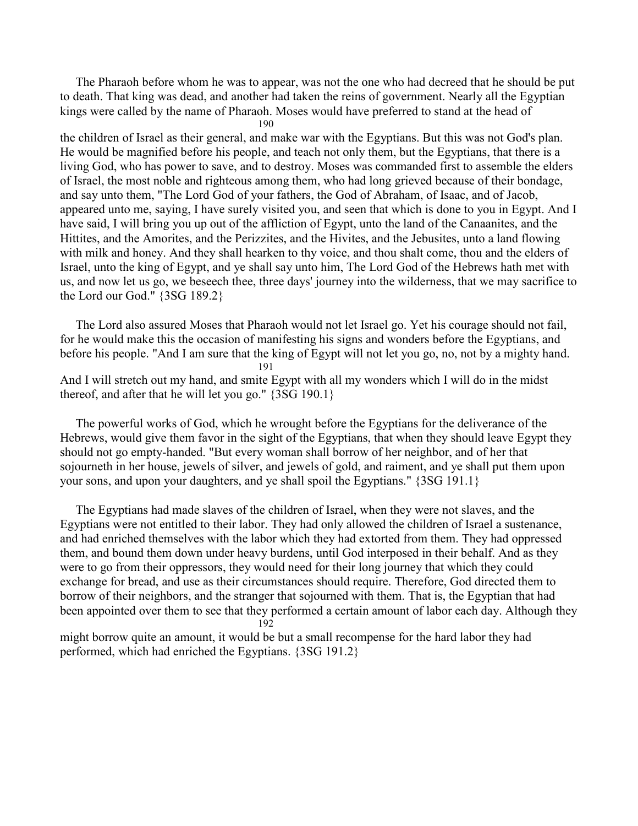The Pharaoh before whom he was to appear, was not the one who had decreed that he should be put to death. That king was dead, and another had taken the reins of government. Nearly all the Egyptian kings were called by the name of Pharaoh. Moses would have preferred to stand at the head of

190

the children of Israel as their general, and make war with the Egyptians. But this was not God's plan. He would be magnified before his people, and teach not only them, but the Egyptians, that there is a living God, who has power to save, and to destroy. Moses was commanded first to assemble the elders of Israel, the most noble and righteous among them, who had long grieved because of their bondage, and say unto them, "The Lord God of your fathers, the God of Abraham, of Isaac, and of Jacob, appeared unto me, saying, I have surely visited you, and seen that which is done to you in Egypt. And I have said, I will bring you up out of the affliction of Egypt, unto the land of the Canaanites, and the Hittites, and the Amorites, and the Perizzites, and the Hivites, and the Jebusites, unto a land flowing with milk and honey. And they shall hearken to thy voice, and thou shalt come, thou and the elders of Israel, unto the king of Egypt, and ye shall say unto him, The Lord God of the Hebrews hath met with us, and now let us go, we beseech thee, three days' journey into the wilderness, that we may sacrifice to the Lord our God." {3SG 189.2}

 The Lord also assured Moses that Pharaoh would not let Israel go. Yet his courage should not fail, for he would make this the occasion of manifesting his signs and wonders before the Egyptians, and before his people. "And I am sure that the king of Egypt will not let you go, no, not by a mighty hand. 191 And I will stretch out my hand, and smite Egypt with all my wonders which I will do in the midst thereof, and after that he will let you go." {3SG 190.1}

 The powerful works of God, which he wrought before the Egyptians for the deliverance of the Hebrews, would give them favor in the sight of the Egyptians, that when they should leave Egypt they should not go empty-handed. "But every woman shall borrow of her neighbor, and of her that sojourneth in her house, jewels of silver, and jewels of gold, and raiment, and ye shall put them upon your sons, and upon your daughters, and ye shall spoil the Egyptians." {3SG 191.1}

 The Egyptians had made slaves of the children of Israel, when they were not slaves, and the Egyptians were not entitled to their labor. They had only allowed the children of Israel a sustenance, and had enriched themselves with the labor which they had extorted from them. They had oppressed them, and bound them down under heavy burdens, until God interposed in their behalf. And as they were to go from their oppressors, they would need for their long journey that which they could exchange for bread, and use as their circumstances should require. Therefore, God directed them to borrow of their neighbors, and the stranger that sojourned with them. That is, the Egyptian that had been appointed over them to see that they performed a certain amount of labor each day. Although they

 192 might borrow quite an amount, it would be but a small recompense for the hard labor they had performed, which had enriched the Egyptians. {3SG 191.2}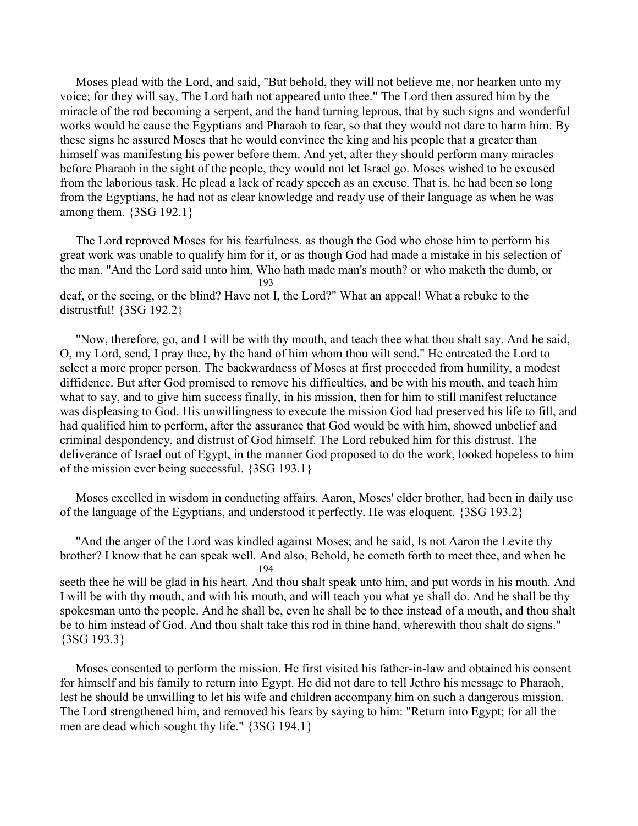Moses plead with the Lord, and said, "But behold, they will not believe me, nor hearken unto my voice; for they will say, The Lord hath not appeared unto thee." The Lord then assured him by the miracle of the rod becoming a serpent, and the hand turning leprous, that by such signs and wonderful works would he cause the Egyptians and Pharaoh to fear, so that they would not dare to harm him. By these signs he assured Moses that he would convince the king and his people that a greater than himself was manifesting his power before them. And yet, after they should perform many miracles before Pharaoh in the sight of the people, they would not let Israel go. Moses wished to be excused from the laborious task. He plead a lack of ready speech as an excuse. That is, he had been so long from the Egyptians, he had not as clear knowledge and ready use of their language as when he was among them. {3SG 192.1}

 The Lord reproved Moses for his fearfulness, as though the God who chose him to perform his great work was unable to qualify him for it, or as though God had made a mistake in his selection of the man. "And the Lord said unto him, Who hath made man's mouth? or who maketh the dumb, or 193 deaf, or the seeing, or the blind? Have not I, the Lord?" What an appeal! What a rebuke to the distrustful! {3SG 192.2}

 "Now, therefore, go, and I will be with thy mouth, and teach thee what thou shalt say. And he said, O, my Lord, send, I pray thee, by the hand of him whom thou wilt send." He entreated the Lord to select a more proper person. The backwardness of Moses at first proceeded from humility, a modest diffidence. But after God promised to remove his difficulties, and be with his mouth, and teach him what to say, and to give him success finally, in his mission, then for him to still manifest reluctance was displeasing to God. His unwillingness to execute the mission God had preserved his life to fill, and had qualified him to perform, after the assurance that God would be with him, showed unbelief and criminal despondency, and distrust of God himself. The Lord rebuked him for this distrust. The deliverance of Israel out of Egypt, in the manner God proposed to do the work, looked hopeless to him of the mission ever being successful. {3SG 193.1}

 Moses excelled in wisdom in conducting affairs. Aaron, Moses' elder brother, had been in daily use of the language of the Egyptians, and understood it perfectly. He was eloquent. {3SG 193.2}

 "And the anger of the Lord was kindled against Moses; and he said, Is not Aaron the Levite thy brother? I know that he can speak well. And also, Behold, he cometh forth to meet thee, and when he 194 seeth thee he will be glad in his heart. And thou shalt speak unto him, and put words in his mouth. And I will be with thy mouth, and with his mouth, and will teach you what ye shall do. And he shall be thy spokesman unto the people. And he shall be, even he shall be to thee instead of a mouth, and thou shalt be to him instead of God. And thou shalt take this rod in thine hand, wherewith thou shalt do signs."  ${3SG 193.3}$ 

 Moses consented to perform the mission. He first visited his father-in-law and obtained his consent for himself and his family to return into Egypt. He did not dare to tell Jethro his message to Pharaoh, lest he should be unwilling to let his wife and children accompany him on such a dangerous mission. The Lord strengthened him, and removed his fears by saying to him: "Return into Egypt; for all the men are dead which sought thy life." {3SG 194.1}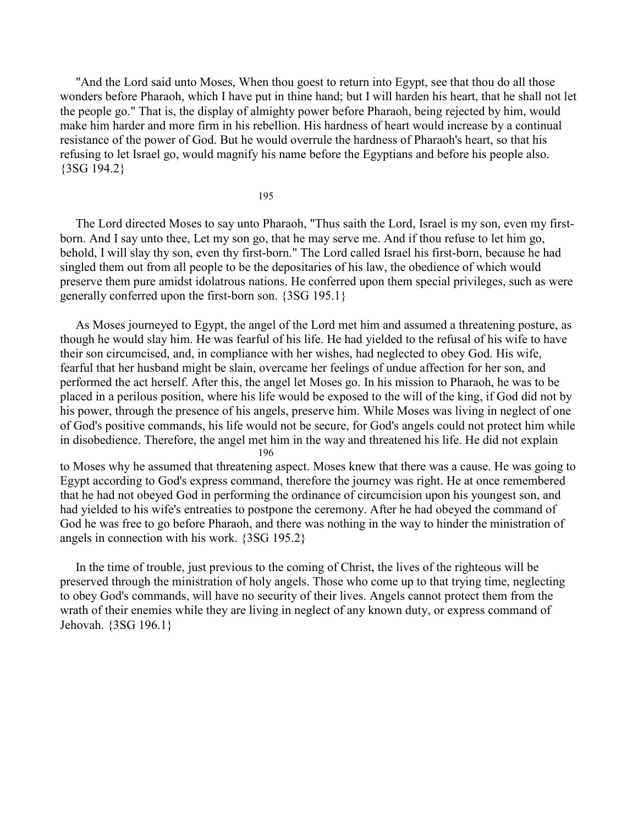"And the Lord said unto Moses, When thou goest to return into Egypt, see that thou do all those wonders before Pharaoh, which I have put in thine hand; but I will harden his heart, that he shall not let the people go." That is, the display of almighty power before Pharaoh, being rejected by him, would make him harder and more firm in his rebellion. His hardness of heart would increase by a continual resistance of the power of God. But he would overrule the hardness of Pharaoh's heart, so that his refusing to let Israel go, would magnify his name before the Egyptians and before his people also. {3SG 194.2}

195

 The Lord directed Moses to say unto Pharaoh, "Thus saith the Lord, Israel is my son, even my firstborn. And I say unto thee, Let my son go, that he may serve me. And if thou refuse to let him go, behold, I will slay thy son, even thy first-born." The Lord called Israel his first-born, because he had singled them out from all people to be the depositaries of his law, the obedience of which would preserve them pure amidst idolatrous nations. He conferred upon them special privileges, such as were generally conferred upon the first-born son. {3SG 195.1}

 As Moses journeyed to Egypt, the angel of the Lord met him and assumed a threatening posture, as though he would slay him. He was fearful of his life. He had yielded to the refusal of his wife to have their son circumcised, and, in compliance with her wishes, had neglected to obey God. His wife, fearful that her husband might be slain, overcame her feelings of undue affection for her son, and performed the act herself. After this, the angel let Moses go. In his mission to Pharaoh, he was to be placed in a perilous position, where his life would be exposed to the will of the king, if God did not by his power, through the presence of his angels, preserve him. While Moses was living in neglect of one of God's positive commands, his life would not be secure, for God's angels could not protect him while in disobedience. Therefore, the angel met him in the way and threatened his life. He did not explain

 196 to Moses why he assumed that threatening aspect. Moses knew that there was a cause. He was going to Egypt according to God's express command, therefore the journey was right. He at once remembered that he had not obeyed God in performing the ordinance of circumcision upon his youngest son, and had yielded to his wife's entreaties to postpone the ceremony. After he had obeyed the command of God he was free to go before Pharaoh, and there was nothing in the way to hinder the ministration of angels in connection with his work. {3SG 195.2}

 In the time of trouble, just previous to the coming of Christ, the lives of the righteous will be preserved through the ministration of holy angels. Those who come up to that trying time, neglecting to obey God's commands, will have no security of their lives. Angels cannot protect them from the wrath of their enemies while they are living in neglect of any known duty, or express command of Jehovah. {3SG 196.1}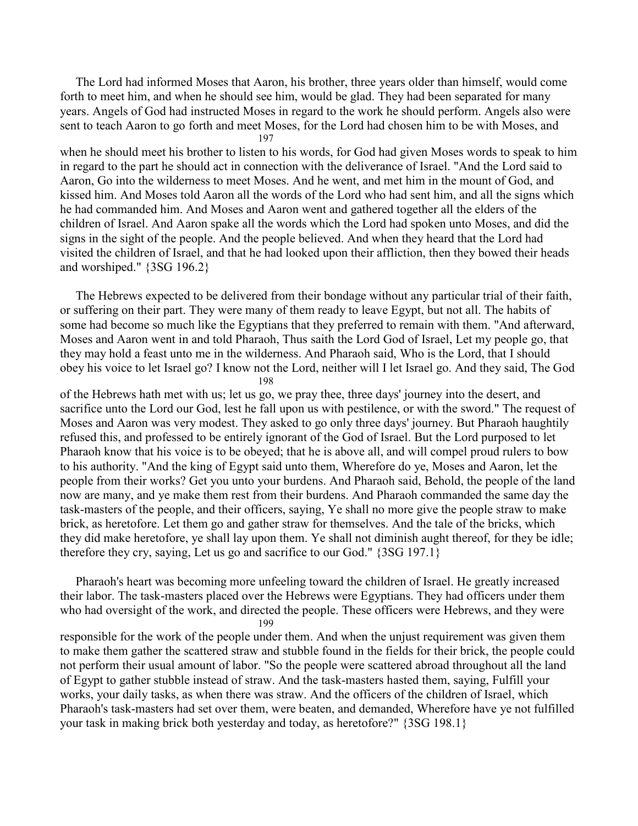The Lord had informed Moses that Aaron, his brother, three years older than himself, would come forth to meet him, and when he should see him, would be glad. They had been separated for many years. Angels of God had instructed Moses in regard to the work he should perform. Angels also were sent to teach Aaron to go forth and meet Moses, for the Lord had chosen him to be with Moses, and 197

when he should meet his brother to listen to his words, for God had given Moses words to speak to him in regard to the part he should act in connection with the deliverance of Israel. "And the Lord said to Aaron, Go into the wilderness to meet Moses. And he went, and met him in the mount of God, and kissed him. And Moses told Aaron all the words of the Lord who had sent him, and all the signs which he had commanded him. And Moses and Aaron went and gathered together all the elders of the children of Israel. And Aaron spake all the words which the Lord had spoken unto Moses, and did the signs in the sight of the people. And the people believed. And when they heard that the Lord had visited the children of Israel, and that he had looked upon their affliction, then they bowed their heads and worshiped." {3SG 196.2}

 The Hebrews expected to be delivered from their bondage without any particular trial of their faith, or suffering on their part. They were many of them ready to leave Egypt, but not all. The habits of some had become so much like the Egyptians that they preferred to remain with them. "And afterward, Moses and Aaron went in and told Pharaoh, Thus saith the Lord God of Israel, Let my people go, that they may hold a feast unto me in the wilderness. And Pharaoh said, Who is the Lord, that I should obey his voice to let Israel go? I know not the Lord, neither will I let Israel go. And they said, The God 198

of the Hebrews hath met with us; let us go, we pray thee, three days' journey into the desert, and sacrifice unto the Lord our God, lest he fall upon us with pestilence, or with the sword." The request of Moses and Aaron was very modest. They asked to go only three days' journey. But Pharaoh haughtily refused this, and professed to be entirely ignorant of the God of Israel. But the Lord purposed to let Pharaoh know that his voice is to be obeyed; that he is above all, and will compel proud rulers to bow to his authority. "And the king of Egypt said unto them, Wherefore do ye, Moses and Aaron, let the people from their works? Get you unto your burdens. And Pharaoh said, Behold, the people of the land now are many, and ye make them rest from their burdens. And Pharaoh commanded the same day the task-masters of the people, and their officers, saying, Ye shall no more give the people straw to make brick, as heretofore. Let them go and gather straw for themselves. And the tale of the bricks, which they did make heretofore, ye shall lay upon them. Ye shall not diminish aught thereof, for they be idle; therefore they cry, saying, Let us go and sacrifice to our God." {3SG 197.1}

 Pharaoh's heart was becoming more unfeeling toward the children of Israel. He greatly increased their labor. The task-masters placed over the Hebrews were Egyptians. They had officers under them who had oversight of the work, and directed the people. These officers were Hebrews, and they were 199

responsible for the work of the people under them. And when the unjust requirement was given them to make them gather the scattered straw and stubble found in the fields for their brick, the people could not perform their usual amount of labor. "So the people were scattered abroad throughout all the land of Egypt to gather stubble instead of straw. And the task-masters hasted them, saying, Fulfill your works, your daily tasks, as when there was straw. And the officers of the children of Israel, which Pharaoh's task-masters had set over them, were beaten, and demanded, Wherefore have ye not fulfilled your task in making brick both yesterday and today, as heretofore?" {3SG 198.1}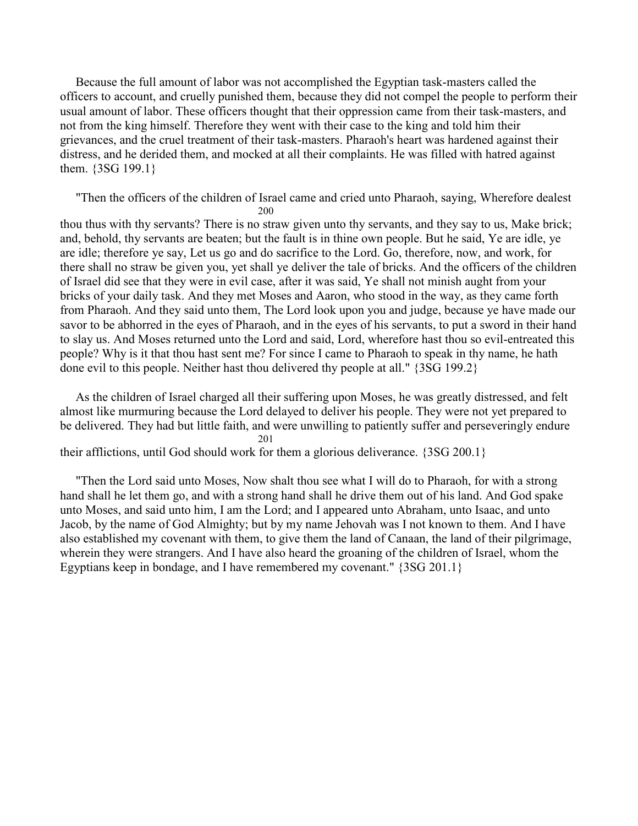Because the full amount of labor was not accomplished the Egyptian task-masters called the officers to account, and cruelly punished them, because they did not compel the people to perform their usual amount of labor. These officers thought that their oppression came from their task-masters, and not from the king himself. Therefore they went with their case to the king and told him their grievances, and the cruel treatment of their task-masters. Pharaoh's heart was hardened against their distress, and he derided them, and mocked at all their complaints. He was filled with hatred against them. {3SG 199.1}

 "Then the officers of the children of Israel came and cried unto Pharaoh, saying, Wherefore dealest 200

thou thus with thy servants? There is no straw given unto thy servants, and they say to us, Make brick; and, behold, thy servants are beaten; but the fault is in thine own people. But he said, Ye are idle, ye are idle; therefore ye say, Let us go and do sacrifice to the Lord. Go, therefore, now, and work, for there shall no straw be given you, yet shall ye deliver the tale of bricks. And the officers of the children of Israel did see that they were in evil case, after it was said, Ye shall not minish aught from your bricks of your daily task. And they met Moses and Aaron, who stood in the way, as they came forth from Pharaoh. And they said unto them, The Lord look upon you and judge, because ye have made our savor to be abhorred in the eyes of Pharaoh, and in the eyes of his servants, to put a sword in their hand to slay us. And Moses returned unto the Lord and said, Lord, wherefore hast thou so evil-entreated this people? Why is it that thou hast sent me? For since I came to Pharaoh to speak in thy name, he hath done evil to this people. Neither hast thou delivered thy people at all." {3SG 199.2}

 As the children of Israel charged all their suffering upon Moses, he was greatly distressed, and felt almost like murmuring because the Lord delayed to deliver his people. They were not yet prepared to be delivered. They had but little faith, and were unwilling to patiently suffer and perseveringly endure 201

their afflictions, until God should work for them a glorious deliverance. {3SG 200.1}

 "Then the Lord said unto Moses, Now shalt thou see what I will do to Pharaoh, for with a strong hand shall he let them go, and with a strong hand shall he drive them out of his land. And God spake unto Moses, and said unto him, I am the Lord; and I appeared unto Abraham, unto Isaac, and unto Jacob, by the name of God Almighty; but by my name Jehovah was I not known to them. And I have also established my covenant with them, to give them the land of Canaan, the land of their pilgrimage, wherein they were strangers. And I have also heard the groaning of the children of Israel, whom the Egyptians keep in bondage, and I have remembered my covenant." {3SG 201.1}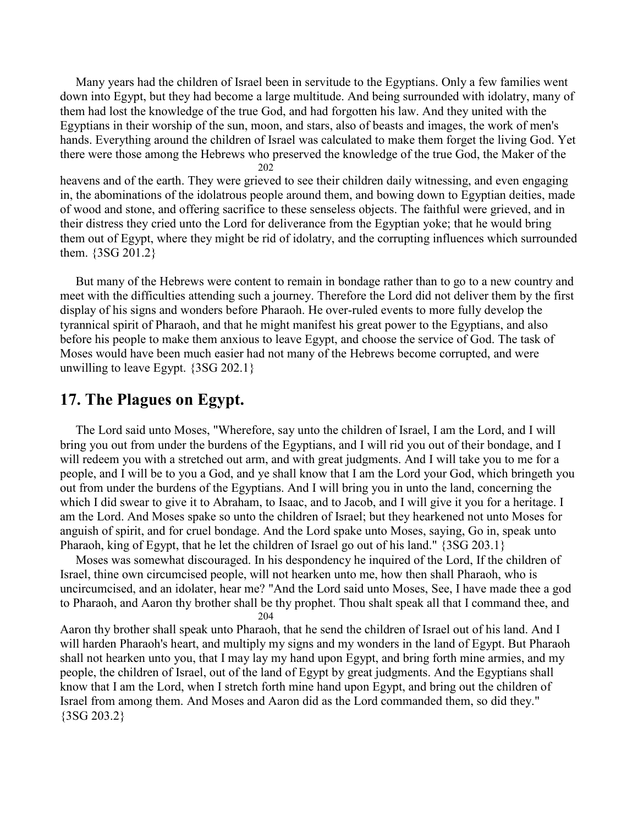Many years had the children of Israel been in servitude to the Egyptians. Only a few families went down into Egypt, but they had become a large multitude. And being surrounded with idolatry, many of them had lost the knowledge of the true God, and had forgotten his law. And they united with the Egyptians in their worship of the sun, moon, and stars, also of beasts and images, the work of men's hands. Everything around the children of Israel was calculated to make them forget the living God. Yet there were those among the Hebrews who preserved the knowledge of the true God, the Maker of the 202

heavens and of the earth. They were grieved to see their children daily witnessing, and even engaging in, the abominations of the idolatrous people around them, and bowing down to Egyptian deities, made of wood and stone, and offering sacrifice to these senseless objects. The faithful were grieved, and in their distress they cried unto the Lord for deliverance from the Egyptian yoke; that he would bring them out of Egypt, where they might be rid of idolatry, and the corrupting influences which surrounded them. {3SG 201.2}

 But many of the Hebrews were content to remain in bondage rather than to go to a new country and meet with the difficulties attending such a journey. Therefore the Lord did not deliver them by the first display of his signs and wonders before Pharaoh. He over-ruled events to more fully develop the tyrannical spirit of Pharaoh, and that he might manifest his great power to the Egyptians, and also before his people to make them anxious to leave Egypt, and choose the service of God. The task of Moses would have been much easier had not many of the Hebrews become corrupted, and were unwilling to leave Egypt. {3SG 202.1}

#### **17. The Plagues on Egypt.**

 The Lord said unto Moses, "Wherefore, say unto the children of Israel, I am the Lord, and I will bring you out from under the burdens of the Egyptians, and I will rid you out of their bondage, and I will redeem you with a stretched out arm, and with great judgments. And I will take you to me for a people, and I will be to you a God, and ye shall know that I am the Lord your God, which bringeth you out from under the burdens of the Egyptians. And I will bring you in unto the land, concerning the which I did swear to give it to Abraham, to Isaac, and to Jacob, and I will give it you for a heritage. I am the Lord. And Moses spake so unto the children of Israel; but they hearkened not unto Moses for anguish of spirit, and for cruel bondage. And the Lord spake unto Moses, saying, Go in, speak unto Pharaoh, king of Egypt, that he let the children of Israel go out of his land." {3SG 203.1}

 Moses was somewhat discouraged. In his despondency he inquired of the Lord, If the children of Israel, thine own circumcised people, will not hearken unto me, how then shall Pharaoh, who is uncircumcised, and an idolater, hear me? "And the Lord said unto Moses, See, I have made thee a god to Pharaoh, and Aaron thy brother shall be thy prophet. Thou shalt speak all that I command thee, and 204

Aaron thy brother shall speak unto Pharaoh, that he send the children of Israel out of his land. And I will harden Pharaoh's heart, and multiply my signs and my wonders in the land of Egypt. But Pharaoh shall not hearken unto you, that I may lay my hand upon Egypt, and bring forth mine armies, and my people, the children of Israel, out of the land of Egypt by great judgments. And the Egyptians shall know that I am the Lord, when I stretch forth mine hand upon Egypt, and bring out the children of Israel from among them. And Moses and Aaron did as the Lord commanded them, so did they." {3SG 203.2}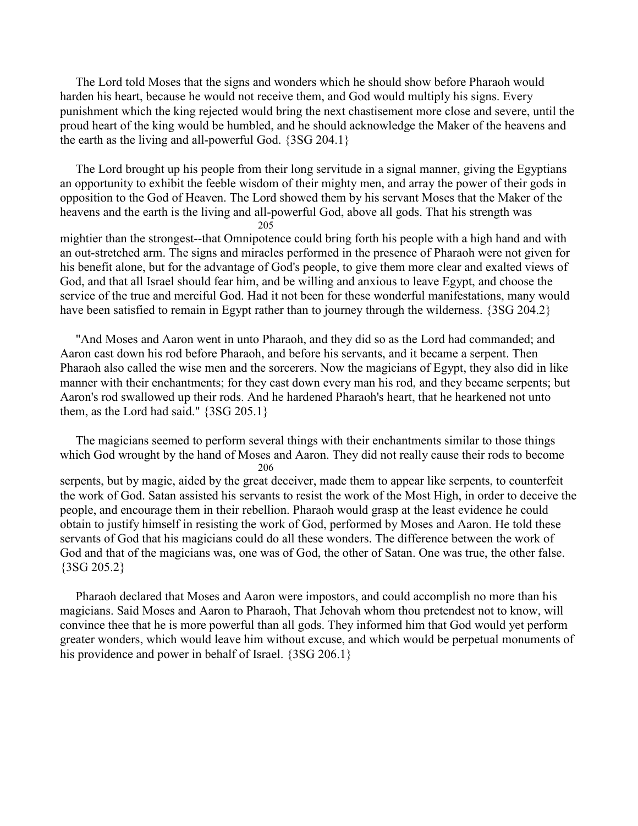The Lord told Moses that the signs and wonders which he should show before Pharaoh would harden his heart, because he would not receive them, and God would multiply his signs. Every punishment which the king rejected would bring the next chastisement more close and severe, until the proud heart of the king would be humbled, and he should acknowledge the Maker of the heavens and the earth as the living and all-powerful God. {3SG 204.1}

 The Lord brought up his people from their long servitude in a signal manner, giving the Egyptians an opportunity to exhibit the feeble wisdom of their mighty men, and array the power of their gods in opposition to the God of Heaven. The Lord showed them by his servant Moses that the Maker of the heavens and the earth is the living and all-powerful God, above all gods. That his strength was 205

mightier than the strongest--that Omnipotence could bring forth his people with a high hand and with an out-stretched arm. The signs and miracles performed in the presence of Pharaoh were not given for his benefit alone, but for the advantage of God's people, to give them more clear and exalted views of God, and that all Israel should fear him, and be willing and anxious to leave Egypt, and choose the service of the true and merciful God. Had it not been for these wonderful manifestations, many would have been satisfied to remain in Egypt rather than to journey through the wilderness. {3SG 204.2}

 "And Moses and Aaron went in unto Pharaoh, and they did so as the Lord had commanded; and Aaron cast down his rod before Pharaoh, and before his servants, and it became a serpent. Then Pharaoh also called the wise men and the sorcerers. Now the magicians of Egypt, they also did in like manner with their enchantments; for they cast down every man his rod, and they became serpents; but Aaron's rod swallowed up their rods. And he hardened Pharaoh's heart, that he hearkened not unto them, as the Lord had said." {3SG 205.1}

 The magicians seemed to perform several things with their enchantments similar to those things which God wrought by the hand of Moses and Aaron. They did not really cause their rods to become 206 serpents, but by magic, aided by the great deceiver, made them to appear like serpents, to counterfeit the work of God. Satan assisted his servants to resist the work of the Most High, in order to deceive the people, and encourage them in their rebellion. Pharaoh would grasp at the least evidence he could obtain to justify himself in resisting the work of God, performed by Moses and Aaron. He told these servants of God that his magicians could do all these wonders. The difference between the work of God and that of the magicians was, one was of God, the other of Satan. One was true, the other false.  ${3SG 205.2}$ 

 Pharaoh declared that Moses and Aaron were impostors, and could accomplish no more than his magicians. Said Moses and Aaron to Pharaoh, That Jehovah whom thou pretendest not to know, will convince thee that he is more powerful than all gods. They informed him that God would yet perform greater wonders, which would leave him without excuse, and which would be perpetual monuments of his providence and power in behalf of Israel. {3SG 206.1}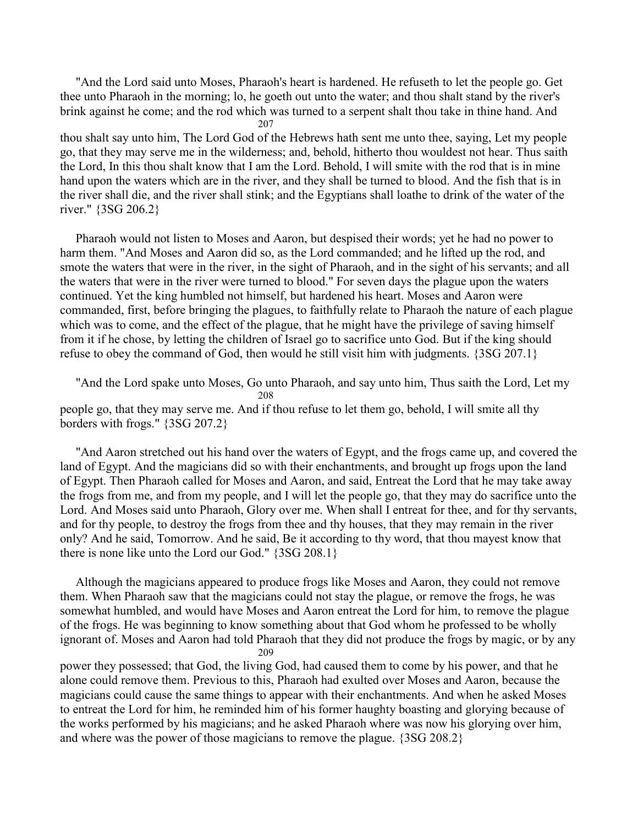"And the Lord said unto Moses, Pharaoh's heart is hardened. He refuseth to let the people go. Get thee unto Pharaoh in the morning; lo, he goeth out unto the water; and thou shalt stand by the river's brink against he come; and the rod which was turned to a serpent shalt thou take in thine hand. And 207

thou shalt say unto him, The Lord God of the Hebrews hath sent me unto thee, saying, Let my people go, that they may serve me in the wilderness; and, behold, hitherto thou wouldest not hear. Thus saith the Lord, In this thou shalt know that I am the Lord. Behold, I will smite with the rod that is in mine hand upon the waters which are in the river, and they shall be turned to blood. And the fish that is in the river shall die, and the river shall stink; and the Egyptians shall loathe to drink of the water of the river." {3SG 206.2}

 Pharaoh would not listen to Moses and Aaron, but despised their words; yet he had no power to harm them. "And Moses and Aaron did so, as the Lord commanded; and he lifted up the rod, and smote the waters that were in the river, in the sight of Pharaoh, and in the sight of his servants; and all the waters that were in the river were turned to blood." For seven days the plague upon the waters continued. Yet the king humbled not himself, but hardened his heart. Moses and Aaron were commanded, first, before bringing the plagues, to faithfully relate to Pharaoh the nature of each plague which was to come, and the effect of the plague, that he might have the privilege of saving himself from it if he chose, by letting the children of Israel go to sacrifice unto God. But if the king should refuse to obey the command of God, then would he still visit him with judgments. {3SG 207.1}

 "And the Lord spake unto Moses, Go unto Pharaoh, and say unto him, Thus saith the Lord, Let my 208 people go, that they may serve me. And if thou refuse to let them go, behold, I will smite all thy borders with frogs." {3SG 207.2}

 "And Aaron stretched out his hand over the waters of Egypt, and the frogs came up, and covered the land of Egypt. And the magicians did so with their enchantments, and brought up frogs upon the land of Egypt. Then Pharaoh called for Moses and Aaron, and said, Entreat the Lord that he may take away the frogs from me, and from my people, and I will let the people go, that they may do sacrifice unto the Lord. And Moses said unto Pharaoh, Glory over me. When shall I entreat for thee, and for thy servants, and for thy people, to destroy the frogs from thee and thy houses, that they may remain in the river only? And he said, Tomorrow. And he said, Be it according to thy word, that thou mayest know that there is none like unto the Lord our God." {3SG 208.1}

 Although the magicians appeared to produce frogs like Moses and Aaron, they could not remove them. When Pharaoh saw that the magicians could not stay the plague, or remove the frogs, he was somewhat humbled, and would have Moses and Aaron entreat the Lord for him, to remove the plague of the frogs. He was beginning to know something about that God whom he professed to be wholly ignorant of. Moses and Aaron had told Pharaoh that they did not produce the frogs by magic, or by any 209

power they possessed; that God, the living God, had caused them to come by his power, and that he alone could remove them. Previous to this, Pharaoh had exulted over Moses and Aaron, because the magicians could cause the same things to appear with their enchantments. And when he asked Moses to entreat the Lord for him, he reminded him of his former haughty boasting and glorying because of the works performed by his magicians; and he asked Pharaoh where was now his glorying over him, and where was the power of those magicians to remove the plague. {3SG 208.2}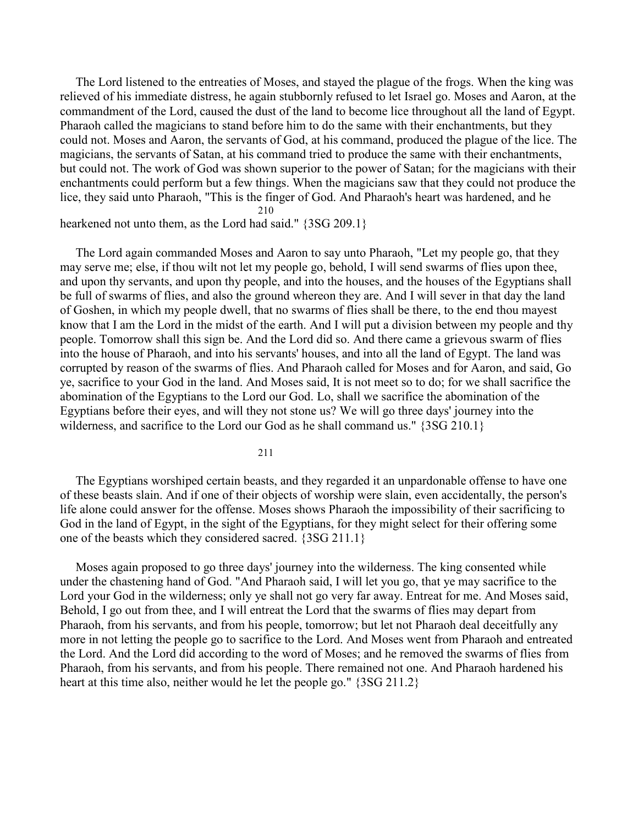The Lord listened to the entreaties of Moses, and stayed the plague of the frogs. When the king was relieved of his immediate distress, he again stubbornly refused to let Israel go. Moses and Aaron, at the commandment of the Lord, caused the dust of the land to become lice throughout all the land of Egypt. Pharaoh called the magicians to stand before him to do the same with their enchantments, but they could not. Moses and Aaron, the servants of God, at his command, produced the plague of the lice. The magicians, the servants of Satan, at his command tried to produce the same with their enchantments, but could not. The work of God was shown superior to the power of Satan; for the magicians with their enchantments could perform but a few things. When the magicians saw that they could not produce the lice, they said unto Pharaoh, "This is the finger of God. And Pharaoh's heart was hardened, and he 210

hearkened not unto them, as the Lord had said." {3SG 209.1}

 The Lord again commanded Moses and Aaron to say unto Pharaoh, "Let my people go, that they may serve me; else, if thou wilt not let my people go, behold, I will send swarms of flies upon thee, and upon thy servants, and upon thy people, and into the houses, and the houses of the Egyptians shall be full of swarms of flies, and also the ground whereon they are. And I will sever in that day the land of Goshen, in which my people dwell, that no swarms of flies shall be there, to the end thou mayest know that I am the Lord in the midst of the earth. And I will put a division between my people and thy people. Tomorrow shall this sign be. And the Lord did so. And there came a grievous swarm of flies into the house of Pharaoh, and into his servants' houses, and into all the land of Egypt. The land was corrupted by reason of the swarms of flies. And Pharaoh called for Moses and for Aaron, and said, Go ye, sacrifice to your God in the land. And Moses said, It is not meet so to do; for we shall sacrifice the abomination of the Egyptians to the Lord our God. Lo, shall we sacrifice the abomination of the Egyptians before their eyes, and will they not stone us? We will go three days' journey into the wilderness, and sacrifice to the Lord our God as he shall command us." {3SG 210.1}

211

 The Egyptians worshiped certain beasts, and they regarded it an unpardonable offense to have one of these beasts slain. And if one of their objects of worship were slain, even accidentally, the person's life alone could answer for the offense. Moses shows Pharaoh the impossibility of their sacrificing to God in the land of Egypt, in the sight of the Egyptians, for they might select for their offering some one of the beasts which they considered sacred. {3SG 211.1}

 Moses again proposed to go three days' journey into the wilderness. The king consented while under the chastening hand of God. "And Pharaoh said, I will let you go, that ye may sacrifice to the Lord your God in the wilderness; only ye shall not go very far away. Entreat for me. And Moses said, Behold, I go out from thee, and I will entreat the Lord that the swarms of flies may depart from Pharaoh, from his servants, and from his people, tomorrow; but let not Pharaoh deal deceitfully any more in not letting the people go to sacrifice to the Lord. And Moses went from Pharaoh and entreated the Lord. And the Lord did according to the word of Moses; and he removed the swarms of flies from Pharaoh, from his servants, and from his people. There remained not one. And Pharaoh hardened his heart at this time also, neither would he let the people go." {3SG 211.2}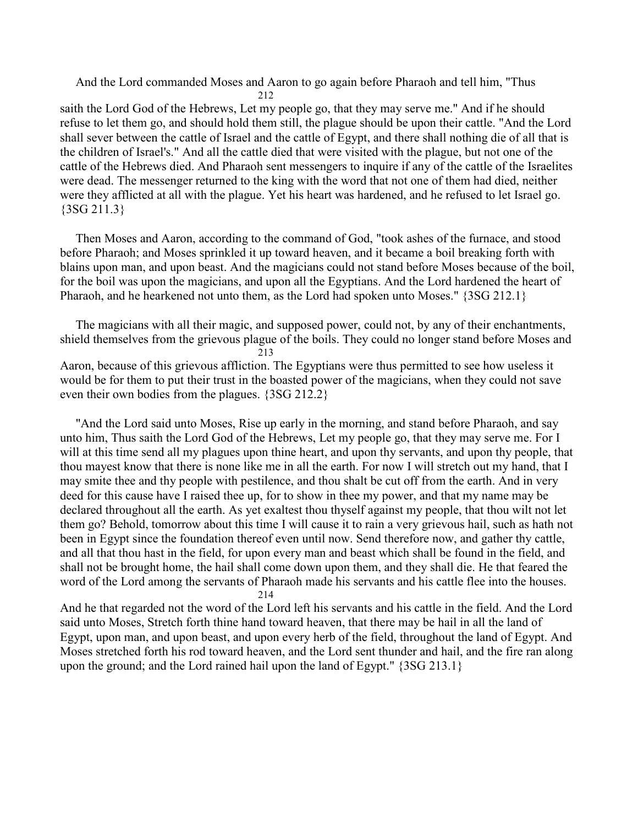And the Lord commanded Moses and Aaron to go again before Pharaoh and tell him, "Thus 212

saith the Lord God of the Hebrews, Let my people go, that they may serve me." And if he should refuse to let them go, and should hold them still, the plague should be upon their cattle. "And the Lord shall sever between the cattle of Israel and the cattle of Egypt, and there shall nothing die of all that is the children of Israel's." And all the cattle died that were visited with the plague, but not one of the cattle of the Hebrews died. And Pharaoh sent messengers to inquire if any of the cattle of the Israelites were dead. The messenger returned to the king with the word that not one of them had died, neither were they afflicted at all with the plague. Yet his heart was hardened, and he refused to let Israel go. {3SG 211.3}

 Then Moses and Aaron, according to the command of God, "took ashes of the furnace, and stood before Pharaoh; and Moses sprinkled it up toward heaven, and it became a boil breaking forth with blains upon man, and upon beast. And the magicians could not stand before Moses because of the boil, for the boil was upon the magicians, and upon all the Egyptians. And the Lord hardened the heart of Pharaoh, and he hearkened not unto them, as the Lord had spoken unto Moses." {3SG 212.1}

 The magicians with all their magic, and supposed power, could not, by any of their enchantments, shield themselves from the grievous plague of the boils. They could no longer stand before Moses and 213 Aaron, because of this grievous affliction. The Egyptians were thus permitted to see how useless it would be for them to put their trust in the boasted power of the magicians, when they could not save even their own bodies from the plagues. {3SG 212.2}

 "And the Lord said unto Moses, Rise up early in the morning, and stand before Pharaoh, and say unto him, Thus saith the Lord God of the Hebrews, Let my people go, that they may serve me. For I will at this time send all my plagues upon thine heart, and upon thy servants, and upon thy people, that thou mayest know that there is none like me in all the earth. For now I will stretch out my hand, that I may smite thee and thy people with pestilence, and thou shalt be cut off from the earth. And in very deed for this cause have I raised thee up, for to show in thee my power, and that my name may be declared throughout all the earth. As yet exaltest thou thyself against my people, that thou wilt not let them go? Behold, tomorrow about this time I will cause it to rain a very grievous hail, such as hath not been in Egypt since the foundation thereof even until now. Send therefore now, and gather thy cattle, and all that thou hast in the field, for upon every man and beast which shall be found in the field, and shall not be brought home, the hail shall come down upon them, and they shall die. He that feared the word of the Lord among the servants of Pharaoh made his servants and his cattle flee into the houses. 214

And he that regarded not the word of the Lord left his servants and his cattle in the field. And the Lord said unto Moses, Stretch forth thine hand toward heaven, that there may be hail in all the land of Egypt, upon man, and upon beast, and upon every herb of the field, throughout the land of Egypt. And Moses stretched forth his rod toward heaven, and the Lord sent thunder and hail, and the fire ran along upon the ground; and the Lord rained hail upon the land of Egypt." {3SG 213.1}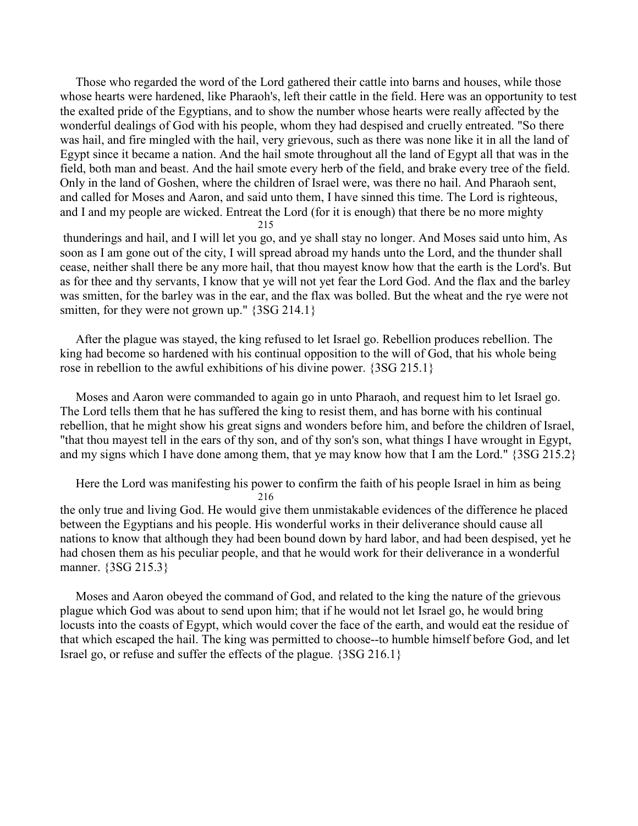Those who regarded the word of the Lord gathered their cattle into barns and houses, while those whose hearts were hardened, like Pharaoh's, left their cattle in the field. Here was an opportunity to test the exalted pride of the Egyptians, and to show the number whose hearts were really affected by the wonderful dealings of God with his people, whom they had despised and cruelly entreated. "So there was hail, and fire mingled with the hail, very grievous, such as there was none like it in all the land of Egypt since it became a nation. And the hail smote throughout all the land of Egypt all that was in the field, both man and beast. And the hail smote every herb of the field, and brake every tree of the field. Only in the land of Goshen, where the children of Israel were, was there no hail. And Pharaoh sent, and called for Moses and Aaron, and said unto them, I have sinned this time. The Lord is righteous, and I and my people are wicked. Entreat the Lord (for it is enough) that there be no more mighty 215

 thunderings and hail, and I will let you go, and ye shall stay no longer. And Moses said unto him, As soon as I am gone out of the city, I will spread abroad my hands unto the Lord, and the thunder shall cease, neither shall there be any more hail, that thou mayest know how that the earth is the Lord's. But as for thee and thy servants, I know that ye will not yet fear the Lord God. And the flax and the barley was smitten, for the barley was in the ear, and the flax was bolled. But the wheat and the rye were not smitten, for they were not grown up." {3SG 214.1}

 After the plague was stayed, the king refused to let Israel go. Rebellion produces rebellion. The king had become so hardened with his continual opposition to the will of God, that his whole being rose in rebellion to the awful exhibitions of his divine power. {3SG 215.1}

 Moses and Aaron were commanded to again go in unto Pharaoh, and request him to let Israel go. The Lord tells them that he has suffered the king to resist them, and has borne with his continual rebellion, that he might show his great signs and wonders before him, and before the children of Israel, "that thou mayest tell in the ears of thy son, and of thy son's son, what things I have wrought in Egypt, and my signs which I have done among them, that ye may know how that I am the Lord." {3SG 215.2}

 Here the Lord was manifesting his power to confirm the faith of his people Israel in him as being 216

the only true and living God. He would give them unmistakable evidences of the difference he placed between the Egyptians and his people. His wonderful works in their deliverance should cause all nations to know that although they had been bound down by hard labor, and had been despised, yet he had chosen them as his peculiar people, and that he would work for their deliverance in a wonderful manner. {3SG 215.3}

 Moses and Aaron obeyed the command of God, and related to the king the nature of the grievous plague which God was about to send upon him; that if he would not let Israel go, he would bring locusts into the coasts of Egypt, which would cover the face of the earth, and would eat the residue of that which escaped the hail. The king was permitted to choose--to humble himself before God, and let Israel go, or refuse and suffer the effects of the plague. {3SG 216.1}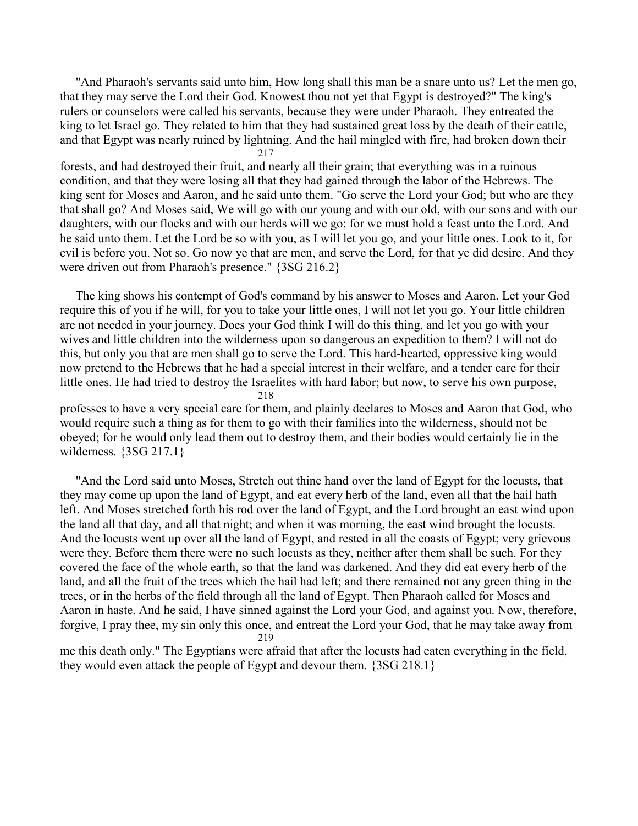"And Pharaoh's servants said unto him, How long shall this man be a snare unto us? Let the men go, that they may serve the Lord their God. Knowest thou not yet that Egypt is destroyed?" The king's rulers or counselors were called his servants, because they were under Pharaoh. They entreated the king to let Israel go. They related to him that they had sustained great loss by the death of their cattle, and that Egypt was nearly ruined by lightning. And the hail mingled with fire, had broken down their 217

forests, and had destroyed their fruit, and nearly all their grain; that everything was in a ruinous condition, and that they were losing all that they had gained through the labor of the Hebrews. The king sent for Moses and Aaron, and he said unto them. "Go serve the Lord your God; but who are they that shall go? And Moses said, We will go with our young and with our old, with our sons and with our daughters, with our flocks and with our herds will we go; for we must hold a feast unto the Lord. And he said unto them. Let the Lord be so with you, as I will let you go, and your little ones. Look to it, for evil is before you. Not so. Go now ye that are men, and serve the Lord, for that ye did desire. And they were driven out from Pharaoh's presence." {3SG 216.2}

 The king shows his contempt of God's command by his answer to Moses and Aaron. Let your God require this of you if he will, for you to take your little ones, I will not let you go. Your little children are not needed in your journey. Does your God think I will do this thing, and let you go with your wives and little children into the wilderness upon so dangerous an expedition to them? I will not do this, but only you that are men shall go to serve the Lord. This hard-hearted, oppressive king would now pretend to the Hebrews that he had a special interest in their welfare, and a tender care for their little ones. He had tried to destroy the Israelites with hard labor; but now, to serve his own purpose, 218

professes to have a very special care for them, and plainly declares to Moses and Aaron that God, who would require such a thing as for them to go with their families into the wilderness, should not be obeyed; for he would only lead them out to destroy them, and their bodies would certainly lie in the wilderness. {3SG 217.1}

 "And the Lord said unto Moses, Stretch out thine hand over the land of Egypt for the locusts, that they may come up upon the land of Egypt, and eat every herb of the land, even all that the hail hath left. And Moses stretched forth his rod over the land of Egypt, and the Lord brought an east wind upon the land all that day, and all that night; and when it was morning, the east wind brought the locusts. And the locusts went up over all the land of Egypt, and rested in all the coasts of Egypt; very grievous were they. Before them there were no such locusts as they, neither after them shall be such. For they covered the face of the whole earth, so that the land was darkened. And they did eat every herb of the land, and all the fruit of the trees which the hail had left; and there remained not any green thing in the trees, or in the herbs of the field through all the land of Egypt. Then Pharaoh called for Moses and Aaron in haste. And he said, I have sinned against the Lord your God, and against you. Now, therefore, forgive, I pray thee, my sin only this once, and entreat the Lord your God, that he may take away from 219

me this death only." The Egyptians were afraid that after the locusts had eaten everything in the field, they would even attack the people of Egypt and devour them. {3SG 218.1}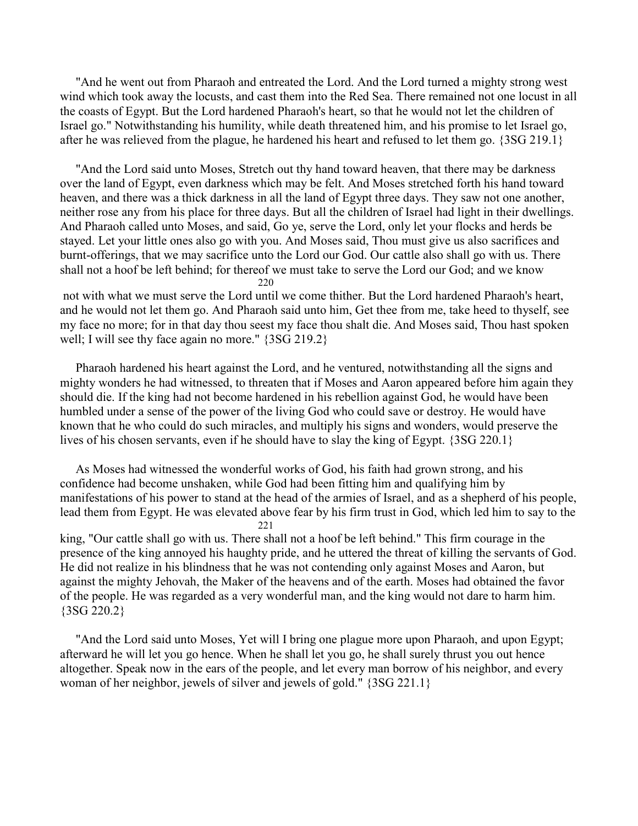"And he went out from Pharaoh and entreated the Lord. And the Lord turned a mighty strong west wind which took away the locusts, and cast them into the Red Sea. There remained not one locust in all the coasts of Egypt. But the Lord hardened Pharaoh's heart, so that he would not let the children of Israel go." Notwithstanding his humility, while death threatened him, and his promise to let Israel go, after he was relieved from the plague, he hardened his heart and refused to let them go. {3SG 219.1}

 "And the Lord said unto Moses, Stretch out thy hand toward heaven, that there may be darkness over the land of Egypt, even darkness which may be felt. And Moses stretched forth his hand toward heaven, and there was a thick darkness in all the land of Egypt three days. They saw not one another, neither rose any from his place for three days. But all the children of Israel had light in their dwellings. And Pharaoh called unto Moses, and said, Go ye, serve the Lord, only let your flocks and herds be stayed. Let your little ones also go with you. And Moses said, Thou must give us also sacrifices and burnt-offerings, that we may sacrifice unto the Lord our God. Our cattle also shall go with us. There shall not a hoof be left behind; for thereof we must take to serve the Lord our God; and we know 220

 not with what we must serve the Lord until we come thither. But the Lord hardened Pharaoh's heart, and he would not let them go. And Pharaoh said unto him, Get thee from me, take heed to thyself, see my face no more; for in that day thou seest my face thou shalt die. And Moses said, Thou hast spoken well; I will see thy face again no more." {3SG 219.2}

 Pharaoh hardened his heart against the Lord, and he ventured, notwithstanding all the signs and mighty wonders he had witnessed, to threaten that if Moses and Aaron appeared before him again they should die. If the king had not become hardened in his rebellion against God, he would have been humbled under a sense of the power of the living God who could save or destroy. He would have known that he who could do such miracles, and multiply his signs and wonders, would preserve the lives of his chosen servants, even if he should have to slay the king of Egypt. {3SG 220.1}

 As Moses had witnessed the wonderful works of God, his faith had grown strong, and his confidence had become unshaken, while God had been fitting him and qualifying him by manifestations of his power to stand at the head of the armies of Israel, and as a shepherd of his people, lead them from Egypt. He was elevated above fear by his firm trust in God, which led him to say to the 221

king, "Our cattle shall go with us. There shall not a hoof be left behind." This firm courage in the presence of the king annoyed his haughty pride, and he uttered the threat of killing the servants of God. He did not realize in his blindness that he was not contending only against Moses and Aaron, but against the mighty Jehovah, the Maker of the heavens and of the earth. Moses had obtained the favor of the people. He was regarded as a very wonderful man, and the king would not dare to harm him. {3SG 220.2}

 "And the Lord said unto Moses, Yet will I bring one plague more upon Pharaoh, and upon Egypt; afterward he will let you go hence. When he shall let you go, he shall surely thrust you out hence altogether. Speak now in the ears of the people, and let every man borrow of his neighbor, and every woman of her neighbor, jewels of silver and jewels of gold." {3SG 221.1}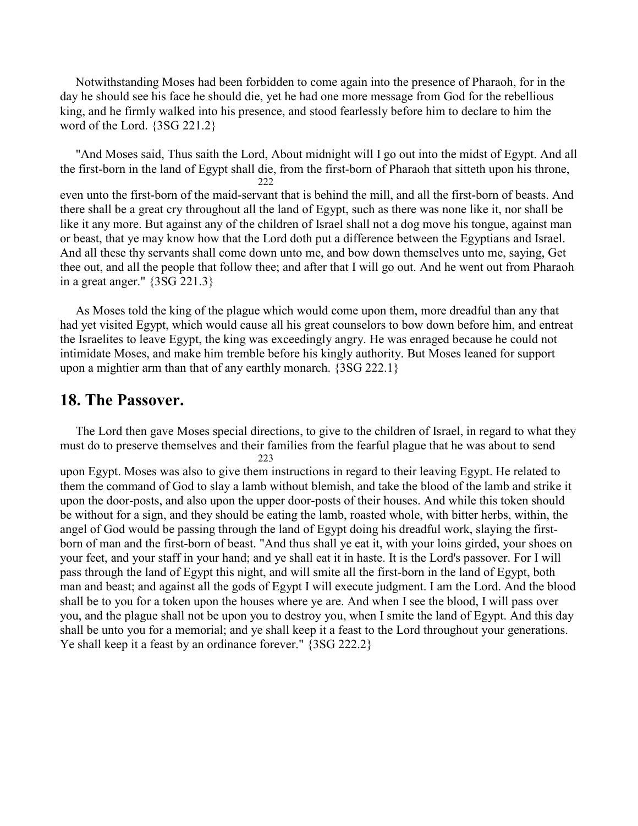Notwithstanding Moses had been forbidden to come again into the presence of Pharaoh, for in the day he should see his face he should die, yet he had one more message from God for the rebellious king, and he firmly walked into his presence, and stood fearlessly before him to declare to him the word of the Lord. {3SG 221.2}

 "And Moses said, Thus saith the Lord, About midnight will I go out into the midst of Egypt. And all the first-born in the land of Egypt shall die, from the first-born of Pharaoh that sitteth upon his throne, 222

even unto the first-born of the maid-servant that is behind the mill, and all the first-born of beasts. And there shall be a great cry throughout all the land of Egypt, such as there was none like it, nor shall be like it any more. But against any of the children of Israel shall not a dog move his tongue, against man or beast, that ye may know how that the Lord doth put a difference between the Egyptians and Israel. And all these thy servants shall come down unto me, and bow down themselves unto me, saying, Get thee out, and all the people that follow thee; and after that I will go out. And he went out from Pharaoh in a great anger." {3SG 221.3}

 As Moses told the king of the plague which would come upon them, more dreadful than any that had yet visited Egypt, which would cause all his great counselors to bow down before him, and entreat the Israelites to leave Egypt, the king was exceedingly angry. He was enraged because he could not intimidate Moses, and make him tremble before his kingly authority. But Moses leaned for support upon a mightier arm than that of any earthly monarch. {3SG 222.1}

## **18. The Passover.**

 The Lord then gave Moses special directions, to give to the children of Israel, in regard to what they must do to preserve themselves and their families from the fearful plague that he was about to send 223

upon Egypt. Moses was also to give them instructions in regard to their leaving Egypt. He related to them the command of God to slay a lamb without blemish, and take the blood of the lamb and strike it upon the door-posts, and also upon the upper door-posts of their houses. And while this token should be without for a sign, and they should be eating the lamb, roasted whole, with bitter herbs, within, the angel of God would be passing through the land of Egypt doing his dreadful work, slaying the firstborn of man and the first-born of beast. "And thus shall ye eat it, with your loins girded, your shoes on your feet, and your staff in your hand; and ye shall eat it in haste. It is the Lord's passover. For I will pass through the land of Egypt this night, and will smite all the first-born in the land of Egypt, both man and beast; and against all the gods of Egypt I will execute judgment. I am the Lord. And the blood shall be to you for a token upon the houses where ye are. And when I see the blood, I will pass over you, and the plague shall not be upon you to destroy you, when I smite the land of Egypt. And this day shall be unto you for a memorial; and ye shall keep it a feast to the Lord throughout your generations. Ye shall keep it a feast by an ordinance forever." {3SG 222.2}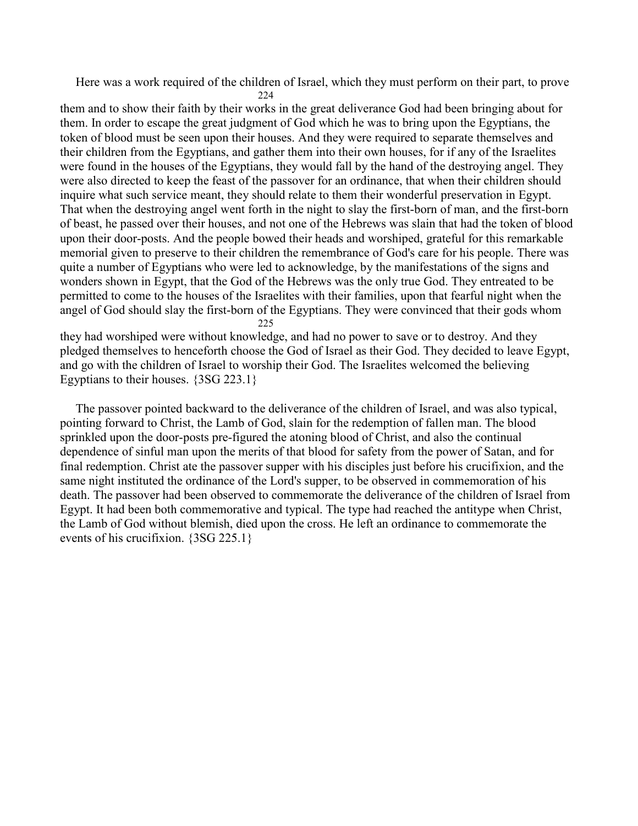Here was a work required of the children of Israel, which they must perform on their part, to prove 224

them and to show their faith by their works in the great deliverance God had been bringing about for them. In order to escape the great judgment of God which he was to bring upon the Egyptians, the token of blood must be seen upon their houses. And they were required to separate themselves and their children from the Egyptians, and gather them into their own houses, for if any of the Israelites were found in the houses of the Egyptians, they would fall by the hand of the destroying angel. They were also directed to keep the feast of the passover for an ordinance, that when their children should inquire what such service meant, they should relate to them their wonderful preservation in Egypt. That when the destroying angel went forth in the night to slay the first-born of man, and the first-born of beast, he passed over their houses, and not one of the Hebrews was slain that had the token of blood upon their door-posts. And the people bowed their heads and worshiped, grateful for this remarkable memorial given to preserve to their children the remembrance of God's care for his people. There was quite a number of Egyptians who were led to acknowledge, by the manifestations of the signs and wonders shown in Egypt, that the God of the Hebrews was the only true God. They entreated to be permitted to come to the houses of the Israelites with their families, upon that fearful night when the angel of God should slay the first-born of the Egyptians. They were convinced that their gods whom 225

they had worshiped were without knowledge, and had no power to save or to destroy. And they pledged themselves to henceforth choose the God of Israel as their God. They decided to leave Egypt, and go with the children of Israel to worship their God. The Israelites welcomed the believing Egyptians to their houses. {3SG 223.1}

 The passover pointed backward to the deliverance of the children of Israel, and was also typical, pointing forward to Christ, the Lamb of God, slain for the redemption of fallen man. The blood sprinkled upon the door-posts pre-figured the atoning blood of Christ, and also the continual dependence of sinful man upon the merits of that blood for safety from the power of Satan, and for final redemption. Christ ate the passover supper with his disciples just before his crucifixion, and the same night instituted the ordinance of the Lord's supper, to be observed in commemoration of his death. The passover had been observed to commemorate the deliverance of the children of Israel from Egypt. It had been both commemorative and typical. The type had reached the antitype when Christ, the Lamb of God without blemish, died upon the cross. He left an ordinance to commemorate the events of his crucifixion. {3SG 225.1}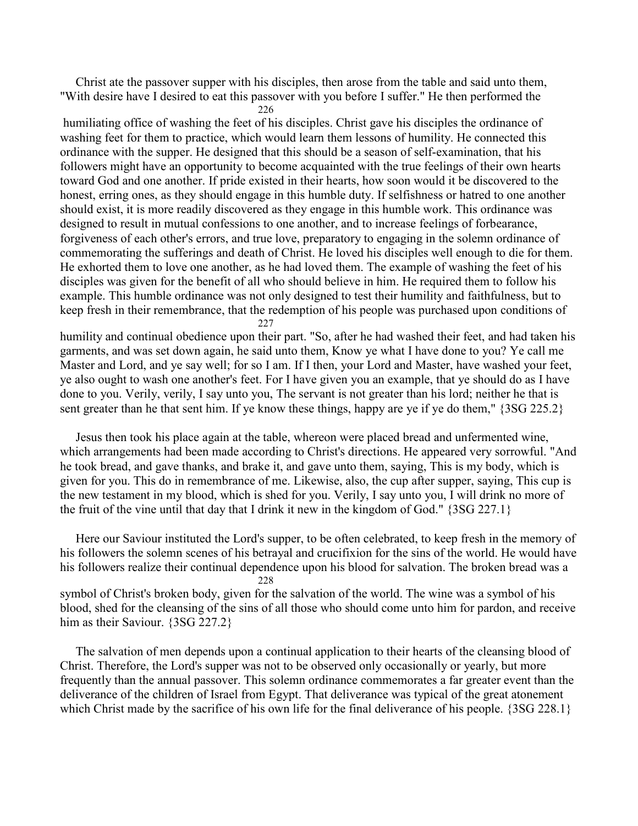Christ ate the passover supper with his disciples, then arose from the table and said unto them, "With desire have I desired to eat this passover with you before I suffer." He then performed the

226

 humiliating office of washing the feet of his disciples. Christ gave his disciples the ordinance of washing feet for them to practice, which would learn them lessons of humility. He connected this ordinance with the supper. He designed that this should be a season of self-examination, that his followers might have an opportunity to become acquainted with the true feelings of their own hearts toward God and one another. If pride existed in their hearts, how soon would it be discovered to the honest, erring ones, as they should engage in this humble duty. If selfishness or hatred to one another should exist, it is more readily discovered as they engage in this humble work. This ordinance was designed to result in mutual confessions to one another, and to increase feelings of forbearance, forgiveness of each other's errors, and true love, preparatory to engaging in the solemn ordinance of commemorating the sufferings and death of Christ. He loved his disciples well enough to die for them. He exhorted them to love one another, as he had loved them. The example of washing the feet of his disciples was given for the benefit of all who should believe in him. He required them to follow his example. This humble ordinance was not only designed to test their humility and faithfulness, but to keep fresh in their remembrance, that the redemption of his people was purchased upon conditions of 227

humility and continual obedience upon their part. "So, after he had washed their feet, and had taken his garments, and was set down again, he said unto them, Know ye what I have done to you? Ye call me Master and Lord, and ye say well; for so I am. If I then, your Lord and Master, have washed your feet, ye also ought to wash one another's feet. For I have given you an example, that ye should do as I have done to you. Verily, verily, I say unto you, The servant is not greater than his lord; neither he that is sent greater than he that sent him. If ye know these things, happy are ye if ye do them," {3SG 225.2}

 Jesus then took his place again at the table, whereon were placed bread and unfermented wine, which arrangements had been made according to Christ's directions. He appeared very sorrowful. "And he took bread, and gave thanks, and brake it, and gave unto them, saying, This is my body, which is given for you. This do in remembrance of me. Likewise, also, the cup after supper, saying, This cup is the new testament in my blood, which is shed for you. Verily, I say unto you, I will drink no more of the fruit of the vine until that day that I drink it new in the kingdom of God." {3SG 227.1}

 Here our Saviour instituted the Lord's supper, to be often celebrated, to keep fresh in the memory of his followers the solemn scenes of his betrayal and crucifixion for the sins of the world. He would have his followers realize their continual dependence upon his blood for salvation. The broken bread was a 228

symbol of Christ's broken body, given for the salvation of the world. The wine was a symbol of his blood, shed for the cleansing of the sins of all those who should come unto him for pardon, and receive him as their Saviour. {3SG 227.2}

 The salvation of men depends upon a continual application to their hearts of the cleansing blood of Christ. Therefore, the Lord's supper was not to be observed only occasionally or yearly, but more frequently than the annual passover. This solemn ordinance commemorates a far greater event than the deliverance of the children of Israel from Egypt. That deliverance was typical of the great atonement which Christ made by the sacrifice of his own life for the final deliverance of his people. {3SG 228.1}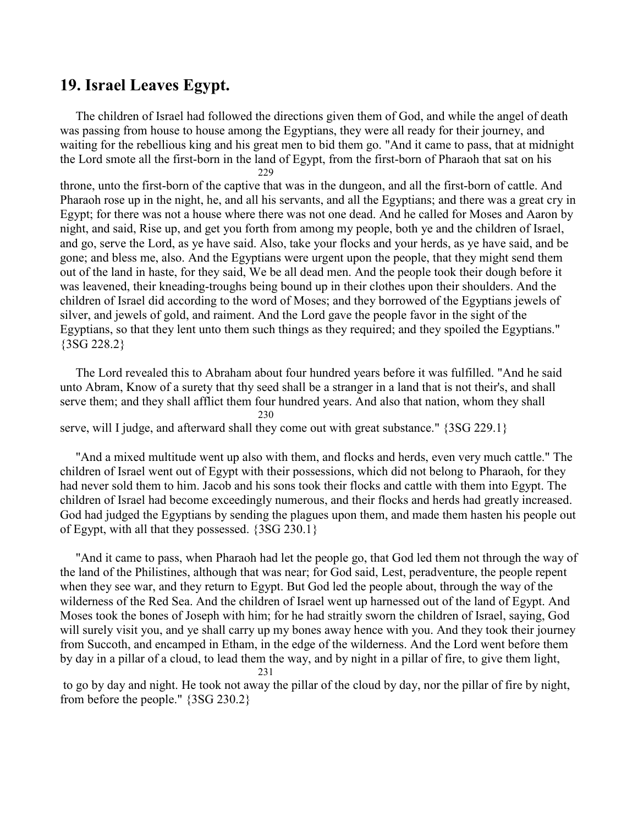## **19. Israel Leaves Egypt.**

 The children of Israel had followed the directions given them of God, and while the angel of death was passing from house to house among the Egyptians, they were all ready for their journey, and waiting for the rebellious king and his great men to bid them go. "And it came to pass, that at midnight the Lord smote all the first-born in the land of Egypt, from the first-born of Pharaoh that sat on his 229

throne, unto the first-born of the captive that was in the dungeon, and all the first-born of cattle. And Pharaoh rose up in the night, he, and all his servants, and all the Egyptians; and there was a great cry in Egypt; for there was not a house where there was not one dead. And he called for Moses and Aaron by night, and said, Rise up, and get you forth from among my people, both ye and the children of Israel, and go, serve the Lord, as ye have said. Also, take your flocks and your herds, as ye have said, and be gone; and bless me, also. And the Egyptians were urgent upon the people, that they might send them out of the land in haste, for they said, We be all dead men. And the people took their dough before it was leavened, their kneading-troughs being bound up in their clothes upon their shoulders. And the children of Israel did according to the word of Moses; and they borrowed of the Egyptians jewels of silver, and jewels of gold, and raiment. And the Lord gave the people favor in the sight of the Egyptians, so that they lent unto them such things as they required; and they spoiled the Egyptians." {3SG 228.2}

 The Lord revealed this to Abraham about four hundred years before it was fulfilled. "And he said unto Abram, Know of a surety that thy seed shall be a stranger in a land that is not their's, and shall serve them; and they shall afflict them four hundred years. And also that nation, whom they shall 230 serve, will I judge, and afterward shall they come out with great substance." {3SG 229.1}

 "And a mixed multitude went up also with them, and flocks and herds, even very much cattle." The children of Israel went out of Egypt with their possessions, which did not belong to Pharaoh, for they had never sold them to him. Jacob and his sons took their flocks and cattle with them into Egypt. The children of Israel had become exceedingly numerous, and their flocks and herds had greatly increased. God had judged the Egyptians by sending the plagues upon them, and made them hasten his people out of Egypt, with all that they possessed. {3SG 230.1}

 "And it came to pass, when Pharaoh had let the people go, that God led them not through the way of the land of the Philistines, although that was near; for God said, Lest, peradventure, the people repent when they see war, and they return to Egypt. But God led the people about, through the way of the wilderness of the Red Sea. And the children of Israel went up harnessed out of the land of Egypt. And Moses took the bones of Joseph with him; for he had straitly sworn the children of Israel, saying, God will surely visit you, and ye shall carry up my bones away hence with you. And they took their journey from Succoth, and encamped in Etham, in the edge of the wilderness. And the Lord went before them by day in a pillar of a cloud, to lead them the way, and by night in a pillar of fire, to give them light, 231

 to go by day and night. He took not away the pillar of the cloud by day, nor the pillar of fire by night, from before the people." {3SG 230.2}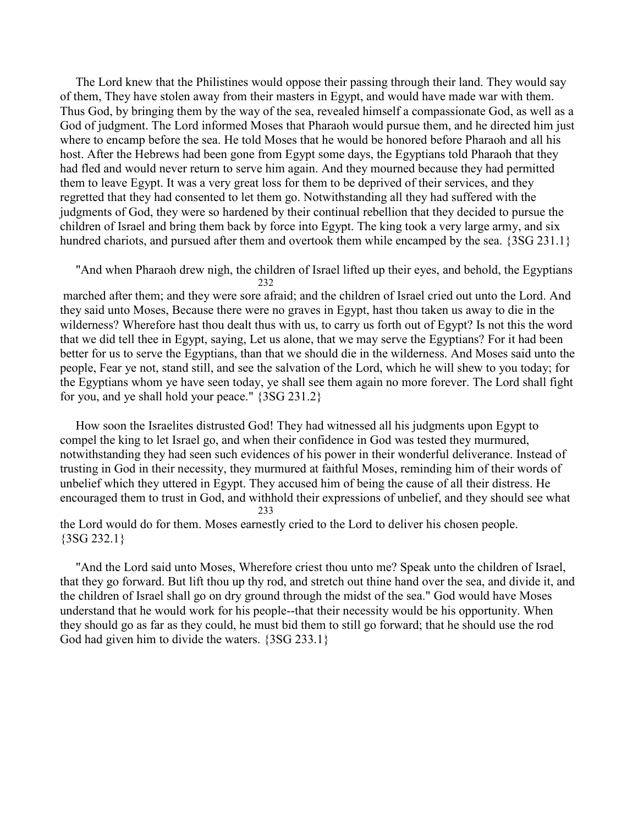The Lord knew that the Philistines would oppose their passing through their land. They would say of them, They have stolen away from their masters in Egypt, and would have made war with them. Thus God, by bringing them by the way of the sea, revealed himself a compassionate God, as well as a God of judgment. The Lord informed Moses that Pharaoh would pursue them, and he directed him just where to encamp before the sea. He told Moses that he would be honored before Pharaoh and all his host. After the Hebrews had been gone from Egypt some days, the Egyptians told Pharaoh that they had fled and would never return to serve him again. And they mourned because they had permitted them to leave Egypt. It was a very great loss for them to be deprived of their services, and they regretted that they had consented to let them go. Notwithstanding all they had suffered with the judgments of God, they were so hardened by their continual rebellion that they decided to pursue the children of Israel and bring them back by force into Egypt. The king took a very large army, and six hundred chariots, and pursued after them and overtook them while encamped by the sea. {3SG 231.1}

 "And when Pharaoh drew nigh, the children of Israel lifted up their eyes, and behold, the Egyptians 232

 marched after them; and they were sore afraid; and the children of Israel cried out unto the Lord. And they said unto Moses, Because there were no graves in Egypt, hast thou taken us away to die in the wilderness? Wherefore hast thou dealt thus with us, to carry us forth out of Egypt? Is not this the word that we did tell thee in Egypt, saying, Let us alone, that we may serve the Egyptians? For it had been better for us to serve the Egyptians, than that we should die in the wilderness. And Moses said unto the people, Fear ye not, stand still, and see the salvation of the Lord, which he will shew to you today; for the Egyptians whom ye have seen today, ye shall see them again no more forever. The Lord shall fight for you, and ye shall hold your peace." {3SG 231.2}

 How soon the Israelites distrusted God! They had witnessed all his judgments upon Egypt to compel the king to let Israel go, and when their confidence in God was tested they murmured, notwithstanding they had seen such evidences of his power in their wonderful deliverance. Instead of trusting in God in their necessity, they murmured at faithful Moses, reminding him of their words of unbelief which they uttered in Egypt. They accused him of being the cause of all their distress. He encouraged them to trust in God, and withhold their expressions of unbelief, and they should see what 233

the Lord would do for them. Moses earnestly cried to the Lord to deliver his chosen people.  ${3SG 232.1}$ 

 "And the Lord said unto Moses, Wherefore criest thou unto me? Speak unto the children of Israel, that they go forward. But lift thou up thy rod, and stretch out thine hand over the sea, and divide it, and the children of Israel shall go on dry ground through the midst of the sea." God would have Moses understand that he would work for his people--that their necessity would be his opportunity. When they should go as far as they could, he must bid them to still go forward; that he should use the rod God had given him to divide the waters. {3SG 233.1}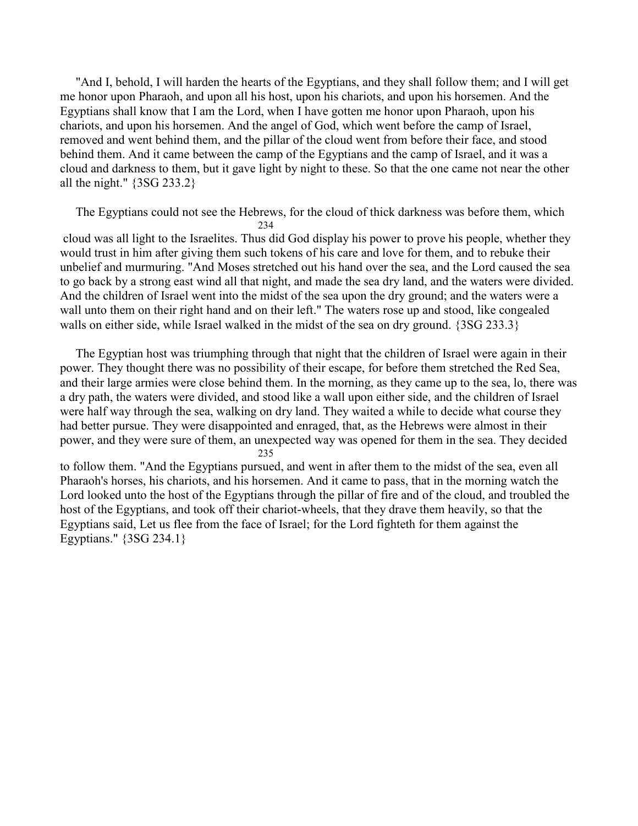"And I, behold, I will harden the hearts of the Egyptians, and they shall follow them; and I will get me honor upon Pharaoh, and upon all his host, upon his chariots, and upon his horsemen. And the Egyptians shall know that I am the Lord, when I have gotten me honor upon Pharaoh, upon his chariots, and upon his horsemen. And the angel of God, which went before the camp of Israel, removed and went behind them, and the pillar of the cloud went from before their face, and stood behind them. And it came between the camp of the Egyptians and the camp of Israel, and it was a cloud and darkness to them, but it gave light by night to these. So that the one came not near the other all the night." {3SG 233.2}

The Egyptians could not see the Hebrews, for the cloud of thick darkness was before them, which<br>234 234

 cloud was all light to the Israelites. Thus did God display his power to prove his people, whether they would trust in him after giving them such tokens of his care and love for them, and to rebuke their unbelief and murmuring. "And Moses stretched out his hand over the sea, and the Lord caused the sea to go back by a strong east wind all that night, and made the sea dry land, and the waters were divided. And the children of Israel went into the midst of the sea upon the dry ground; and the waters were a wall unto them on their right hand and on their left." The waters rose up and stood, like congealed walls on either side, while Israel walked in the midst of the sea on dry ground. {3SG 233.3}

 The Egyptian host was triumphing through that night that the children of Israel were again in their power. They thought there was no possibility of their escape, for before them stretched the Red Sea, and their large armies were close behind them. In the morning, as they came up to the sea, lo, there was a dry path, the waters were divided, and stood like a wall upon either side, and the children of Israel were half way through the sea, walking on dry land. They waited a while to decide what course they had better pursue. They were disappointed and enraged, that, as the Hebrews were almost in their power, and they were sure of them, an unexpected way was opened for them in the sea. They decided 235

to follow them. "And the Egyptians pursued, and went in after them to the midst of the sea, even all Pharaoh's horses, his chariots, and his horsemen. And it came to pass, that in the morning watch the Lord looked unto the host of the Egyptians through the pillar of fire and of the cloud, and troubled the host of the Egyptians, and took off their chariot-wheels, that they drave them heavily, so that the Egyptians said, Let us flee from the face of Israel; for the Lord fighteth for them against the Egyptians." {3SG 234.1}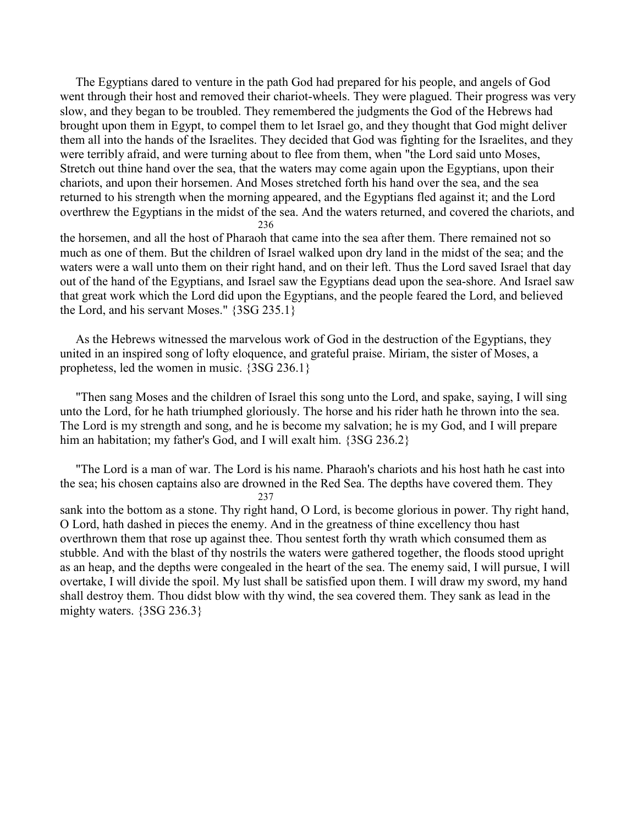The Egyptians dared to venture in the path God had prepared for his people, and angels of God went through their host and removed their chariot-wheels. They were plagued. Their progress was very slow, and they began to be troubled. They remembered the judgments the God of the Hebrews had brought upon them in Egypt, to compel them to let Israel go, and they thought that God might deliver them all into the hands of the Israelites. They decided that God was fighting for the Israelites, and they were terribly afraid, and were turning about to flee from them, when "the Lord said unto Moses, Stretch out thine hand over the sea, that the waters may come again upon the Egyptians, upon their chariots, and upon their horsemen. And Moses stretched forth his hand over the sea, and the sea returned to his strength when the morning appeared, and the Egyptians fled against it; and the Lord overthrew the Egyptians in the midst of the sea. And the waters returned, and covered the chariots, and 236

the horsemen, and all the host of Pharaoh that came into the sea after them. There remained not so much as one of them. But the children of Israel walked upon dry land in the midst of the sea; and the waters were a wall unto them on their right hand, and on their left. Thus the Lord saved Israel that day out of the hand of the Egyptians, and Israel saw the Egyptians dead upon the sea-shore. And Israel saw that great work which the Lord did upon the Egyptians, and the people feared the Lord, and believed the Lord, and his servant Moses." {3SG 235.1}

 As the Hebrews witnessed the marvelous work of God in the destruction of the Egyptians, they united in an inspired song of lofty eloquence, and grateful praise. Miriam, the sister of Moses, a prophetess, led the women in music. {3SG 236.1}

 "Then sang Moses and the children of Israel this song unto the Lord, and spake, saying, I will sing unto the Lord, for he hath triumphed gloriously. The horse and his rider hath he thrown into the sea. The Lord is my strength and song, and he is become my salvation; he is my God, and I will prepare him an habitation; my father's God, and I will exalt him. {3SG 236.2}

 "The Lord is a man of war. The Lord is his name. Pharaoh's chariots and his host hath he cast into the sea; his chosen captains also are drowned in the Red Sea. The depths have covered them. They 237

sank into the bottom as a stone. Thy right hand, O Lord, is become glorious in power. Thy right hand, O Lord, hath dashed in pieces the enemy. And in the greatness of thine excellency thou hast overthrown them that rose up against thee. Thou sentest forth thy wrath which consumed them as stubble. And with the blast of thy nostrils the waters were gathered together, the floods stood upright as an heap, and the depths were congealed in the heart of the sea. The enemy said, I will pursue, I will overtake, I will divide the spoil. My lust shall be satisfied upon them. I will draw my sword, my hand shall destroy them. Thou didst blow with thy wind, the sea covered them. They sank as lead in the mighty waters. {3SG 236.3}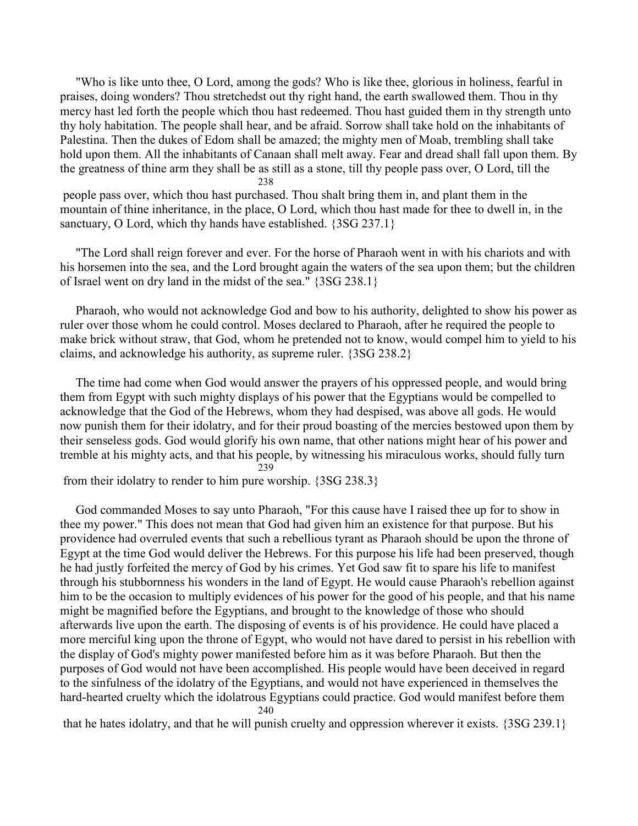"Who is like unto thee, O Lord, among the gods? Who is like thee, glorious in holiness, fearful in praises, doing wonders? Thou stretchedst out thy right hand, the earth swallowed them. Thou in thy mercy hast led forth the people which thou hast redeemed. Thou hast guided them in thy strength unto thy holy habitation. The people shall hear, and be afraid. Sorrow shall take hold on the inhabitants of Palestina. Then the dukes of Edom shall be amazed; the mighty men of Moab, trembling shall take hold upon them. All the inhabitants of Canaan shall melt away. Fear and dread shall fall upon them. By the greatness of thine arm they shall be as still as a stone, till thy people pass over, O Lord, till the

238

 people pass over, which thou hast purchased. Thou shalt bring them in, and plant them in the mountain of thine inheritance, in the place, O Lord, which thou hast made for thee to dwell in, in the sanctuary, O Lord, which thy hands have established. {3SG 237.1}

 "The Lord shall reign forever and ever. For the horse of Pharaoh went in with his chariots and with his horsemen into the sea, and the Lord brought again the waters of the sea upon them; but the children of Israel went on dry land in the midst of the sea." {3SG 238.1}

 Pharaoh, who would not acknowledge God and bow to his authority, delighted to show his power as ruler over those whom he could control. Moses declared to Pharaoh, after he required the people to make brick without straw, that God, whom he pretended not to know, would compel him to yield to his claims, and acknowledge his authority, as supreme ruler. {3SG 238.2}

 The time had come when God would answer the prayers of his oppressed people, and would bring them from Egypt with such mighty displays of his power that the Egyptians would be compelled to acknowledge that the God of the Hebrews, whom they had despised, was above all gods. He would now punish them for their idolatry, and for their proud boasting of the mercies bestowed upon them by their senseless gods. God would glorify his own name, that other nations might hear of his power and tremble at his mighty acts, and that his people, by witnessing his miraculous works, should fully turn 239

from their idolatry to render to him pure worship. {3SG 238.3}

 God commanded Moses to say unto Pharaoh, "For this cause have I raised thee up for to show in thee my power." This does not mean that God had given him an existence for that purpose. But his providence had overruled events that such a rebellious tyrant as Pharaoh should be upon the throne of Egypt at the time God would deliver the Hebrews. For this purpose his life had been preserved, though he had justly forfeited the mercy of God by his crimes. Yet God saw fit to spare his life to manifest through his stubbornness his wonders in the land of Egypt. He would cause Pharaoh's rebellion against him to be the occasion to multiply evidences of his power for the good of his people, and that his name might be magnified before the Egyptians, and brought to the knowledge of those who should afterwards live upon the earth. The disposing of events is of his providence. He could have placed a more merciful king upon the throne of Egypt, who would not have dared to persist in his rebellion with the display of God's mighty power manifested before him as it was before Pharaoh. But then the purposes of God would not have been accomplished. His people would have been deceived in regard to the sinfulness of the idolatry of the Egyptians, and would not have experienced in themselves the hard-hearted cruelty which the idolatrous Egyptians could practice. God would manifest before them 240

that he hates idolatry, and that he will punish cruelty and oppression wherever it exists. {3SG 239.1}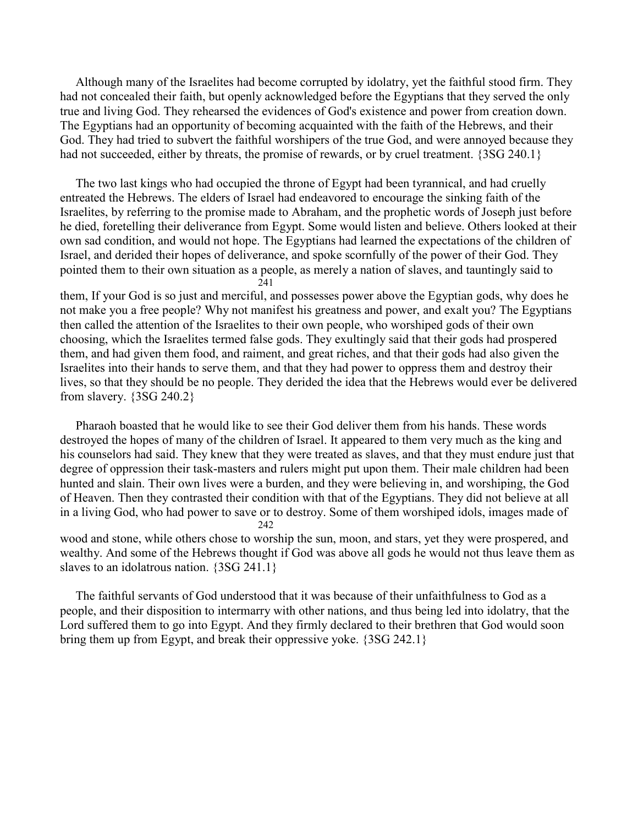Although many of the Israelites had become corrupted by idolatry, yet the faithful stood firm. They had not concealed their faith, but openly acknowledged before the Egyptians that they served the only true and living God. They rehearsed the evidences of God's existence and power from creation down. The Egyptians had an opportunity of becoming acquainted with the faith of the Hebrews, and their God. They had tried to subvert the faithful worshipers of the true God, and were annoyed because they had not succeeded, either by threats, the promise of rewards, or by cruel treatment. {3SG 240.1}

 The two last kings who had occupied the throne of Egypt had been tyrannical, and had cruelly entreated the Hebrews. The elders of Israel had endeavored to encourage the sinking faith of the Israelites, by referring to the promise made to Abraham, and the prophetic words of Joseph just before he died, foretelling their deliverance from Egypt. Some would listen and believe. Others looked at their own sad condition, and would not hope. The Egyptians had learned the expectations of the children of Israel, and derided their hopes of deliverance, and spoke scornfully of the power of their God. They pointed them to their own situation as a people, as merely a nation of slaves, and tauntingly said to 241

them, If your God is so just and merciful, and possesses power above the Egyptian gods, why does he not make you a free people? Why not manifest his greatness and power, and exalt you? The Egyptians then called the attention of the Israelites to their own people, who worshiped gods of their own choosing, which the Israelites termed false gods. They exultingly said that their gods had prospered them, and had given them food, and raiment, and great riches, and that their gods had also given the Israelites into their hands to serve them, and that they had power to oppress them and destroy their lives, so that they should be no people. They derided the idea that the Hebrews would ever be delivered from slavery. {3SG 240.2}

 Pharaoh boasted that he would like to see their God deliver them from his hands. These words destroyed the hopes of many of the children of Israel. It appeared to them very much as the king and his counselors had said. They knew that they were treated as slaves, and that they must endure just that degree of oppression their task-masters and rulers might put upon them. Their male children had been hunted and slain. Their own lives were a burden, and they were believing in, and worshiping, the God of Heaven. Then they contrasted their condition with that of the Egyptians. They did not believe at all in a living God, who had power to save or to destroy. Some of them worshiped idols, images made of 242

wood and stone, while others chose to worship the sun, moon, and stars, yet they were prospered, and wealthy. And some of the Hebrews thought if God was above all gods he would not thus leave them as slaves to an idolatrous nation. {3SG 241.1}

 The faithful servants of God understood that it was because of their unfaithfulness to God as a people, and their disposition to intermarry with other nations, and thus being led into idolatry, that the Lord suffered them to go into Egypt. And they firmly declared to their brethren that God would soon bring them up from Egypt, and break their oppressive yoke. {3SG 242.1}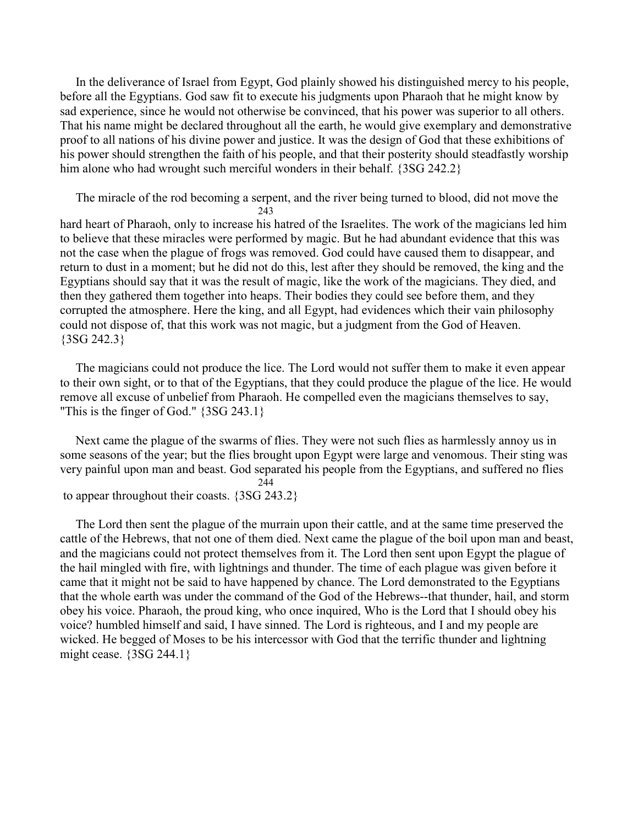In the deliverance of Israel from Egypt, God plainly showed his distinguished mercy to his people, before all the Egyptians. God saw fit to execute his judgments upon Pharaoh that he might know by sad experience, since he would not otherwise be convinced, that his power was superior to all others. That his name might be declared throughout all the earth, he would give exemplary and demonstrative proof to all nations of his divine power and justice. It was the design of God that these exhibitions of his power should strengthen the faith of his people, and that their posterity should steadfastly worship him alone who had wrought such merciful wonders in their behalf. {3SG 242.2}

 The miracle of the rod becoming a serpent, and the river being turned to blood, did not move the 243

hard heart of Pharaoh, only to increase his hatred of the Israelites. The work of the magicians led him to believe that these miracles were performed by magic. But he had abundant evidence that this was not the case when the plague of frogs was removed. God could have caused them to disappear, and return to dust in a moment; but he did not do this, lest after they should be removed, the king and the Egyptians should say that it was the result of magic, like the work of the magicians. They died, and then they gathered them together into heaps. Their bodies they could see before them, and they corrupted the atmosphere. Here the king, and all Egypt, had evidences which their vain philosophy could not dispose of, that this work was not magic, but a judgment from the God of Heaven. {3SG 242.3}

 The magicians could not produce the lice. The Lord would not suffer them to make it even appear to their own sight, or to that of the Egyptians, that they could produce the plague of the lice. He would remove all excuse of unbelief from Pharaoh. He compelled even the magicians themselves to say, "This is the finger of God." {3SG 243.1}

 Next came the plague of the swarms of flies. They were not such flies as harmlessly annoy us in some seasons of the year; but the flies brought upon Egypt were large and venomous. Their sting was very painful upon man and beast. God separated his people from the Egyptians, and suffered no flies 244

to appear throughout their coasts. {3SG 243.2}

 The Lord then sent the plague of the murrain upon their cattle, and at the same time preserved the cattle of the Hebrews, that not one of them died. Next came the plague of the boil upon man and beast, and the magicians could not protect themselves from it. The Lord then sent upon Egypt the plague of the hail mingled with fire, with lightnings and thunder. The time of each plague was given before it came that it might not be said to have happened by chance. The Lord demonstrated to the Egyptians that the whole earth was under the command of the God of the Hebrews--that thunder, hail, and storm obey his voice. Pharaoh, the proud king, who once inquired, Who is the Lord that I should obey his voice? humbled himself and said, I have sinned. The Lord is righteous, and I and my people are wicked. He begged of Moses to be his intercessor with God that the terrific thunder and lightning might cease. {3SG 244.1}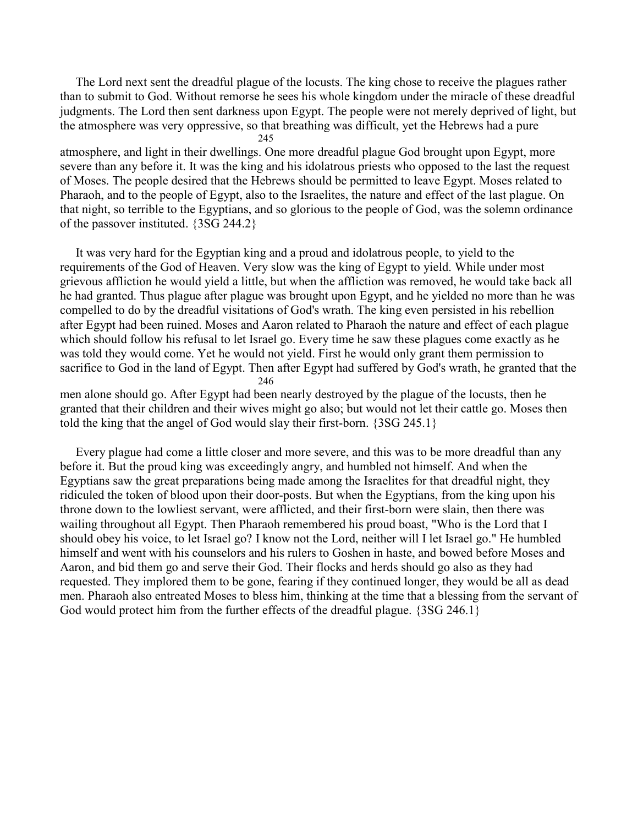The Lord next sent the dreadful plague of the locusts. The king chose to receive the plagues rather than to submit to God. Without remorse he sees his whole kingdom under the miracle of these dreadful judgments. The Lord then sent darkness upon Egypt. The people were not merely deprived of light, but the atmosphere was very oppressive, so that breathing was difficult, yet the Hebrews had a pure 245

atmosphere, and light in their dwellings. One more dreadful plague God brought upon Egypt, more severe than any before it. It was the king and his idolatrous priests who opposed to the last the request of Moses. The people desired that the Hebrews should be permitted to leave Egypt. Moses related to Pharaoh, and to the people of Egypt, also to the Israelites, the nature and effect of the last plague. On that night, so terrible to the Egyptians, and so glorious to the people of God, was the solemn ordinance of the passover instituted. {3SG 244.2}

 It was very hard for the Egyptian king and a proud and idolatrous people, to yield to the requirements of the God of Heaven. Very slow was the king of Egypt to yield. While under most grievous affliction he would yield a little, but when the affliction was removed, he would take back all he had granted. Thus plague after plague was brought upon Egypt, and he yielded no more than he was compelled to do by the dreadful visitations of God's wrath. The king even persisted in his rebellion after Egypt had been ruined. Moses and Aaron related to Pharaoh the nature and effect of each plague which should follow his refusal to let Israel go. Every time he saw these plagues come exactly as he was told they would come. Yet he would not yield. First he would only grant them permission to sacrifice to God in the land of Egypt. Then after Egypt had suffered by God's wrath, he granted that the 246

men alone should go. After Egypt had been nearly destroyed by the plague of the locusts, then he granted that their children and their wives might go also; but would not let their cattle go. Moses then told the king that the angel of God would slay their first-born. {3SG 245.1}

 Every plague had come a little closer and more severe, and this was to be more dreadful than any before it. But the proud king was exceedingly angry, and humbled not himself. And when the Egyptians saw the great preparations being made among the Israelites for that dreadful night, they ridiculed the token of blood upon their door-posts. But when the Egyptians, from the king upon his throne down to the lowliest servant, were afflicted, and their first-born were slain, then there was wailing throughout all Egypt. Then Pharaoh remembered his proud boast, "Who is the Lord that I should obey his voice, to let Israel go? I know not the Lord, neither will I let Israel go." He humbled himself and went with his counselors and his rulers to Goshen in haste, and bowed before Moses and Aaron, and bid them go and serve their God. Their flocks and herds should go also as they had requested. They implored them to be gone, fearing if they continued longer, they would be all as dead men. Pharaoh also entreated Moses to bless him, thinking at the time that a blessing from the servant of God would protect him from the further effects of the dreadful plague. {3SG 246.1}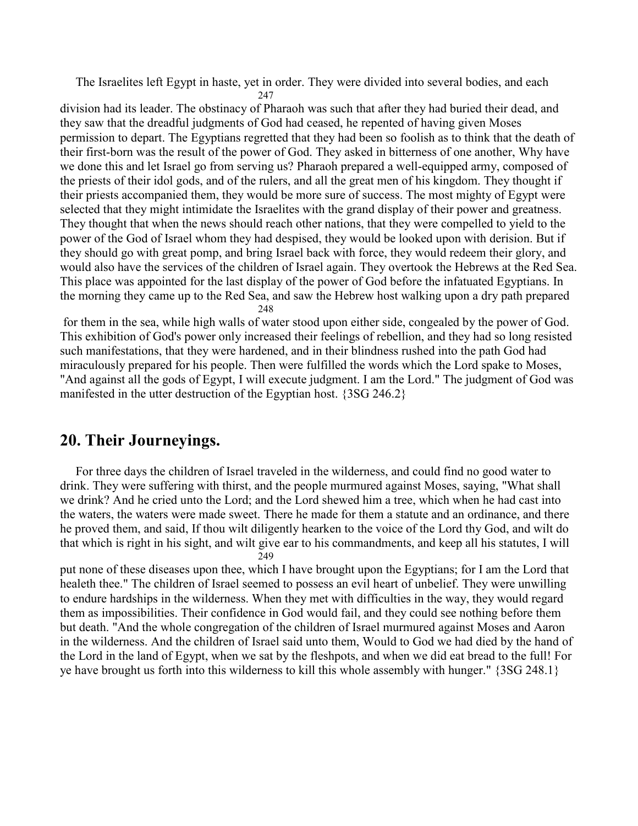The Israelites left Egypt in haste, yet in order. They were divided into several bodies, and each

247

division had its leader. The obstinacy of Pharaoh was such that after they had buried their dead, and they saw that the dreadful judgments of God had ceased, he repented of having given Moses permission to depart. The Egyptians regretted that they had been so foolish as to think that the death of their first-born was the result of the power of God. They asked in bitterness of one another, Why have we done this and let Israel go from serving us? Pharaoh prepared a well-equipped army, composed of the priests of their idol gods, and of the rulers, and all the great men of his kingdom. They thought if their priests accompanied them, they would be more sure of success. The most mighty of Egypt were selected that they might intimidate the Israelites with the grand display of their power and greatness. They thought that when the news should reach other nations, that they were compelled to yield to the power of the God of Israel whom they had despised, they would be looked upon with derision. But if they should go with great pomp, and bring Israel back with force, they would redeem their glory, and would also have the services of the children of Israel again. They overtook the Hebrews at the Red Sea. This place was appointed for the last display of the power of God before the infatuated Egyptians. In the morning they came up to the Red Sea, and saw the Hebrew host walking upon a dry path prepared  $\frac{248}{9}$ 248

 for them in the sea, while high walls of water stood upon either side, congealed by the power of God. This exhibition of God's power only increased their feelings of rebellion, and they had so long resisted such manifestations, that they were hardened, and in their blindness rushed into the path God had miraculously prepared for his people. Then were fulfilled the words which the Lord spake to Moses, "And against all the gods of Egypt, I will execute judgment. I am the Lord." The judgment of God was manifested in the utter destruction of the Egyptian host. {3SG 246.2}

# **20. Their Journeyings.**

 For three days the children of Israel traveled in the wilderness, and could find no good water to drink. They were suffering with thirst, and the people murmured against Moses, saying, "What shall we drink? And he cried unto the Lord; and the Lord shewed him a tree, which when he had cast into the waters, the waters were made sweet. There he made for them a statute and an ordinance, and there he proved them, and said, If thou wilt diligently hearken to the voice of the Lord thy God, and wilt do that which is right in his sight, and wilt give ear to his commandments, and keep all his statutes, I will 249

put none of these diseases upon thee, which I have brought upon the Egyptians; for I am the Lord that healeth thee." The children of Israel seemed to possess an evil heart of unbelief. They were unwilling to endure hardships in the wilderness. When they met with difficulties in the way, they would regard them as impossibilities. Their confidence in God would fail, and they could see nothing before them but death. "And the whole congregation of the children of Israel murmured against Moses and Aaron in the wilderness. And the children of Israel said unto them, Would to God we had died by the hand of the Lord in the land of Egypt, when we sat by the fleshpots, and when we did eat bread to the full! For ye have brought us forth into this wilderness to kill this whole assembly with hunger." {3SG 248.1}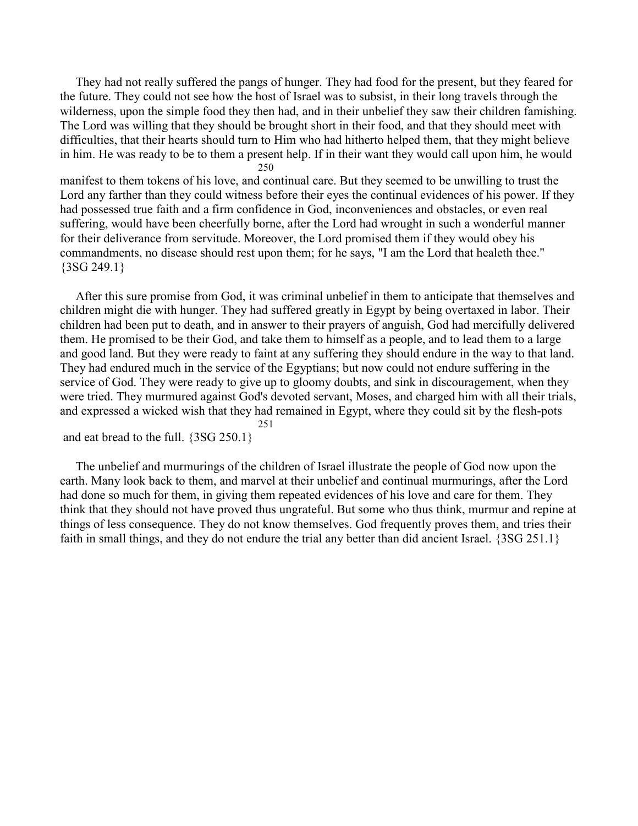They had not really suffered the pangs of hunger. They had food for the present, but they feared for the future. They could not see how the host of Israel was to subsist, in their long travels through the wilderness, upon the simple food they then had, and in their unbelief they saw their children famishing. The Lord was willing that they should be brought short in their food, and that they should meet with difficulties, that their hearts should turn to Him who had hitherto helped them, that they might believe in him. He was ready to be to them a present help. If in their want they would call upon him, he would 250

manifest to them tokens of his love, and continual care. But they seemed to be unwilling to trust the Lord any farther than they could witness before their eyes the continual evidences of his power. If they had possessed true faith and a firm confidence in God, inconveniences and obstacles, or even real suffering, would have been cheerfully borne, after the Lord had wrought in such a wonderful manner for their deliverance from servitude. Moreover, the Lord promised them if they would obey his commandments, no disease should rest upon them; for he says, "I am the Lord that healeth thee."  ${3SG 249.1}$ 

 After this sure promise from God, it was criminal unbelief in them to anticipate that themselves and children might die with hunger. They had suffered greatly in Egypt by being overtaxed in labor. Their children had been put to death, and in answer to their prayers of anguish, God had mercifully delivered them. He promised to be their God, and take them to himself as a people, and to lead them to a large and good land. But they were ready to faint at any suffering they should endure in the way to that land. They had endured much in the service of the Egyptians; but now could not endure suffering in the service of God. They were ready to give up to gloomy doubts, and sink in discouragement, when they were tried. They murmured against God's devoted servant, Moses, and charged him with all their trials, and expressed a wicked wish that they had remained in Egypt, where they could sit by the flesh-pots 251

and eat bread to the full. {3SG 250.1}

 The unbelief and murmurings of the children of Israel illustrate the people of God now upon the earth. Many look back to them, and marvel at their unbelief and continual murmurings, after the Lord had done so much for them, in giving them repeated evidences of his love and care for them. They think that they should not have proved thus ungrateful. But some who thus think, murmur and repine at things of less consequence. They do not know themselves. God frequently proves them, and tries their faith in small things, and they do not endure the trial any better than did ancient Israel. {3SG 251.1}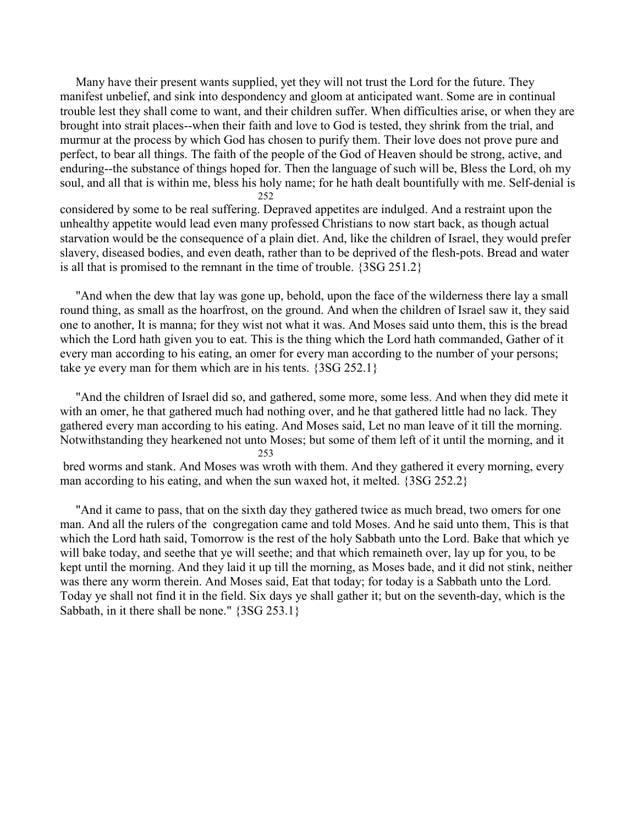Many have their present wants supplied, yet they will not trust the Lord for the future. They manifest unbelief, and sink into despondency and gloom at anticipated want. Some are in continual trouble lest they shall come to want, and their children suffer. When difficulties arise, or when they are brought into strait places--when their faith and love to God is tested, they shrink from the trial, and murmur at the process by which God has chosen to purify them. Their love does not prove pure and perfect, to bear all things. The faith of the people of the God of Heaven should be strong, active, and enduring--the substance of things hoped for. Then the language of such will be, Bless the Lord, oh my soul, and all that is within me, bless his holy name; for he hath dealt bountifully with me. Self-denial is 252

considered by some to be real suffering. Depraved appetites are indulged. And a restraint upon the unhealthy appetite would lead even many professed Christians to now start back, as though actual starvation would be the consequence of a plain diet. And, like the children of Israel, they would prefer slavery, diseased bodies, and even death, rather than to be deprived of the flesh-pots. Bread and water is all that is promised to the remnant in the time of trouble. {3SG 251.2}

 "And when the dew that lay was gone up, behold, upon the face of the wilderness there lay a small round thing, as small as the hoarfrost, on the ground. And when the children of Israel saw it, they said one to another, It is manna; for they wist not what it was. And Moses said unto them, this is the bread which the Lord hath given you to eat. This is the thing which the Lord hath commanded, Gather of it every man according to his eating, an omer for every man according to the number of your persons; take ye every man for them which are in his tents. {3SG 252.1}

 "And the children of Israel did so, and gathered, some more, some less. And when they did mete it with an omer, he that gathered much had nothing over, and he that gathered little had no lack. They gathered every man according to his eating. And Moses said, Let no man leave of it till the morning. Notwithstanding they hearkened not unto Moses; but some of them left of it until the morning, and it 253

 bred worms and stank. And Moses was wroth with them. And they gathered it every morning, every man according to his eating, and when the sun waxed hot, it melted. {3SG 252.2}

 "And it came to pass, that on the sixth day they gathered twice as much bread, two omers for one man. And all the rulers of the congregation came and told Moses. And he said unto them, This is that which the Lord hath said, Tomorrow is the rest of the holy Sabbath unto the Lord. Bake that which ye will bake today, and seethe that ye will seethe; and that which remaineth over, lay up for you, to be kept until the morning. And they laid it up till the morning, as Moses bade, and it did not stink, neither was there any worm therein. And Moses said, Eat that today; for today is a Sabbath unto the Lord. Today ye shall not find it in the field. Six days ye shall gather it; but on the seventh-day, which is the Sabbath, in it there shall be none." {3SG 253.1}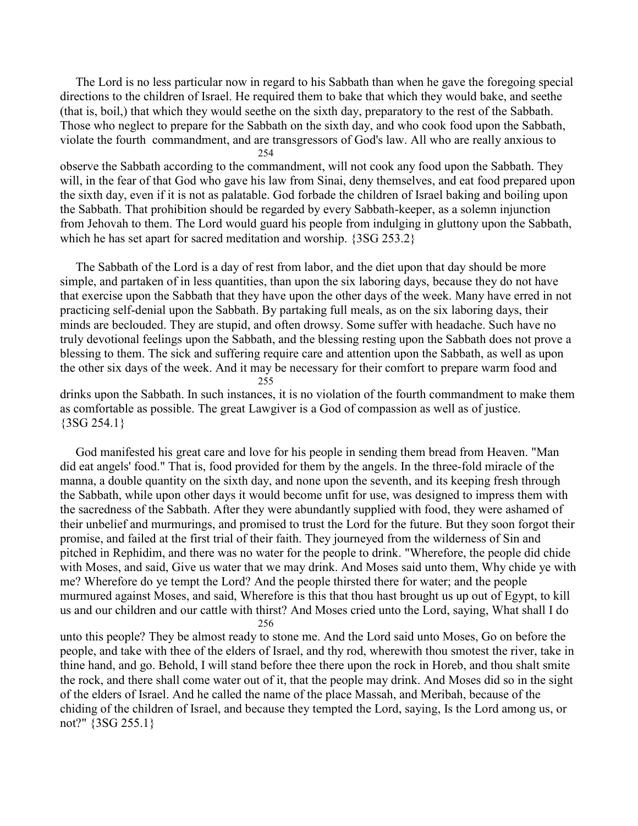The Lord is no less particular now in regard to his Sabbath than when he gave the foregoing special directions to the children of Israel. He required them to bake that which they would bake, and seethe (that is, boil,) that which they would seethe on the sixth day, preparatory to the rest of the Sabbath. Those who neglect to prepare for the Sabbath on the sixth day, and who cook food upon the Sabbath, violate the fourth commandment, and are transgressors of God's law. All who are really anxious to

254

observe the Sabbath according to the commandment, will not cook any food upon the Sabbath. They will, in the fear of that God who gave his law from Sinai, deny themselves, and eat food prepared upon the sixth day, even if it is not as palatable. God forbade the children of Israel baking and boiling upon the Sabbath. That prohibition should be regarded by every Sabbath-keeper, as a solemn injunction from Jehovah to them. The Lord would guard his people from indulging in gluttony upon the Sabbath, which he has set apart for sacred meditation and worship. {3SG 253.2}

 The Sabbath of the Lord is a day of rest from labor, and the diet upon that day should be more simple, and partaken of in less quantities, than upon the six laboring days, because they do not have that exercise upon the Sabbath that they have upon the other days of the week. Many have erred in not practicing self-denial upon the Sabbath. By partaking full meals, as on the six laboring days, their minds are beclouded. They are stupid, and often drowsy. Some suffer with headache. Such have no truly devotional feelings upon the Sabbath, and the blessing resting upon the Sabbath does not prove a blessing to them. The sick and suffering require care and attention upon the Sabbath, as well as upon the other six days of the week. And it may be necessary for their comfort to prepare warm food and 255 drinks upon the Sabbath. In such instances, it is no violation of the fourth commandment to make them

as comfortable as possible. The great Lawgiver is a God of compassion as well as of justice.  ${3SG 254.1}$ 

 God manifested his great care and love for his people in sending them bread from Heaven. "Man did eat angels' food." That is, food provided for them by the angels. In the three-fold miracle of the manna, a double quantity on the sixth day, and none upon the seventh, and its keeping fresh through the Sabbath, while upon other days it would become unfit for use, was designed to impress them with the sacredness of the Sabbath. After they were abundantly supplied with food, they were ashamed of their unbelief and murmurings, and promised to trust the Lord for the future. But they soon forgot their promise, and failed at the first trial of their faith. They journeyed from the wilderness of Sin and pitched in Rephidim, and there was no water for the people to drink. "Wherefore, the people did chide with Moses, and said, Give us water that we may drink. And Moses said unto them, Why chide ye with me? Wherefore do ye tempt the Lord? And the people thirsted there for water; and the people murmured against Moses, and said, Wherefore is this that thou hast brought us up out of Egypt, to kill us and our children and our cattle with thirst? And Moses cried unto the Lord, saying, What shall I do 256

unto this people? They be almost ready to stone me. And the Lord said unto Moses, Go on before the people, and take with thee of the elders of Israel, and thy rod, wherewith thou smotest the river, take in thine hand, and go. Behold, I will stand before thee there upon the rock in Horeb, and thou shalt smite the rock, and there shall come water out of it, that the people may drink. And Moses did so in the sight of the elders of Israel. And he called the name of the place Massah, and Meribah, because of the chiding of the children of Israel, and because they tempted the Lord, saying, Is the Lord among us, or not?" {3SG 255.1}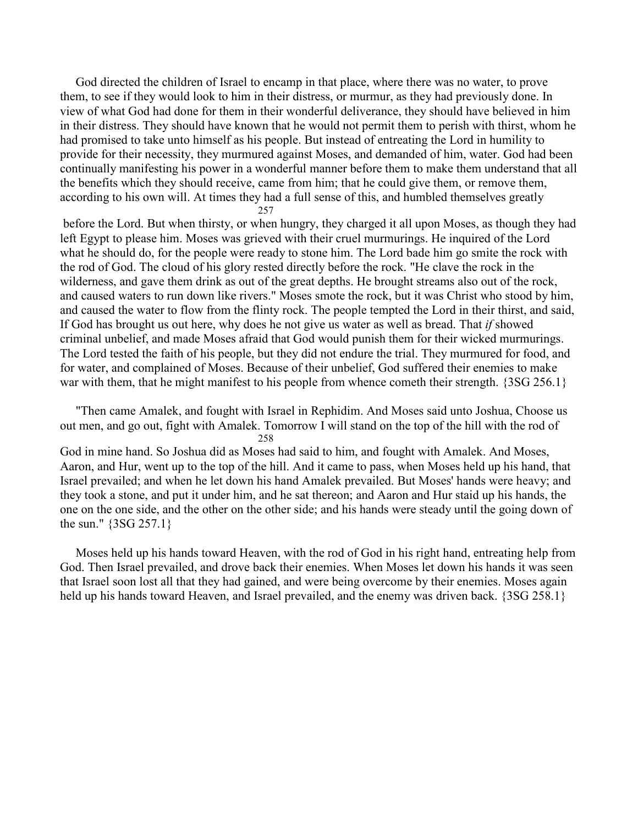God directed the children of Israel to encamp in that place, where there was no water, to prove them, to see if they would look to him in their distress, or murmur, as they had previously done. In view of what God had done for them in their wonderful deliverance, they should have believed in him in their distress. They should have known that he would not permit them to perish with thirst, whom he had promised to take unto himself as his people. But instead of entreating the Lord in humility to provide for their necessity, they murmured against Moses, and demanded of him, water. God had been continually manifesting his power in a wonderful manner before them to make them understand that all the benefits which they should receive, came from him; that he could give them, or remove them, according to his own will. At times they had a full sense of this, and humbled themselves greatly 257

 before the Lord. But when thirsty, or when hungry, they charged it all upon Moses, as though they had left Egypt to please him. Moses was grieved with their cruel murmurings. He inquired of the Lord what he should do, for the people were ready to stone him. The Lord bade him go smite the rock with the rod of God. The cloud of his glory rested directly before the rock. "He clave the rock in the wilderness, and gave them drink as out of the great depths. He brought streams also out of the rock, and caused waters to run down like rivers." Moses smote the rock, but it was Christ who stood by him, and caused the water to flow from the flinty rock. The people tempted the Lord in their thirst, and said, If God has brought us out here, why does he not give us water as well as bread. That *if* showed criminal unbelief, and made Moses afraid that God would punish them for their wicked murmurings. The Lord tested the faith of his people, but they did not endure the trial. They murmured for food, and for water, and complained of Moses. Because of their unbelief, God suffered their enemies to make war with them, that he might manifest to his people from whence cometh their strength. {3SG 256.1}

 "Then came Amalek, and fought with Israel in Rephidim. And Moses said unto Joshua, Choose us out men, and go out, fight with Amalek. Tomorrow I will stand on the top of the hill with the rod of 258

God in mine hand. So Joshua did as Moses had said to him, and fought with Amalek. And Moses, Aaron, and Hur, went up to the top of the hill. And it came to pass, when Moses held up his hand, that Israel prevailed; and when he let down his hand Amalek prevailed. But Moses' hands were heavy; and they took a stone, and put it under him, and he sat thereon; and Aaron and Hur staid up his hands, the one on the one side, and the other on the other side; and his hands were steady until the going down of the sun." {3SG 257.1}

 Moses held up his hands toward Heaven, with the rod of God in his right hand, entreating help from God. Then Israel prevailed, and drove back their enemies. When Moses let down his hands it was seen that Israel soon lost all that they had gained, and were being overcome by their enemies. Moses again held up his hands toward Heaven, and Israel prevailed, and the enemy was driven back. {3SG 258.1}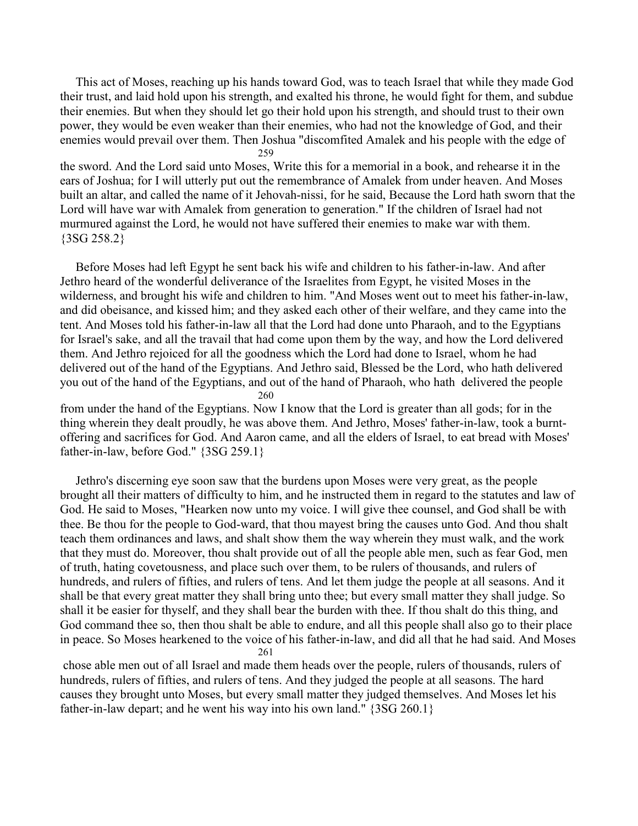This act of Moses, reaching up his hands toward God, was to teach Israel that while they made God their trust, and laid hold upon his strength, and exalted his throne, he would fight for them, and subdue their enemies. But when they should let go their hold upon his strength, and should trust to their own power, they would be even weaker than their enemies, who had not the knowledge of God, and their enemies would prevail over them. Then Joshua "discomfited Amalek and his people with the edge of 259

the sword. And the Lord said unto Moses, Write this for a memorial in a book, and rehearse it in the ears of Joshua; for I will utterly put out the remembrance of Amalek from under heaven. And Moses built an altar, and called the name of it Jehovah-nissi, for he said, Because the Lord hath sworn that the Lord will have war with Amalek from generation to generation." If the children of Israel had not murmured against the Lord, he would not have suffered their enemies to make war with them. {3SG 258.2}

 Before Moses had left Egypt he sent back his wife and children to his father-in-law. And after Jethro heard of the wonderful deliverance of the Israelites from Egypt, he visited Moses in the wilderness, and brought his wife and children to him. "And Moses went out to meet his father-in-law, and did obeisance, and kissed him; and they asked each other of their welfare, and they came into the tent. And Moses told his father-in-law all that the Lord had done unto Pharaoh, and to the Egyptians for Israel's sake, and all the travail that had come upon them by the way, and how the Lord delivered them. And Jethro rejoiced for all the goodness which the Lord had done to Israel, whom he had delivered out of the hand of the Egyptians. And Jethro said, Blessed be the Lord, who hath delivered you out of the hand of the Egyptians, and out of the hand of Pharaoh, who hath delivered the people 260

from under the hand of the Egyptians. Now I know that the Lord is greater than all gods; for in the thing wherein they dealt proudly, he was above them. And Jethro, Moses' father-in-law, took a burntoffering and sacrifices for God. And Aaron came, and all the elders of Israel, to eat bread with Moses' father-in-law, before God." {3SG 259.1}

 Jethro's discerning eye soon saw that the burdens upon Moses were very great, as the people brought all their matters of difficulty to him, and he instructed them in regard to the statutes and law of God. He said to Moses, "Hearken now unto my voice. I will give thee counsel, and God shall be with thee. Be thou for the people to God-ward, that thou mayest bring the causes unto God. And thou shalt teach them ordinances and laws, and shalt show them the way wherein they must walk, and the work that they must do. Moreover, thou shalt provide out of all the people able men, such as fear God, men of truth, hating covetousness, and place such over them, to be rulers of thousands, and rulers of hundreds, and rulers of fifties, and rulers of tens. And let them judge the people at all seasons. And it shall be that every great matter they shall bring unto thee; but every small matter they shall judge. So shall it be easier for thyself, and they shall bear the burden with thee. If thou shalt do this thing, and God command thee so, then thou shalt be able to endure, and all this people shall also go to their place in peace. So Moses hearkened to the voice of his father-in-law, and did all that he had said. And Moses 261

 chose able men out of all Israel and made them heads over the people, rulers of thousands, rulers of hundreds, rulers of fifties, and rulers of tens. And they judged the people at all seasons. The hard causes they brought unto Moses, but every small matter they judged themselves. And Moses let his father-in-law depart; and he went his way into his own land." {3SG 260.1}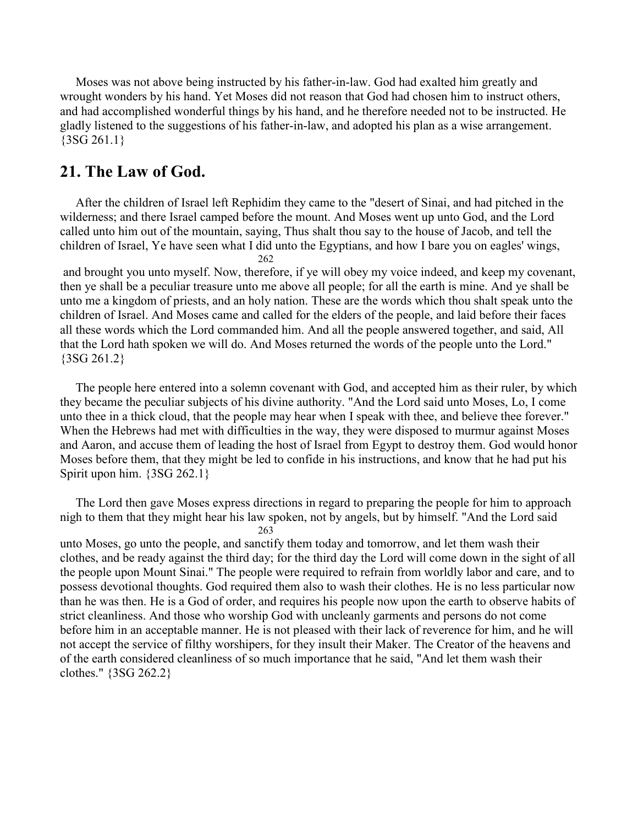Moses was not above being instructed by his father-in-law. God had exalted him greatly and wrought wonders by his hand. Yet Moses did not reason that God had chosen him to instruct others, and had accomplished wonderful things by his hand, and he therefore needed not to be instructed. He gladly listened to the suggestions of his father-in-law, and adopted his plan as a wise arrangement. {3SG 261.1}

## **21. The Law of God.**

 After the children of Israel left Rephidim they came to the "desert of Sinai, and had pitched in the wilderness; and there Israel camped before the mount. And Moses went up unto God, and the Lord called unto him out of the mountain, saying, Thus shalt thou say to the house of Jacob, and tell the children of Israel, Ye have seen what I did unto the Egyptians, and how I bare you on eagles' wings, 262

 and brought you unto myself. Now, therefore, if ye will obey my voice indeed, and keep my covenant, then ye shall be a peculiar treasure unto me above all people; for all the earth is mine. And ye shall be unto me a kingdom of priests, and an holy nation. These are the words which thou shalt speak unto the children of Israel. And Moses came and called for the elders of the people, and laid before their faces all these words which the Lord commanded him. And all the people answered together, and said, All that the Lord hath spoken we will do. And Moses returned the words of the people unto the Lord."  ${3SG 261.2}$ 

 The people here entered into a solemn covenant with God, and accepted him as their ruler, by which they became the peculiar subjects of his divine authority. "And the Lord said unto Moses, Lo, I come unto thee in a thick cloud, that the people may hear when I speak with thee, and believe thee forever." When the Hebrews had met with difficulties in the way, they were disposed to murmur against Moses and Aaron, and accuse them of leading the host of Israel from Egypt to destroy them. God would honor Moses before them, that they might be led to confide in his instructions, and know that he had put his Spirit upon him. {3SG 262.1}

 The Lord then gave Moses express directions in regard to preparing the people for him to approach nigh to them that they might hear his law spoken, not by angels, but by himself. "And the Lord said

263

unto Moses, go unto the people, and sanctify them today and tomorrow, and let them wash their clothes, and be ready against the third day; for the third day the Lord will come down in the sight of all the people upon Mount Sinai." The people were required to refrain from worldly labor and care, and to possess devotional thoughts. God required them also to wash their clothes. He is no less particular now than he was then. He is a God of order, and requires his people now upon the earth to observe habits of strict cleanliness. And those who worship God with uncleanly garments and persons do not come before him in an acceptable manner. He is not pleased with their lack of reverence for him, and he will not accept the service of filthy worshipers, for they insult their Maker. The Creator of the heavens and of the earth considered cleanliness of so much importance that he said, "And let them wash their clothes." {3SG 262.2}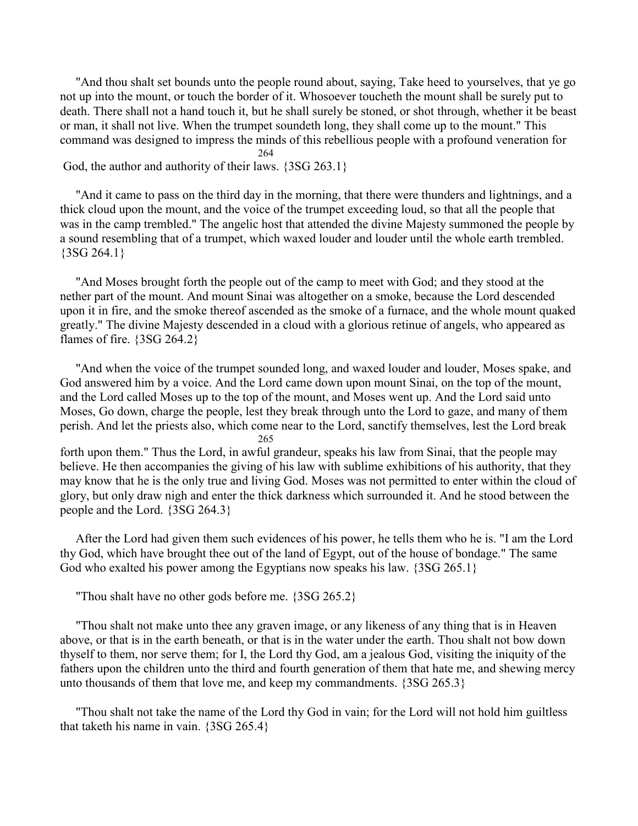"And thou shalt set bounds unto the people round about, saying, Take heed to yourselves, that ye go not up into the mount, or touch the border of it. Whosoever toucheth the mount shall be surely put to death. There shall not a hand touch it, but he shall surely be stoned, or shot through, whether it be beast or man, it shall not live. When the trumpet soundeth long, they shall come up to the mount." This command was designed to impress the minds of this rebellious people with a profound veneration for

God, the author and authority of their laws. {3SG 263.1}

264

 "And it came to pass on the third day in the morning, that there were thunders and lightnings, and a thick cloud upon the mount, and the voice of the trumpet exceeding loud, so that all the people that was in the camp trembled." The angelic host that attended the divine Majesty summoned the people by a sound resembling that of a trumpet, which waxed louder and louder until the whole earth trembled.  ${3SG 264.1}$ 

 "And Moses brought forth the people out of the camp to meet with God; and they stood at the nether part of the mount. And mount Sinai was altogether on a smoke, because the Lord descended upon it in fire, and the smoke thereof ascended as the smoke of a furnace, and the whole mount quaked greatly." The divine Majesty descended in a cloud with a glorious retinue of angels, who appeared as flames of fire. {3SG 264.2}

 "And when the voice of the trumpet sounded long, and waxed louder and louder, Moses spake, and God answered him by a voice. And the Lord came down upon mount Sinai, on the top of the mount, and the Lord called Moses up to the top of the mount, and Moses went up. And the Lord said unto Moses, Go down, charge the people, lest they break through unto the Lord to gaze, and many of them perish. And let the priests also, which come near to the Lord, sanctify themselves, lest the Lord break 265

forth upon them." Thus the Lord, in awful grandeur, speaks his law from Sinai, that the people may believe. He then accompanies the giving of his law with sublime exhibitions of his authority, that they may know that he is the only true and living God. Moses was not permitted to enter within the cloud of glory, but only draw nigh and enter the thick darkness which surrounded it. And he stood between the people and the Lord. {3SG 264.3}

 After the Lord had given them such evidences of his power, he tells them who he is. "I am the Lord thy God, which have brought thee out of the land of Egypt, out of the house of bondage." The same God who exalted his power among the Egyptians now speaks his law. {3SG 265.1}

"Thou shalt have no other gods before me. {3SG 265.2}

 "Thou shalt not make unto thee any graven image, or any likeness of any thing that is in Heaven above, or that is in the earth beneath, or that is in the water under the earth. Thou shalt not bow down thyself to them, nor serve them; for I, the Lord thy God, am a jealous God, visiting the iniquity of the fathers upon the children unto the third and fourth generation of them that hate me, and shewing mercy unto thousands of them that love me, and keep my commandments. {3SG 265.3}

 "Thou shalt not take the name of the Lord thy God in vain; for the Lord will not hold him guiltless that taketh his name in vain. {3SG 265.4}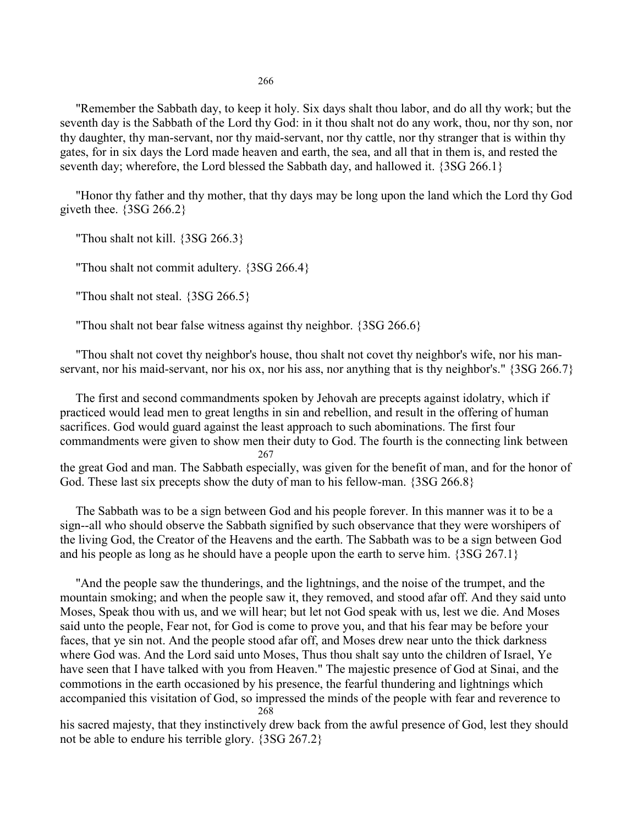"Remember the Sabbath day, to keep it holy. Six days shalt thou labor, and do all thy work; but the seventh day is the Sabbath of the Lord thy God: in it thou shalt not do any work, thou, nor thy son, nor thy daughter, thy man-servant, nor thy maid-servant, nor thy cattle, nor thy stranger that is within thy gates, for in six days the Lord made heaven and earth, the sea, and all that in them is, and rested the seventh day; wherefore, the Lord blessed the Sabbath day, and hallowed it. {3SG 266.1}

 "Honor thy father and thy mother, that thy days may be long upon the land which the Lord thy God giveth thee. {3SG 266.2}

"Thou shalt not kill. {3SG 266.3}

"Thou shalt not commit adultery. {3SG 266.4}

"Thou shalt not steal. {3SG 266.5}

"Thou shalt not bear false witness against thy neighbor. {3SG 266.6}

 "Thou shalt not covet thy neighbor's house, thou shalt not covet thy neighbor's wife, nor his manservant, nor his maid-servant, nor his ox, nor his ass, nor anything that is thy neighbor's." {3SG 266.7}

 The first and second commandments spoken by Jehovah are precepts against idolatry, which if practiced would lead men to great lengths in sin and rebellion, and result in the offering of human sacrifices. God would guard against the least approach to such abominations. The first four commandments were given to show men their duty to God. The fourth is the connecting link between 267 the great God and man. The Sabbath especially, was given for the benefit of man, and for the honor of God. These last six precepts show the duty of man to his fellow-man. {3SG 266.8}

 The Sabbath was to be a sign between God and his people forever. In this manner was it to be a sign--all who should observe the Sabbath signified by such observance that they were worshipers of the living God, the Creator of the Heavens and the earth. The Sabbath was to be a sign between God and his people as long as he should have a people upon the earth to serve him. {3SG 267.1}

 "And the people saw the thunderings, and the lightnings, and the noise of the trumpet, and the mountain smoking; and when the people saw it, they removed, and stood afar off. And they said unto Moses, Speak thou with us, and we will hear; but let not God speak with us, lest we die. And Moses said unto the people, Fear not, for God is come to prove you, and that his fear may be before your faces, that ye sin not. And the people stood afar off, and Moses drew near unto the thick darkness where God was. And the Lord said unto Moses, Thus thou shalt say unto the children of Israel, Ye have seen that I have talked with you from Heaven." The majestic presence of God at Sinai, and the commotions in the earth occasioned by his presence, the fearful thundering and lightnings which accompanied this visitation of God, so impressed the minds of the people with fear and reverence to

268

his sacred majesty, that they instinctively drew back from the awful presence of God, lest they should not be able to endure his terrible glory. {3SG 267.2}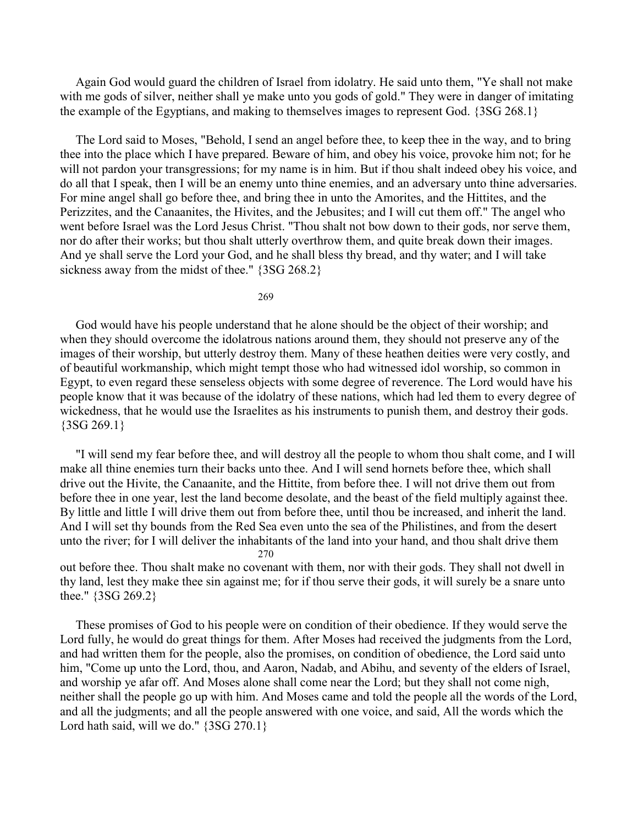Again God would guard the children of Israel from idolatry. He said unto them, "Ye shall not make with me gods of silver, neither shall ye make unto you gods of gold." They were in danger of imitating the example of the Egyptians, and making to themselves images to represent God. {3SG 268.1}

 The Lord said to Moses, "Behold, I send an angel before thee, to keep thee in the way, and to bring thee into the place which I have prepared. Beware of him, and obey his voice, provoke him not; for he will not pardon your transgressions; for my name is in him. But if thou shalt indeed obey his voice, and do all that I speak, then I will be an enemy unto thine enemies, and an adversary unto thine adversaries. For mine angel shall go before thee, and bring thee in unto the Amorites, and the Hittites, and the Perizzites, and the Canaanites, the Hivites, and the Jebusites; and I will cut them off." The angel who went before Israel was the Lord Jesus Christ. "Thou shalt not bow down to their gods, nor serve them, nor do after their works; but thou shalt utterly overthrow them, and quite break down their images. And ye shall serve the Lord your God, and he shall bless thy bread, and thy water; and I will take sickness away from the midst of thee." {3SG 268.2}

269

 God would have his people understand that he alone should be the object of their worship; and when they should overcome the idolatrous nations around them, they should not preserve any of the images of their worship, but utterly destroy them. Many of these heathen deities were very costly, and of beautiful workmanship, which might tempt those who had witnessed idol worship, so common in Egypt, to even regard these senseless objects with some degree of reverence. The Lord would have his people know that it was because of the idolatry of these nations, which had led them to every degree of wickedness, that he would use the Israelites as his instruments to punish them, and destroy their gods.  ${3SG 269.1}$ 

 "I will send my fear before thee, and will destroy all the people to whom thou shalt come, and I will make all thine enemies turn their backs unto thee. And I will send hornets before thee, which shall drive out the Hivite, the Canaanite, and the Hittite, from before thee. I will not drive them out from before thee in one year, lest the land become desolate, and the beast of the field multiply against thee. By little and little I will drive them out from before thee, until thou be increased, and inherit the land. And I will set thy bounds from the Red Sea even unto the sea of the Philistines, and from the desert unto the river; for I will deliver the inhabitants of the land into your hand, and thou shalt drive them 270

out before thee. Thou shalt make no covenant with them, nor with their gods. They shall not dwell in thy land, lest they make thee sin against me; for if thou serve their gods, it will surely be a snare unto thee." {3SG 269.2}

 These promises of God to his people were on condition of their obedience. If they would serve the Lord fully, he would do great things for them. After Moses had received the judgments from the Lord, and had written them for the people, also the promises, on condition of obedience, the Lord said unto him, "Come up unto the Lord, thou, and Aaron, Nadab, and Abihu, and seventy of the elders of Israel, and worship ye afar off. And Moses alone shall come near the Lord; but they shall not come nigh, neither shall the people go up with him. And Moses came and told the people all the words of the Lord, and all the judgments; and all the people answered with one voice, and said, All the words which the Lord hath said, will we do." {3SG 270.1}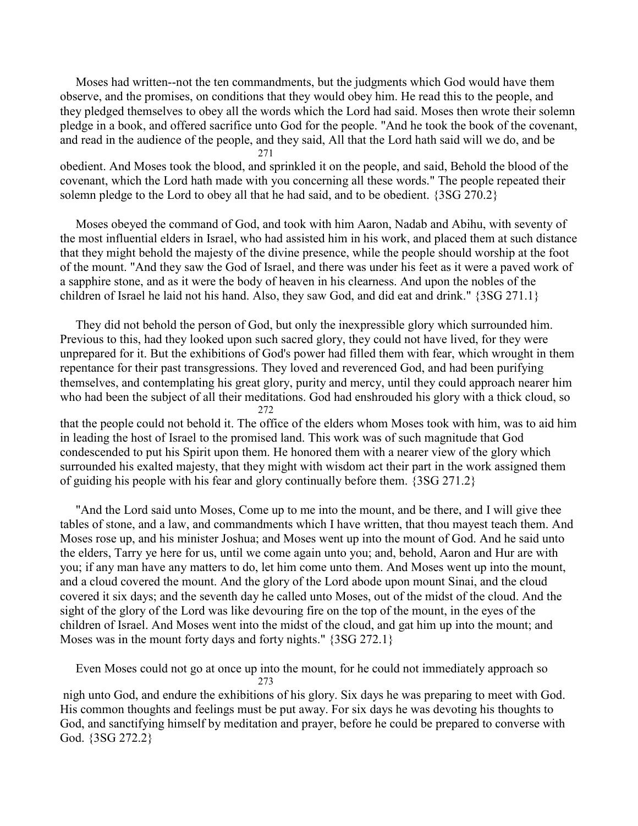Moses had written--not the ten commandments, but the judgments which God would have them observe, and the promises, on conditions that they would obey him. He read this to the people, and they pledged themselves to obey all the words which the Lord had said. Moses then wrote their solemn pledge in a book, and offered sacrifice unto God for the people. "And he took the book of the covenant, and read in the audience of the people, and they said, All that the Lord hath said will we do, and be 271

obedient. And Moses took the blood, and sprinkled it on the people, and said, Behold the blood of the covenant, which the Lord hath made with you concerning all these words." The people repeated their solemn pledge to the Lord to obey all that he had said, and to be obedient. {3SG 270.2}

 Moses obeyed the command of God, and took with him Aaron, Nadab and Abihu, with seventy of the most influential elders in Israel, who had assisted him in his work, and placed them at such distance that they might behold the majesty of the divine presence, while the people should worship at the foot of the mount. "And they saw the God of Israel, and there was under his feet as it were a paved work of a sapphire stone, and as it were the body of heaven in his clearness. And upon the nobles of the children of Israel he laid not his hand. Also, they saw God, and did eat and drink." {3SG 271.1}

 They did not behold the person of God, but only the inexpressible glory which surrounded him. Previous to this, had they looked upon such sacred glory, they could not have lived, for they were unprepared for it. But the exhibitions of God's power had filled them with fear, which wrought in them repentance for their past transgressions. They loved and reverenced God, and had been purifying themselves, and contemplating his great glory, purity and mercy, until they could approach nearer him who had been the subject of all their meditations. God had enshrouded his glory with a thick cloud, so 272

that the people could not behold it. The office of the elders whom Moses took with him, was to aid him in leading the host of Israel to the promised land. This work was of such magnitude that God condescended to put his Spirit upon them. He honored them with a nearer view of the glory which surrounded his exalted majesty, that they might with wisdom act their part in the work assigned them of guiding his people with his fear and glory continually before them. {3SG 271.2}

 "And the Lord said unto Moses, Come up to me into the mount, and be there, and I will give thee tables of stone, and a law, and commandments which I have written, that thou mayest teach them. And Moses rose up, and his minister Joshua; and Moses went up into the mount of God. And he said unto the elders, Tarry ye here for us, until we come again unto you; and, behold, Aaron and Hur are with you; if any man have any matters to do, let him come unto them. And Moses went up into the mount, and a cloud covered the mount. And the glory of the Lord abode upon mount Sinai, and the cloud covered it six days; and the seventh day he called unto Moses, out of the midst of the cloud. And the sight of the glory of the Lord was like devouring fire on the top of the mount, in the eyes of the children of Israel. And Moses went into the midst of the cloud, and gat him up into the mount; and Moses was in the mount forty days and forty nights." {3SG 272.1}

 Even Moses could not go at once up into the mount, for he could not immediately approach so 273 nigh unto God, and endure the exhibitions of his glory. Six days he was preparing to meet with God.

His common thoughts and feelings must be put away. For six days he was devoting his thoughts to God, and sanctifying himself by meditation and prayer, before he could be prepared to converse with God. {3SG 272.2}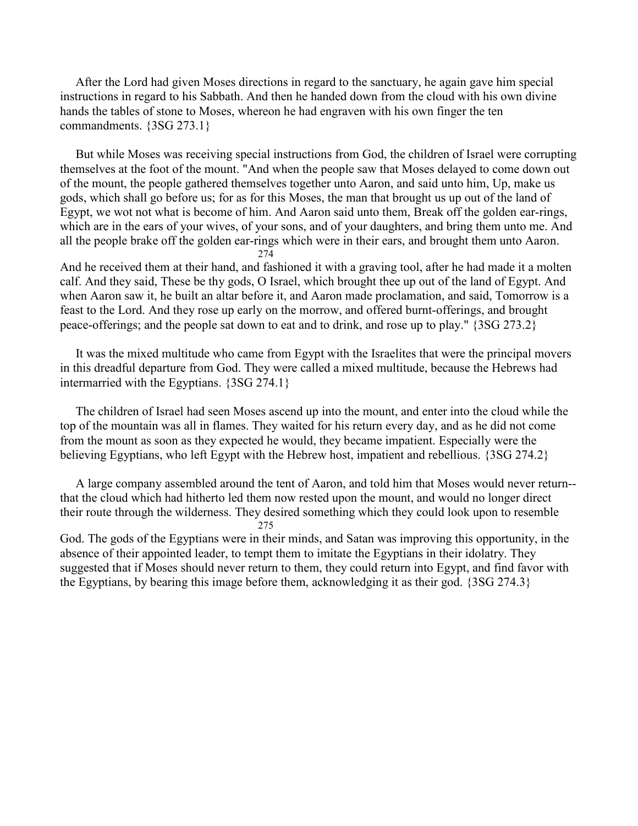After the Lord had given Moses directions in regard to the sanctuary, he again gave him special instructions in regard to his Sabbath. And then he handed down from the cloud with his own divine hands the tables of stone to Moses, whereon he had engraven with his own finger the ten commandments. {3SG 273.1}

 But while Moses was receiving special instructions from God, the children of Israel were corrupting themselves at the foot of the mount. "And when the people saw that Moses delayed to come down out of the mount, the people gathered themselves together unto Aaron, and said unto him, Up, make us gods, which shall go before us; for as for this Moses, the man that brought us up out of the land of Egypt, we wot not what is become of him. And Aaron said unto them, Break off the golden ear-rings, which are in the ears of your wives, of your sons, and of your daughters, and bring them unto me. And all the people brake off the golden ear-rings which were in their ears, and brought them unto Aaron. 274

And he received them at their hand, and fashioned it with a graving tool, after he had made it a molten calf. And they said, These be thy gods, O Israel, which brought thee up out of the land of Egypt. And when Aaron saw it, he built an altar before it, and Aaron made proclamation, and said, Tomorrow is a feast to the Lord. And they rose up early on the morrow, and offered burnt-offerings, and brought peace-offerings; and the people sat down to eat and to drink, and rose up to play." {3SG 273.2}

 It was the mixed multitude who came from Egypt with the Israelites that were the principal movers in this dreadful departure from God. They were called a mixed multitude, because the Hebrews had intermarried with the Egyptians. {3SG 274.1}

 The children of Israel had seen Moses ascend up into the mount, and enter into the cloud while the top of the mountain was all in flames. They waited for his return every day, and as he did not come from the mount as soon as they expected he would, they became impatient. Especially were the believing Egyptians, who left Egypt with the Hebrew host, impatient and rebellious. {3SG 274.2}

 A large company assembled around the tent of Aaron, and told him that Moses would never return- that the cloud which had hitherto led them now rested upon the mount, and would no longer direct their route through the wilderness. They desired something which they could look upon to resemble 275

God. The gods of the Egyptians were in their minds, and Satan was improving this opportunity, in the absence of their appointed leader, to tempt them to imitate the Egyptians in their idolatry. They suggested that if Moses should never return to them, they could return into Egypt, and find favor with the Egyptians, by bearing this image before them, acknowledging it as their god. {3SG 274.3}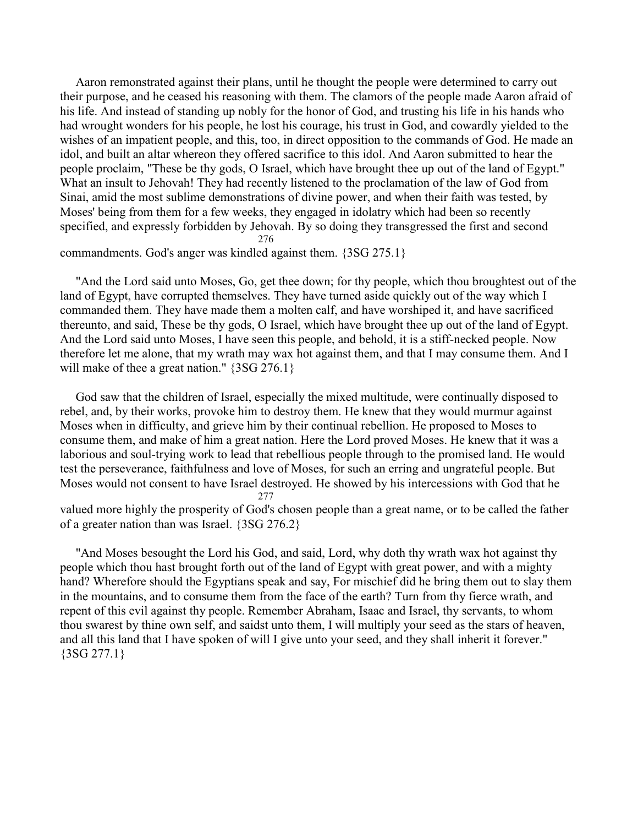Aaron remonstrated against their plans, until he thought the people were determined to carry out their purpose, and he ceased his reasoning with them. The clamors of the people made Aaron afraid of his life. And instead of standing up nobly for the honor of God, and trusting his life in his hands who had wrought wonders for his people, he lost his courage, his trust in God, and cowardly yielded to the wishes of an impatient people, and this, too, in direct opposition to the commands of God. He made an idol, and built an altar whereon they offered sacrifice to this idol. And Aaron submitted to hear the people proclaim, "These be thy gods, O Israel, which have brought thee up out of the land of Egypt." What an insult to Jehovah! They had recently listened to the proclamation of the law of God from Sinai, amid the most sublime demonstrations of divine power, and when their faith was tested, by Moses' being from them for a few weeks, they engaged in idolatry which had been so recently specified, and expressly forbidden by Jehovah. By so doing they transgressed the first and second 276

commandments. God's anger was kindled against them. {3SG 275.1}

 "And the Lord said unto Moses, Go, get thee down; for thy people, which thou broughtest out of the land of Egypt, have corrupted themselves. They have turned aside quickly out of the way which I commanded them. They have made them a molten calf, and have worshiped it, and have sacrificed thereunto, and said, These be thy gods, O Israel, which have brought thee up out of the land of Egypt. And the Lord said unto Moses, I have seen this people, and behold, it is a stiff-necked people. Now therefore let me alone, that my wrath may wax hot against them, and that I may consume them. And I will make of thee a great nation." {3SG 276.1}

 God saw that the children of Israel, especially the mixed multitude, were continually disposed to rebel, and, by their works, provoke him to destroy them. He knew that they would murmur against Moses when in difficulty, and grieve him by their continual rebellion. He proposed to Moses to consume them, and make of him a great nation. Here the Lord proved Moses. He knew that it was a laborious and soul-trying work to lead that rebellious people through to the promised land. He would test the perseverance, faithfulness and love of Moses, for such an erring and ungrateful people. But Moses would not consent to have Israel destroyed. He showed by his intercessions with God that he 277

valued more highly the prosperity of God's chosen people than a great name, or to be called the father of a greater nation than was Israel. {3SG 276.2}

 "And Moses besought the Lord his God, and said, Lord, why doth thy wrath wax hot against thy people which thou hast brought forth out of the land of Egypt with great power, and with a mighty hand? Wherefore should the Egyptians speak and say, For mischief did he bring them out to slay them in the mountains, and to consume them from the face of the earth? Turn from thy fierce wrath, and repent of this evil against thy people. Remember Abraham, Isaac and Israel, thy servants, to whom thou swarest by thine own self, and saidst unto them, I will multiply your seed as the stars of heaven, and all this land that I have spoken of will I give unto your seed, and they shall inherit it forever." {3SG 277.1}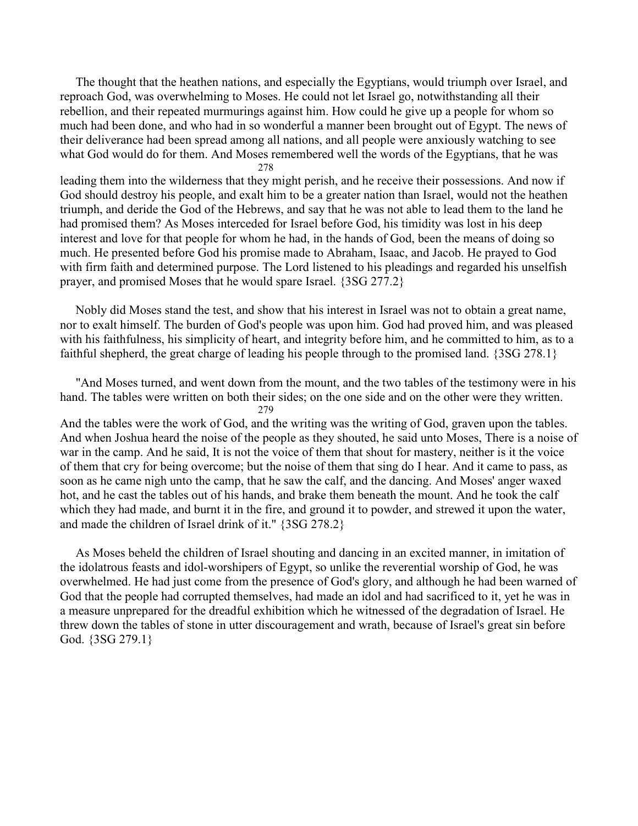The thought that the heathen nations, and especially the Egyptians, would triumph over Israel, and reproach God, was overwhelming to Moses. He could not let Israel go, notwithstanding all their rebellion, and their repeated murmurings against him. How could he give up a people for whom so much had been done, and who had in so wonderful a manner been brought out of Egypt. The news of their deliverance had been spread among all nations, and all people were anxiously watching to see what God would do for them. And Moses remembered well the words of the Egyptians, that he was 278

leading them into the wilderness that they might perish, and he receive their possessions. And now if God should destroy his people, and exalt him to be a greater nation than Israel, would not the heathen triumph, and deride the God of the Hebrews, and say that he was not able to lead them to the land he had promised them? As Moses interceded for Israel before God, his timidity was lost in his deep interest and love for that people for whom he had, in the hands of God, been the means of doing so much. He presented before God his promise made to Abraham, Isaac, and Jacob. He prayed to God with firm faith and determined purpose. The Lord listened to his pleadings and regarded his unselfish prayer, and promised Moses that he would spare Israel. {3SG 277.2}

 Nobly did Moses stand the test, and show that his interest in Israel was not to obtain a great name, nor to exalt himself. The burden of God's people was upon him. God had proved him, and was pleased with his faithfulness, his simplicity of heart, and integrity before him, and he committed to him, as to a faithful shepherd, the great charge of leading his people through to the promised land. {3SG 278.1}

 "And Moses turned, and went down from the mount, and the two tables of the testimony were in his hand. The tables were written on both their sides; on the one side and on the other were they written. 279

And the tables were the work of God, and the writing was the writing of God, graven upon the tables. And when Joshua heard the noise of the people as they shouted, he said unto Moses, There is a noise of war in the camp. And he said, It is not the voice of them that shout for mastery, neither is it the voice of them that cry for being overcome; but the noise of them that sing do I hear. And it came to pass, as soon as he came nigh unto the camp, that he saw the calf, and the dancing. And Moses' anger waxed hot, and he cast the tables out of his hands, and brake them beneath the mount. And he took the calf which they had made, and burnt it in the fire, and ground it to powder, and strewed it upon the water, and made the children of Israel drink of it." {3SG 278.2}

 As Moses beheld the children of Israel shouting and dancing in an excited manner, in imitation of the idolatrous feasts and idol-worshipers of Egypt, so unlike the reverential worship of God, he was overwhelmed. He had just come from the presence of God's glory, and although he had been warned of God that the people had corrupted themselves, had made an idol and had sacrificed to it, yet he was in a measure unprepared for the dreadful exhibition which he witnessed of the degradation of Israel. He threw down the tables of stone in utter discouragement and wrath, because of Israel's great sin before God. {3SG 279.1}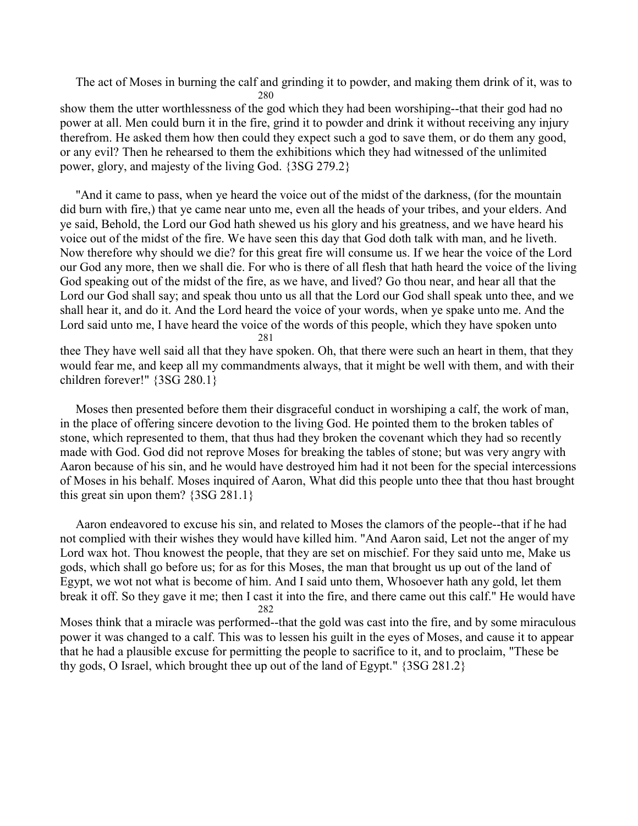The act of Moses in burning the calf and grinding it to powder, and making them drink of it, was to 280

show them the utter worthlessness of the god which they had been worshiping--that their god had no power at all. Men could burn it in the fire, grind it to powder and drink it without receiving any injury therefrom. He asked them how then could they expect such a god to save them, or do them any good, or any evil? Then he rehearsed to them the exhibitions which they had witnessed of the unlimited power, glory, and majesty of the living God. {3SG 279.2}

 "And it came to pass, when ye heard the voice out of the midst of the darkness, (for the mountain did burn with fire,) that ye came near unto me, even all the heads of your tribes, and your elders. And ye said, Behold, the Lord our God hath shewed us his glory and his greatness, and we have heard his voice out of the midst of the fire. We have seen this day that God doth talk with man, and he liveth. Now therefore why should we die? for this great fire will consume us. If we hear the voice of the Lord our God any more, then we shall die. For who is there of all flesh that hath heard the voice of the living God speaking out of the midst of the fire, as we have, and lived? Go thou near, and hear all that the Lord our God shall say; and speak thou unto us all that the Lord our God shall speak unto thee, and we shall hear it, and do it. And the Lord heard the voice of your words, when ye spake unto me. And the Lord said unto me, I have heard the voice of the words of this people, which they have spoken unto 281

thee They have well said all that they have spoken. Oh, that there were such an heart in them, that they would fear me, and keep all my commandments always, that it might be well with them, and with their children forever!" {3SG 280.1}

 Moses then presented before them their disgraceful conduct in worshiping a calf, the work of man, in the place of offering sincere devotion to the living God. He pointed them to the broken tables of stone, which represented to them, that thus had they broken the covenant which they had so recently made with God. God did not reprove Moses for breaking the tables of stone; but was very angry with Aaron because of his sin, and he would have destroyed him had it not been for the special intercessions of Moses in his behalf. Moses inquired of Aaron, What did this people unto thee that thou hast brought this great sin upon them?  ${3SG 281.1}$ 

 Aaron endeavored to excuse his sin, and related to Moses the clamors of the people--that if he had not complied with their wishes they would have killed him. "And Aaron said, Let not the anger of my Lord wax hot. Thou knowest the people, that they are set on mischief. For they said unto me, Make us gods, which shall go before us; for as for this Moses, the man that brought us up out of the land of Egypt, we wot not what is become of him. And I said unto them, Whosoever hath any gold, let them break it off. So they gave it me; then I cast it into the fire, and there came out this calf." He would have 282

Moses think that a miracle was performed--that the gold was cast into the fire, and by some miraculous power it was changed to a calf. This was to lessen his guilt in the eyes of Moses, and cause it to appear that he had a plausible excuse for permitting the people to sacrifice to it, and to proclaim, "These be thy gods, O Israel, which brought thee up out of the land of Egypt." {3SG 281.2}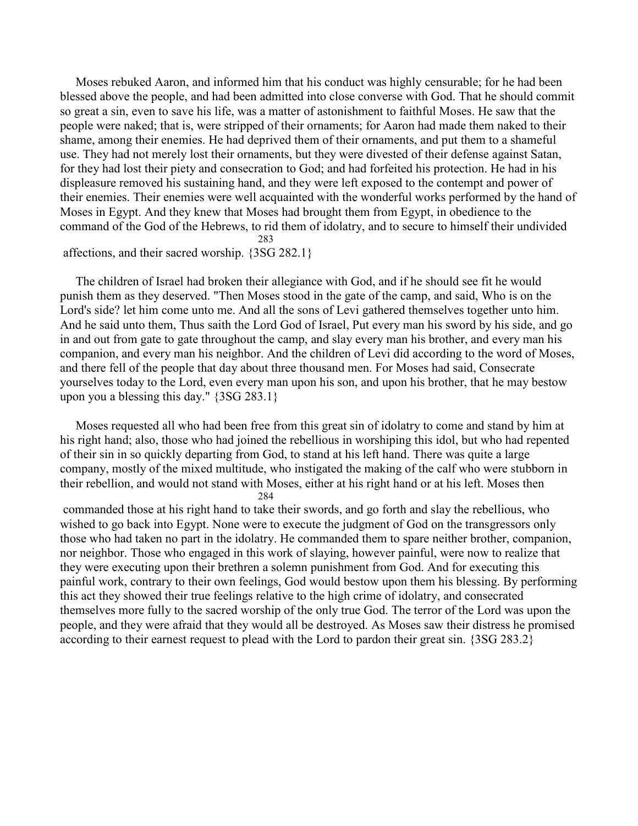Moses rebuked Aaron, and informed him that his conduct was highly censurable; for he had been blessed above the people, and had been admitted into close converse with God. That he should commit so great a sin, even to save his life, was a matter of astonishment to faithful Moses. He saw that the people were naked; that is, were stripped of their ornaments; for Aaron had made them naked to their shame, among their enemies. He had deprived them of their ornaments, and put them to a shameful use. They had not merely lost their ornaments, but they were divested of their defense against Satan, for they had lost their piety and consecration to God; and had forfeited his protection. He had in his displeasure removed his sustaining hand, and they were left exposed to the contempt and power of their enemies. Their enemies were well acquainted with the wonderful works performed by the hand of Moses in Egypt. And they knew that Moses had brought them from Egypt, in obedience to the command of the God of the Hebrews, to rid them of idolatry, and to secure to himself their undivided 283

affections, and their sacred worship. {3SG 282.1}

 The children of Israel had broken their allegiance with God, and if he should see fit he would punish them as they deserved. "Then Moses stood in the gate of the camp, and said, Who is on the Lord's side? let him come unto me. And all the sons of Levi gathered themselves together unto him. And he said unto them, Thus saith the Lord God of Israel, Put every man his sword by his side, and go in and out from gate to gate throughout the camp, and slay every man his brother, and every man his companion, and every man his neighbor. And the children of Levi did according to the word of Moses, and there fell of the people that day about three thousand men. For Moses had said, Consecrate yourselves today to the Lord, even every man upon his son, and upon his brother, that he may bestow upon you a blessing this day." {3SG 283.1}

 Moses requested all who had been free from this great sin of idolatry to come and stand by him at his right hand; also, those who had joined the rebellious in worshiping this idol, but who had repented of their sin in so quickly departing from God, to stand at his left hand. There was quite a large company, mostly of the mixed multitude, who instigated the making of the calf who were stubborn in their rebellion, and would not stand with Moses, either at his right hand or at his left. Moses then 284

 commanded those at his right hand to take their swords, and go forth and slay the rebellious, who wished to go back into Egypt. None were to execute the judgment of God on the transgressors only those who had taken no part in the idolatry. He commanded them to spare neither brother, companion, nor neighbor. Those who engaged in this work of slaying, however painful, were now to realize that they were executing upon their brethren a solemn punishment from God. And for executing this painful work, contrary to their own feelings, God would bestow upon them his blessing. By performing this act they showed their true feelings relative to the high crime of idolatry, and consecrated themselves more fully to the sacred worship of the only true God. The terror of the Lord was upon the people, and they were afraid that they would all be destroyed. As Moses saw their distress he promised according to their earnest request to plead with the Lord to pardon their great sin. {3SG 283.2}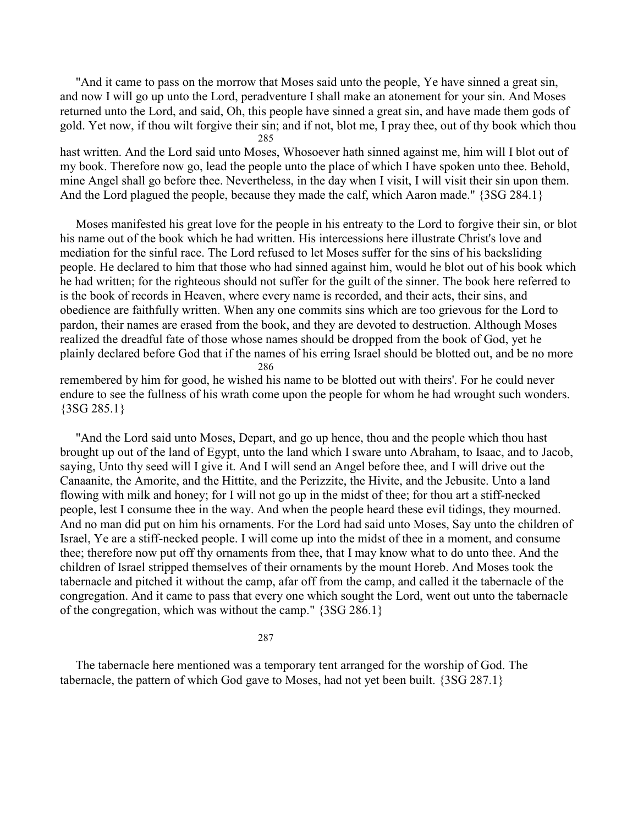"And it came to pass on the morrow that Moses said unto the people, Ye have sinned a great sin, and now I will go up unto the Lord, peradventure I shall make an atonement for your sin. And Moses returned unto the Lord, and said, Oh, this people have sinned a great sin, and have made them gods of gold. Yet now, if thou wilt forgive their sin; and if not, blot me, I pray thee, out of thy book which thou 285

hast written. And the Lord said unto Moses, Whosoever hath sinned against me, him will I blot out of my book. Therefore now go, lead the people unto the place of which I have spoken unto thee. Behold, mine Angel shall go before thee. Nevertheless, in the day when I visit, I will visit their sin upon them. And the Lord plagued the people, because they made the calf, which Aaron made." {3SG 284.1}

 Moses manifested his great love for the people in his entreaty to the Lord to forgive their sin, or blot his name out of the book which he had written. His intercessions here illustrate Christ's love and mediation for the sinful race. The Lord refused to let Moses suffer for the sins of his backsliding people. He declared to him that those who had sinned against him, would he blot out of his book which he had written; for the righteous should not suffer for the guilt of the sinner. The book here referred to is the book of records in Heaven, where every name is recorded, and their acts, their sins, and obedience are faithfully written. When any one commits sins which are too grievous for the Lord to pardon, their names are erased from the book, and they are devoted to destruction. Although Moses realized the dreadful fate of those whose names should be dropped from the book of God, yet he plainly declared before God that if the names of his erring Israel should be blotted out, and be no more 286

remembered by him for good, he wished his name to be blotted out with theirs'. For he could never endure to see the fullness of his wrath come upon the people for whom he had wrought such wonders.  ${3SG 285.1}$ 

 "And the Lord said unto Moses, Depart, and go up hence, thou and the people which thou hast brought up out of the land of Egypt, unto the land which I sware unto Abraham, to Isaac, and to Jacob, saying, Unto thy seed will I give it. And I will send an Angel before thee, and I will drive out the Canaanite, the Amorite, and the Hittite, and the Perizzite, the Hivite, and the Jebusite. Unto a land flowing with milk and honey; for I will not go up in the midst of thee; for thou art a stiff-necked people, lest I consume thee in the way. And when the people heard these evil tidings, they mourned. And no man did put on him his ornaments. For the Lord had said unto Moses, Say unto the children of Israel, Ye are a stiff-necked people. I will come up into the midst of thee in a moment, and consume thee; therefore now put off thy ornaments from thee, that I may know what to do unto thee. And the children of Israel stripped themselves of their ornaments by the mount Horeb. And Moses took the tabernacle and pitched it without the camp, afar off from the camp, and called it the tabernacle of the congregation. And it came to pass that every one which sought the Lord, went out unto the tabernacle of the congregation, which was without the camp." {3SG 286.1}

287

 The tabernacle here mentioned was a temporary tent arranged for the worship of God. The tabernacle, the pattern of which God gave to Moses, had not yet been built. {3SG 287.1}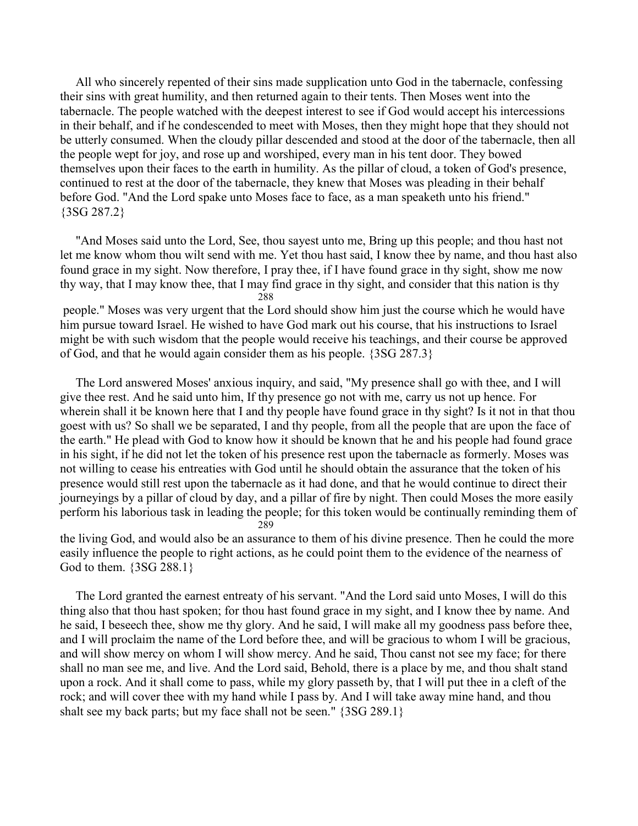All who sincerely repented of their sins made supplication unto God in the tabernacle, confessing their sins with great humility, and then returned again to their tents. Then Moses went into the tabernacle. The people watched with the deepest interest to see if God would accept his intercessions in their behalf, and if he condescended to meet with Moses, then they might hope that they should not be utterly consumed. When the cloudy pillar descended and stood at the door of the tabernacle, then all the people wept for joy, and rose up and worshiped, every man in his tent door. They bowed themselves upon their faces to the earth in humility. As the pillar of cloud, a token of God's presence, continued to rest at the door of the tabernacle, they knew that Moses was pleading in their behalf before God. "And the Lord spake unto Moses face to face, as a man speaketh unto his friend."  ${3SG 287.2}$ 

 "And Moses said unto the Lord, See, thou sayest unto me, Bring up this people; and thou hast not let me know whom thou wilt send with me. Yet thou hast said, I know thee by name, and thou hast also found grace in my sight. Now therefore, I pray thee, if I have found grace in thy sight, show me now thy way, that I may know thee, that I may find grace in thy sight, and consider that this nation is thy 288

 people." Moses was very urgent that the Lord should show him just the course which he would have him pursue toward Israel. He wished to have God mark out his course, that his instructions to Israel might be with such wisdom that the people would receive his teachings, and their course be approved of God, and that he would again consider them as his people. {3SG 287.3}

 The Lord answered Moses' anxious inquiry, and said, "My presence shall go with thee, and I will give thee rest. And he said unto him, If thy presence go not with me, carry us not up hence. For wherein shall it be known here that I and thy people have found grace in thy sight? Is it not in that thou goest with us? So shall we be separated, I and thy people, from all the people that are upon the face of the earth." He plead with God to know how it should be known that he and his people had found grace in his sight, if he did not let the token of his presence rest upon the tabernacle as formerly. Moses was not willing to cease his entreaties with God until he should obtain the assurance that the token of his presence would still rest upon the tabernacle as it had done, and that he would continue to direct their journeyings by a pillar of cloud by day, and a pillar of fire by night. Then could Moses the more easily perform his laborious task in leading the people; for this token would be continually reminding them of 289

the living God, and would also be an assurance to them of his divine presence. Then he could the more easily influence the people to right actions, as he could point them to the evidence of the nearness of God to them. {3SG 288.1}

 The Lord granted the earnest entreaty of his servant. "And the Lord said unto Moses, I will do this thing also that thou hast spoken; for thou hast found grace in my sight, and I know thee by name. And he said, I beseech thee, show me thy glory. And he said, I will make all my goodness pass before thee, and I will proclaim the name of the Lord before thee, and will be gracious to whom I will be gracious, and will show mercy on whom I will show mercy. And he said, Thou canst not see my face; for there shall no man see me, and live. And the Lord said, Behold, there is a place by me, and thou shalt stand upon a rock. And it shall come to pass, while my glory passeth by, that I will put thee in a cleft of the rock; and will cover thee with my hand while I pass by. And I will take away mine hand, and thou shalt see my back parts; but my face shall not be seen." {3SG 289.1}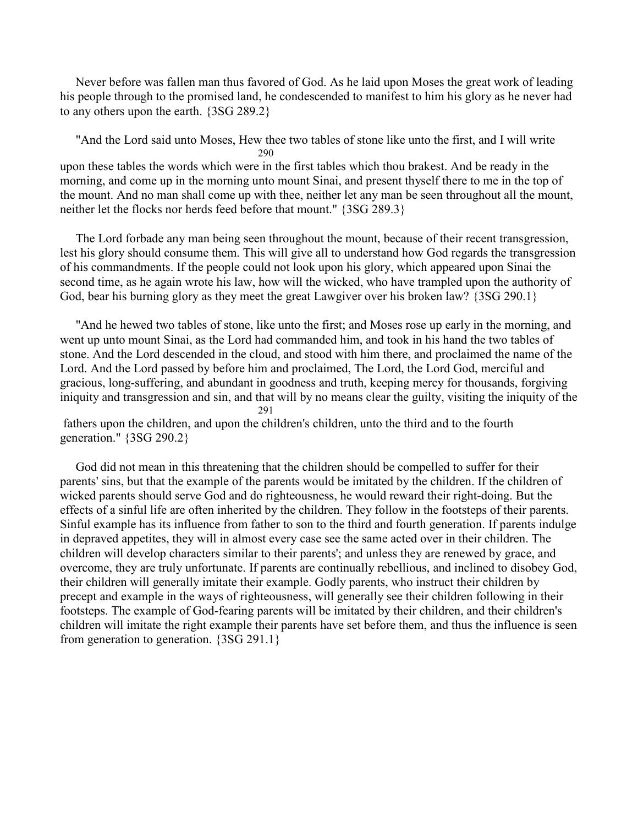Never before was fallen man thus favored of God. As he laid upon Moses the great work of leading his people through to the promised land, he condescended to manifest to him his glory as he never had to any others upon the earth. {3SG 289.2}

"And the Lord said unto Moses, Hew thee two tables of stone like unto the first, and I will write 290

upon these tables the words which were in the first tables which thou brakest. And be ready in the morning, and come up in the morning unto mount Sinai, and present thyself there to me in the top of the mount. And no man shall come up with thee, neither let any man be seen throughout all the mount, neither let the flocks nor herds feed before that mount." {3SG 289.3}

 The Lord forbade any man being seen throughout the mount, because of their recent transgression, lest his glory should consume them. This will give all to understand how God regards the transgression of his commandments. If the people could not look upon his glory, which appeared upon Sinai the second time, as he again wrote his law, how will the wicked, who have trampled upon the authority of God, bear his burning glory as they meet the great Lawgiver over his broken law? {3SG 290.1}

 "And he hewed two tables of stone, like unto the first; and Moses rose up early in the morning, and went up unto mount Sinai, as the Lord had commanded him, and took in his hand the two tables of stone. And the Lord descended in the cloud, and stood with him there, and proclaimed the name of the Lord. And the Lord passed by before him and proclaimed, The Lord, the Lord God, merciful and gracious, long-suffering, and abundant in goodness and truth, keeping mercy for thousands, forgiving iniquity and transgression and sin, and that will by no means clear the guilty, visiting the iniquity of the 291

 fathers upon the children, and upon the children's children, unto the third and to the fourth generation." {3SG 290.2}

 God did not mean in this threatening that the children should be compelled to suffer for their parents' sins, but that the example of the parents would be imitated by the children. If the children of wicked parents should serve God and do righteousness, he would reward their right-doing. But the effects of a sinful life are often inherited by the children. They follow in the footsteps of their parents. Sinful example has its influence from father to son to the third and fourth generation. If parents indulge in depraved appetites, they will in almost every case see the same acted over in their children. The children will develop characters similar to their parents'; and unless they are renewed by grace, and overcome, they are truly unfortunate. If parents are continually rebellious, and inclined to disobey God, their children will generally imitate their example. Godly parents, who instruct their children by precept and example in the ways of righteousness, will generally see their children following in their footsteps. The example of God-fearing parents will be imitated by their children, and their children's children will imitate the right example their parents have set before them, and thus the influence is seen from generation to generation. {3SG 291.1}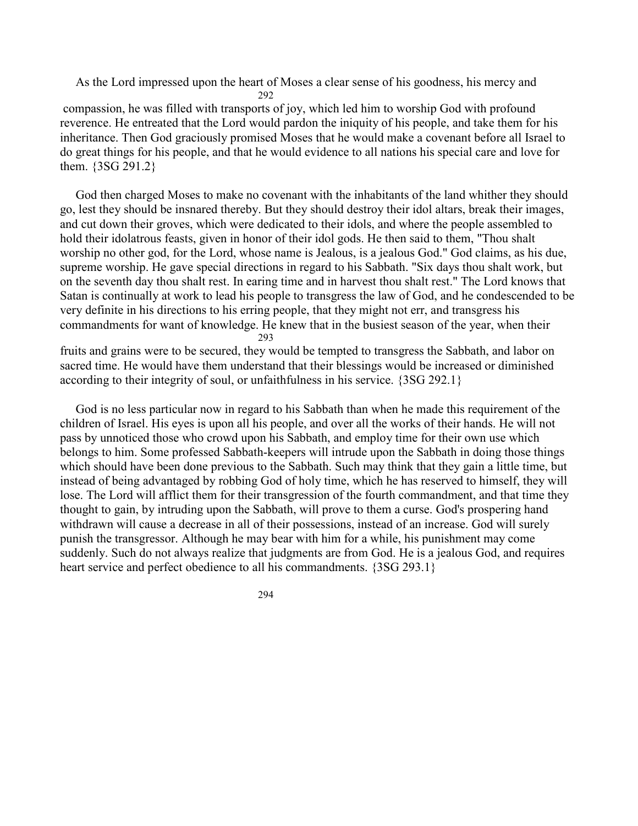As the Lord impressed upon the heart of Moses a clear sense of his goodness, his mercy and 292

 compassion, he was filled with transports of joy, which led him to worship God with profound reverence. He entreated that the Lord would pardon the iniquity of his people, and take them for his inheritance. Then God graciously promised Moses that he would make a covenant before all Israel to do great things for his people, and that he would evidence to all nations his special care and love for them. {3SG 291.2}

 God then charged Moses to make no covenant with the inhabitants of the land whither they should go, lest they should be insnared thereby. But they should destroy their idol altars, break their images, and cut down their groves, which were dedicated to their idols, and where the people assembled to hold their idolatrous feasts, given in honor of their idol gods. He then said to them, "Thou shalt worship no other god, for the Lord, whose name is Jealous, is a jealous God." God claims, as his due, supreme worship. He gave special directions in regard to his Sabbath. "Six days thou shalt work, but on the seventh day thou shalt rest. In earing time and in harvest thou shalt rest." The Lord knows that Satan is continually at work to lead his people to transgress the law of God, and he condescended to be very definite in his directions to his erring people, that they might not err, and transgress his commandments for want of knowledge. He knew that in the busiest season of the year, when their 293

fruits and grains were to be secured, they would be tempted to transgress the Sabbath, and labor on sacred time. He would have them understand that their blessings would be increased or diminished according to their integrity of soul, or unfaithfulness in his service. {3SG 292.1}

 God is no less particular now in regard to his Sabbath than when he made this requirement of the children of Israel. His eyes is upon all his people, and over all the works of their hands. He will not pass by unnoticed those who crowd upon his Sabbath, and employ time for their own use which belongs to him. Some professed Sabbath-keepers will intrude upon the Sabbath in doing those things which should have been done previous to the Sabbath. Such may think that they gain a little time, but instead of being advantaged by robbing God of holy time, which he has reserved to himself, they will lose. The Lord will afflict them for their transgression of the fourth commandment, and that time they thought to gain, by intruding upon the Sabbath, will prove to them a curse. God's prospering hand withdrawn will cause a decrease in all of their possessions, instead of an increase. God will surely punish the transgressor. Although he may bear with him for a while, his punishment may come suddenly. Such do not always realize that judgments are from God. He is a jealous God, and requires heart service and perfect obedience to all his commandments. {3SG 293.1}

294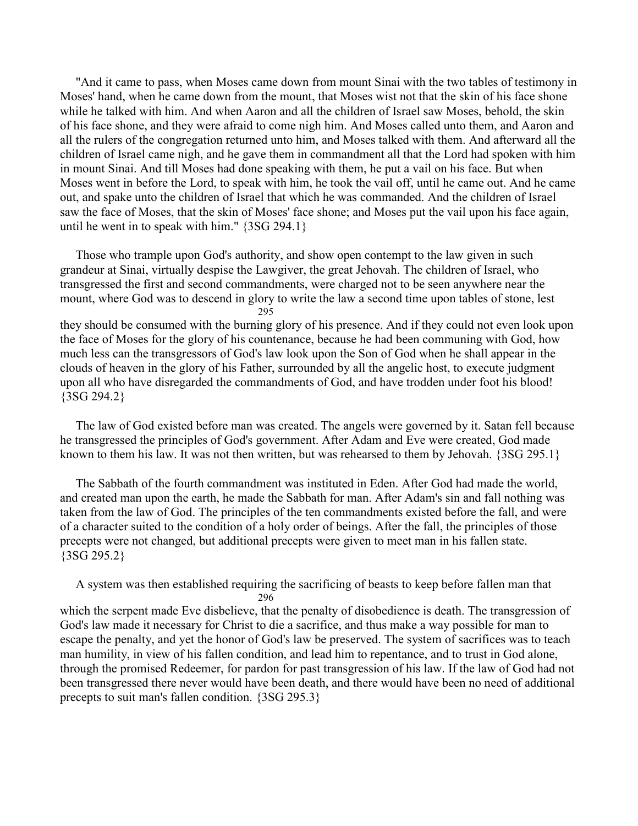"And it came to pass, when Moses came down from mount Sinai with the two tables of testimony in Moses' hand, when he came down from the mount, that Moses wist not that the skin of his face shone while he talked with him. And when Aaron and all the children of Israel saw Moses, behold, the skin of his face shone, and they were afraid to come nigh him. And Moses called unto them, and Aaron and all the rulers of the congregation returned unto him, and Moses talked with them. And afterward all the children of Israel came nigh, and he gave them in commandment all that the Lord had spoken with him in mount Sinai. And till Moses had done speaking with them, he put a vail on his face. But when Moses went in before the Lord, to speak with him, he took the vail off, until he came out. And he came out, and spake unto the children of Israel that which he was commanded. And the children of Israel saw the face of Moses, that the skin of Moses' face shone; and Moses put the vail upon his face again, until he went in to speak with him." {3SG 294.1}

 Those who trample upon God's authority, and show open contempt to the law given in such grandeur at Sinai, virtually despise the Lawgiver, the great Jehovah. The children of Israel, who transgressed the first and second commandments, were charged not to be seen anywhere near the mount, where God was to descend in glory to write the law a second time upon tables of stone, lest 295 they should be consumed with the burning glory of his presence. And if they could not even look upon the face of Moses for the glory of his countenance, because he had been communing with God, how much less can the transgressors of God's law look upon the Son of God when he shall appear in the clouds of heaven in the glory of his Father, surrounded by all the angelic host, to execute judgment upon all who have disregarded the commandments of God, and have trodden under foot his blood! {3SG 294.2}

 The law of God existed before man was created. The angels were governed by it. Satan fell because he transgressed the principles of God's government. After Adam and Eve were created, God made known to them his law. It was not then written, but was rehearsed to them by Jehovah. {3SG 295.1}

 The Sabbath of the fourth commandment was instituted in Eden. After God had made the world, and created man upon the earth, he made the Sabbath for man. After Adam's sin and fall nothing was taken from the law of God. The principles of the ten commandments existed before the fall, and were of a character suited to the condition of a holy order of beings. After the fall, the principles of those precepts were not changed, but additional precepts were given to meet man in his fallen state. {3SG 295.2}

 A system was then established requiring the sacrificing of beasts to keep before fallen man that 296

which the serpent made Eve disbelieve, that the penalty of disobedience is death. The transgression of God's law made it necessary for Christ to die a sacrifice, and thus make a way possible for man to escape the penalty, and yet the honor of God's law be preserved. The system of sacrifices was to teach man humility, in view of his fallen condition, and lead him to repentance, and to trust in God alone, through the promised Redeemer, for pardon for past transgression of his law. If the law of God had not been transgressed there never would have been death, and there would have been no need of additional precepts to suit man's fallen condition. {3SG 295.3}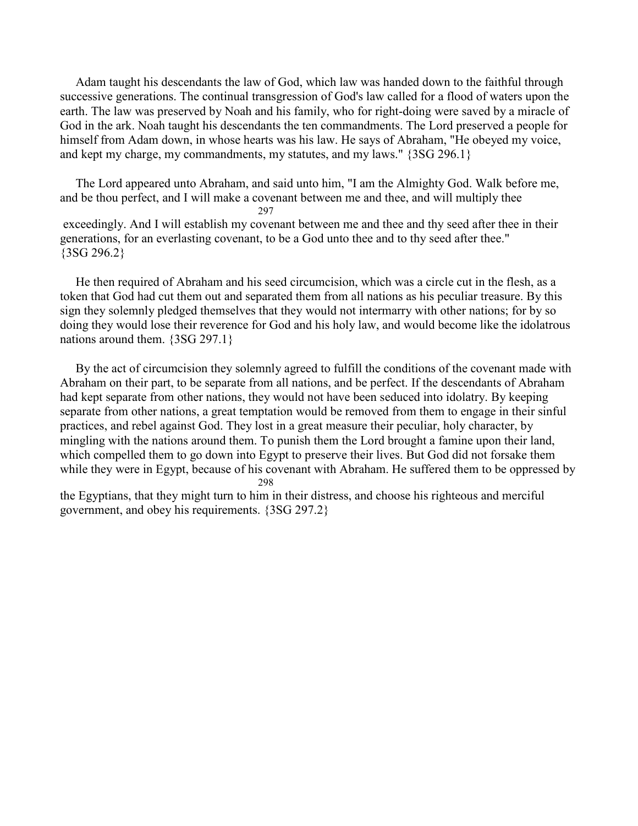Adam taught his descendants the law of God, which law was handed down to the faithful through successive generations. The continual transgression of God's law called for a flood of waters upon the earth. The law was preserved by Noah and his family, who for right-doing were saved by a miracle of God in the ark. Noah taught his descendants the ten commandments. The Lord preserved a people for himself from Adam down, in whose hearts was his law. He says of Abraham, "He obeyed my voice, and kept my charge, my commandments, my statutes, and my laws." {3SG 296.1}

 The Lord appeared unto Abraham, and said unto him, "I am the Almighty God. Walk before me, and be thou perfect, and I will make a covenant between me and thee, and will multiply thee 297 exceedingly. And I will establish my covenant between me and thee and thy seed after thee in their generations, for an everlasting covenant, to be a God unto thee and to thy seed after thee." {3SG 296.2}

 He then required of Abraham and his seed circumcision, which was a circle cut in the flesh, as a token that God had cut them out and separated them from all nations as his peculiar treasure. By this sign they solemnly pledged themselves that they would not intermarry with other nations; for by so doing they would lose their reverence for God and his holy law, and would become like the idolatrous nations around them. {3SG 297.1}

 By the act of circumcision they solemnly agreed to fulfill the conditions of the covenant made with Abraham on their part, to be separate from all nations, and be perfect. If the descendants of Abraham had kept separate from other nations, they would not have been seduced into idolatry. By keeping separate from other nations, a great temptation would be removed from them to engage in their sinful practices, and rebel against God. They lost in a great measure their peculiar, holy character, by mingling with the nations around them. To punish them the Lord brought a famine upon their land, which compelled them to go down into Egypt to preserve their lives. But God did not forsake them while they were in Egypt, because of his covenant with Abraham. He suffered them to be oppressed by 298

the Egyptians, that they might turn to him in their distress, and choose his righteous and merciful government, and obey his requirements. {3SG 297.2}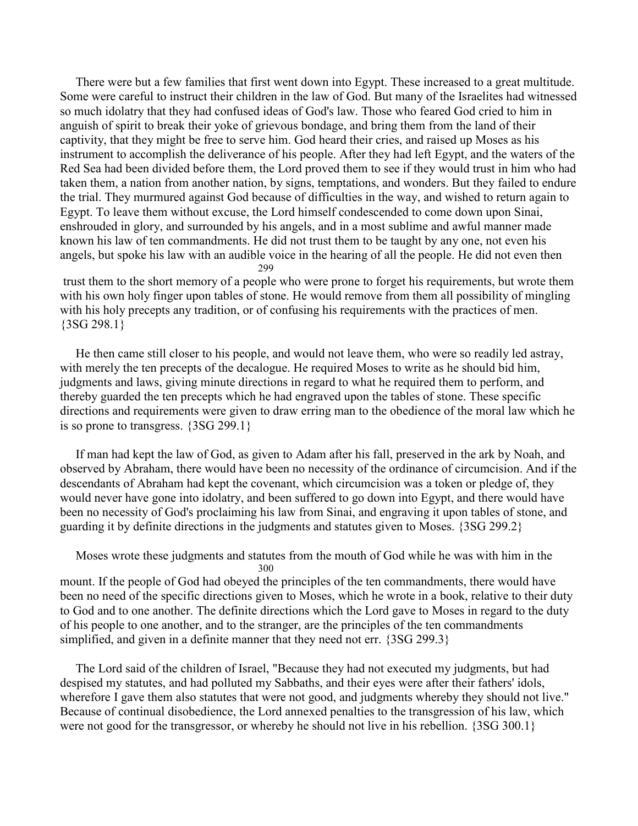There were but a few families that first went down into Egypt. These increased to a great multitude. Some were careful to instruct their children in the law of God. But many of the Israelites had witnessed so much idolatry that they had confused ideas of God's law. Those who feared God cried to him in anguish of spirit to break their yoke of grievous bondage, and bring them from the land of their captivity, that they might be free to serve him. God heard their cries, and raised up Moses as his instrument to accomplish the deliverance of his people. After they had left Egypt, and the waters of the Red Sea had been divided before them, the Lord proved them to see if they would trust in him who had taken them, a nation from another nation, by signs, temptations, and wonders. But they failed to endure the trial. They murmured against God because of difficulties in the way, and wished to return again to Egypt. To leave them without excuse, the Lord himself condescended to come down upon Sinai, enshrouded in glory, and surrounded by his angels, and in a most sublime and awful manner made known his law of ten commandments. He did not trust them to be taught by any one, not even his angels, but spoke his law with an audible voice in the hearing of all the people. He did not even then 299

 trust them to the short memory of a people who were prone to forget his requirements, but wrote them with his own holy finger upon tables of stone. He would remove from them all possibility of mingling with his holy precepts any tradition, or of confusing his requirements with the practices of men. {3SG 298.1}

 He then came still closer to his people, and would not leave them, who were so readily led astray, with merely the ten precepts of the decalogue. He required Moses to write as he should bid him, judgments and laws, giving minute directions in regard to what he required them to perform, and thereby guarded the ten precepts which he had engraved upon the tables of stone. These specific directions and requirements were given to draw erring man to the obedience of the moral law which he is so prone to transgress. {3SG 299.1}

 If man had kept the law of God, as given to Adam after his fall, preserved in the ark by Noah, and observed by Abraham, there would have been no necessity of the ordinance of circumcision. And if the descendants of Abraham had kept the covenant, which circumcision was a token or pledge of, they would never have gone into idolatry, and been suffered to go down into Egypt, and there would have been no necessity of God's proclaiming his law from Sinai, and engraving it upon tables of stone, and guarding it by definite directions in the judgments and statutes given to Moses. {3SG 299.2}

Moses wrote these judgments and statutes from the mouth of God while he was with him in the 300 300

mount. If the people of God had obeyed the principles of the ten commandments, there would have been no need of the specific directions given to Moses, which he wrote in a book, relative to their duty to God and to one another. The definite directions which the Lord gave to Moses in regard to the duty of his people to one another, and to the stranger, are the principles of the ten commandments simplified, and given in a definite manner that they need not err. {3SG 299.3}

 The Lord said of the children of Israel, "Because they had not executed my judgments, but had despised my statutes, and had polluted my Sabbaths, and their eyes were after their fathers' idols, wherefore I gave them also statutes that were not good, and judgments whereby they should not live." Because of continual disobedience, the Lord annexed penalties to the transgression of his law, which were not good for the transgressor, or whereby he should not live in his rebellion. {3SG 300.1}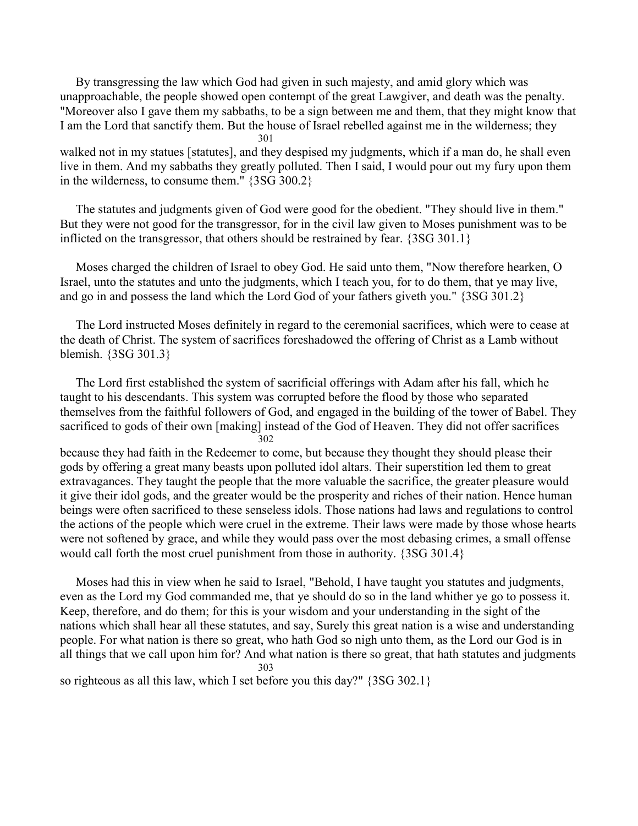By transgressing the law which God had given in such majesty, and amid glory which was unapproachable, the people showed open contempt of the great Lawgiver, and death was the penalty. "Moreover also I gave them my sabbaths, to be a sign between me and them, that they might know that I am the Lord that sanctify them. But the house of Israel rebelled against me in the wilderness; they 301

walked not in my statues [statutes], and they despised my judgments, which if a man do, he shall even live in them. And my sabbaths they greatly polluted. Then I said, I would pour out my fury upon them in the wilderness, to consume them." {3SG 300.2}

 The statutes and judgments given of God were good for the obedient. "They should live in them." But they were not good for the transgressor, for in the civil law given to Moses punishment was to be inflicted on the transgressor, that others should be restrained by fear. {3SG 301.1}

 Moses charged the children of Israel to obey God. He said unto them, "Now therefore hearken, O Israel, unto the statutes and unto the judgments, which I teach you, for to do them, that ye may live, and go in and possess the land which the Lord God of your fathers giveth you." {3SG 301.2}

 The Lord instructed Moses definitely in regard to the ceremonial sacrifices, which were to cease at the death of Christ. The system of sacrifices foreshadowed the offering of Christ as a Lamb without blemish. {3SG 301.3}

 The Lord first established the system of sacrificial offerings with Adam after his fall, which he taught to his descendants. This system was corrupted before the flood by those who separated themselves from the faithful followers of God, and engaged in the building of the tower of Babel. They sacrificed to gods of their own [making] instead of the God of Heaven. They did not offer sacrifices 302

because they had faith in the Redeemer to come, but because they thought they should please their gods by offering a great many beasts upon polluted idol altars. Their superstition led them to great extravagances. They taught the people that the more valuable the sacrifice, the greater pleasure would it give their idol gods, and the greater would be the prosperity and riches of their nation. Hence human beings were often sacrificed to these senseless idols. Those nations had laws and regulations to control the actions of the people which were cruel in the extreme. Their laws were made by those whose hearts were not softened by grace, and while they would pass over the most debasing crimes, a small offense would call forth the most cruel punishment from those in authority. {3SG 301.4}

 Moses had this in view when he said to Israel, "Behold, I have taught you statutes and judgments, even as the Lord my God commanded me, that ye should do so in the land whither ye go to possess it. Keep, therefore, and do them; for this is your wisdom and your understanding in the sight of the nations which shall hear all these statutes, and say, Surely this great nation is a wise and understanding people. For what nation is there so great, who hath God so nigh unto them, as the Lord our God is in all things that we call upon him for? And what nation is there so great, that hath statutes and judgments 303

so righteous as all this law, which I set before you this day?" {3SG 302.1}